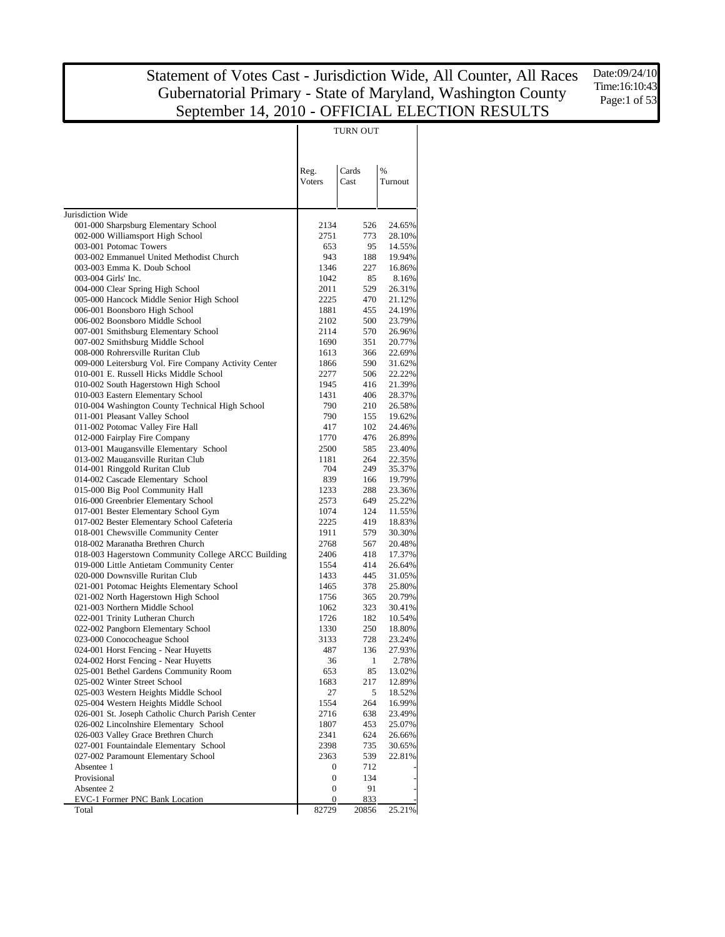Date:09/24/10 Time:16:10:43 Page:1 of 53

|                                                                                |                  | TURN OUT      |                  |
|--------------------------------------------------------------------------------|------------------|---------------|------------------|
|                                                                                | Reg.<br>Voters   | Cards<br>Cast | %<br>Turnout     |
| Jurisdiction Wide                                                              |                  |               |                  |
| 001-000 Sharpsburg Elementary School                                           | 2134             | 526           | 24.65%           |
| 002-000 Williamsport High School                                               | 2751             | 773           | 28.10%           |
| 003-001 Potomac Towers                                                         | 653              | 95            | 14.55%           |
| 003-002 Emmanuel United Methodist Church                                       | 943              | 188           | 19.94%           |
| 003-003 Emma K. Doub School<br>003-004 Girls' Inc.                             | 1346<br>1042     | 227<br>85     | 16.86%<br>8.16%  |
| 004-000 Clear Spring High School                                               | 2011             | 529           | 26.31%           |
| 005-000 Hancock Middle Senior High School                                      | 2225             | 470           | 21.12%           |
| 006-001 Boonsboro High School                                                  | 1881             | 455           | 24.19%           |
| 006-002 Boonsboro Middle School                                                | 2102             | 500           | 23.79%           |
| 007-001 Smithsburg Elementary School                                           | 2114             | 570           | 26.96%           |
| 007-002 Smithsburg Middle School                                               | 1690             | 351           | 20.77%           |
| 008-000 Rohrersville Ruritan Club                                              | 1613             | 366           | 22.69%           |
| 009-000 Leitersburg Vol. Fire Company Activity Center                          | 1866             | 590           | 31.62%           |
| 010-001 E. Russell Hicks Middle School                                         | 2277             | 506           | 22.22%           |
| 010-002 South Hagerstown High School                                           | 1945             | 416           | 21.39%           |
| 010-003 Eastern Elementary School                                              | 1431             | 406           | 28.37%           |
| 010-004 Washington County Technical High School                                | 790              | 210           | 26.58%           |
| 011-001 Pleasant Valley School<br>011-002 Potomac Valley Fire Hall             | 790<br>417       | 155<br>102    | 19.62%<br>24.46% |
| 012-000 Fairplay Fire Company                                                  | 1770             | 476           | 26.89%           |
| 013-001 Maugansville Elementary School                                         | 2500             | 585           | 23.40%           |
| 013-002 Maugansville Ruritan Club                                              | 1181             | 264           | 22.35%           |
| 014-001 Ringgold Ruritan Club                                                  | 704              | 249           | 35.37%           |
| 014-002 Cascade Elementary School                                              | 839              | 166           | 19.79%           |
| 015-000 Big Pool Community Hall                                                | 1233             | 288           | 23.36%           |
| 016-000 Greenbrier Elementary School                                           | 2573             | 649           | 25.22%           |
| 017-001 Bester Elementary School Gym                                           | 1074             | 124           | 11.55%           |
| 017-002 Bester Elementary School Cafeteria                                     | 2225             | 419           | 18.83%           |
| 018-001 Chewsville Community Center                                            | 1911             | 579           | 30.30%           |
| 018-002 Maranatha Brethren Church                                              | 2768             | 567           | 20.48%           |
| 018-003 Hagerstown Community College ARCC Building                             | 2406<br>1554     | 418<br>414    | 17.37%<br>26.64% |
| 019-000 Little Antietam Community Center<br>020-000 Downsville Ruritan Club    | 1433             | 445           | 31.05%           |
| 021-001 Potomac Heights Elementary School                                      | 1465             | 378           | 25.80%           |
| 021-002 North Hagerstown High School                                           | 1756             | 365           | 20.79%           |
| 021-003 Northern Middle School                                                 | 1062             | 323           | 30.41%           |
| 022-001 Trinity Lutheran Church                                                | 1726             | 182           | 10.54%           |
| 022-002 Pangborn Elementary School                                             | 1330             | 250           | 18.80%           |
| 023-000 Conococheague School                                                   | 3133             | 728           | 23.24%           |
| 024-001 Horst Fencing - Near Huyetts                                           | 487              | 136           | 27.93%           |
| 024-002 Horst Fencing - Near Huyetts                                           | 36               | 1             | 2.78%            |
| 025-001 Bethel Gardens Community Room                                          | 653              | 85            | 13.02%           |
| 025-002 Winter Street School                                                   | 1683             | 217           | 12.89%           |
| 025-003 Western Heights Middle School<br>025-004 Western Heights Middle School | 27               | 5             | 18.52%           |
| 026-001 St. Joseph Catholic Church Parish Center                               | 1554<br>2716     | 264<br>638    | 16.99%<br>23.49% |
| 026-002 Lincolnshire Elementary School                                         | 1807             | 453           | 25.07%           |
| 026-003 Valley Grace Brethren Church                                           | 2341             | 624           | 26.66%           |
| 027-001 Fountaindale Elementary School                                         | 2398             | 735           | 30.65%           |
| 027-002 Paramount Elementary School                                            | 2363             | 539           | 22.81%           |
| Absentee 1                                                                     | 0                | 712           |                  |
| Provisional                                                                    | $\boldsymbol{0}$ | 134           |                  |
| Absentee 2                                                                     | $\boldsymbol{0}$ | 91            |                  |
| EVC-1 Former PNC Bank Location                                                 | 0                | 833           |                  |
| Total                                                                          | 82729            | 20856         | 25.21%           |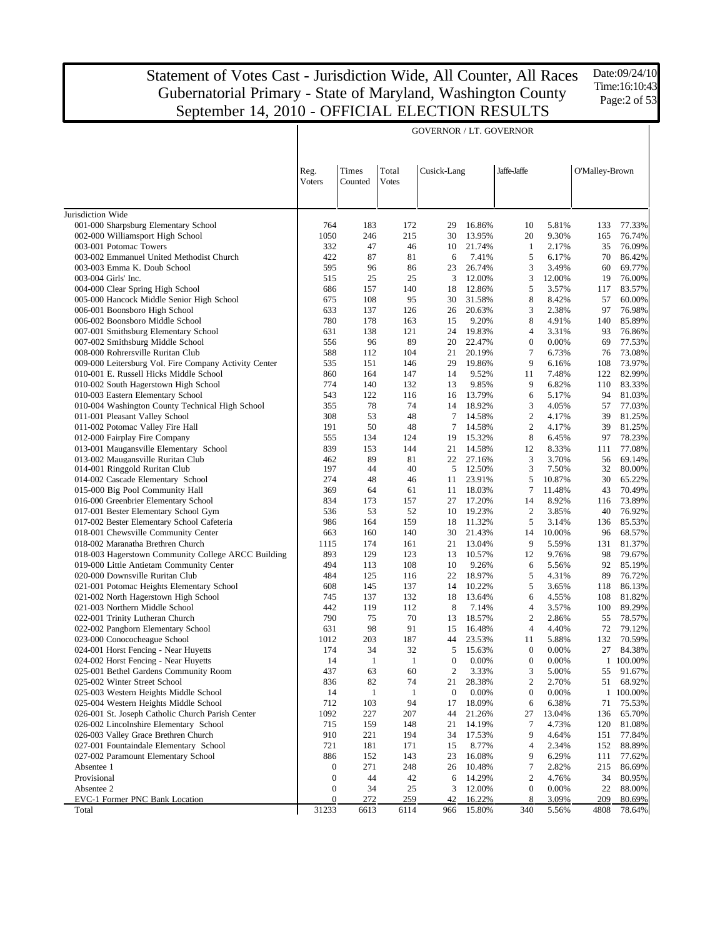Date:09/24/10 Time:16:10:43 Page:2 of 53

|                                                                                   | <b>GOVERNOR / LT. GOVERNOR</b> |                  |                |                  |                 |                  |                |                |                  |
|-----------------------------------------------------------------------------------|--------------------------------|------------------|----------------|------------------|-----------------|------------------|----------------|----------------|------------------|
|                                                                                   | Reg.<br>Voters                 | Times<br>Counted | Total<br>Votes | Cusick-Lang      |                 | Jaffe-Jaffe      |                | O'Malley-Brown |                  |
| Jurisdiction Wide                                                                 |                                |                  |                |                  |                 |                  |                |                |                  |
| 001-000 Sharpsburg Elementary School                                              | 764                            | 183              | 172            | 29               | 16.86%          | 10               | 5.81%          | 133            | 77.33%           |
| 002-000 Williamsport High School                                                  | 1050                           | 246              | 215            | 30               | 13.95%          | 20               | 9.30%          | 165            | 76.74%           |
| 003-001 Potomac Towers                                                            | 332                            | 47               | 46             | 10               | 21.74%          | 1                | 2.17%          | 35             | 76.09%           |
| 003-002 Emmanuel United Methodist Church                                          | 422                            | 87               | 81             | 6                | 7.41%           | 5                | 6.17%          | 70             | 86.42%           |
| 003-003 Emma K. Doub School                                                       | 595                            | 96               | 86             | 23               | 26.74%          | 3                | 3.49%          | 60             | 69.77%           |
| 003-004 Girls' Inc.                                                               | 515                            | 25               | 25             | 3                | 12.00%          | 3                | 12.00%         | 19             | 76.00%           |
| 004-000 Clear Spring High School                                                  | 686                            | 157              | 140            | 18               | 12.86%          | 5                | 3.57%          | 117            | 83.57%           |
| 005-000 Hancock Middle Senior High School                                         | 675                            | 108              | 95             | 30               | 31.58%          | 8                | 8.42%          | 57             | 60.00%           |
| 006-001 Boonsboro High School                                                     | 633<br>780                     | 137<br>178       | 126<br>163     | 26               | 20.63%          | 3<br>8           | 2.38%          | 97<br>140      | 76.98%           |
| 006-002 Boonsboro Middle School<br>007-001 Smithsburg Elementary School           | 631                            | 138              | 121            | 15<br>24         | 9.20%<br>19.83% | 4                | 4.91%<br>3.31% | 93             | 85.89%<br>76.86% |
| 007-002 Smithsburg Middle School                                                  | 556                            | 96               | 89             | 20               | 22.47%          | $\boldsymbol{0}$ | 0.00%          | 69             | 77.53%           |
| 008-000 Rohrersville Ruritan Club                                                 | 588                            | 112              | 104            | 21               | 20.19%          | 7                | 6.73%          | 76             | 73.08%           |
| 009-000 Leitersburg Vol. Fire Company Activity Center                             | 535                            | 151              | 146            | 29               | 19.86%          | 9                | 6.16%          | 108            | 73.97%           |
| 010-001 E. Russell Hicks Middle School                                            | 860                            | 164              | 147            | 14               | 9.52%           | 11               | 7.48%          | 122            | 82.99%           |
| 010-002 South Hagerstown High School                                              | 774                            | 140              | 132            | 13               | 9.85%           | 9                | 6.82%          | 110            | 83.33%           |
| 010-003 Eastern Elementary School                                                 | 543                            | 122              | 116            | 16               | 13.79%          | 6                | 5.17%          | 94             | 81.03%           |
| 010-004 Washington County Technical High School                                   | 355                            | 78               | 74             | 14               | 18.92%          | 3                | 4.05%          | 57             | 77.03%           |
| 011-001 Pleasant Valley School                                                    | 308                            | 53               | 48             | 7                | 14.58%          | $\mathbf{2}$     | 4.17%          | 39             | 81.25%           |
| 011-002 Potomac Valley Fire Hall                                                  | 191                            | 50               | 48             | 7                | 14.58%          | 2                | 4.17%          | 39             | 81.25%           |
| 012-000 Fairplay Fire Company                                                     | 555                            | 134              | 124            | 19               | 15.32%          | 8                | 6.45%          | 97             | 78.23%           |
| 013-001 Maugansville Elementary School                                            | 839                            | 153              | 144            | 21               | 14.58%          | 12               | 8.33%          | 111            | 77.08%           |
| 013-002 Maugansville Ruritan Club                                                 | 462                            | 89               | 81             | 22               | 27.16%          | 3                | 3.70%          | 56             | 69.14%           |
| 014-001 Ringgold Ruritan Club                                                     | 197                            | 44               | 40             | 5                | 12.50%          | 3                | 7.50%          | 32             | 80.00%           |
| 014-002 Cascade Elementary School                                                 | 274                            | 48               | 46             | 11               | 23.91%          | 5                | 10.87%         | 30             | 65.22%           |
| 015-000 Big Pool Community Hall                                                   | 369                            | 64               | 61             | 11               | 18.03%          | 7                | 11.48%         | 43             | 70.49%           |
| 016-000 Greenbrier Elementary School                                              | 834                            | 173              | 157            | 27               | 17.20%          | 14               | 8.92%          | 116            | 73.89%           |
| 017-001 Bester Elementary School Gym                                              | 536                            | 53               | 52             | 10               | 19.23%          | $\mathfrak{2}$   | 3.85%          | 40             | 76.92%           |
| 017-002 Bester Elementary School Cafeteria                                        | 986                            | 164              | 159            | 18               | 11.32%          | 5                | 3.14%          | 136            | 85.53%           |
| 018-001 Chewsville Community Center                                               | 663                            | 160              | 140            | 30               | 21.43%          | 14               | 10.00%         | 96             | 68.57%           |
| 018-002 Maranatha Brethren Church                                                 | 1115                           | 174              | 161            | 21               | 13.04%          | 9                | 5.59%          | 131            | 81.37%           |
| 018-003 Hagerstown Community College ARCC Building                                | 893                            | 129              | 123            | 13               | 10.57%          | 12               | 9.76%          | 98             | 79.67%           |
| 019-000 Little Antietam Community Center                                          | 494<br>484                     | 113<br>125       | 108            | 10<br>22         | 9.26%<br>18.97% | 6                | 5.56%          | 92<br>89       | 85.19%           |
| 020-000 Downsville Ruritan Club                                                   | 608                            | 145              | 116<br>137     | 14               | 10.22%          | 5<br>5           | 4.31%<br>3.65% | 118            | 76.72%<br>86.13% |
| 021-001 Potomac Heights Elementary School<br>021-002 North Hagerstown High School | 745                            | 137              | 132            | 18               | 13.64%          | 6                | 4.55%          | 108            | 81.82%           |
| 021-003 Northern Middle School                                                    | 442                            | 119              | 112            | 8                | 7.14%           | 4                | 3.57%          | 100            | 89.29%           |
| 022-001 Trinity Lutheran Church                                                   | 790                            | 75               | 70             | 13               | 18.57%          | $\overline{c}$   | 2.86%          | 55             | 78.57%           |
| 022-002 Pangborn Elementary School                                                | 631                            | 98               | 91             | 15               | 16.48%          | $\overline{4}$   | 4.40%          | 72             | 79.12%           |
| 023-000 Conococheague School                                                      | 1012                           | 203              | 187            | 44               | 23.53%          | 11               | 5.88%          | 132            | 70.59%           |
| 024-001 Horst Fencing - Near Huyetts                                              | 174                            | 34               | 32             | 5                | 15.63%          | $\boldsymbol{0}$ | 0.00%          | 27             | 84.38%           |
| 024-002 Horst Fencing - Near Huyetts                                              | 14                             | -1               | -1             | $\theta$         | $0.00\%$        | $\boldsymbol{0}$ | $0.00\%$       |                | 1 100.00%        |
| 025-001 Bethel Gardens Community Room                                             | 437                            | 63               | 60             | $\boldsymbol{2}$ | 3.33%           | 3                | 5.00%          | 55             | 91.67%           |
| 025-002 Winter Street School                                                      | 836                            | 82               | 74             | 21               | 28.38%          | $\boldsymbol{2}$ | 2.70%          | 51             | 68.92%           |
| 025-003 Western Heights Middle School                                             | 14                             | $\mathbf{1}$     | 1              | $\boldsymbol{0}$ | 0.00%           | 0                | 0.00%          | $\mathbf{1}$   | 100.00%          |
| 025-004 Western Heights Middle School                                             | 712                            | 103              | 94             | 17               | 18.09%          | 6                | 6.38%          | 71             | 75.53%           |
| 026-001 St. Joseph Catholic Church Parish Center                                  | 1092                           | 227              | 207            | 44               | 21.26%          | 27               | 13.04%         | 136            | 65.70%           |
| 026-002 Lincolnshire Elementary School                                            | 715                            | 159              | 148            | 21               | 14.19%          | 7                | 4.73%          | 120            | 81.08%           |
| 026-003 Valley Grace Brethren Church                                              | 910                            | 221              | 194            | 34               | 17.53%          | 9                | 4.64%          | 151            | 77.84%           |
| 027-001 Fountaindale Elementary School                                            | 721                            | 181              | 171            | 15               | 8.77%           | 4                | 2.34%          | 152            | 88.89%           |
| 027-002 Paramount Elementary School                                               | 886                            | 152              | 143            | 23               | 16.08%          | 9                | 6.29%          | 111            | 77.62%           |
| Absentee 1                                                                        | $\boldsymbol{0}$               | 271              | 248            | 26               | 10.48%          | 7                | 2.82%          | 215            | 86.69%           |
| Provisional                                                                       | $\mathbf{0}$                   | 44               | 42             | 6                | 14.29%          | $\boldsymbol{2}$ | 4.76%          | 34             | 80.95%           |
| Absentee 2                                                                        | 0                              | 34               | 25             | 3                | 12.00%          | $\boldsymbol{0}$ | 0.00%          | 22             | 88.00%           |
| EVC-1 Former PNC Bank Location                                                    | 0                              | 272              | 259            | 42               | 16.22%          | 8                | 3.09%          | 209            | 80.69%           |
| Total                                                                             | 31233                          | 6613             | 6114           | 966              | 15.80%          | 340              | 5.56%          | 4808           | 78.64%           |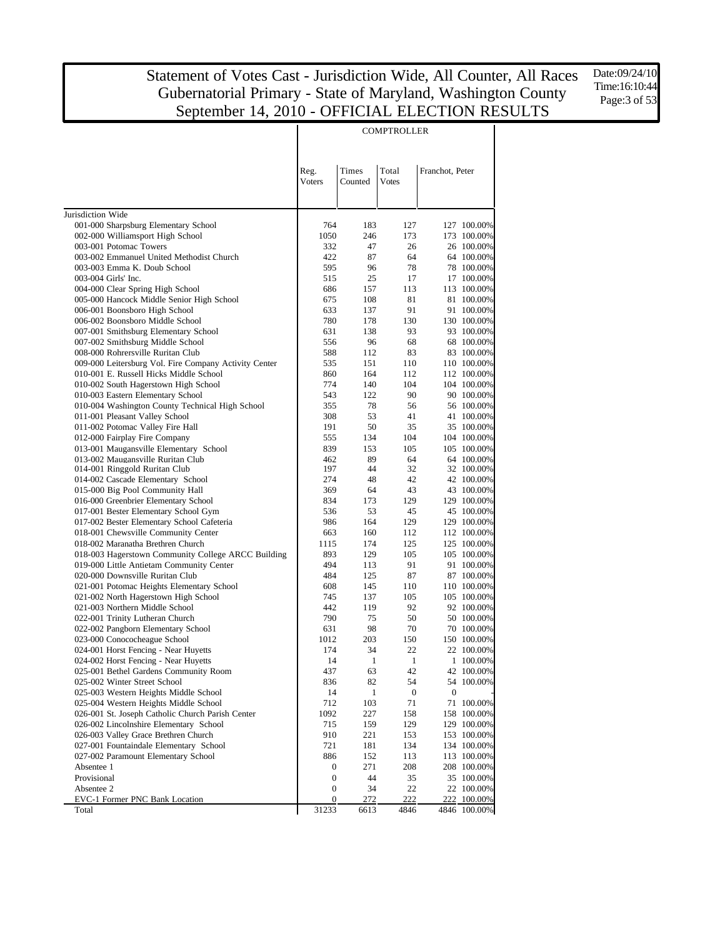$\overline{1}$ 

Date:09/24/10 Time:16:10:44 Page:3 of 53

|                                                                                         |                |                    | <b>COMPTROLLER</b> |                 |                            |
|-----------------------------------------------------------------------------------------|----------------|--------------------|--------------------|-----------------|----------------------------|
|                                                                                         |                |                    |                    |                 |                            |
|                                                                                         |                |                    |                    |                 |                            |
|                                                                                         | Reg.<br>Voters | Times<br>Counted   | Total<br>Votes     | Franchot, Peter |                            |
|                                                                                         |                |                    |                    |                 |                            |
|                                                                                         |                |                    |                    |                 |                            |
| Jurisdiction Wide                                                                       |                |                    |                    |                 |                            |
| 001-000 Sharpsburg Elementary School                                                    | 764            | 183                | 127                |                 | 127 100.00%                |
| 002-000 Williamsport High School<br>003-001 Potomac Towers                              | 1050<br>332    | 246<br>47          | 173<br>26          |                 | 173 100.00%<br>26 100.00%  |
| 003-002 Emmanuel United Methodist Church                                                | 422            | 87                 | 64                 |                 | 64 100.00%                 |
| 003-003 Emma K. Doub School                                                             | 595            | 96                 | 78                 |                 | 78 100.00%                 |
| 003-004 Girls' Inc.                                                                     | 515            | 25                 | 17                 |                 | 17 100.00%                 |
| 004-000 Clear Spring High School                                                        | 686            | 157                | 113                |                 | 113 100.00%                |
| 005-000 Hancock Middle Senior High School                                               | 675            | 108                | 81                 |                 | 81 100.00%                 |
| 006-001 Boonsboro High School                                                           | 633            | 137                | 91                 |                 | 91 100.00%                 |
| 006-002 Boonsboro Middle School                                                         | 780            | 178                | 130                |                 | 130 100.00%                |
| 007-001 Smithsburg Elementary School<br>007-002 Smithsburg Middle School                | 631<br>556     | 138<br>96          | 93<br>68           |                 | 93 100.00%<br>68 100.00%   |
| 008-000 Rohrersville Ruritan Club                                                       | 588            | 112                | 83                 |                 | 83 100.00%                 |
| 009-000 Leitersburg Vol. Fire Company Activity Center                                   | 535            | 151                | 110                |                 | 110 100.00%                |
| 010-001 E. Russell Hicks Middle School                                                  | 860            | 164                | 112                |                 | 112 100.00%                |
| 010-002 South Hagerstown High School                                                    | 774            | 140                | 104                |                 | 104 100.00%                |
| 010-003 Eastern Elementary School                                                       | 543            | 122                | 90                 |                 | 90 100.00%                 |
| 010-004 Washington County Technical High School                                         | 355            | 78                 | 56                 |                 | 56 100.00%                 |
| 011-001 Pleasant Valley School                                                          | 308            | 53                 | 41                 |                 | 41 100.00%                 |
| 011-002 Potomac Valley Fire Hall                                                        | 191            | 50                 | 35                 |                 | 35 100.00%                 |
| 012-000 Fairplay Fire Company<br>013-001 Maugansville Elementary School                 | 555            | 134                | 104                |                 | 104 100.00%                |
| 013-002 Maugansville Ruritan Club                                                       | 839<br>462     | 153<br>89          | 105<br>64          |                 | 105 100.00%<br>64 100.00%  |
| 014-001 Ringgold Ruritan Club                                                           | 197            | 44                 | 32                 |                 | 32 100.00%                 |
| 014-002 Cascade Elementary School                                                       | 274            | 48                 | 42                 |                 | 42 100.00%                 |
| 015-000 Big Pool Community Hall                                                         | 369            | 64                 | 43                 |                 | 43 100.00%                 |
| 016-000 Greenbrier Elementary School                                                    | 834            | 173                | 129                |                 | 129 100.00%                |
| 017-001 Bester Elementary School Gym                                                    | 536            | 53                 | 45                 |                 | 45 100.00%                 |
| 017-002 Bester Elementary School Cafeteria                                              | 986            | 164                | 129                |                 | 129 100.00%                |
| 018-001 Chewsville Community Center                                                     | 663            | 160                | 112                |                 | 112 100.00%                |
| 018-002 Maranatha Brethren Church<br>018-003 Hagerstown Community College ARCC Building | 1115<br>893    | 174<br>129         | 125<br>105         |                 | 125 100.00%<br>105 100.00% |
| 019-000 Little Antietam Community Center                                                | 494            | 113                | 91                 |                 | 91 100.00%                 |
| 020-000 Downsville Ruritan Club                                                         | 484            | 125                | 87                 |                 | 87 100.00%                 |
| 021-001 Potomac Heights Elementary School                                               | 608            | 145                | 110                |                 | 110 100.00%                |
| 021-002 North Hagerstown High School                                                    | 745            | 137                | 105                |                 | 105 100.00%                |
| 021-003 Northern Middle School                                                          | 442            | 119                | 92                 |                 | 92 100.00%                 |
| 022-001 Trinity Lutheran Church                                                         | 790            | 75                 | 50                 |                 | 50 100.00%                 |
| 022-002 Pangborn Elementary School                                                      | 631            | 98                 | 70                 |                 | 70 100.00%                 |
| 023-000 Conococheague School                                                            | 1012           | 203                | 150                |                 | 150 100.00%                |
| 024-001 Horst Fencing - Near Huyetts                                                    | 174            | 34                 | 22                 |                 | 22 100.00%                 |
| 024-002 Horst Fencing - Near Huyetts<br>025-001 Bethel Gardens Community Room           | 14<br>437      | $\mathbf{1}$<br>63 | $\mathbf{1}$<br>42 |                 | 1 100.00%<br>42 100.00%    |
| 025-002 Winter Street School                                                            | 836            | 82                 | 54                 |                 | 54 100.00%                 |
| 025-003 Western Heights Middle School                                                   | 14             | 1                  | $\boldsymbol{0}$   | $\mathbf{0}$    |                            |
| 025-004 Western Heights Middle School                                                   | 712            | 103                | 71                 |                 | 71 100.00%                 |
| 026-001 St. Joseph Catholic Church Parish Center                                        | 1092           | 227                | 158                |                 | 158 100.00%                |
| 026-002 Lincolnshire Elementary School                                                  | 715            | 159                | 129                |                 | 129 100.00%                |
| 026-003 Valley Grace Brethren Church                                                    | 910            | 221                | 153                |                 | 153 100.00%                |
| 027-001 Fountaindale Elementary School                                                  | 721            | 181                | 134                |                 | 134 100.00%                |
| 027-002 Paramount Elementary School                                                     | 886            | 152                | 113                |                 | 113 100.00%                |
| Absentee 1<br>Provisional                                                               | 0              | 271                | 208                |                 | 208 100.00%                |
| Absentee 2                                                                              | 0<br>0         | 44<br>34           | 35<br>22           |                 | 35 100.00%<br>22 100.00%   |
| EVC-1 Former PNC Bank Location                                                          | 0              | 272                | 222                |                 | 222 100.00%                |
| Total                                                                                   | 31233          | 6613               | 4846               |                 | 4846 100.00%               |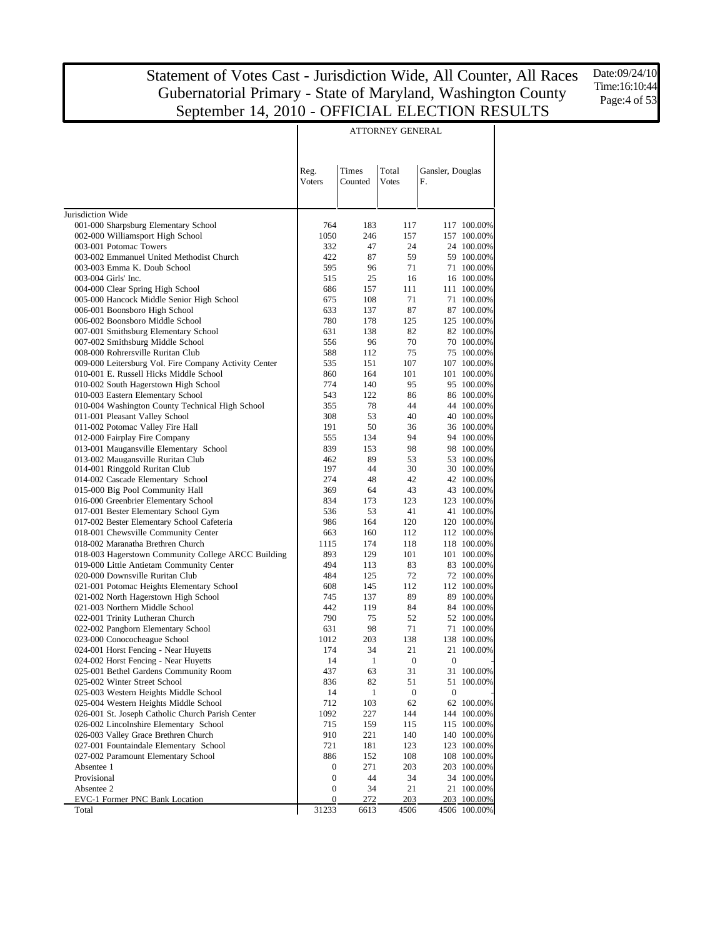Date:09/24/10 Time:16:10:44 Page:4 of 53

|                                                                                                 |                       |                  | ATTORNEY GENERAL      |                        |                           |
|-------------------------------------------------------------------------------------------------|-----------------------|------------------|-----------------------|------------------------|---------------------------|
|                                                                                                 |                       |                  |                       |                        |                           |
|                                                                                                 | Reg.<br>Voters        | Times<br>Counted | Total<br><b>Votes</b> | Gansler, Douglas<br>F. |                           |
|                                                                                                 |                       |                  |                       |                        |                           |
| Jurisdiction Wide                                                                               |                       |                  |                       |                        |                           |
| 001-000 Sharpsburg Elementary School<br>002-000 Williamsport High School                        | 764<br>1050           | 183<br>246       | 117<br>157            |                        | 117 100.00%               |
| 003-001 Potomac Towers                                                                          | 332                   | 47               | 24                    |                        | 157 100.00%<br>24 100.00% |
| 003-002 Emmanuel United Methodist Church                                                        | 422                   | 87               | 59                    |                        | 59 100.00%                |
| 003-003 Emma K. Doub School                                                                     | 595                   | 96               | 71                    |                        | 71 100.00%                |
| 003-004 Girls' Inc.                                                                             | 515                   | 25               | 16                    |                        | 16 100.00%                |
| 004-000 Clear Spring High School                                                                | 686                   | 157              | 111                   |                        | 111 100.00%               |
| 005-000 Hancock Middle Senior High School                                                       | 675                   | 108              | 71                    |                        | 71 100.00%                |
| 006-001 Boonsboro High School                                                                   | 633                   | 137              | 87                    |                        | 87 100.00%                |
| 006-002 Boonsboro Middle School                                                                 | 780                   | 178              | 125                   |                        | 125 100.00%               |
| 007-001 Smithsburg Elementary School                                                            | 631                   | 138              | 82                    |                        | 82 100.00%                |
| 007-002 Smithsburg Middle School                                                                | 556                   | 96               | 70                    |                        | 70 100.00%                |
| 008-000 Rohrersville Ruritan Club                                                               | 588                   | 112              | 75                    |                        | 75 100.00%                |
| 009-000 Leitersburg Vol. Fire Company Activity Center<br>010-001 E. Russell Hicks Middle School | 535                   | 151              | 107                   |                        | 107 100.00%               |
| 010-002 South Hagerstown High School                                                            | 860<br>774            | 164<br>140       | 101<br>95             |                        | 101 100.00%<br>95 100.00% |
| 010-003 Eastern Elementary School                                                               | 543                   | 122              | 86                    |                        | 86 100.00%                |
| 010-004 Washington County Technical High School                                                 | 355                   | 78               | 44                    |                        | 44 100.00%                |
| 011-001 Pleasant Valley School                                                                  | 308                   | 53               | 40                    |                        | 40 100.00%                |
| 011-002 Potomac Valley Fire Hall                                                                | 191                   | 50               | 36                    |                        | 36 100.00%                |
| 012-000 Fairplay Fire Company                                                                   | 555                   | 134              | 94                    |                        | 94 100.00%                |
| 013-001 Maugansville Elementary School                                                          | 839                   | 153              | 98                    |                        | 98 100,00%                |
| 013-002 Maugansville Ruritan Club                                                               | 462                   | 89               | 53                    |                        | 53 100.00%                |
| 014-001 Ringgold Ruritan Club                                                                   | 197                   | 44               | 30                    |                        | 30 100.00%                |
| 014-002 Cascade Elementary School                                                               | 274                   | 48               | 42                    |                        | 42 100.00%                |
| 015-000 Big Pool Community Hall                                                                 | 369                   | 64               | 43                    |                        | 43 100.00%                |
| 016-000 Greenbrier Elementary School<br>017-001 Bester Elementary School Gym                    | 834<br>536            | 173<br>53        | 123<br>41             |                        | 123 100.00%<br>41 100.00% |
| 017-002 Bester Elementary School Cafeteria                                                      | 986                   | 164              | 120                   |                        | 120 100.00%               |
| 018-001 Chewsville Community Center                                                             | 663                   | 160              | 112                   |                        | 112 100.00%               |
| 018-002 Maranatha Brethren Church                                                               | 1115                  | 174              | 118                   |                        | 118 100.00%               |
| 018-003 Hagerstown Community College ARCC Building                                              | 893                   | 129              | 101                   |                        | 101 100.00%               |
| 019-000 Little Antietam Community Center                                                        | 494                   | 113              | 83                    |                        | 83 100.00%                |
| 020-000 Downsville Ruritan Club                                                                 | 484                   | 125              | 72                    |                        | 72 100.00%                |
| 021-001 Potomac Heights Elementary School                                                       | 608                   | 145              | 112                   |                        | 112 100.00%               |
| 021-002 North Hagerstown High School                                                            | 745                   | 137              | 89                    |                        | 89 100.00%                |
| 021-003 Northern Middle School                                                                  | 442                   | 119              | 84                    |                        | 84 100.00%                |
| 022-001 Trinity Lutheran Church                                                                 | 790                   | 75               | 52                    |                        | 52 100.00%                |
| 022-002 Pangborn Elementary School                                                              | 631                   | 98               | 71                    |                        | 71 100.00%<br>138 100.00% |
| 023-000 Conococheague School<br>024-001 Horst Fencing - Near Huyetts                            | 1012<br>174           | 203<br>34        | 138<br>21             |                        | 21 100.00%                |
| 024-002 Horst Fencing - Near Huyetts                                                            | 14                    | $\mathbf{1}$     | $\boldsymbol{0}$      | $\boldsymbol{0}$       |                           |
| 025-001 Bethel Gardens Community Room                                                           | 437                   | 63               | 31                    |                        | 31 100.00%                |
| 025-002 Winter Street School                                                                    | 836                   | 82               | 51                    |                        | 51 100.00%                |
| 025-003 Western Heights Middle School                                                           | 14                    | 1                | $\boldsymbol{0}$      | $\boldsymbol{0}$       |                           |
| 025-004 Western Heights Middle School                                                           | 712                   | 103              | 62                    |                        | 62 100.00%                |
| 026-001 St. Joseph Catholic Church Parish Center                                                | 1092                  | 227              | 144                   |                        | 144 100.00%               |
| 026-002 Lincolnshire Elementary School                                                          | 715                   | 159              | 115                   |                        | 115 100.00%               |
| 026-003 Valley Grace Brethren Church                                                            | 910                   | 221              | 140                   |                        | 140 100.00%               |
| 027-001 Fountaindale Elementary School                                                          | 721                   | 181              | 123                   |                        | 123 100.00%               |
| 027-002 Paramount Elementary School                                                             | 886                   | 152              | 108                   |                        | 108 100.00%               |
| Absentee 1                                                                                      | 0                     | 271              | 203                   |                        | 203 100.00%               |
| Provisional                                                                                     | 0                     | 44               | 34                    |                        | 34 100.00%                |
| Absentee 2<br>EVC-1 Former PNC Bank Location                                                    | $\boldsymbol{0}$<br>0 | 34<br>272        | 21<br>203             |                        | 21 100.00%<br>203 100.00% |
| Total                                                                                           | 31233                 | 6613             | 4506                  |                        | 4506 100.00%              |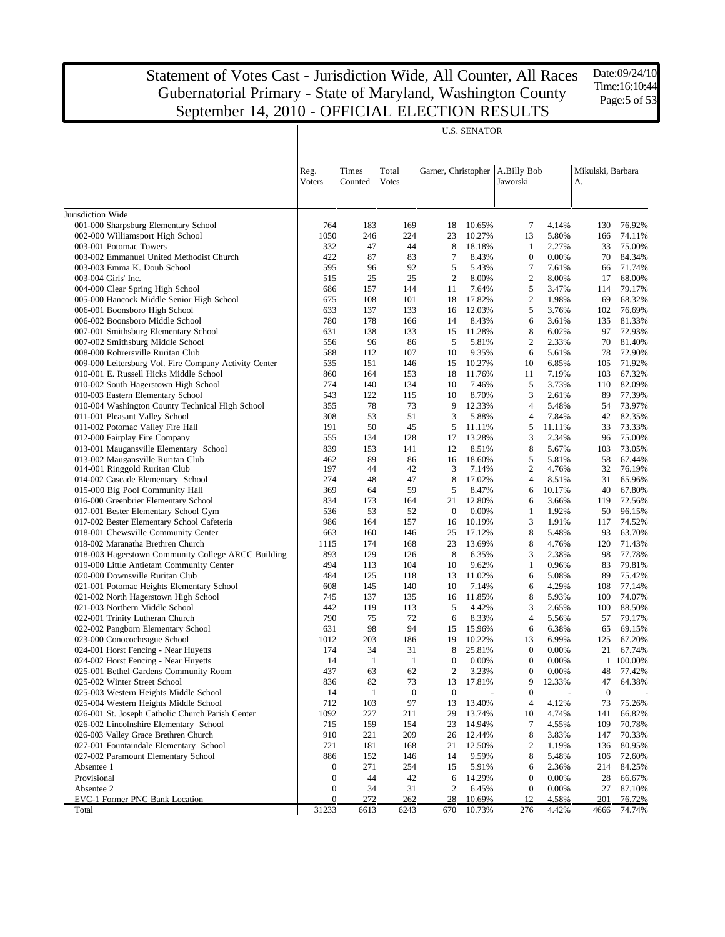Date:09/24/10 Time:16:10:44 Page:5 of 53

|                                                                               |                  |                  |                       |                  | <b>U.S. SENATOR</b> |                                             |                |                         |                  |
|-------------------------------------------------------------------------------|------------------|------------------|-----------------------|------------------|---------------------|---------------------------------------------|----------------|-------------------------|------------------|
|                                                                               | Reg.<br>Voters   | Times<br>Counted | Total<br><b>Votes</b> |                  |                     | Garner, Christopher A.Billy Bob<br>Jaworski |                | Mikulski, Barbara<br>A. |                  |
| Jurisdiction Wide                                                             |                  |                  |                       |                  |                     |                                             |                |                         |                  |
| 001-000 Sharpsburg Elementary School                                          | 764              | 183              | 169                   | 18               | 10.65%              | $\tau$                                      | 4.14%          | 130                     | 76.92%           |
| 002-000 Williamsport High School                                              | 1050             | 246              | 224                   | 23               | 10.27%              | 13                                          | 5.80%          | 166                     | 74.11%           |
| 003-001 Potomac Towers                                                        | 332              | 47               | 44                    | 8                | 18.18%              | 1                                           | 2.27%          | 33                      | 75.00%           |
| 003-002 Emmanuel United Methodist Church                                      | 422              | 87               | 83                    | 7                | 8.43%               | $\boldsymbol{0}$                            | 0.00%          | 70                      | 84.34%           |
| 003-003 Emma K. Doub School                                                   | 595              | 96               | 92                    | 5                | 5.43%               | $\tau$                                      | 7.61%          | 66                      | 71.74%           |
| 003-004 Girls' Inc.                                                           | 515              | 25               | 25                    | 2                | 8.00%               | $\boldsymbol{2}$                            | 8.00%          | 17                      | 68.00%           |
| 004-000 Clear Spring High School                                              | 686              | 157              | 144                   | 11               | 7.64%               | 5                                           | 3.47%          | 114                     | 79.17%           |
| 005-000 Hancock Middle Senior High School                                     | 675              | 108              | 101                   | 18               | 17.82%              | $\mathfrak{2}$                              | 1.98%          | 69                      | 68.32%           |
| 006-001 Boonsboro High School                                                 | 633<br>780       | 137<br>178       | 133                   | 16<br>14         | 12.03%              | 5<br>6                                      | 3.76%          | 102                     | 76.69%           |
| 006-002 Boonsboro Middle School<br>007-001 Smithsburg Elementary School       | 631              | 138              | 166<br>133            | 15               | 8.43%<br>11.28%     | $\,$ 8 $\,$                                 | 3.61%<br>6.02% | 135<br>97               | 81.33%<br>72.93% |
| 007-002 Smithsburg Middle School                                              | 556              | 96               | 86                    | 5                | 5.81%               | $\mathbf{2}$                                | 2.33%          | 70                      | 81.40%           |
| 008-000 Rohrersville Ruritan Club                                             | 588              | 112              | 107                   | 10               | 9.35%               | 6                                           | 5.61%          | 78                      | 72.90%           |
| 009-000 Leitersburg Vol. Fire Company Activity Center                         | 535              | 151              | 146                   | 15               | 10.27%              | 10                                          | 6.85%          | 105                     | 71.92%           |
| 010-001 E. Russell Hicks Middle School                                        | 860              | 164              | 153                   | 18               | 11.76%              | 11                                          | 7.19%          | 103                     | 67.32%           |
| 010-002 South Hagerstown High School                                          | 774              | 140              | 134                   | 10               | 7.46%               | 5                                           | 3.73%          | 110                     | 82.09%           |
| 010-003 Eastern Elementary School                                             | 543              | 122              | 115                   | 10               | 8.70%               | 3                                           | 2.61%          | 89                      | 77.39%           |
| 010-004 Washington County Technical High School                               | 355              | 78               | 73                    | 9                | 12.33%              | $\overline{4}$                              | 5.48%          | 54                      | 73.97%           |
| 011-001 Pleasant Valley School                                                | 308              | 53               | 51                    | 3                | 5.88%               | $\overline{4}$                              | 7.84%          | 42                      | 82.35%           |
| 011-002 Potomac Valley Fire Hall                                              | 191              | 50               | 45                    | 5                | 11.11%              | 5                                           | 11.11%         | 33                      | 73.33%           |
| 012-000 Fairplay Fire Company                                                 | 555              | 134              | 128                   | 17               | 13.28%              | 3                                           | 2.34%          | 96                      | 75.00%           |
| 013-001 Maugansville Elementary School                                        | 839              | 153              | 141                   | 12               | 8.51%               | 8                                           | 5.67%          | 103                     | 73.05%           |
| 013-002 Maugansville Ruritan Club                                             | 462              | 89               | 86                    | 16               | 18.60%              | 5                                           | 5.81%          | 58                      | 67.44%           |
| 014-001 Ringgold Ruritan Club                                                 | 197              | 44               | 42                    | 3                | 7.14%               | $\overline{c}$                              | 4.76%          | 32                      | 76.19%           |
| 014-002 Cascade Elementary School                                             | 274              | 48               | 47                    | 8                | 17.02%              | $\overline{4}$                              | 8.51%          | 31                      | 65.96%           |
| 015-000 Big Pool Community Hall                                               | 369              | 64               | 59                    | 5                | 8.47%               | 6                                           | 10.17%         | 40                      | 67.80%           |
| 016-000 Greenbrier Elementary School                                          | 834              | 173              | 164                   | 21               | 12.80%              | 6                                           | 3.66%          | 119                     | 72.56%           |
| 017-001 Bester Elementary School Gym                                          | 536              | 53               | 52                    | $\mathbf{0}$     | 0.00%               | 1                                           | 1.92%          | 50                      | 96.15%           |
| 017-002 Bester Elementary School Cafeteria                                    | 986              | 164              | 157                   | 16               | 10.19%              | 3                                           | 1.91%          | 117<br>93               | 74.52%           |
| 018-001 Chewsville Community Center<br>018-002 Maranatha Brethren Church      | 663<br>1115      | 160<br>174       | 146<br>168            | 25<br>23         | 17.12%<br>13.69%    | 8<br>8                                      | 5.48%<br>4.76% | 120                     | 63.70%<br>71.43% |
| 018-003 Hagerstown Community College ARCC Building                            | 893              | 129              | 126                   | 8                | 6.35%               | 3                                           | 2.38%          | 98                      | 77.78%           |
| 019-000 Little Antietam Community Center                                      | 494              | 113              | 104                   | 10               | 9.62%               | $\mathbf{1}$                                | 0.96%          | 83                      | 79.81%           |
| 020-000 Downsville Ruritan Club                                               | 484              | 125              | 118                   | 13               | 11.02%              | 6                                           | 5.08%          | 89                      | 75.42%           |
| 021-001 Potomac Heights Elementary School                                     | 608              | 145              | 140                   | 10               | 7.14%               | 6                                           | 4.29%          | 108                     | 77.14%           |
| 021-002 North Hagerstown High School                                          | 745              | 137              | 135                   | 16               | 11.85%              | 8                                           | 5.93%          | 100                     | 74.07%           |
| 021-003 Northern Middle School                                                | 442              | 119              | 113                   | 5                | 4.42%               | 3                                           | 2.65%          | 100                     | 88.50%           |
| 022-001 Trinity Lutheran Church                                               | 790              | 75               | 72                    | 6                | 8.33%               | $\overline{4}$                              | 5.56%          | 57                      | 79.17%           |
| 022-002 Pangborn Elementary School                                            | 631              | 98               | 94                    | 15               | 15.96%              | 6                                           | 6.38%          | 65                      | 69.15%           |
| 023-000 Conococheague School                                                  | 1012             | 203              | 186                   | 19               | 10.22%              | 13                                          | 6.99%          | 125                     | 67.20%           |
| 024-001 Horst Fencing - Near Huyetts                                          | 174              | 34               | 31                    | 8                | 25.81%              | $\boldsymbol{0}$                            | 0.00%          | 21                      | 67.74%           |
| 024-002 Horst Fencing - Near Huyetts                                          | 14               | -1               | -1                    | $\theta$         | $0.00\%$            | $\boldsymbol{0}$                            | $0.00\%$       |                         | 1 100.00%        |
| 025-001 Bethel Gardens Community Room                                         | 437              | 63               | 62                    | 2                | 3.23%               | $\boldsymbol{0}$                            | 0.00%          | 48                      | 77.42%           |
| 025-002 Winter Street School                                                  | 836              | 82               | 73                    | 13               | 17.81%              | 9                                           | 12.33%         | 47                      | 64.38%           |
| 025-003 Western Heights Middle School                                         | 14               | $\mathbf{1}$     | $\boldsymbol{0}$      | $\boldsymbol{0}$ |                     | $\boldsymbol{0}$                            |                | $\boldsymbol{0}$        |                  |
| 025-004 Western Heights Middle School                                         | 712              | 103              | 97                    | 13               | 13.40%              | 4                                           | 4.12%          | 73                      | 75.26%           |
| 026-001 St. Joseph Catholic Church Parish Center                              | 1092             | 227              | 211                   | 29               | 13.74%              | 10                                          | 4.74%          | 141                     | 66.82%           |
| 026-002 Lincolnshire Elementary School                                        | 715              | 159              | 154                   | 23               | 14.94%              | 7                                           | 4.55%          | 109                     | 70.78%           |
| 026-003 Valley Grace Brethren Church                                          | 910              | 221              | 209                   | 26               | 12.44%              | 8                                           | 3.83%          | 147                     | 70.33%           |
| 027-001 Fountaindale Elementary School<br>027-002 Paramount Elementary School | 721<br>886       | 181<br>152       | 168<br>146            | 21<br>14         | 12.50%<br>9.59%     | 2<br>8                                      | 1.19%<br>5.48% | 136<br>106              | 80.95%<br>72.60% |
| Absentee 1                                                                    | $\boldsymbol{0}$ | 271              | 254                   | 15               | 5.91%               | 6                                           | 2.36%          | 214                     | 84.25%           |
| Provisional                                                                   | $\mathbf{0}$     | 44               | 42                    | 6                | 14.29%              | $\boldsymbol{0}$                            | 0.00%          | 28                      | 66.67%           |
| Absentee 2                                                                    | 0                | 34               | 31                    | 2                | 6.45%               | $\boldsymbol{0}$                            | 0.00%          | 27                      | 87.10%           |
| EVC-1 Former PNC Bank Location                                                | 0                | 272              | 262                   | 28               | 10.69%              | 12                                          | 4.58%          | 201                     | 76.72%           |
| Total                                                                         | 31233            | 6613             | 6243                  | 670              | 10.73%              | 276                                         | 4.42%          | 4666                    | 74.74%           |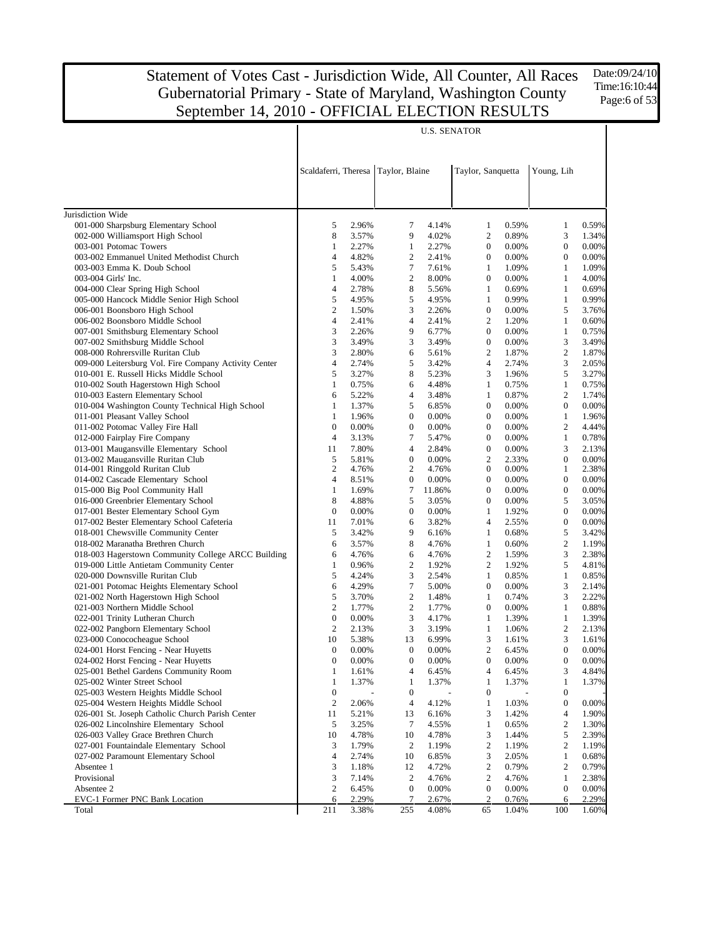Date:09/24/10 Time:16:10:44 Page:6 of 53

|                                                            | <b>U.S. SENATOR</b> |                |                                     |                |                                    |                |                       |                |  |  |
|------------------------------------------------------------|---------------------|----------------|-------------------------------------|----------------|------------------------------------|----------------|-----------------------|----------------|--|--|
|                                                            |                     |                | Scaldaferri, Theresa Taylor, Blaine |                | Taylor, Sanquetta                  |                | Young, Lih            |                |  |  |
|                                                            |                     |                |                                     |                |                                    |                |                       |                |  |  |
| Jurisdiction Wide                                          |                     |                |                                     |                |                                    |                |                       |                |  |  |
| 001-000 Sharpsburg Elementary School                       | 5                   | 2.96%          | 7<br>9                              | 4.14%          | 1                                  | 0.59%<br>0.89% | $\mathbf{1}$          | 0.59%<br>1.34% |  |  |
| 002-000 Williamsport High School<br>003-001 Potomac Towers | 8<br>1              | 3.57%<br>2.27% | $\mathbf{1}$                        | 4.02%<br>2.27% | $\overline{c}$<br>$\boldsymbol{0}$ | 0.00%          | 3<br>$\boldsymbol{0}$ | 0.00%          |  |  |
| 003-002 Emmanuel United Methodist Church                   | 4                   | 4.82%          | 2                                   | 2.41%          | $\theta$                           | 0.00%          | $\mathbf{0}$          | 0.00%          |  |  |
| 003-003 Emma K. Doub School                                | 5                   | 5.43%          | 7                                   | 7.61%          | 1                                  | 1.09%          | $\mathbf{1}$          | 1.09%          |  |  |
| 003-004 Girls' Inc.                                        | 1                   | 4.00%          | $\overline{c}$                      | 8.00%          | $\boldsymbol{0}$                   | 0.00%          | 1                     | 4.00%          |  |  |
| 004-000 Clear Spring High School                           | 4                   | 2.78%          | 8                                   | 5.56%          | 1                                  | 0.69%          | 1                     | 0.69%          |  |  |
| 005-000 Hancock Middle Senior High School                  | 5                   | 4.95%          | 5                                   | 4.95%          | 1                                  | 0.99%          | $\mathbf{1}$          | 0.99%          |  |  |
| 006-001 Boonsboro High School                              | $\mathbf{2}$        | 1.50%          | 3                                   | 2.26%          | $\boldsymbol{0}$                   | 0.00%          | 5                     | 3.76%          |  |  |
| 006-002 Boonsboro Middle School                            | 4                   | 2.41%          | 4                                   | 2.41%          | $\overline{c}$                     | 1.20%          | $\mathbf{1}$          | 0.60%          |  |  |
| 007-001 Smithsburg Elementary School                       | 3                   | 2.26%          | 9                                   | 6.77%          | $\boldsymbol{0}$                   | 0.00%          | $\mathbf{1}$          | 0.75%          |  |  |
| 007-002 Smithsburg Middle School                           | 3                   | 3.49%          | 3                                   | 3.49%          | $\boldsymbol{0}$                   | 0.00%          | 3                     | 3.49%          |  |  |
| 008-000 Rohrersville Ruritan Club                          | 3                   | 2.80%          | 6                                   | 5.61%          | $\overline{c}$                     | 1.87%          | $\sqrt{2}$            | 1.87%          |  |  |
| 009-000 Leitersburg Vol. Fire Company Activity Center      | 4                   | 2.74%          | 5                                   | 3.42%          | 4                                  | 2.74%          | 3                     | 2.05%          |  |  |
| 010-001 E. Russell Hicks Middle School                     | 5                   | 3.27%          | 8                                   | 5.23%          | 3                                  | 1.96%          | 5                     | 3.27%          |  |  |
| 010-002 South Hagerstown High School                       | 1                   | 0.75%          | 6                                   | 4.48%          | 1                                  | 0.75%          | $\mathbf{1}$          | 0.75%          |  |  |
| 010-003 Eastern Elementary School                          | 6                   | 5.22%          | 4                                   | 3.48%          | 1                                  | 0.87%          | $\overline{2}$        | 1.74%          |  |  |
| 010-004 Washington County Technical High School            | 1                   | 1.37%          | 5                                   | 6.85%          | $\boldsymbol{0}$                   | 0.00%          | $\boldsymbol{0}$      | 0.00%          |  |  |
| 011-001 Pleasant Valley School                             | 1                   | 1.96%          | $\boldsymbol{0}$                    | 0.00%          | $\boldsymbol{0}$                   | 0.00%          | $\mathbf{1}$          | 1.96%          |  |  |
| 011-002 Potomac Valley Fire Hall                           | $\boldsymbol{0}$    | 0.00%          | $\boldsymbol{0}$                    | 0.00%          | $\boldsymbol{0}$                   | 0.00%          | $\overline{2}$        | 4.44%          |  |  |
| 012-000 Fairplay Fire Company                              | 4                   | 3.13%          | 7                                   | 5.47%          | $\boldsymbol{0}$                   | 0.00%          | $\mathbf{1}$          | 0.78%          |  |  |
| 013-001 Maugansville Elementary School                     | 11                  | 7.80%          | 4                                   | 2.84%          | $\boldsymbol{0}$                   | 0.00%          | 3                     | 2.13%          |  |  |
| 013-002 Maugansville Ruritan Club                          | 5                   | 5.81%          | $\boldsymbol{0}$                    | 0.00%          | $\overline{c}$                     | 2.33%          | $\boldsymbol{0}$      | 0.00%          |  |  |
| 014-001 Ringgold Ruritan Club                              | $\overline{c}$      | 4.76%          | $\overline{c}$                      | 4.76%          | $\mathbf{0}$                       | 0.00%          | 1                     | 2.38%          |  |  |
| 014-002 Cascade Elementary School                          | 4                   | 8.51%          | $\mathbf{0}$                        | 0.00%          | $\boldsymbol{0}$                   | 0.00%          | $\boldsymbol{0}$      | 0.00%          |  |  |
| 015-000 Big Pool Community Hall                            | $\mathbf{1}$        | 1.69%          | 7                                   | 11.86%         | $\theta$                           | 0.00%          | $\boldsymbol{0}$      | 0.00%          |  |  |
| 016-000 Greenbrier Elementary School                       | 8                   | 4.88%          | 5                                   | 3.05%          | $\overline{0}$                     | 0.00%          | 5                     | 3.05%          |  |  |
| 017-001 Bester Elementary School Gym                       | $\boldsymbol{0}$    | 0.00%          | $\mathbf{0}$                        | 0.00%          | 1                                  | 1.92%          | $\boldsymbol{0}$      | 0.00%          |  |  |
| 017-002 Bester Elementary School Cafeteria                 | 11                  | 7.01%          | 6                                   | 3.82%          | 4                                  | 2.55%          | $\boldsymbol{0}$      | 0.00%          |  |  |
| 018-001 Chewsville Community Center                        | 5                   | 3.42%          | 9                                   | 6.16%          | 1                                  | 0.68%          | 5                     | 3.42%          |  |  |
| 018-002 Maranatha Brethren Church                          | 6                   | 3.57%          | 8                                   | 4.76%          | $\mathbf{1}$                       | 0.60%          | $\sqrt{2}$            | 1.19%          |  |  |
| 018-003 Hagerstown Community College ARCC Building         | 6                   | 4.76%          | 6                                   | 4.76%          | $\overline{2}$                     | 1.59%          | 3                     | 2.38%          |  |  |
| 019-000 Little Antietam Community Center                   | $\mathbf{1}$        | 0.96%          | $\overline{c}$                      | 1.92%          | $\overline{c}$                     | 1.92%          | 5                     | 4.81%          |  |  |
| 020-000 Downsville Ruritan Club                            | 5                   | 4.24%          | 3                                   | 2.54%          | $\mathbf{1}$                       | 0.85%          | $\mathbf{1}$          | 0.85%          |  |  |
| 021-001 Potomac Heights Elementary School                  | 6                   | 4.29%          | $\tau$                              | 5.00%          | $\mathbf{0}$                       | 0.00%          | 3                     | 2.14%          |  |  |
| 021-002 North Hagerstown High School                       | 5                   | 3.70%          | $\overline{c}$                      | 1.48%          | 1                                  | 0.74%          | 3                     | 2.22%          |  |  |
| 021-003 Northern Middle School                             | $\overline{c}$      | 1.77%          | $\boldsymbol{2}$                    | 1.77%          | $\mathbf{0}$                       | 0.00%          | $\mathbf{1}$          | 0.88%          |  |  |
| 022-001 Trinity Lutheran Church                            | $\boldsymbol{0}$    | 0.00%          | 3                                   | 4.17%          | 1                                  | 1.39%          | $\mathbf{1}$          | 1.39%          |  |  |
| 022-002 Pangborn Elementary School                         | $\mathbf{2}$        | 2.13%          | 3                                   | 3.19%          | $\mathbf{1}$                       | 1.06%          | $\boldsymbol{2}$      | 2.13%          |  |  |
| 023-000 Conococheague School                               | 10                  | 5.38%          | 13                                  | 6.99%          | 3                                  | 1.61%          | 3                     | 1.61%          |  |  |
| 024-001 Horst Fencing - Near Huyetts                       | $\boldsymbol{0}$    | 0.00%          | $\boldsymbol{0}$                    | 0.00%          | $\boldsymbol{2}$                   | 6.45%          | $\boldsymbol{0}$      | $0.00\%$       |  |  |
| 024-002 Horst Fencing - Near Huyetts                       | 0                   | 0.00%          | $\boldsymbol{0}$                    | 0.00%          | $\boldsymbol{0}$                   | 0.00%          | $\boldsymbol{0}$      | 0.00%          |  |  |
| 025-001 Bethel Gardens Community Room                      | 1                   | 1.61%          | 4                                   | 6.45%          | 4                                  | 6.45%          | 3                     | 4.84%          |  |  |
| 025-002 Winter Street School                               | 1                   | 1.37%          | 1                                   | 1.37%          | 1                                  | 1.37%          | $\mathbf{1}$          | 1.37%          |  |  |
| 025-003 Western Heights Middle School                      | $\boldsymbol{0}$    |                | $\boldsymbol{0}$                    |                | $\boldsymbol{0}$                   |                | $\boldsymbol{0}$      |                |  |  |
| 025-004 Western Heights Middle School                      | 2                   | 2.06%          | 4                                   | 4.12%          | 1                                  | 1.03%          | $\boldsymbol{0}$      | 0.00%          |  |  |
| 026-001 St. Joseph Catholic Church Parish Center           | 11                  | 5.21%          | 13                                  | 6.16%          | 3                                  | 1.42%          | 4                     | 1.90%          |  |  |
| 026-002 Lincolnshire Elementary School                     | 5                   | 3.25%          | 7                                   | 4.55%          | 1                                  | 0.65%          | $\boldsymbol{2}$      | 1.30%          |  |  |
| 026-003 Valley Grace Brethren Church                       | 10                  | 4.78%          | 10                                  | 4.78%          | 3                                  | 1.44%          | 5                     | 2.39%          |  |  |
| 027-001 Fountaindale Elementary School                     | 3                   | 1.79%          | 2                                   | 1.19%          | $\boldsymbol{2}$                   | 1.19%          | $\boldsymbol{2}$      | 1.19%          |  |  |
| 027-002 Paramount Elementary School                        | 4                   | 2.74%          | 10                                  | 6.85%          | 3                                  | 2.05%          | $\mathbf{1}$          | 0.68%          |  |  |
| Absentee 1                                                 | 3                   | 1.18%          | 12                                  | 4.72%          | $\overline{c}$                     | 0.79%          | $\boldsymbol{2}$      | 0.79%          |  |  |
| Provisional                                                | 3                   | 7.14%          | $\boldsymbol{2}$                    | 4.76%          | $\overline{2}$                     | 4.76%          | $\mathbf{1}$          | 2.38%          |  |  |
| Absentee 2                                                 | $\boldsymbol{2}$    | 6.45%          | $\boldsymbol{0}$                    | 0.00%          | $\boldsymbol{0}$                   | 0.00%          | $\boldsymbol{0}$      | 0.00%          |  |  |
| EVC-1 Former PNC Bank Location                             | 6                   | 2.29%          | $\tau$                              | 2.67%          | $\overline{c}$                     | 0.76%          | 6                     | 2.29%          |  |  |
| Total                                                      | 211                 | 3.38%          | 255                                 | 4.08%          | 65                                 | 1.04%          | 100                   | 1.60%          |  |  |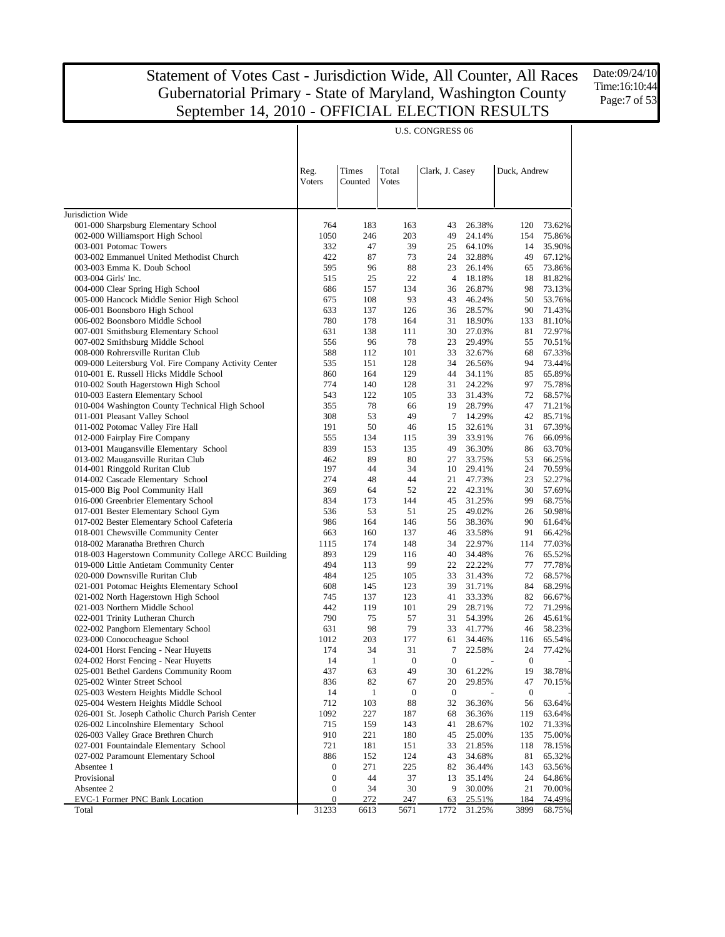Date:09/24/10 Time:16:10:44 Page:7 of 53

| Times<br>Total<br>Reg.<br>Clark, J. Casey<br>Duck, Andrew<br>Votes<br><b>Voters</b><br>Counted<br>Jurisdiction Wide<br>001-000 Sharpsburg Elementary School<br>764<br>183<br>163<br>43<br>26.38%<br>120<br>73.62%<br>002-000 Williamsport High School<br>1050<br>203<br>75.86%<br>246<br>49<br>24.14%<br>154<br>47<br>39<br>35.90%<br>003-001 Potomac Towers<br>332<br>64.10%<br>14<br>25<br>422<br>87<br>73<br>32.88%<br>49<br>003-002 Emmanuel United Methodist Church<br>24<br>67.12%<br>595<br>88<br>73.86%<br>003-003 Emma K. Doub School<br>96<br>23<br>26.14%<br>65<br>515<br>25<br>22<br>003-004 Girls' Inc.<br>4<br>18.18%<br>18<br>81.82%<br>686<br>004-000 Clear Spring High School<br>157<br>134<br>26.87%<br>98<br>73.13%<br>36<br>005-000 Hancock Middle Senior High School<br>675<br>93<br>108<br>43<br>46.24%<br>50<br>53.76%<br>633<br>71.43%<br>006-001 Boonsboro High School<br>137<br>126<br>28.57%<br>90<br>36<br>780<br>18.90%<br>006-002 Boonsboro Middle School<br>178<br>164<br>133<br>81.10%<br>31<br>72.97%<br>007-001 Smithsburg Elementary School<br>631<br>138<br>111<br>30<br>27.03%<br>81<br>556<br>96<br>78<br>70.51%<br>007-002 Smithsburg Middle School<br>23<br>29.49%<br>55<br>588<br>101<br>008-000 Rohrersville Ruritan Club<br>112<br>32.67%<br>68<br>67.33%<br>33<br>009-000 Leitersburg Vol. Fire Company Activity Center<br>535<br>151<br>128<br>26.56%<br>94<br>73.44%<br>34<br>65.89%<br>010-001 E. Russell Hicks Middle School<br>860<br>164<br>129<br>44<br>34.11%<br>85<br>010-002 South Hagerstown High School<br>774<br>97<br>140<br>128<br>24.22%<br>75.78%<br>31<br>543<br>010-003 Eastern Elementary School<br>122<br>105<br>33<br>31.43%<br>72<br>68.57%<br>010-004 Washington County Technical High School<br>355<br>78<br>28.79%<br>66<br>19<br>47<br>71.21%<br>308<br>49<br>14.29%<br>011-001 Pleasant Valley School<br>53<br>7<br>42<br>85.71%<br>191<br>50<br>67.39%<br>011-002 Potomac Valley Fire Hall<br>46<br>32.61%<br>31<br>15<br>66.09%<br>012-000 Fairplay Fire Company<br>555<br>134<br>115<br>39<br>33.91%<br>76<br>013-001 Maugansville Elementary School<br>839<br>49<br>63.70%<br>153<br>135<br>36.30%<br>86<br>013-002 Maugansville Ruritan Club<br>462<br>89<br>80<br>27<br>33.75%<br>53<br>66.25%<br>34<br>014-001 Ringgold Ruritan Club<br>197<br>44<br>29.41%<br>24<br>70.59%<br>10<br>44<br>014-002 Cascade Elementary School<br>274<br>48<br>21<br>47.73%<br>23<br>52.27%<br>369<br>57.69%<br>015-000 Big Pool Community Hall<br>64<br>52<br>22<br>42.31%<br>30<br>31.25%<br>016-000 Greenbrier Elementary School<br>834<br>173<br>144<br>99<br>68.75%<br>45<br>536<br>51<br>50.98%<br>017-001 Bester Elementary School Gym<br>53<br>25<br>49.02%<br>26<br>61.64%<br>017-002 Bester Elementary School Cafeteria<br>986<br>164<br>146<br>38.36%<br>90<br>56<br>66.42%<br>018-001 Chewsville Community Center<br>663<br>160<br>137<br>33.58%<br>91<br>46<br>77.03%<br>018-002 Maranatha Brethren Church<br>1115<br>174<br>148<br>34<br>22.97%<br>114<br>893<br>34.48%<br>018-003 Hagerstown Community College ARCC Building<br>129<br>116<br>40<br>76<br>65.52%<br>019-000 Little Antietam Community Center<br>494<br>113<br>99<br>22<br>22.22%<br>77<br>77.78%<br>484<br>020-000 Downsville Ruritan Club<br>125<br>105<br>33<br>31.43%<br>72<br>68.57%<br>68.29%<br>021-001 Potomac Heights Elementary School<br>608<br>145<br>123<br>39<br>31.71%<br>84<br>021-002 North Hagerstown High School<br>745<br>137<br>123<br>41<br>33.33%<br>82<br>66.67%<br>71.29%<br>021-003 Northern Middle School<br>442<br>119<br>101<br>29<br>28.71%<br>72<br>57<br>45.61%<br>022-001 Trinity Lutheran Church<br>790<br>75<br>31<br>54.39%<br>26<br>98<br>79<br>41.77%<br>022-002 Pangborn Elementary School<br>631<br>33<br>46<br>58.23%<br>1012<br>177<br>023-000 Conococheague School<br>203<br>61<br>34.46%<br>116<br>65.54%<br>024-001 Horst Fencing - Near Huyetts<br>174<br>34<br>31<br>$\tau$<br>22.58%<br>24<br>77.42%<br>$\boldsymbol{0}$<br>14<br>$\mathbf{1}$<br>$\boldsymbol{0}$<br>$\boldsymbol{0}$<br>024-002 Horst Fencing - Near Huyetts<br>19<br>38.78%<br>025-001 Bethel Gardens Community Room<br>437<br>63<br>49<br>30<br>61.22%<br>025-002 Winter Street School<br>836<br>82<br>20<br>29.85%<br>47<br>70.15%<br>67<br>025-003 Western Heights Middle School<br>14<br>$\mathbf{1}$<br>$\boldsymbol{0}$<br>$\boldsymbol{0}$<br>0<br>025-004 Western Heights Middle School<br>712<br>103<br>88<br>32<br>36.36%<br>56<br>63.64%<br>026-001 St. Joseph Catholic Church Parish Center<br>1092<br>227<br>119<br>63.64%<br>187<br>68<br>36.36%<br>026-002 Lincolnshire Elementary School<br>715<br>159<br>102<br>71.33%<br>143<br>41<br>28.67%<br>026-003 Valley Grace Brethren Church<br>910<br>221<br>25.00%<br>135<br>75.00%<br>180<br>45<br>027-001 Fountaindale Elementary School<br>721<br>181<br>21.85%<br>118<br>78.15%<br>151<br>33<br>027-002 Paramount Elementary School<br>886<br>152<br>124<br>34.68%<br>81<br>65.32%<br>43<br>$\boldsymbol{0}$<br>271<br>225<br>82<br>143<br>63.56%<br>Absentee 1<br>36.44%<br>Provisional<br>$\boldsymbol{0}$<br>44<br>24<br>64.86%<br>37<br>13<br>35.14%<br>Absentee 2<br>0<br>34<br>30<br>9<br>30.00%<br>21<br>70.00%<br>EVC-1 Former PNC Bank Location<br>0<br>272<br>25.51%<br>184<br>74.49%<br>247<br>63<br>31233<br>6613<br>1772<br>31.25%<br>3899<br>68.75%<br>Total<br>5671 |  |  | <b>U.S. CONGRESS 06</b> |  |  |
|------------------------------------------------------------------------------------------------------------------------------------------------------------------------------------------------------------------------------------------------------------------------------------------------------------------------------------------------------------------------------------------------------------------------------------------------------------------------------------------------------------------------------------------------------------------------------------------------------------------------------------------------------------------------------------------------------------------------------------------------------------------------------------------------------------------------------------------------------------------------------------------------------------------------------------------------------------------------------------------------------------------------------------------------------------------------------------------------------------------------------------------------------------------------------------------------------------------------------------------------------------------------------------------------------------------------------------------------------------------------------------------------------------------------------------------------------------------------------------------------------------------------------------------------------------------------------------------------------------------------------------------------------------------------------------------------------------------------------------------------------------------------------------------------------------------------------------------------------------------------------------------------------------------------------------------------------------------------------------------------------------------------------------------------------------------------------------------------------------------------------------------------------------------------------------------------------------------------------------------------------------------------------------------------------------------------------------------------------------------------------------------------------------------------------------------------------------------------------------------------------------------------------------------------------------------------------------------------------------------------------------------------------------------------------------------------------------------------------------------------------------------------------------------------------------------------------------------------------------------------------------------------------------------------------------------------------------------------------------------------------------------------------------------------------------------------------------------------------------------------------------------------------------------------------------------------------------------------------------------------------------------------------------------------------------------------------------------------------------------------------------------------------------------------------------------------------------------------------------------------------------------------------------------------------------------------------------------------------------------------------------------------------------------------------------------------------------------------------------------------------------------------------------------------------------------------------------------------------------------------------------------------------------------------------------------------------------------------------------------------------------------------------------------------------------------------------------------------------------------------------------------------------------------------------------------------------------------------------------------------------------------------------------------------------------------------------------------------------------------------------------------------------------------------------------------------------------------------------------------------------------------------------------------------------------------------------------------------------------------------------------------------------------------------------------------------------------------------------------------------------------------------------------------------------------------------------------------------------------------------------------------------------------------------------------------------------------------------------------------------------------------------------------------------------------------------------------------------------------------------------------------------------------------------------------------------------------------------------------------------------------------------------------------------------------------------------------------------------------------------------------------------------------------|--|--|-------------------------|--|--|
|                                                                                                                                                                                                                                                                                                                                                                                                                                                                                                                                                                                                                                                                                                                                                                                                                                                                                                                                                                                                                                                                                                                                                                                                                                                                                                                                                                                                                                                                                                                                                                                                                                                                                                                                                                                                                                                                                                                                                                                                                                                                                                                                                                                                                                                                                                                                                                                                                                                                                                                                                                                                                                                                                                                                                                                                                                                                                                                                                                                                                                                                                                                                                                                                                                                                                                                                                                                                                                                                                                                                                                                                                                                                                                                                                                                                                                                                                                                                                                                                                                                                                                                                                                                                                                                                                                                                                                                                                                                                                                                                                                                                                                                                                                                                                                                                                                                                                                                                                                                                                                                                                                                                                                                                                                                                                                                                                                                                                  |  |  |                         |  |  |
|                                                                                                                                                                                                                                                                                                                                                                                                                                                                                                                                                                                                                                                                                                                                                                                                                                                                                                                                                                                                                                                                                                                                                                                                                                                                                                                                                                                                                                                                                                                                                                                                                                                                                                                                                                                                                                                                                                                                                                                                                                                                                                                                                                                                                                                                                                                                                                                                                                                                                                                                                                                                                                                                                                                                                                                                                                                                                                                                                                                                                                                                                                                                                                                                                                                                                                                                                                                                                                                                                                                                                                                                                                                                                                                                                                                                                                                                                                                                                                                                                                                                                                                                                                                                                                                                                                                                                                                                                                                                                                                                                                                                                                                                                                                                                                                                                                                                                                                                                                                                                                                                                                                                                                                                                                                                                                                                                                                                                  |  |  |                         |  |  |
|                                                                                                                                                                                                                                                                                                                                                                                                                                                                                                                                                                                                                                                                                                                                                                                                                                                                                                                                                                                                                                                                                                                                                                                                                                                                                                                                                                                                                                                                                                                                                                                                                                                                                                                                                                                                                                                                                                                                                                                                                                                                                                                                                                                                                                                                                                                                                                                                                                                                                                                                                                                                                                                                                                                                                                                                                                                                                                                                                                                                                                                                                                                                                                                                                                                                                                                                                                                                                                                                                                                                                                                                                                                                                                                                                                                                                                                                                                                                                                                                                                                                                                                                                                                                                                                                                                                                                                                                                                                                                                                                                                                                                                                                                                                                                                                                                                                                                                                                                                                                                                                                                                                                                                                                                                                                                                                                                                                                                  |  |  |                         |  |  |
|                                                                                                                                                                                                                                                                                                                                                                                                                                                                                                                                                                                                                                                                                                                                                                                                                                                                                                                                                                                                                                                                                                                                                                                                                                                                                                                                                                                                                                                                                                                                                                                                                                                                                                                                                                                                                                                                                                                                                                                                                                                                                                                                                                                                                                                                                                                                                                                                                                                                                                                                                                                                                                                                                                                                                                                                                                                                                                                                                                                                                                                                                                                                                                                                                                                                                                                                                                                                                                                                                                                                                                                                                                                                                                                                                                                                                                                                                                                                                                                                                                                                                                                                                                                                                                                                                                                                                                                                                                                                                                                                                                                                                                                                                                                                                                                                                                                                                                                                                                                                                                                                                                                                                                                                                                                                                                                                                                                                                  |  |  |                         |  |  |
|                                                                                                                                                                                                                                                                                                                                                                                                                                                                                                                                                                                                                                                                                                                                                                                                                                                                                                                                                                                                                                                                                                                                                                                                                                                                                                                                                                                                                                                                                                                                                                                                                                                                                                                                                                                                                                                                                                                                                                                                                                                                                                                                                                                                                                                                                                                                                                                                                                                                                                                                                                                                                                                                                                                                                                                                                                                                                                                                                                                                                                                                                                                                                                                                                                                                                                                                                                                                                                                                                                                                                                                                                                                                                                                                                                                                                                                                                                                                                                                                                                                                                                                                                                                                                                                                                                                                                                                                                                                                                                                                                                                                                                                                                                                                                                                                                                                                                                                                                                                                                                                                                                                                                                                                                                                                                                                                                                                                                  |  |  |                         |  |  |
|                                                                                                                                                                                                                                                                                                                                                                                                                                                                                                                                                                                                                                                                                                                                                                                                                                                                                                                                                                                                                                                                                                                                                                                                                                                                                                                                                                                                                                                                                                                                                                                                                                                                                                                                                                                                                                                                                                                                                                                                                                                                                                                                                                                                                                                                                                                                                                                                                                                                                                                                                                                                                                                                                                                                                                                                                                                                                                                                                                                                                                                                                                                                                                                                                                                                                                                                                                                                                                                                                                                                                                                                                                                                                                                                                                                                                                                                                                                                                                                                                                                                                                                                                                                                                                                                                                                                                                                                                                                                                                                                                                                                                                                                                                                                                                                                                                                                                                                                                                                                                                                                                                                                                                                                                                                                                                                                                                                                                  |  |  |                         |  |  |
|                                                                                                                                                                                                                                                                                                                                                                                                                                                                                                                                                                                                                                                                                                                                                                                                                                                                                                                                                                                                                                                                                                                                                                                                                                                                                                                                                                                                                                                                                                                                                                                                                                                                                                                                                                                                                                                                                                                                                                                                                                                                                                                                                                                                                                                                                                                                                                                                                                                                                                                                                                                                                                                                                                                                                                                                                                                                                                                                                                                                                                                                                                                                                                                                                                                                                                                                                                                                                                                                                                                                                                                                                                                                                                                                                                                                                                                                                                                                                                                                                                                                                                                                                                                                                                                                                                                                                                                                                                                                                                                                                                                                                                                                                                                                                                                                                                                                                                                                                                                                                                                                                                                                                                                                                                                                                                                                                                                                                  |  |  |                         |  |  |
|                                                                                                                                                                                                                                                                                                                                                                                                                                                                                                                                                                                                                                                                                                                                                                                                                                                                                                                                                                                                                                                                                                                                                                                                                                                                                                                                                                                                                                                                                                                                                                                                                                                                                                                                                                                                                                                                                                                                                                                                                                                                                                                                                                                                                                                                                                                                                                                                                                                                                                                                                                                                                                                                                                                                                                                                                                                                                                                                                                                                                                                                                                                                                                                                                                                                                                                                                                                                                                                                                                                                                                                                                                                                                                                                                                                                                                                                                                                                                                                                                                                                                                                                                                                                                                                                                                                                                                                                                                                                                                                                                                                                                                                                                                                                                                                                                                                                                                                                                                                                                                                                                                                                                                                                                                                                                                                                                                                                                  |  |  |                         |  |  |
|                                                                                                                                                                                                                                                                                                                                                                                                                                                                                                                                                                                                                                                                                                                                                                                                                                                                                                                                                                                                                                                                                                                                                                                                                                                                                                                                                                                                                                                                                                                                                                                                                                                                                                                                                                                                                                                                                                                                                                                                                                                                                                                                                                                                                                                                                                                                                                                                                                                                                                                                                                                                                                                                                                                                                                                                                                                                                                                                                                                                                                                                                                                                                                                                                                                                                                                                                                                                                                                                                                                                                                                                                                                                                                                                                                                                                                                                                                                                                                                                                                                                                                                                                                                                                                                                                                                                                                                                                                                                                                                                                                                                                                                                                                                                                                                                                                                                                                                                                                                                                                                                                                                                                                                                                                                                                                                                                                                                                  |  |  |                         |  |  |
|                                                                                                                                                                                                                                                                                                                                                                                                                                                                                                                                                                                                                                                                                                                                                                                                                                                                                                                                                                                                                                                                                                                                                                                                                                                                                                                                                                                                                                                                                                                                                                                                                                                                                                                                                                                                                                                                                                                                                                                                                                                                                                                                                                                                                                                                                                                                                                                                                                                                                                                                                                                                                                                                                                                                                                                                                                                                                                                                                                                                                                                                                                                                                                                                                                                                                                                                                                                                                                                                                                                                                                                                                                                                                                                                                                                                                                                                                                                                                                                                                                                                                                                                                                                                                                                                                                                                                                                                                                                                                                                                                                                                                                                                                                                                                                                                                                                                                                                                                                                                                                                                                                                                                                                                                                                                                                                                                                                                                  |  |  |                         |  |  |
|                                                                                                                                                                                                                                                                                                                                                                                                                                                                                                                                                                                                                                                                                                                                                                                                                                                                                                                                                                                                                                                                                                                                                                                                                                                                                                                                                                                                                                                                                                                                                                                                                                                                                                                                                                                                                                                                                                                                                                                                                                                                                                                                                                                                                                                                                                                                                                                                                                                                                                                                                                                                                                                                                                                                                                                                                                                                                                                                                                                                                                                                                                                                                                                                                                                                                                                                                                                                                                                                                                                                                                                                                                                                                                                                                                                                                                                                                                                                                                                                                                                                                                                                                                                                                                                                                                                                                                                                                                                                                                                                                                                                                                                                                                                                                                                                                                                                                                                                                                                                                                                                                                                                                                                                                                                                                                                                                                                                                  |  |  |                         |  |  |
|                                                                                                                                                                                                                                                                                                                                                                                                                                                                                                                                                                                                                                                                                                                                                                                                                                                                                                                                                                                                                                                                                                                                                                                                                                                                                                                                                                                                                                                                                                                                                                                                                                                                                                                                                                                                                                                                                                                                                                                                                                                                                                                                                                                                                                                                                                                                                                                                                                                                                                                                                                                                                                                                                                                                                                                                                                                                                                                                                                                                                                                                                                                                                                                                                                                                                                                                                                                                                                                                                                                                                                                                                                                                                                                                                                                                                                                                                                                                                                                                                                                                                                                                                                                                                                                                                                                                                                                                                                                                                                                                                                                                                                                                                                                                                                                                                                                                                                                                                                                                                                                                                                                                                                                                                                                                                                                                                                                                                  |  |  |                         |  |  |
|                                                                                                                                                                                                                                                                                                                                                                                                                                                                                                                                                                                                                                                                                                                                                                                                                                                                                                                                                                                                                                                                                                                                                                                                                                                                                                                                                                                                                                                                                                                                                                                                                                                                                                                                                                                                                                                                                                                                                                                                                                                                                                                                                                                                                                                                                                                                                                                                                                                                                                                                                                                                                                                                                                                                                                                                                                                                                                                                                                                                                                                                                                                                                                                                                                                                                                                                                                                                                                                                                                                                                                                                                                                                                                                                                                                                                                                                                                                                                                                                                                                                                                                                                                                                                                                                                                                                                                                                                                                                                                                                                                                                                                                                                                                                                                                                                                                                                                                                                                                                                                                                                                                                                                                                                                                                                                                                                                                                                  |  |  |                         |  |  |
|                                                                                                                                                                                                                                                                                                                                                                                                                                                                                                                                                                                                                                                                                                                                                                                                                                                                                                                                                                                                                                                                                                                                                                                                                                                                                                                                                                                                                                                                                                                                                                                                                                                                                                                                                                                                                                                                                                                                                                                                                                                                                                                                                                                                                                                                                                                                                                                                                                                                                                                                                                                                                                                                                                                                                                                                                                                                                                                                                                                                                                                                                                                                                                                                                                                                                                                                                                                                                                                                                                                                                                                                                                                                                                                                                                                                                                                                                                                                                                                                                                                                                                                                                                                                                                                                                                                                                                                                                                                                                                                                                                                                                                                                                                                                                                                                                                                                                                                                                                                                                                                                                                                                                                                                                                                                                                                                                                                                                  |  |  |                         |  |  |
|                                                                                                                                                                                                                                                                                                                                                                                                                                                                                                                                                                                                                                                                                                                                                                                                                                                                                                                                                                                                                                                                                                                                                                                                                                                                                                                                                                                                                                                                                                                                                                                                                                                                                                                                                                                                                                                                                                                                                                                                                                                                                                                                                                                                                                                                                                                                                                                                                                                                                                                                                                                                                                                                                                                                                                                                                                                                                                                                                                                                                                                                                                                                                                                                                                                                                                                                                                                                                                                                                                                                                                                                                                                                                                                                                                                                                                                                                                                                                                                                                                                                                                                                                                                                                                                                                                                                                                                                                                                                                                                                                                                                                                                                                                                                                                                                                                                                                                                                                                                                                                                                                                                                                                                                                                                                                                                                                                                                                  |  |  |                         |  |  |
|                                                                                                                                                                                                                                                                                                                                                                                                                                                                                                                                                                                                                                                                                                                                                                                                                                                                                                                                                                                                                                                                                                                                                                                                                                                                                                                                                                                                                                                                                                                                                                                                                                                                                                                                                                                                                                                                                                                                                                                                                                                                                                                                                                                                                                                                                                                                                                                                                                                                                                                                                                                                                                                                                                                                                                                                                                                                                                                                                                                                                                                                                                                                                                                                                                                                                                                                                                                                                                                                                                                                                                                                                                                                                                                                                                                                                                                                                                                                                                                                                                                                                                                                                                                                                                                                                                                                                                                                                                                                                                                                                                                                                                                                                                                                                                                                                                                                                                                                                                                                                                                                                                                                                                                                                                                                                                                                                                                                                  |  |  |                         |  |  |
|                                                                                                                                                                                                                                                                                                                                                                                                                                                                                                                                                                                                                                                                                                                                                                                                                                                                                                                                                                                                                                                                                                                                                                                                                                                                                                                                                                                                                                                                                                                                                                                                                                                                                                                                                                                                                                                                                                                                                                                                                                                                                                                                                                                                                                                                                                                                                                                                                                                                                                                                                                                                                                                                                                                                                                                                                                                                                                                                                                                                                                                                                                                                                                                                                                                                                                                                                                                                                                                                                                                                                                                                                                                                                                                                                                                                                                                                                                                                                                                                                                                                                                                                                                                                                                                                                                                                                                                                                                                                                                                                                                                                                                                                                                                                                                                                                                                                                                                                                                                                                                                                                                                                                                                                                                                                                                                                                                                                                  |  |  |                         |  |  |
|                                                                                                                                                                                                                                                                                                                                                                                                                                                                                                                                                                                                                                                                                                                                                                                                                                                                                                                                                                                                                                                                                                                                                                                                                                                                                                                                                                                                                                                                                                                                                                                                                                                                                                                                                                                                                                                                                                                                                                                                                                                                                                                                                                                                                                                                                                                                                                                                                                                                                                                                                                                                                                                                                                                                                                                                                                                                                                                                                                                                                                                                                                                                                                                                                                                                                                                                                                                                                                                                                                                                                                                                                                                                                                                                                                                                                                                                                                                                                                                                                                                                                                                                                                                                                                                                                                                                                                                                                                                                                                                                                                                                                                                                                                                                                                                                                                                                                                                                                                                                                                                                                                                                                                                                                                                                                                                                                                                                                  |  |  |                         |  |  |
|                                                                                                                                                                                                                                                                                                                                                                                                                                                                                                                                                                                                                                                                                                                                                                                                                                                                                                                                                                                                                                                                                                                                                                                                                                                                                                                                                                                                                                                                                                                                                                                                                                                                                                                                                                                                                                                                                                                                                                                                                                                                                                                                                                                                                                                                                                                                                                                                                                                                                                                                                                                                                                                                                                                                                                                                                                                                                                                                                                                                                                                                                                                                                                                                                                                                                                                                                                                                                                                                                                                                                                                                                                                                                                                                                                                                                                                                                                                                                                                                                                                                                                                                                                                                                                                                                                                                                                                                                                                                                                                                                                                                                                                                                                                                                                                                                                                                                                                                                                                                                                                                                                                                                                                                                                                                                                                                                                                                                  |  |  |                         |  |  |
|                                                                                                                                                                                                                                                                                                                                                                                                                                                                                                                                                                                                                                                                                                                                                                                                                                                                                                                                                                                                                                                                                                                                                                                                                                                                                                                                                                                                                                                                                                                                                                                                                                                                                                                                                                                                                                                                                                                                                                                                                                                                                                                                                                                                                                                                                                                                                                                                                                                                                                                                                                                                                                                                                                                                                                                                                                                                                                                                                                                                                                                                                                                                                                                                                                                                                                                                                                                                                                                                                                                                                                                                                                                                                                                                                                                                                                                                                                                                                                                                                                                                                                                                                                                                                                                                                                                                                                                                                                                                                                                                                                                                                                                                                                                                                                                                                                                                                                                                                                                                                                                                                                                                                                                                                                                                                                                                                                                                                  |  |  |                         |  |  |
|                                                                                                                                                                                                                                                                                                                                                                                                                                                                                                                                                                                                                                                                                                                                                                                                                                                                                                                                                                                                                                                                                                                                                                                                                                                                                                                                                                                                                                                                                                                                                                                                                                                                                                                                                                                                                                                                                                                                                                                                                                                                                                                                                                                                                                                                                                                                                                                                                                                                                                                                                                                                                                                                                                                                                                                                                                                                                                                                                                                                                                                                                                                                                                                                                                                                                                                                                                                                                                                                                                                                                                                                                                                                                                                                                                                                                                                                                                                                                                                                                                                                                                                                                                                                                                                                                                                                                                                                                                                                                                                                                                                                                                                                                                                                                                                                                                                                                                                                                                                                                                                                                                                                                                                                                                                                                                                                                                                                                  |  |  |                         |  |  |
|                                                                                                                                                                                                                                                                                                                                                                                                                                                                                                                                                                                                                                                                                                                                                                                                                                                                                                                                                                                                                                                                                                                                                                                                                                                                                                                                                                                                                                                                                                                                                                                                                                                                                                                                                                                                                                                                                                                                                                                                                                                                                                                                                                                                                                                                                                                                                                                                                                                                                                                                                                                                                                                                                                                                                                                                                                                                                                                                                                                                                                                                                                                                                                                                                                                                                                                                                                                                                                                                                                                                                                                                                                                                                                                                                                                                                                                                                                                                                                                                                                                                                                                                                                                                                                                                                                                                                                                                                                                                                                                                                                                                                                                                                                                                                                                                                                                                                                                                                                                                                                                                                                                                                                                                                                                                                                                                                                                                                  |  |  |                         |  |  |
|                                                                                                                                                                                                                                                                                                                                                                                                                                                                                                                                                                                                                                                                                                                                                                                                                                                                                                                                                                                                                                                                                                                                                                                                                                                                                                                                                                                                                                                                                                                                                                                                                                                                                                                                                                                                                                                                                                                                                                                                                                                                                                                                                                                                                                                                                                                                                                                                                                                                                                                                                                                                                                                                                                                                                                                                                                                                                                                                                                                                                                                                                                                                                                                                                                                                                                                                                                                                                                                                                                                                                                                                                                                                                                                                                                                                                                                                                                                                                                                                                                                                                                                                                                                                                                                                                                                                                                                                                                                                                                                                                                                                                                                                                                                                                                                                                                                                                                                                                                                                                                                                                                                                                                                                                                                                                                                                                                                                                  |  |  |                         |  |  |
|                                                                                                                                                                                                                                                                                                                                                                                                                                                                                                                                                                                                                                                                                                                                                                                                                                                                                                                                                                                                                                                                                                                                                                                                                                                                                                                                                                                                                                                                                                                                                                                                                                                                                                                                                                                                                                                                                                                                                                                                                                                                                                                                                                                                                                                                                                                                                                                                                                                                                                                                                                                                                                                                                                                                                                                                                                                                                                                                                                                                                                                                                                                                                                                                                                                                                                                                                                                                                                                                                                                                                                                                                                                                                                                                                                                                                                                                                                                                                                                                                                                                                                                                                                                                                                                                                                                                                                                                                                                                                                                                                                                                                                                                                                                                                                                                                                                                                                                                                                                                                                                                                                                                                                                                                                                                                                                                                                                                                  |  |  |                         |  |  |
|                                                                                                                                                                                                                                                                                                                                                                                                                                                                                                                                                                                                                                                                                                                                                                                                                                                                                                                                                                                                                                                                                                                                                                                                                                                                                                                                                                                                                                                                                                                                                                                                                                                                                                                                                                                                                                                                                                                                                                                                                                                                                                                                                                                                                                                                                                                                                                                                                                                                                                                                                                                                                                                                                                                                                                                                                                                                                                                                                                                                                                                                                                                                                                                                                                                                                                                                                                                                                                                                                                                                                                                                                                                                                                                                                                                                                                                                                                                                                                                                                                                                                                                                                                                                                                                                                                                                                                                                                                                                                                                                                                                                                                                                                                                                                                                                                                                                                                                                                                                                                                                                                                                                                                                                                                                                                                                                                                                                                  |  |  |                         |  |  |
|                                                                                                                                                                                                                                                                                                                                                                                                                                                                                                                                                                                                                                                                                                                                                                                                                                                                                                                                                                                                                                                                                                                                                                                                                                                                                                                                                                                                                                                                                                                                                                                                                                                                                                                                                                                                                                                                                                                                                                                                                                                                                                                                                                                                                                                                                                                                                                                                                                                                                                                                                                                                                                                                                                                                                                                                                                                                                                                                                                                                                                                                                                                                                                                                                                                                                                                                                                                                                                                                                                                                                                                                                                                                                                                                                                                                                                                                                                                                                                                                                                                                                                                                                                                                                                                                                                                                                                                                                                                                                                                                                                                                                                                                                                                                                                                                                                                                                                                                                                                                                                                                                                                                                                                                                                                                                                                                                                                                                  |  |  |                         |  |  |
|                                                                                                                                                                                                                                                                                                                                                                                                                                                                                                                                                                                                                                                                                                                                                                                                                                                                                                                                                                                                                                                                                                                                                                                                                                                                                                                                                                                                                                                                                                                                                                                                                                                                                                                                                                                                                                                                                                                                                                                                                                                                                                                                                                                                                                                                                                                                                                                                                                                                                                                                                                                                                                                                                                                                                                                                                                                                                                                                                                                                                                                                                                                                                                                                                                                                                                                                                                                                                                                                                                                                                                                                                                                                                                                                                                                                                                                                                                                                                                                                                                                                                                                                                                                                                                                                                                                                                                                                                                                                                                                                                                                                                                                                                                                                                                                                                                                                                                                                                                                                                                                                                                                                                                                                                                                                                                                                                                                                                  |  |  |                         |  |  |
|                                                                                                                                                                                                                                                                                                                                                                                                                                                                                                                                                                                                                                                                                                                                                                                                                                                                                                                                                                                                                                                                                                                                                                                                                                                                                                                                                                                                                                                                                                                                                                                                                                                                                                                                                                                                                                                                                                                                                                                                                                                                                                                                                                                                                                                                                                                                                                                                                                                                                                                                                                                                                                                                                                                                                                                                                                                                                                                                                                                                                                                                                                                                                                                                                                                                                                                                                                                                                                                                                                                                                                                                                                                                                                                                                                                                                                                                                                                                                                                                                                                                                                                                                                                                                                                                                                                                                                                                                                                                                                                                                                                                                                                                                                                                                                                                                                                                                                                                                                                                                                                                                                                                                                                                                                                                                                                                                                                                                  |  |  |                         |  |  |
|                                                                                                                                                                                                                                                                                                                                                                                                                                                                                                                                                                                                                                                                                                                                                                                                                                                                                                                                                                                                                                                                                                                                                                                                                                                                                                                                                                                                                                                                                                                                                                                                                                                                                                                                                                                                                                                                                                                                                                                                                                                                                                                                                                                                                                                                                                                                                                                                                                                                                                                                                                                                                                                                                                                                                                                                                                                                                                                                                                                                                                                                                                                                                                                                                                                                                                                                                                                                                                                                                                                                                                                                                                                                                                                                                                                                                                                                                                                                                                                                                                                                                                                                                                                                                                                                                                                                                                                                                                                                                                                                                                                                                                                                                                                                                                                                                                                                                                                                                                                                                                                                                                                                                                                                                                                                                                                                                                                                                  |  |  |                         |  |  |
|                                                                                                                                                                                                                                                                                                                                                                                                                                                                                                                                                                                                                                                                                                                                                                                                                                                                                                                                                                                                                                                                                                                                                                                                                                                                                                                                                                                                                                                                                                                                                                                                                                                                                                                                                                                                                                                                                                                                                                                                                                                                                                                                                                                                                                                                                                                                                                                                                                                                                                                                                                                                                                                                                                                                                                                                                                                                                                                                                                                                                                                                                                                                                                                                                                                                                                                                                                                                                                                                                                                                                                                                                                                                                                                                                                                                                                                                                                                                                                                                                                                                                                                                                                                                                                                                                                                                                                                                                                                                                                                                                                                                                                                                                                                                                                                                                                                                                                                                                                                                                                                                                                                                                                                                                                                                                                                                                                                                                  |  |  |                         |  |  |
|                                                                                                                                                                                                                                                                                                                                                                                                                                                                                                                                                                                                                                                                                                                                                                                                                                                                                                                                                                                                                                                                                                                                                                                                                                                                                                                                                                                                                                                                                                                                                                                                                                                                                                                                                                                                                                                                                                                                                                                                                                                                                                                                                                                                                                                                                                                                                                                                                                                                                                                                                                                                                                                                                                                                                                                                                                                                                                                                                                                                                                                                                                                                                                                                                                                                                                                                                                                                                                                                                                                                                                                                                                                                                                                                                                                                                                                                                                                                                                                                                                                                                                                                                                                                                                                                                                                                                                                                                                                                                                                                                                                                                                                                                                                                                                                                                                                                                                                                                                                                                                                                                                                                                                                                                                                                                                                                                                                                                  |  |  |                         |  |  |
|                                                                                                                                                                                                                                                                                                                                                                                                                                                                                                                                                                                                                                                                                                                                                                                                                                                                                                                                                                                                                                                                                                                                                                                                                                                                                                                                                                                                                                                                                                                                                                                                                                                                                                                                                                                                                                                                                                                                                                                                                                                                                                                                                                                                                                                                                                                                                                                                                                                                                                                                                                                                                                                                                                                                                                                                                                                                                                                                                                                                                                                                                                                                                                                                                                                                                                                                                                                                                                                                                                                                                                                                                                                                                                                                                                                                                                                                                                                                                                                                                                                                                                                                                                                                                                                                                                                                                                                                                                                                                                                                                                                                                                                                                                                                                                                                                                                                                                                                                                                                                                                                                                                                                                                                                                                                                                                                                                                                                  |  |  |                         |  |  |
|                                                                                                                                                                                                                                                                                                                                                                                                                                                                                                                                                                                                                                                                                                                                                                                                                                                                                                                                                                                                                                                                                                                                                                                                                                                                                                                                                                                                                                                                                                                                                                                                                                                                                                                                                                                                                                                                                                                                                                                                                                                                                                                                                                                                                                                                                                                                                                                                                                                                                                                                                                                                                                                                                                                                                                                                                                                                                                                                                                                                                                                                                                                                                                                                                                                                                                                                                                                                                                                                                                                                                                                                                                                                                                                                                                                                                                                                                                                                                                                                                                                                                                                                                                                                                                                                                                                                                                                                                                                                                                                                                                                                                                                                                                                                                                                                                                                                                                                                                                                                                                                                                                                                                                                                                                                                                                                                                                                                                  |  |  |                         |  |  |
|                                                                                                                                                                                                                                                                                                                                                                                                                                                                                                                                                                                                                                                                                                                                                                                                                                                                                                                                                                                                                                                                                                                                                                                                                                                                                                                                                                                                                                                                                                                                                                                                                                                                                                                                                                                                                                                                                                                                                                                                                                                                                                                                                                                                                                                                                                                                                                                                                                                                                                                                                                                                                                                                                                                                                                                                                                                                                                                                                                                                                                                                                                                                                                                                                                                                                                                                                                                                                                                                                                                                                                                                                                                                                                                                                                                                                                                                                                                                                                                                                                                                                                                                                                                                                                                                                                                                                                                                                                                                                                                                                                                                                                                                                                                                                                                                                                                                                                                                                                                                                                                                                                                                                                                                                                                                                                                                                                                                                  |  |  |                         |  |  |
|                                                                                                                                                                                                                                                                                                                                                                                                                                                                                                                                                                                                                                                                                                                                                                                                                                                                                                                                                                                                                                                                                                                                                                                                                                                                                                                                                                                                                                                                                                                                                                                                                                                                                                                                                                                                                                                                                                                                                                                                                                                                                                                                                                                                                                                                                                                                                                                                                                                                                                                                                                                                                                                                                                                                                                                                                                                                                                                                                                                                                                                                                                                                                                                                                                                                                                                                                                                                                                                                                                                                                                                                                                                                                                                                                                                                                                                                                                                                                                                                                                                                                                                                                                                                                                                                                                                                                                                                                                                                                                                                                                                                                                                                                                                                                                                                                                                                                                                                                                                                                                                                                                                                                                                                                                                                                                                                                                                                                  |  |  |                         |  |  |
|                                                                                                                                                                                                                                                                                                                                                                                                                                                                                                                                                                                                                                                                                                                                                                                                                                                                                                                                                                                                                                                                                                                                                                                                                                                                                                                                                                                                                                                                                                                                                                                                                                                                                                                                                                                                                                                                                                                                                                                                                                                                                                                                                                                                                                                                                                                                                                                                                                                                                                                                                                                                                                                                                                                                                                                                                                                                                                                                                                                                                                                                                                                                                                                                                                                                                                                                                                                                                                                                                                                                                                                                                                                                                                                                                                                                                                                                                                                                                                                                                                                                                                                                                                                                                                                                                                                                                                                                                                                                                                                                                                                                                                                                                                                                                                                                                                                                                                                                                                                                                                                                                                                                                                                                                                                                                                                                                                                                                  |  |  |                         |  |  |
|                                                                                                                                                                                                                                                                                                                                                                                                                                                                                                                                                                                                                                                                                                                                                                                                                                                                                                                                                                                                                                                                                                                                                                                                                                                                                                                                                                                                                                                                                                                                                                                                                                                                                                                                                                                                                                                                                                                                                                                                                                                                                                                                                                                                                                                                                                                                                                                                                                                                                                                                                                                                                                                                                                                                                                                                                                                                                                                                                                                                                                                                                                                                                                                                                                                                                                                                                                                                                                                                                                                                                                                                                                                                                                                                                                                                                                                                                                                                                                                                                                                                                                                                                                                                                                                                                                                                                                                                                                                                                                                                                                                                                                                                                                                                                                                                                                                                                                                                                                                                                                                                                                                                                                                                                                                                                                                                                                                                                  |  |  |                         |  |  |
|                                                                                                                                                                                                                                                                                                                                                                                                                                                                                                                                                                                                                                                                                                                                                                                                                                                                                                                                                                                                                                                                                                                                                                                                                                                                                                                                                                                                                                                                                                                                                                                                                                                                                                                                                                                                                                                                                                                                                                                                                                                                                                                                                                                                                                                                                                                                                                                                                                                                                                                                                                                                                                                                                                                                                                                                                                                                                                                                                                                                                                                                                                                                                                                                                                                                                                                                                                                                                                                                                                                                                                                                                                                                                                                                                                                                                                                                                                                                                                                                                                                                                                                                                                                                                                                                                                                                                                                                                                                                                                                                                                                                                                                                                                                                                                                                                                                                                                                                                                                                                                                                                                                                                                                                                                                                                                                                                                                                                  |  |  |                         |  |  |
|                                                                                                                                                                                                                                                                                                                                                                                                                                                                                                                                                                                                                                                                                                                                                                                                                                                                                                                                                                                                                                                                                                                                                                                                                                                                                                                                                                                                                                                                                                                                                                                                                                                                                                                                                                                                                                                                                                                                                                                                                                                                                                                                                                                                                                                                                                                                                                                                                                                                                                                                                                                                                                                                                                                                                                                                                                                                                                                                                                                                                                                                                                                                                                                                                                                                                                                                                                                                                                                                                                                                                                                                                                                                                                                                                                                                                                                                                                                                                                                                                                                                                                                                                                                                                                                                                                                                                                                                                                                                                                                                                                                                                                                                                                                                                                                                                                                                                                                                                                                                                                                                                                                                                                                                                                                                                                                                                                                                                  |  |  |                         |  |  |
|                                                                                                                                                                                                                                                                                                                                                                                                                                                                                                                                                                                                                                                                                                                                                                                                                                                                                                                                                                                                                                                                                                                                                                                                                                                                                                                                                                                                                                                                                                                                                                                                                                                                                                                                                                                                                                                                                                                                                                                                                                                                                                                                                                                                                                                                                                                                                                                                                                                                                                                                                                                                                                                                                                                                                                                                                                                                                                                                                                                                                                                                                                                                                                                                                                                                                                                                                                                                                                                                                                                                                                                                                                                                                                                                                                                                                                                                                                                                                                                                                                                                                                                                                                                                                                                                                                                                                                                                                                                                                                                                                                                                                                                                                                                                                                                                                                                                                                                                                                                                                                                                                                                                                                                                                                                                                                                                                                                                                  |  |  |                         |  |  |
|                                                                                                                                                                                                                                                                                                                                                                                                                                                                                                                                                                                                                                                                                                                                                                                                                                                                                                                                                                                                                                                                                                                                                                                                                                                                                                                                                                                                                                                                                                                                                                                                                                                                                                                                                                                                                                                                                                                                                                                                                                                                                                                                                                                                                                                                                                                                                                                                                                                                                                                                                                                                                                                                                                                                                                                                                                                                                                                                                                                                                                                                                                                                                                                                                                                                                                                                                                                                                                                                                                                                                                                                                                                                                                                                                                                                                                                                                                                                                                                                                                                                                                                                                                                                                                                                                                                                                                                                                                                                                                                                                                                                                                                                                                                                                                                                                                                                                                                                                                                                                                                                                                                                                                                                                                                                                                                                                                                                                  |  |  |                         |  |  |
|                                                                                                                                                                                                                                                                                                                                                                                                                                                                                                                                                                                                                                                                                                                                                                                                                                                                                                                                                                                                                                                                                                                                                                                                                                                                                                                                                                                                                                                                                                                                                                                                                                                                                                                                                                                                                                                                                                                                                                                                                                                                                                                                                                                                                                                                                                                                                                                                                                                                                                                                                                                                                                                                                                                                                                                                                                                                                                                                                                                                                                                                                                                                                                                                                                                                                                                                                                                                                                                                                                                                                                                                                                                                                                                                                                                                                                                                                                                                                                                                                                                                                                                                                                                                                                                                                                                                                                                                                                                                                                                                                                                                                                                                                                                                                                                                                                                                                                                                                                                                                                                                                                                                                                                                                                                                                                                                                                                                                  |  |  |                         |  |  |
|                                                                                                                                                                                                                                                                                                                                                                                                                                                                                                                                                                                                                                                                                                                                                                                                                                                                                                                                                                                                                                                                                                                                                                                                                                                                                                                                                                                                                                                                                                                                                                                                                                                                                                                                                                                                                                                                                                                                                                                                                                                                                                                                                                                                                                                                                                                                                                                                                                                                                                                                                                                                                                                                                                                                                                                                                                                                                                                                                                                                                                                                                                                                                                                                                                                                                                                                                                                                                                                                                                                                                                                                                                                                                                                                                                                                                                                                                                                                                                                                                                                                                                                                                                                                                                                                                                                                                                                                                                                                                                                                                                                                                                                                                                                                                                                                                                                                                                                                                                                                                                                                                                                                                                                                                                                                                                                                                                                                                  |  |  |                         |  |  |
|                                                                                                                                                                                                                                                                                                                                                                                                                                                                                                                                                                                                                                                                                                                                                                                                                                                                                                                                                                                                                                                                                                                                                                                                                                                                                                                                                                                                                                                                                                                                                                                                                                                                                                                                                                                                                                                                                                                                                                                                                                                                                                                                                                                                                                                                                                                                                                                                                                                                                                                                                                                                                                                                                                                                                                                                                                                                                                                                                                                                                                                                                                                                                                                                                                                                                                                                                                                                                                                                                                                                                                                                                                                                                                                                                                                                                                                                                                                                                                                                                                                                                                                                                                                                                                                                                                                                                                                                                                                                                                                                                                                                                                                                                                                                                                                                                                                                                                                                                                                                                                                                                                                                                                                                                                                                                                                                                                                                                  |  |  |                         |  |  |
|                                                                                                                                                                                                                                                                                                                                                                                                                                                                                                                                                                                                                                                                                                                                                                                                                                                                                                                                                                                                                                                                                                                                                                                                                                                                                                                                                                                                                                                                                                                                                                                                                                                                                                                                                                                                                                                                                                                                                                                                                                                                                                                                                                                                                                                                                                                                                                                                                                                                                                                                                                                                                                                                                                                                                                                                                                                                                                                                                                                                                                                                                                                                                                                                                                                                                                                                                                                                                                                                                                                                                                                                                                                                                                                                                                                                                                                                                                                                                                                                                                                                                                                                                                                                                                                                                                                                                                                                                                                                                                                                                                                                                                                                                                                                                                                                                                                                                                                                                                                                                                                                                                                                                                                                                                                                                                                                                                                                                  |  |  |                         |  |  |
|                                                                                                                                                                                                                                                                                                                                                                                                                                                                                                                                                                                                                                                                                                                                                                                                                                                                                                                                                                                                                                                                                                                                                                                                                                                                                                                                                                                                                                                                                                                                                                                                                                                                                                                                                                                                                                                                                                                                                                                                                                                                                                                                                                                                                                                                                                                                                                                                                                                                                                                                                                                                                                                                                                                                                                                                                                                                                                                                                                                                                                                                                                                                                                                                                                                                                                                                                                                                                                                                                                                                                                                                                                                                                                                                                                                                                                                                                                                                                                                                                                                                                                                                                                                                                                                                                                                                                                                                                                                                                                                                                                                                                                                                                                                                                                                                                                                                                                                                                                                                                                                                                                                                                                                                                                                                                                                                                                                                                  |  |  |                         |  |  |
|                                                                                                                                                                                                                                                                                                                                                                                                                                                                                                                                                                                                                                                                                                                                                                                                                                                                                                                                                                                                                                                                                                                                                                                                                                                                                                                                                                                                                                                                                                                                                                                                                                                                                                                                                                                                                                                                                                                                                                                                                                                                                                                                                                                                                                                                                                                                                                                                                                                                                                                                                                                                                                                                                                                                                                                                                                                                                                                                                                                                                                                                                                                                                                                                                                                                                                                                                                                                                                                                                                                                                                                                                                                                                                                                                                                                                                                                                                                                                                                                                                                                                                                                                                                                                                                                                                                                                                                                                                                                                                                                                                                                                                                                                                                                                                                                                                                                                                                                                                                                                                                                                                                                                                                                                                                                                                                                                                                                                  |  |  |                         |  |  |
|                                                                                                                                                                                                                                                                                                                                                                                                                                                                                                                                                                                                                                                                                                                                                                                                                                                                                                                                                                                                                                                                                                                                                                                                                                                                                                                                                                                                                                                                                                                                                                                                                                                                                                                                                                                                                                                                                                                                                                                                                                                                                                                                                                                                                                                                                                                                                                                                                                                                                                                                                                                                                                                                                                                                                                                                                                                                                                                                                                                                                                                                                                                                                                                                                                                                                                                                                                                                                                                                                                                                                                                                                                                                                                                                                                                                                                                                                                                                                                                                                                                                                                                                                                                                                                                                                                                                                                                                                                                                                                                                                                                                                                                                                                                                                                                                                                                                                                                                                                                                                                                                                                                                                                                                                                                                                                                                                                                                                  |  |  |                         |  |  |
|                                                                                                                                                                                                                                                                                                                                                                                                                                                                                                                                                                                                                                                                                                                                                                                                                                                                                                                                                                                                                                                                                                                                                                                                                                                                                                                                                                                                                                                                                                                                                                                                                                                                                                                                                                                                                                                                                                                                                                                                                                                                                                                                                                                                                                                                                                                                                                                                                                                                                                                                                                                                                                                                                                                                                                                                                                                                                                                                                                                                                                                                                                                                                                                                                                                                                                                                                                                                                                                                                                                                                                                                                                                                                                                                                                                                                                                                                                                                                                                                                                                                                                                                                                                                                                                                                                                                                                                                                                                                                                                                                                                                                                                                                                                                                                                                                                                                                                                                                                                                                                                                                                                                                                                                                                                                                                                                                                                                                  |  |  |                         |  |  |
|                                                                                                                                                                                                                                                                                                                                                                                                                                                                                                                                                                                                                                                                                                                                                                                                                                                                                                                                                                                                                                                                                                                                                                                                                                                                                                                                                                                                                                                                                                                                                                                                                                                                                                                                                                                                                                                                                                                                                                                                                                                                                                                                                                                                                                                                                                                                                                                                                                                                                                                                                                                                                                                                                                                                                                                                                                                                                                                                                                                                                                                                                                                                                                                                                                                                                                                                                                                                                                                                                                                                                                                                                                                                                                                                                                                                                                                                                                                                                                                                                                                                                                                                                                                                                                                                                                                                                                                                                                                                                                                                                                                                                                                                                                                                                                                                                                                                                                                                                                                                                                                                                                                                                                                                                                                                                                                                                                                                                  |  |  |                         |  |  |
|                                                                                                                                                                                                                                                                                                                                                                                                                                                                                                                                                                                                                                                                                                                                                                                                                                                                                                                                                                                                                                                                                                                                                                                                                                                                                                                                                                                                                                                                                                                                                                                                                                                                                                                                                                                                                                                                                                                                                                                                                                                                                                                                                                                                                                                                                                                                                                                                                                                                                                                                                                                                                                                                                                                                                                                                                                                                                                                                                                                                                                                                                                                                                                                                                                                                                                                                                                                                                                                                                                                                                                                                                                                                                                                                                                                                                                                                                                                                                                                                                                                                                                                                                                                                                                                                                                                                                                                                                                                                                                                                                                                                                                                                                                                                                                                                                                                                                                                                                                                                                                                                                                                                                                                                                                                                                                                                                                                                                  |  |  |                         |  |  |
|                                                                                                                                                                                                                                                                                                                                                                                                                                                                                                                                                                                                                                                                                                                                                                                                                                                                                                                                                                                                                                                                                                                                                                                                                                                                                                                                                                                                                                                                                                                                                                                                                                                                                                                                                                                                                                                                                                                                                                                                                                                                                                                                                                                                                                                                                                                                                                                                                                                                                                                                                                                                                                                                                                                                                                                                                                                                                                                                                                                                                                                                                                                                                                                                                                                                                                                                                                                                                                                                                                                                                                                                                                                                                                                                                                                                                                                                                                                                                                                                                                                                                                                                                                                                                                                                                                                                                                                                                                                                                                                                                                                                                                                                                                                                                                                                                                                                                                                                                                                                                                                                                                                                                                                                                                                                                                                                                                                                                  |  |  |                         |  |  |
|                                                                                                                                                                                                                                                                                                                                                                                                                                                                                                                                                                                                                                                                                                                                                                                                                                                                                                                                                                                                                                                                                                                                                                                                                                                                                                                                                                                                                                                                                                                                                                                                                                                                                                                                                                                                                                                                                                                                                                                                                                                                                                                                                                                                                                                                                                                                                                                                                                                                                                                                                                                                                                                                                                                                                                                                                                                                                                                                                                                                                                                                                                                                                                                                                                                                                                                                                                                                                                                                                                                                                                                                                                                                                                                                                                                                                                                                                                                                                                                                                                                                                                                                                                                                                                                                                                                                                                                                                                                                                                                                                                                                                                                                                                                                                                                                                                                                                                                                                                                                                                                                                                                                                                                                                                                                                                                                                                                                                  |  |  |                         |  |  |
|                                                                                                                                                                                                                                                                                                                                                                                                                                                                                                                                                                                                                                                                                                                                                                                                                                                                                                                                                                                                                                                                                                                                                                                                                                                                                                                                                                                                                                                                                                                                                                                                                                                                                                                                                                                                                                                                                                                                                                                                                                                                                                                                                                                                                                                                                                                                                                                                                                                                                                                                                                                                                                                                                                                                                                                                                                                                                                                                                                                                                                                                                                                                                                                                                                                                                                                                                                                                                                                                                                                                                                                                                                                                                                                                                                                                                                                                                                                                                                                                                                                                                                                                                                                                                                                                                                                                                                                                                                                                                                                                                                                                                                                                                                                                                                                                                                                                                                                                                                                                                                                                                                                                                                                                                                                                                                                                                                                                                  |  |  |                         |  |  |
|                                                                                                                                                                                                                                                                                                                                                                                                                                                                                                                                                                                                                                                                                                                                                                                                                                                                                                                                                                                                                                                                                                                                                                                                                                                                                                                                                                                                                                                                                                                                                                                                                                                                                                                                                                                                                                                                                                                                                                                                                                                                                                                                                                                                                                                                                                                                                                                                                                                                                                                                                                                                                                                                                                                                                                                                                                                                                                                                                                                                                                                                                                                                                                                                                                                                                                                                                                                                                                                                                                                                                                                                                                                                                                                                                                                                                                                                                                                                                                                                                                                                                                                                                                                                                                                                                                                                                                                                                                                                                                                                                                                                                                                                                                                                                                                                                                                                                                                                                                                                                                                                                                                                                                                                                                                                                                                                                                                                                  |  |  |                         |  |  |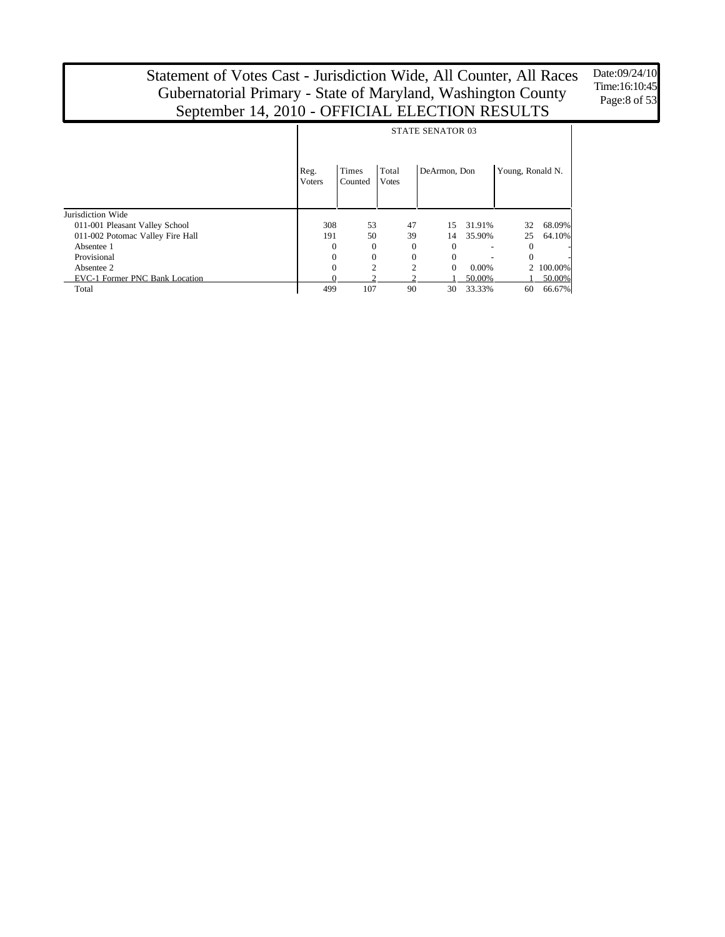Date:09/24/10 Time:16:10:45 Page:8 of 53

|                                  | <b>STATE SENATOR 03</b> |                  |                       |              |        |                  |           |  |  |  |
|----------------------------------|-------------------------|------------------|-----------------------|--------------|--------|------------------|-----------|--|--|--|
|                                  | Reg.<br><b>Voters</b>   | Times<br>Counted | Total<br><b>Votes</b> | DeArmon, Don |        | Young, Ronald N. |           |  |  |  |
| Jurisdiction Wide                |                         |                  |                       |              |        |                  |           |  |  |  |
| 011-001 Pleasant Valley School   | 308                     | 53               | 47                    | 15           | 31.91% | 32               | 68.09%    |  |  |  |
| 011-002 Potomac Valley Fire Hall | 191                     | 50               | 39                    | 14           | 35.90% | 25               | 64.10%    |  |  |  |
| Absentee 1                       | $\Omega$                | $\overline{0}$   | 0                     | $\Omega$     |        | $\theta$         |           |  |  |  |
| Provisional                      | $\Omega$                | $\theta$         | $\Omega$              | $\Omega$     |        | $\Omega$         |           |  |  |  |
| Absentee 2                       | $\Omega$                | っ                | $\overline{c}$        | $\Omega$     | 0.00%  |                  | 2 100.00% |  |  |  |
| EVC-1 Former PNC Bank Location   |                         |                  |                       |              | 50.00% |                  | 50.00%    |  |  |  |
| Total                            | 499                     | 107              | 90                    | 30           | 33.33% | 60               | 66.67%    |  |  |  |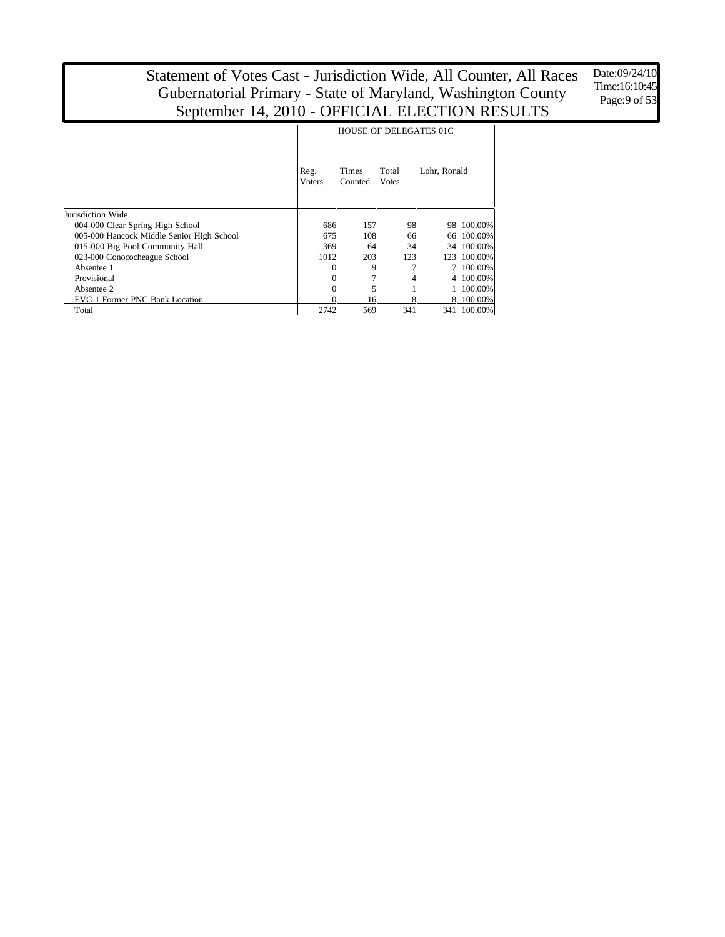Date:09/24/10 Time:16:10:45 Page:9 of 53

|                                           |                       | <b>HOUSE OF DELEGATES 01C</b> |                       |              |           |  |  |  |  |  |  |
|-------------------------------------------|-----------------------|-------------------------------|-----------------------|--------------|-----------|--|--|--|--|--|--|
|                                           | Reg.<br><b>Voters</b> | <b>Times</b><br>Counted       | Total<br><b>Votes</b> | Lohr, Ronald |           |  |  |  |  |  |  |
| Jurisdiction Wide                         |                       |                               |                       |              |           |  |  |  |  |  |  |
| 004-000 Clear Spring High School          | 686                   | 157                           | 98                    | 98           | 100.00%   |  |  |  |  |  |  |
| 005-000 Hancock Middle Senior High School | 675                   | 108                           | 66                    | 66           | 100.00%   |  |  |  |  |  |  |
| 015-000 Big Pool Community Hall           | 369                   | 64                            | 34                    | 34           | 100.00%   |  |  |  |  |  |  |
| 023-000 Conococheague School              | 1012                  | 203                           | 123                   | 123          | 100.00%   |  |  |  |  |  |  |
| Absentee 1                                | 0                     | 9                             |                       |              | 100.00%   |  |  |  |  |  |  |
| Provisional                               | 0                     | 7                             | 4                     |              | 100.00%   |  |  |  |  |  |  |
| Absentee 2                                | 0                     | 5                             |                       |              | 100.00%   |  |  |  |  |  |  |
| EVC-1 Former PNC Bank Location            |                       | 16                            |                       |              | 8 100.00% |  |  |  |  |  |  |
| Total                                     | 2742                  | 569                           | 341                   | 341          | 100.00%   |  |  |  |  |  |  |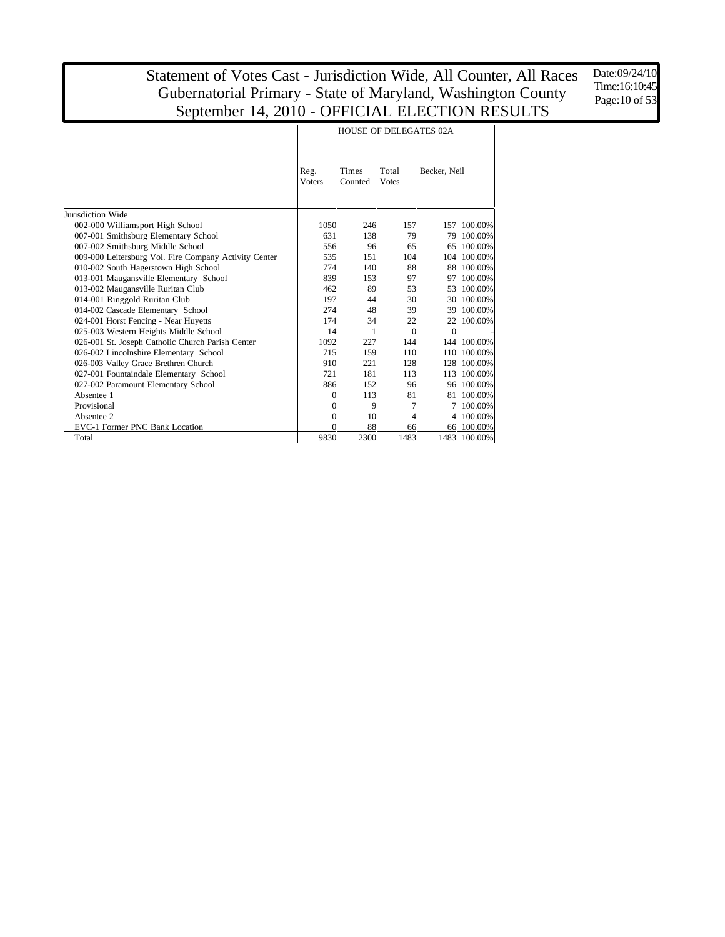Date:09/24/10 Time:16:10:45 Page: 10 of 53

|                                                       |                | <b>HOUSE OF DELEGATES 02A</b> |                       |              |             |  |  |  |  |  |
|-------------------------------------------------------|----------------|-------------------------------|-----------------------|--------------|-------------|--|--|--|--|--|
|                                                       | Reg.<br>Voters | <b>Times</b><br>Counted       | Total<br><b>Votes</b> | Becker, Neil |             |  |  |  |  |  |
| Jurisdiction Wide                                     |                |                               |                       |              |             |  |  |  |  |  |
| 002-000 Williamsport High School                      | 1050           | 246                           | 157                   |              | 157 100,00% |  |  |  |  |  |
| 007-001 Smithsburg Elementary School                  | 631            | 138                           | 79                    | 79           | 100.00%     |  |  |  |  |  |
| 007-002 Smithsburg Middle School                      | 556            | 96                            | 65                    | 65           | 100.00%     |  |  |  |  |  |
| 009-000 Leitersburg Vol. Fire Company Activity Center | 535            | 151                           | 104                   |              | 104 100.00% |  |  |  |  |  |
| 010-002 South Hagerstown High School                  | 774            | 140                           | 88                    | 88           | 100.00%     |  |  |  |  |  |
| 013-001 Maugansville Elementary School                | 839            | 153                           | 97                    | 97           | 100.00%     |  |  |  |  |  |
| 013-002 Maugansville Ruritan Club                     | 462            | 89                            | 53                    | 53           | 100.00%     |  |  |  |  |  |
| 014-001 Ringgold Ruritan Club                         | 197            | 44                            | 30                    | 30           | 100.00%     |  |  |  |  |  |
| 014-002 Cascade Elementary School                     | 274            | 48                            | 39                    | 39           | 100.00%     |  |  |  |  |  |
| 024-001 Horst Fencing - Near Huyetts                  | 174            | 34                            | 22                    | 22           | 100.00%     |  |  |  |  |  |
| 025-003 Western Heights Middle School                 | 14             | 1                             | $\Omega$              | $\Omega$     |             |  |  |  |  |  |
| 026-001 St. Joseph Catholic Church Parish Center      | 1092           | 227                           | 144                   |              | 144 100.00% |  |  |  |  |  |
| 026-002 Lincolnshire Elementary School                | 715            | 159                           | 110                   | 110          | 100.00%     |  |  |  |  |  |
| 026-003 Valley Grace Brethren Church                  | 910            | 221                           | 128                   | 128          | 100.00%     |  |  |  |  |  |
| 027-001 Fountaindale Elementary School                | 721            | 181                           | 113                   | 113          | 100.00%     |  |  |  |  |  |
| 027-002 Paramount Elementary School                   | 886            | 152                           | 96                    | 96           | 100.00%     |  |  |  |  |  |
| Absentee 1                                            | $\mathbf{0}$   | 113                           | 81                    | 81           | 100.00%     |  |  |  |  |  |
| Provisional                                           | 0              | 9                             | 7                     |              | 100.00%     |  |  |  |  |  |
| Absentee 2                                            | 0              | 10                            | 4                     |              | 4 100.00%   |  |  |  |  |  |
| EVC-1 Former PNC Bank Location                        | 0              | 88                            | 66                    |              | 66 100.00%  |  |  |  |  |  |
| Total                                                 | 9830           | 2300                          | 1483                  | 1483         | 100.00%     |  |  |  |  |  |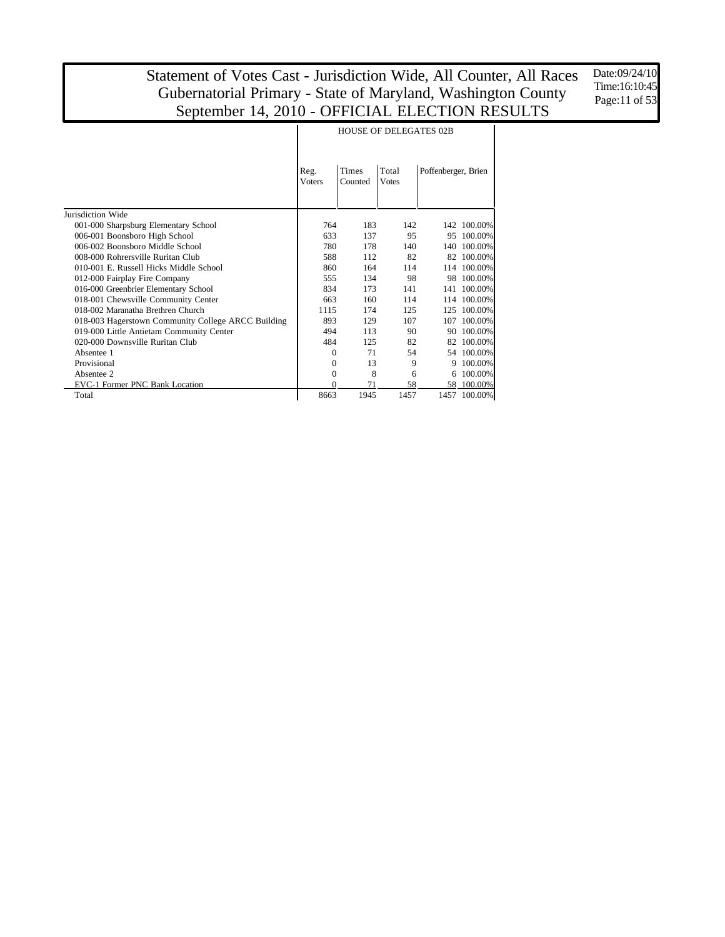Date:09/24/10 Time:16:10:45 Page:11 of 53

|                                                    |                                                                            |      | <b>HOUSE OF DELEGATES 02B</b> |     |              |
|----------------------------------------------------|----------------------------------------------------------------------------|------|-------------------------------|-----|--------------|
|                                                    | <b>Times</b><br>Total<br>Reg.<br><b>Voters</b><br>Counted<br><b>V</b> otes |      | Poffenberger, Brien           |     |              |
| Jurisdiction Wide                                  |                                                                            |      |                               |     |              |
| 001-000 Sharpsburg Elementary School               | 764                                                                        | 183  | 142                           | 142 | 100.00%      |
| 006-001 Boonsboro High School                      | 633                                                                        | 137  | 95                            | 95  | 100.00%      |
| 006-002 Boonsboro Middle School                    | 780                                                                        | 178  | 140                           | 140 | 100.00%      |
| 008-000 Rohrersville Ruritan Club                  | 588                                                                        | 112  | 82                            | 82  | 100.00%      |
| 010-001 E. Russell Hicks Middle School             | 860                                                                        | 164  | 114                           | 114 | 100.00%      |
| 012-000 Fairplay Fire Company                      | 555                                                                        | 134  | 98                            | 98  | 100.00%      |
| 016-000 Greenbrier Elementary School               | 834                                                                        | 173  | 141                           | 141 | 100.00%      |
| 018-001 Chewsville Community Center                | 663                                                                        | 160  | 114                           | 114 | 100.00%      |
| 018-002 Maranatha Brethren Church                  | 1115                                                                       | 174  | 125                           | 125 | 100.00%      |
| 018-003 Hagerstown Community College ARCC Building | 893                                                                        | 129  | 107                           | 107 | 100.00%      |
| 019-000 Little Antietam Community Center           | 494                                                                        | 113  | 90                            | 90  | 100.00%      |
| 020-000 Downsville Ruritan Club                    | 484                                                                        | 125  | 82                            | 82  | 100.00%      |
| Absentee 1                                         | $\Omega$                                                                   | 71   | 54                            |     | 54 100,00%   |
| Provisional                                        | 0                                                                          | 13   | 9                             | 9   | 100.00%      |
| Absentee 2                                         | $\boldsymbol{0}$                                                           | 8    | 6                             |     | 6 100.00%    |
| EVC-1 Former PNC Bank Location                     | 0                                                                          | 71   | 58                            |     | 58 100.00%   |
| Total                                              | 8663                                                                       | 1945 | 1457                          |     | 1457 100.00% |

#### HOUSE OF DELEGATES 02B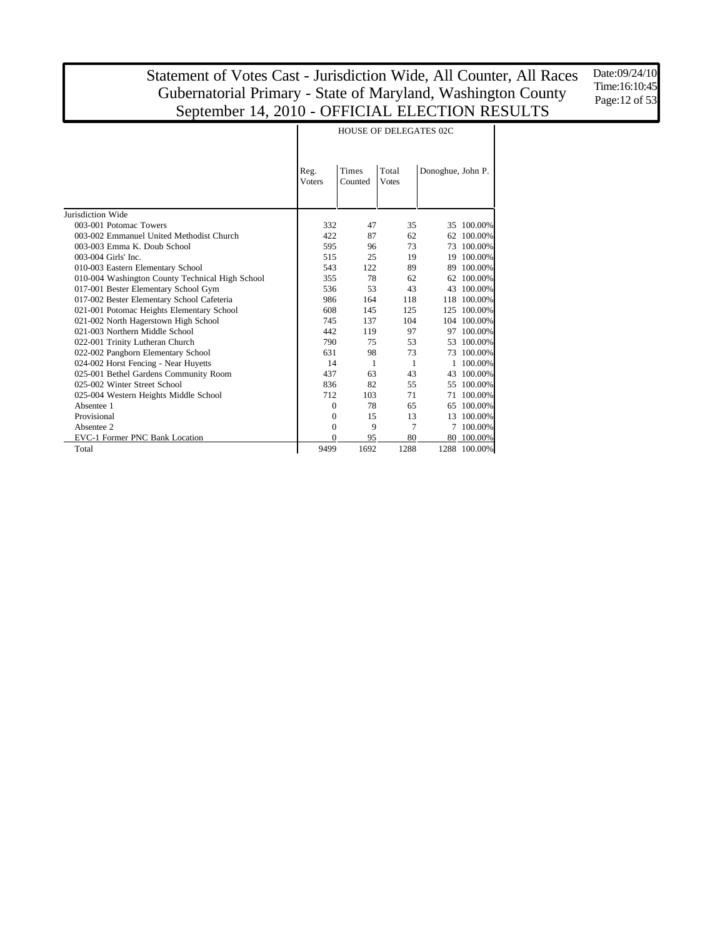Date:09/24/10 Time:16:10:45 Page:12 of 53

|                                                 | Reg.<br><b>Voters</b> | <b>Times</b><br>Counted | Total<br><b>V</b> otes | Donoghue, John P. |              |
|-------------------------------------------------|-----------------------|-------------------------|------------------------|-------------------|--------------|
| Jurisdiction Wide                               |                       |                         |                        |                   |              |
| 003-001 Potomac Towers                          | 332                   | 47                      | 35                     |                   | 35 100.00%   |
| 003-002 Emmanuel United Methodist Church        | 422                   | 87                      | 62                     | 62                | 100.00%      |
| 003-003 Emma K. Doub School                     | 595                   | 96                      | 73                     | 73                | 100.00%      |
| 003-004 Girls' Inc.                             | 515                   | 25                      | 19                     | 19                | 100.00%      |
| 010-003 Eastern Elementary School               | 543                   | 122                     | 89                     | 89                | 100.00%      |
| 010-004 Washington County Technical High School | 355                   | 78                      | 62                     | 62                | 100.00%      |
| 017-001 Bester Elementary School Gym            | 536                   | 53                      | 43                     | 43                | 100.00%      |
| 017-002 Bester Elementary School Cafeteria      | 986                   | 164                     | 118                    | 118               | 100.00%      |
| 021-001 Potomac Heights Elementary School       | 608                   | 145                     | 125                    | 125               | 100.00%      |
| 021-002 North Hagerstown High School            | 745                   | 137                     | 104                    |                   | 104 100.00%  |
| 021-003 Northern Middle School                  | 442                   | 119                     | 97                     | 97                | 100.00%      |
| 022-001 Trinity Lutheran Church                 | 790                   | 75                      | 53                     | 53                | 100.00%      |
| 022-002 Pangborn Elementary School              | 631                   | 98                      | 73                     | 73                | 100.00%      |
| 024-002 Horst Fencing - Near Huyetts            | 14                    | 1                       | 1                      |                   | 100.00%      |
| 025-001 Bethel Gardens Community Room           | 437                   | 63                      | 43                     | 43                | 100.00%      |
| 025-002 Winter Street School                    | 836                   | 82                      | 55                     | 55                | 100.00%      |
| 025-004 Western Heights Middle School           | 712                   | 103                     | 71                     | 71                | 100.00%      |
| Absentee 1                                      | $\boldsymbol{0}$      | 78                      | 65                     | 65                | 100.00%      |
| Provisional                                     | $\Omega$              | 15                      | 13                     | 13                | 100.00%      |
| Absentee 2                                      | $\Omega$              | 9                       | 7                      |                   | 7 100.00%    |
| EVC-1 Former PNC Bank Location                  | $\Omega$              | 95                      | 80                     |                   | 80 100.00%   |
| Total                                           | 9499                  | 1692                    | 1288                   |                   | 1288 100.00% |

Τ

#### HOUSE OF DELEGATES 02C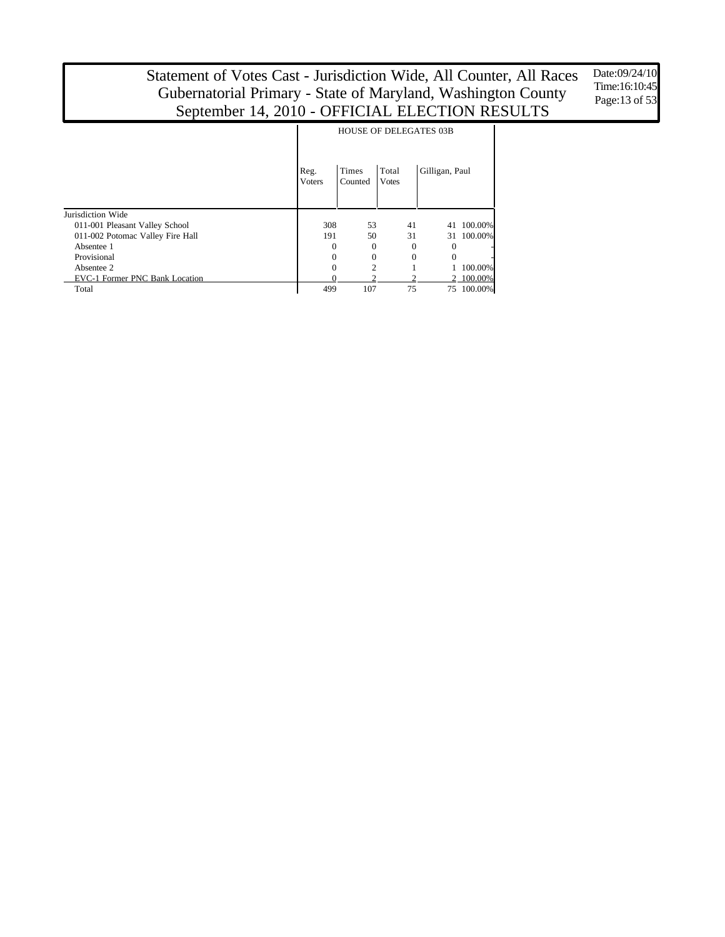Date:09/24/10 Time:16:10:45 Page:13 of 53

|                                  |                       | <b>HOUSE OF DELEGATES 03B</b> |          |                |                          |  |
|----------------------------------|-----------------------|-------------------------------|----------|----------------|--------------------------|--|
|                                  | Reg.<br><b>Voters</b> | Times<br>Counted              |          | Gilligan, Paul |                          |  |
| Jurisdiction Wide                |                       |                               |          |                |                          |  |
| 011-001 Pleasant Valley School   | 308                   | 53                            | 41       | 41             | 100.00%                  |  |
| 011-002 Potomac Valley Fire Hall | 191                   | 50                            | 31       | 31             | 100.00%                  |  |
| Absentee 1                       | 0                     | $\mathbf{0}$                  | $\Omega$ | $\Omega$       | $\overline{\phantom{m}}$ |  |
| Provisional                      | 0                     | $\boldsymbol{0}$              | $\Omega$ | $\Omega$       |                          |  |
| Absentee 2                       | 0                     | $\overline{c}$                |          |                | 100.00%                  |  |
| EVC-1 Former PNC Bank Location   |                       |                               |          |                | 2 100.00%                |  |
| Total                            | 499                   | 107                           | 75       |                | 75 100.00%               |  |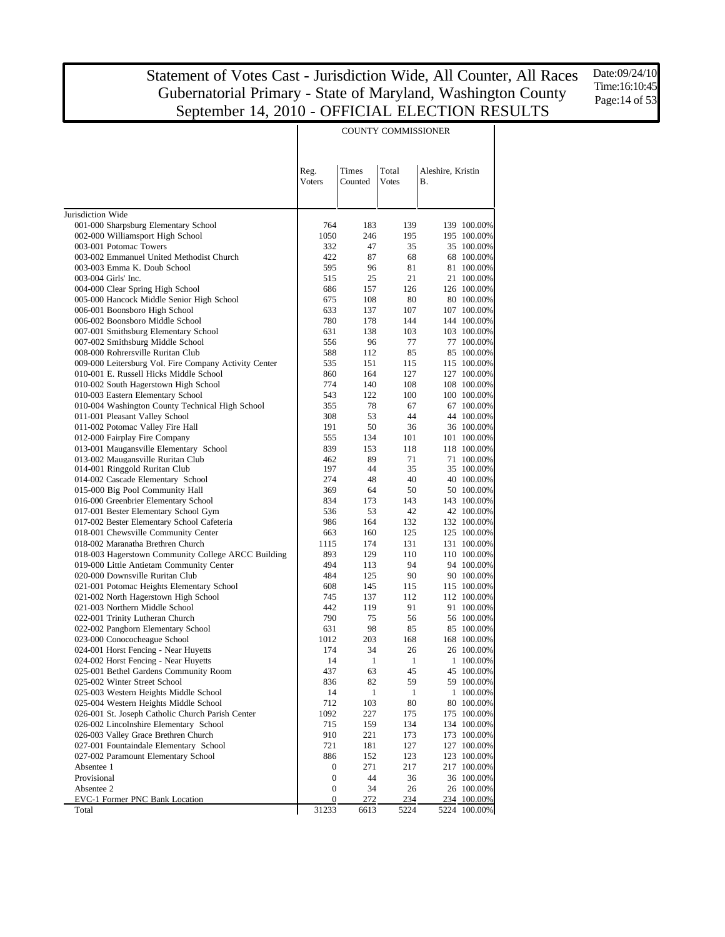Date:09/24/10 Time:16:10:45 Page:14 of 53

| Total<br>Reg.<br>Times<br>Aleshire, Kristin<br>Voters<br>Counted<br><b>Votes</b><br>В.<br>Jurisdiction Wide<br>001-000 Sharpsburg Elementary School<br>764<br>183<br>139<br>002-000 Williamsport High School<br>1050<br>246<br>195<br>003-001 Potomac Towers<br>332<br>47<br>35<br>003-002 Emmanuel United Methodist Church<br>422<br>87<br>68<br>003-003 Emma K. Doub School<br>595<br>96<br>81<br>003-004 Girls' Inc.<br>515<br>25<br>21<br>004-000 Clear Spring High School<br>686<br>157<br>126<br>005-000 Hancock Middle Senior High School<br>675<br>108<br>80<br>006-001 Boonsboro High School<br>633<br>137<br>107<br>006-002 Boonsboro Middle School<br>780<br>178<br>144<br>007-001 Smithsburg Elementary School<br>631<br>138<br>103<br>007-002 Smithsburg Middle School<br>556<br>96<br>77<br>008-000 Rohrersville Ruritan Club<br>588<br>112<br>85<br>009-000 Leitersburg Vol. Fire Company Activity Center<br>535<br>151<br>115<br>010-001 E. Russell Hicks Middle School<br>860<br>164<br>127<br>010-002 South Hagerstown High School<br>774<br>140<br>108<br>010-003 Eastern Elementary School<br>543<br>122<br>100<br>010-004 Washington County Technical High School<br>355<br>78<br>67<br>011-001 Pleasant Valley School<br>53<br>308<br>44<br>011-002 Potomac Valley Fire Hall<br>191<br>50<br>36<br>012-000 Fairplay Fire Company<br>555<br>134<br>101<br>013-001 Maugansville Elementary School<br>839<br>153<br>118<br>013-002 Maugansville Ruritan Club<br>462<br>89<br>71<br>014-001 Ringgold Ruritan Club<br>197<br>44<br>35<br>274<br>48<br>40<br>014-002 Cascade Elementary School<br>015-000 Big Pool Community Hall<br>369<br>64<br>50<br>016-000 Greenbrier Elementary School<br>834<br>173<br>143<br>42<br>017-001 Bester Elementary School Gym<br>536<br>53<br>017-002 Bester Elementary School Cafeteria<br>986<br>164<br>132<br>018-001 Chewsville Community Center<br>160<br>125<br>663<br>018-002 Maranatha Brethren Church<br>1115<br>174<br>131<br>018-003 Hagerstown Community College ARCC Building<br>893<br>129<br>110<br>019-000 Little Antietam Community Center<br>494<br>94<br>113<br>020-000 Downsville Ruritan Club<br>484<br>125<br>90<br>021-001 Potomac Heights Elementary School<br>608<br>145<br>115<br>021-002 North Hagerstown High School<br>745<br>137<br>112<br>021-003 Northern Middle School<br>442<br>119<br>91<br>790<br>022-001 Trinity Lutheran Church<br>75<br>56<br>022-002 Pangborn Elementary School<br>98<br>631<br>85<br>203<br>168<br>023-000 Conococheague School<br>1012<br>174<br>34<br>26<br>024-001 Horst Fencing - Near Huyetts<br>024-002 Horst Fencing - Near Huyetts<br>14<br>$\overline{1}$<br>$\mathbf{1}$<br>025-001 Bethel Gardens Community Room<br>437<br>63<br>45<br>025-002 Winter Street School<br>836<br>82<br>59<br>025-003 Western Heights Middle School<br>14<br>1<br>$\mathbf{1}$<br>712<br>80<br>025-004 Western Heights Middle School<br>103<br>026-001 St. Joseph Catholic Church Parish Center<br>1092<br>227<br>175<br>026-002 Lincolnshire Elementary School<br>715<br>159<br>134<br>026-003 Valley Grace Brethren Church<br>910<br>221<br>173<br>027-001 Fountaindale Elementary School<br>721<br>181<br>127<br>027-002 Paramount Elementary School<br>886<br>152<br>123<br>Absentee 1<br>$\boldsymbol{0}$<br>271<br>217<br>Provisional<br>$\boldsymbol{0}$<br>44<br>36<br>Absentee 2<br>$\boldsymbol{0}$<br>34<br>26<br>EVC-1 Former PNC Bank Location<br>0<br>272<br>234<br>31233<br>Total<br>6613<br>5224 |  | COUNTT COMMISSIONER |  |
|--------------------------------------------------------------------------------------------------------------------------------------------------------------------------------------------------------------------------------------------------------------------------------------------------------------------------------------------------------------------------------------------------------------------------------------------------------------------------------------------------------------------------------------------------------------------------------------------------------------------------------------------------------------------------------------------------------------------------------------------------------------------------------------------------------------------------------------------------------------------------------------------------------------------------------------------------------------------------------------------------------------------------------------------------------------------------------------------------------------------------------------------------------------------------------------------------------------------------------------------------------------------------------------------------------------------------------------------------------------------------------------------------------------------------------------------------------------------------------------------------------------------------------------------------------------------------------------------------------------------------------------------------------------------------------------------------------------------------------------------------------------------------------------------------------------------------------------------------------------------------------------------------------------------------------------------------------------------------------------------------------------------------------------------------------------------------------------------------------------------------------------------------------------------------------------------------------------------------------------------------------------------------------------------------------------------------------------------------------------------------------------------------------------------------------------------------------------------------------------------------------------------------------------------------------------------------------------------------------------------------------------------------------------------------------------------------------------------------------------------------------------------------------------------------------------------------------------------------------------------------------------------------------------------------------------------------------------------------------------------------------------------------------------------------------------------------------------------------------------------------------------------------------------------------------------------------------------------------------------------------------------------------------------------------------------------------------------------------------------------------------------------------------------------------------------------------------------------------------------------------------------------|--|---------------------|--|
| 139 100.00%<br>195 100.00%<br>35 100.00%<br>68 100.00%<br>81 100.00%<br>21 100.00%<br>126 100.00%<br>80 100,00%<br>107 100.00%<br>144 100.00%<br>103 100.00%<br>77 100.00%<br>85 100.00%<br>115 100.00%<br>127 100.00%<br>108 100.00%<br>100 100.00%<br>67 100.00%<br>44 100.00%<br>36 100.00%<br>101 100.00%<br>118 100.00%<br>71 100.00%<br>35 100.00%<br>40 100.00%<br>50 100.00%<br>143 100.00%<br>42 100.00%<br>132 100.00%<br>125 100.00%<br>131 100.00%<br>110 100.00%<br>94 100.00%<br>90 100.00%<br>115 100.00%<br>112 100.00%<br>91 100.00%<br>56 100.00%<br>85 100.00%<br>168 100.00%<br>26 100.00%<br>1 100.00%<br>45 100.00%<br>59 100.00%<br>1 100.00%<br>80 100.00%<br>175 100.00%<br>134 100.00%<br>173 100.00%<br>127 100.00%<br>123 100.00%<br>217 100.00%<br>36 100.00%<br>26 100.00%<br>234 100.00%<br>5224 100.00%                                                                                                                                                                                                                                                                                                                                                                                                                                                                                                                                                                                                                                                                                                                                                                                                                                                                                                                                                                                                                                                                                                                                                                                                                                                                                                                                                                                                                                                                                                                                                                                                                                                                                                                                                                                                                                                                                                                                                                                                                                                                                                                                                                                                                                                                                                                                                                                                                                                                                                                                                                                                                                                                            |  |                     |  |
|                                                                                                                                                                                                                                                                                                                                                                                                                                                                                                                                                                                                                                                                                                                                                                                                                                                                                                                                                                                                                                                                                                                                                                                                                                                                                                                                                                                                                                                                                                                                                                                                                                                                                                                                                                                                                                                                                                                                                                                                                                                                                                                                                                                                                                                                                                                                                                                                                                                                                                                                                                                                                                                                                                                                                                                                                                                                                                                                                                                                                                                                                                                                                                                                                                                                                                                                                                                                                                                                                                                    |  |                     |  |
|                                                                                                                                                                                                                                                                                                                                                                                                                                                                                                                                                                                                                                                                                                                                                                                                                                                                                                                                                                                                                                                                                                                                                                                                                                                                                                                                                                                                                                                                                                                                                                                                                                                                                                                                                                                                                                                                                                                                                                                                                                                                                                                                                                                                                                                                                                                                                                                                                                                                                                                                                                                                                                                                                                                                                                                                                                                                                                                                                                                                                                                                                                                                                                                                                                                                                                                                                                                                                                                                                                                    |  |                     |  |
|                                                                                                                                                                                                                                                                                                                                                                                                                                                                                                                                                                                                                                                                                                                                                                                                                                                                                                                                                                                                                                                                                                                                                                                                                                                                                                                                                                                                                                                                                                                                                                                                                                                                                                                                                                                                                                                                                                                                                                                                                                                                                                                                                                                                                                                                                                                                                                                                                                                                                                                                                                                                                                                                                                                                                                                                                                                                                                                                                                                                                                                                                                                                                                                                                                                                                                                                                                                                                                                                                                                    |  |                     |  |
|                                                                                                                                                                                                                                                                                                                                                                                                                                                                                                                                                                                                                                                                                                                                                                                                                                                                                                                                                                                                                                                                                                                                                                                                                                                                                                                                                                                                                                                                                                                                                                                                                                                                                                                                                                                                                                                                                                                                                                                                                                                                                                                                                                                                                                                                                                                                                                                                                                                                                                                                                                                                                                                                                                                                                                                                                                                                                                                                                                                                                                                                                                                                                                                                                                                                                                                                                                                                                                                                                                                    |  |                     |  |
|                                                                                                                                                                                                                                                                                                                                                                                                                                                                                                                                                                                                                                                                                                                                                                                                                                                                                                                                                                                                                                                                                                                                                                                                                                                                                                                                                                                                                                                                                                                                                                                                                                                                                                                                                                                                                                                                                                                                                                                                                                                                                                                                                                                                                                                                                                                                                                                                                                                                                                                                                                                                                                                                                                                                                                                                                                                                                                                                                                                                                                                                                                                                                                                                                                                                                                                                                                                                                                                                                                                    |  |                     |  |
|                                                                                                                                                                                                                                                                                                                                                                                                                                                                                                                                                                                                                                                                                                                                                                                                                                                                                                                                                                                                                                                                                                                                                                                                                                                                                                                                                                                                                                                                                                                                                                                                                                                                                                                                                                                                                                                                                                                                                                                                                                                                                                                                                                                                                                                                                                                                                                                                                                                                                                                                                                                                                                                                                                                                                                                                                                                                                                                                                                                                                                                                                                                                                                                                                                                                                                                                                                                                                                                                                                                    |  |                     |  |
|                                                                                                                                                                                                                                                                                                                                                                                                                                                                                                                                                                                                                                                                                                                                                                                                                                                                                                                                                                                                                                                                                                                                                                                                                                                                                                                                                                                                                                                                                                                                                                                                                                                                                                                                                                                                                                                                                                                                                                                                                                                                                                                                                                                                                                                                                                                                                                                                                                                                                                                                                                                                                                                                                                                                                                                                                                                                                                                                                                                                                                                                                                                                                                                                                                                                                                                                                                                                                                                                                                                    |  |                     |  |
|                                                                                                                                                                                                                                                                                                                                                                                                                                                                                                                                                                                                                                                                                                                                                                                                                                                                                                                                                                                                                                                                                                                                                                                                                                                                                                                                                                                                                                                                                                                                                                                                                                                                                                                                                                                                                                                                                                                                                                                                                                                                                                                                                                                                                                                                                                                                                                                                                                                                                                                                                                                                                                                                                                                                                                                                                                                                                                                                                                                                                                                                                                                                                                                                                                                                                                                                                                                                                                                                                                                    |  |                     |  |
|                                                                                                                                                                                                                                                                                                                                                                                                                                                                                                                                                                                                                                                                                                                                                                                                                                                                                                                                                                                                                                                                                                                                                                                                                                                                                                                                                                                                                                                                                                                                                                                                                                                                                                                                                                                                                                                                                                                                                                                                                                                                                                                                                                                                                                                                                                                                                                                                                                                                                                                                                                                                                                                                                                                                                                                                                                                                                                                                                                                                                                                                                                                                                                                                                                                                                                                                                                                                                                                                                                                    |  |                     |  |
|                                                                                                                                                                                                                                                                                                                                                                                                                                                                                                                                                                                                                                                                                                                                                                                                                                                                                                                                                                                                                                                                                                                                                                                                                                                                                                                                                                                                                                                                                                                                                                                                                                                                                                                                                                                                                                                                                                                                                                                                                                                                                                                                                                                                                                                                                                                                                                                                                                                                                                                                                                                                                                                                                                                                                                                                                                                                                                                                                                                                                                                                                                                                                                                                                                                                                                                                                                                                                                                                                                                    |  |                     |  |
|                                                                                                                                                                                                                                                                                                                                                                                                                                                                                                                                                                                                                                                                                                                                                                                                                                                                                                                                                                                                                                                                                                                                                                                                                                                                                                                                                                                                                                                                                                                                                                                                                                                                                                                                                                                                                                                                                                                                                                                                                                                                                                                                                                                                                                                                                                                                                                                                                                                                                                                                                                                                                                                                                                                                                                                                                                                                                                                                                                                                                                                                                                                                                                                                                                                                                                                                                                                                                                                                                                                    |  |                     |  |
|                                                                                                                                                                                                                                                                                                                                                                                                                                                                                                                                                                                                                                                                                                                                                                                                                                                                                                                                                                                                                                                                                                                                                                                                                                                                                                                                                                                                                                                                                                                                                                                                                                                                                                                                                                                                                                                                                                                                                                                                                                                                                                                                                                                                                                                                                                                                                                                                                                                                                                                                                                                                                                                                                                                                                                                                                                                                                                                                                                                                                                                                                                                                                                                                                                                                                                                                                                                                                                                                                                                    |  |                     |  |
|                                                                                                                                                                                                                                                                                                                                                                                                                                                                                                                                                                                                                                                                                                                                                                                                                                                                                                                                                                                                                                                                                                                                                                                                                                                                                                                                                                                                                                                                                                                                                                                                                                                                                                                                                                                                                                                                                                                                                                                                                                                                                                                                                                                                                                                                                                                                                                                                                                                                                                                                                                                                                                                                                                                                                                                                                                                                                                                                                                                                                                                                                                                                                                                                                                                                                                                                                                                                                                                                                                                    |  |                     |  |
|                                                                                                                                                                                                                                                                                                                                                                                                                                                                                                                                                                                                                                                                                                                                                                                                                                                                                                                                                                                                                                                                                                                                                                                                                                                                                                                                                                                                                                                                                                                                                                                                                                                                                                                                                                                                                                                                                                                                                                                                                                                                                                                                                                                                                                                                                                                                                                                                                                                                                                                                                                                                                                                                                                                                                                                                                                                                                                                                                                                                                                                                                                                                                                                                                                                                                                                                                                                                                                                                                                                    |  |                     |  |
|                                                                                                                                                                                                                                                                                                                                                                                                                                                                                                                                                                                                                                                                                                                                                                                                                                                                                                                                                                                                                                                                                                                                                                                                                                                                                                                                                                                                                                                                                                                                                                                                                                                                                                                                                                                                                                                                                                                                                                                                                                                                                                                                                                                                                                                                                                                                                                                                                                                                                                                                                                                                                                                                                                                                                                                                                                                                                                                                                                                                                                                                                                                                                                                                                                                                                                                                                                                                                                                                                                                    |  |                     |  |
|                                                                                                                                                                                                                                                                                                                                                                                                                                                                                                                                                                                                                                                                                                                                                                                                                                                                                                                                                                                                                                                                                                                                                                                                                                                                                                                                                                                                                                                                                                                                                                                                                                                                                                                                                                                                                                                                                                                                                                                                                                                                                                                                                                                                                                                                                                                                                                                                                                                                                                                                                                                                                                                                                                                                                                                                                                                                                                                                                                                                                                                                                                                                                                                                                                                                                                                                                                                                                                                                                                                    |  |                     |  |
|                                                                                                                                                                                                                                                                                                                                                                                                                                                                                                                                                                                                                                                                                                                                                                                                                                                                                                                                                                                                                                                                                                                                                                                                                                                                                                                                                                                                                                                                                                                                                                                                                                                                                                                                                                                                                                                                                                                                                                                                                                                                                                                                                                                                                                                                                                                                                                                                                                                                                                                                                                                                                                                                                                                                                                                                                                                                                                                                                                                                                                                                                                                                                                                                                                                                                                                                                                                                                                                                                                                    |  |                     |  |
|                                                                                                                                                                                                                                                                                                                                                                                                                                                                                                                                                                                                                                                                                                                                                                                                                                                                                                                                                                                                                                                                                                                                                                                                                                                                                                                                                                                                                                                                                                                                                                                                                                                                                                                                                                                                                                                                                                                                                                                                                                                                                                                                                                                                                                                                                                                                                                                                                                                                                                                                                                                                                                                                                                                                                                                                                                                                                                                                                                                                                                                                                                                                                                                                                                                                                                                                                                                                                                                                                                                    |  |                     |  |
|                                                                                                                                                                                                                                                                                                                                                                                                                                                                                                                                                                                                                                                                                                                                                                                                                                                                                                                                                                                                                                                                                                                                                                                                                                                                                                                                                                                                                                                                                                                                                                                                                                                                                                                                                                                                                                                                                                                                                                                                                                                                                                                                                                                                                                                                                                                                                                                                                                                                                                                                                                                                                                                                                                                                                                                                                                                                                                                                                                                                                                                                                                                                                                                                                                                                                                                                                                                                                                                                                                                    |  |                     |  |
|                                                                                                                                                                                                                                                                                                                                                                                                                                                                                                                                                                                                                                                                                                                                                                                                                                                                                                                                                                                                                                                                                                                                                                                                                                                                                                                                                                                                                                                                                                                                                                                                                                                                                                                                                                                                                                                                                                                                                                                                                                                                                                                                                                                                                                                                                                                                                                                                                                                                                                                                                                                                                                                                                                                                                                                                                                                                                                                                                                                                                                                                                                                                                                                                                                                                                                                                                                                                                                                                                                                    |  |                     |  |
|                                                                                                                                                                                                                                                                                                                                                                                                                                                                                                                                                                                                                                                                                                                                                                                                                                                                                                                                                                                                                                                                                                                                                                                                                                                                                                                                                                                                                                                                                                                                                                                                                                                                                                                                                                                                                                                                                                                                                                                                                                                                                                                                                                                                                                                                                                                                                                                                                                                                                                                                                                                                                                                                                                                                                                                                                                                                                                                                                                                                                                                                                                                                                                                                                                                                                                                                                                                                                                                                                                                    |  |                     |  |
|                                                                                                                                                                                                                                                                                                                                                                                                                                                                                                                                                                                                                                                                                                                                                                                                                                                                                                                                                                                                                                                                                                                                                                                                                                                                                                                                                                                                                                                                                                                                                                                                                                                                                                                                                                                                                                                                                                                                                                                                                                                                                                                                                                                                                                                                                                                                                                                                                                                                                                                                                                                                                                                                                                                                                                                                                                                                                                                                                                                                                                                                                                                                                                                                                                                                                                                                                                                                                                                                                                                    |  |                     |  |
|                                                                                                                                                                                                                                                                                                                                                                                                                                                                                                                                                                                                                                                                                                                                                                                                                                                                                                                                                                                                                                                                                                                                                                                                                                                                                                                                                                                                                                                                                                                                                                                                                                                                                                                                                                                                                                                                                                                                                                                                                                                                                                                                                                                                                                                                                                                                                                                                                                                                                                                                                                                                                                                                                                                                                                                                                                                                                                                                                                                                                                                                                                                                                                                                                                                                                                                                                                                                                                                                                                                    |  |                     |  |
|                                                                                                                                                                                                                                                                                                                                                                                                                                                                                                                                                                                                                                                                                                                                                                                                                                                                                                                                                                                                                                                                                                                                                                                                                                                                                                                                                                                                                                                                                                                                                                                                                                                                                                                                                                                                                                                                                                                                                                                                                                                                                                                                                                                                                                                                                                                                                                                                                                                                                                                                                                                                                                                                                                                                                                                                                                                                                                                                                                                                                                                                                                                                                                                                                                                                                                                                                                                                                                                                                                                    |  |                     |  |
|                                                                                                                                                                                                                                                                                                                                                                                                                                                                                                                                                                                                                                                                                                                                                                                                                                                                                                                                                                                                                                                                                                                                                                                                                                                                                                                                                                                                                                                                                                                                                                                                                                                                                                                                                                                                                                                                                                                                                                                                                                                                                                                                                                                                                                                                                                                                                                                                                                                                                                                                                                                                                                                                                                                                                                                                                                                                                                                                                                                                                                                                                                                                                                                                                                                                                                                                                                                                                                                                                                                    |  |                     |  |
|                                                                                                                                                                                                                                                                                                                                                                                                                                                                                                                                                                                                                                                                                                                                                                                                                                                                                                                                                                                                                                                                                                                                                                                                                                                                                                                                                                                                                                                                                                                                                                                                                                                                                                                                                                                                                                                                                                                                                                                                                                                                                                                                                                                                                                                                                                                                                                                                                                                                                                                                                                                                                                                                                                                                                                                                                                                                                                                                                                                                                                                                                                                                                                                                                                                                                                                                                                                                                                                                                                                    |  |                     |  |
|                                                                                                                                                                                                                                                                                                                                                                                                                                                                                                                                                                                                                                                                                                                                                                                                                                                                                                                                                                                                                                                                                                                                                                                                                                                                                                                                                                                                                                                                                                                                                                                                                                                                                                                                                                                                                                                                                                                                                                                                                                                                                                                                                                                                                                                                                                                                                                                                                                                                                                                                                                                                                                                                                                                                                                                                                                                                                                                                                                                                                                                                                                                                                                                                                                                                                                                                                                                                                                                                                                                    |  |                     |  |
|                                                                                                                                                                                                                                                                                                                                                                                                                                                                                                                                                                                                                                                                                                                                                                                                                                                                                                                                                                                                                                                                                                                                                                                                                                                                                                                                                                                                                                                                                                                                                                                                                                                                                                                                                                                                                                                                                                                                                                                                                                                                                                                                                                                                                                                                                                                                                                                                                                                                                                                                                                                                                                                                                                                                                                                                                                                                                                                                                                                                                                                                                                                                                                                                                                                                                                                                                                                                                                                                                                                    |  |                     |  |
|                                                                                                                                                                                                                                                                                                                                                                                                                                                                                                                                                                                                                                                                                                                                                                                                                                                                                                                                                                                                                                                                                                                                                                                                                                                                                                                                                                                                                                                                                                                                                                                                                                                                                                                                                                                                                                                                                                                                                                                                                                                                                                                                                                                                                                                                                                                                                                                                                                                                                                                                                                                                                                                                                                                                                                                                                                                                                                                                                                                                                                                                                                                                                                                                                                                                                                                                                                                                                                                                                                                    |  |                     |  |
|                                                                                                                                                                                                                                                                                                                                                                                                                                                                                                                                                                                                                                                                                                                                                                                                                                                                                                                                                                                                                                                                                                                                                                                                                                                                                                                                                                                                                                                                                                                                                                                                                                                                                                                                                                                                                                                                                                                                                                                                                                                                                                                                                                                                                                                                                                                                                                                                                                                                                                                                                                                                                                                                                                                                                                                                                                                                                                                                                                                                                                                                                                                                                                                                                                                                                                                                                                                                                                                                                                                    |  |                     |  |
|                                                                                                                                                                                                                                                                                                                                                                                                                                                                                                                                                                                                                                                                                                                                                                                                                                                                                                                                                                                                                                                                                                                                                                                                                                                                                                                                                                                                                                                                                                                                                                                                                                                                                                                                                                                                                                                                                                                                                                                                                                                                                                                                                                                                                                                                                                                                                                                                                                                                                                                                                                                                                                                                                                                                                                                                                                                                                                                                                                                                                                                                                                                                                                                                                                                                                                                                                                                                                                                                                                                    |  |                     |  |
|                                                                                                                                                                                                                                                                                                                                                                                                                                                                                                                                                                                                                                                                                                                                                                                                                                                                                                                                                                                                                                                                                                                                                                                                                                                                                                                                                                                                                                                                                                                                                                                                                                                                                                                                                                                                                                                                                                                                                                                                                                                                                                                                                                                                                                                                                                                                                                                                                                                                                                                                                                                                                                                                                                                                                                                                                                                                                                                                                                                                                                                                                                                                                                                                                                                                                                                                                                                                                                                                                                                    |  |                     |  |
|                                                                                                                                                                                                                                                                                                                                                                                                                                                                                                                                                                                                                                                                                                                                                                                                                                                                                                                                                                                                                                                                                                                                                                                                                                                                                                                                                                                                                                                                                                                                                                                                                                                                                                                                                                                                                                                                                                                                                                                                                                                                                                                                                                                                                                                                                                                                                                                                                                                                                                                                                                                                                                                                                                                                                                                                                                                                                                                                                                                                                                                                                                                                                                                                                                                                                                                                                                                                                                                                                                                    |  |                     |  |
|                                                                                                                                                                                                                                                                                                                                                                                                                                                                                                                                                                                                                                                                                                                                                                                                                                                                                                                                                                                                                                                                                                                                                                                                                                                                                                                                                                                                                                                                                                                                                                                                                                                                                                                                                                                                                                                                                                                                                                                                                                                                                                                                                                                                                                                                                                                                                                                                                                                                                                                                                                                                                                                                                                                                                                                                                                                                                                                                                                                                                                                                                                                                                                                                                                                                                                                                                                                                                                                                                                                    |  |                     |  |
|                                                                                                                                                                                                                                                                                                                                                                                                                                                                                                                                                                                                                                                                                                                                                                                                                                                                                                                                                                                                                                                                                                                                                                                                                                                                                                                                                                                                                                                                                                                                                                                                                                                                                                                                                                                                                                                                                                                                                                                                                                                                                                                                                                                                                                                                                                                                                                                                                                                                                                                                                                                                                                                                                                                                                                                                                                                                                                                                                                                                                                                                                                                                                                                                                                                                                                                                                                                                                                                                                                                    |  |                     |  |
|                                                                                                                                                                                                                                                                                                                                                                                                                                                                                                                                                                                                                                                                                                                                                                                                                                                                                                                                                                                                                                                                                                                                                                                                                                                                                                                                                                                                                                                                                                                                                                                                                                                                                                                                                                                                                                                                                                                                                                                                                                                                                                                                                                                                                                                                                                                                                                                                                                                                                                                                                                                                                                                                                                                                                                                                                                                                                                                                                                                                                                                                                                                                                                                                                                                                                                                                                                                                                                                                                                                    |  |                     |  |
|                                                                                                                                                                                                                                                                                                                                                                                                                                                                                                                                                                                                                                                                                                                                                                                                                                                                                                                                                                                                                                                                                                                                                                                                                                                                                                                                                                                                                                                                                                                                                                                                                                                                                                                                                                                                                                                                                                                                                                                                                                                                                                                                                                                                                                                                                                                                                                                                                                                                                                                                                                                                                                                                                                                                                                                                                                                                                                                                                                                                                                                                                                                                                                                                                                                                                                                                                                                                                                                                                                                    |  |                     |  |
|                                                                                                                                                                                                                                                                                                                                                                                                                                                                                                                                                                                                                                                                                                                                                                                                                                                                                                                                                                                                                                                                                                                                                                                                                                                                                                                                                                                                                                                                                                                                                                                                                                                                                                                                                                                                                                                                                                                                                                                                                                                                                                                                                                                                                                                                                                                                                                                                                                                                                                                                                                                                                                                                                                                                                                                                                                                                                                                                                                                                                                                                                                                                                                                                                                                                                                                                                                                                                                                                                                                    |  |                     |  |
|                                                                                                                                                                                                                                                                                                                                                                                                                                                                                                                                                                                                                                                                                                                                                                                                                                                                                                                                                                                                                                                                                                                                                                                                                                                                                                                                                                                                                                                                                                                                                                                                                                                                                                                                                                                                                                                                                                                                                                                                                                                                                                                                                                                                                                                                                                                                                                                                                                                                                                                                                                                                                                                                                                                                                                                                                                                                                                                                                                                                                                                                                                                                                                                                                                                                                                                                                                                                                                                                                                                    |  |                     |  |
|                                                                                                                                                                                                                                                                                                                                                                                                                                                                                                                                                                                                                                                                                                                                                                                                                                                                                                                                                                                                                                                                                                                                                                                                                                                                                                                                                                                                                                                                                                                                                                                                                                                                                                                                                                                                                                                                                                                                                                                                                                                                                                                                                                                                                                                                                                                                                                                                                                                                                                                                                                                                                                                                                                                                                                                                                                                                                                                                                                                                                                                                                                                                                                                                                                                                                                                                                                                                                                                                                                                    |  |                     |  |
|                                                                                                                                                                                                                                                                                                                                                                                                                                                                                                                                                                                                                                                                                                                                                                                                                                                                                                                                                                                                                                                                                                                                                                                                                                                                                                                                                                                                                                                                                                                                                                                                                                                                                                                                                                                                                                                                                                                                                                                                                                                                                                                                                                                                                                                                                                                                                                                                                                                                                                                                                                                                                                                                                                                                                                                                                                                                                                                                                                                                                                                                                                                                                                                                                                                                                                                                                                                                                                                                                                                    |  |                     |  |
|                                                                                                                                                                                                                                                                                                                                                                                                                                                                                                                                                                                                                                                                                                                                                                                                                                                                                                                                                                                                                                                                                                                                                                                                                                                                                                                                                                                                                                                                                                                                                                                                                                                                                                                                                                                                                                                                                                                                                                                                                                                                                                                                                                                                                                                                                                                                                                                                                                                                                                                                                                                                                                                                                                                                                                                                                                                                                                                                                                                                                                                                                                                                                                                                                                                                                                                                                                                                                                                                                                                    |  |                     |  |
|                                                                                                                                                                                                                                                                                                                                                                                                                                                                                                                                                                                                                                                                                                                                                                                                                                                                                                                                                                                                                                                                                                                                                                                                                                                                                                                                                                                                                                                                                                                                                                                                                                                                                                                                                                                                                                                                                                                                                                                                                                                                                                                                                                                                                                                                                                                                                                                                                                                                                                                                                                                                                                                                                                                                                                                                                                                                                                                                                                                                                                                                                                                                                                                                                                                                                                                                                                                                                                                                                                                    |  |                     |  |
|                                                                                                                                                                                                                                                                                                                                                                                                                                                                                                                                                                                                                                                                                                                                                                                                                                                                                                                                                                                                                                                                                                                                                                                                                                                                                                                                                                                                                                                                                                                                                                                                                                                                                                                                                                                                                                                                                                                                                                                                                                                                                                                                                                                                                                                                                                                                                                                                                                                                                                                                                                                                                                                                                                                                                                                                                                                                                                                                                                                                                                                                                                                                                                                                                                                                                                                                                                                                                                                                                                                    |  |                     |  |
|                                                                                                                                                                                                                                                                                                                                                                                                                                                                                                                                                                                                                                                                                                                                                                                                                                                                                                                                                                                                                                                                                                                                                                                                                                                                                                                                                                                                                                                                                                                                                                                                                                                                                                                                                                                                                                                                                                                                                                                                                                                                                                                                                                                                                                                                                                                                                                                                                                                                                                                                                                                                                                                                                                                                                                                                                                                                                                                                                                                                                                                                                                                                                                                                                                                                                                                                                                                                                                                                                                                    |  |                     |  |
|                                                                                                                                                                                                                                                                                                                                                                                                                                                                                                                                                                                                                                                                                                                                                                                                                                                                                                                                                                                                                                                                                                                                                                                                                                                                                                                                                                                                                                                                                                                                                                                                                                                                                                                                                                                                                                                                                                                                                                                                                                                                                                                                                                                                                                                                                                                                                                                                                                                                                                                                                                                                                                                                                                                                                                                                                                                                                                                                                                                                                                                                                                                                                                                                                                                                                                                                                                                                                                                                                                                    |  |                     |  |
|                                                                                                                                                                                                                                                                                                                                                                                                                                                                                                                                                                                                                                                                                                                                                                                                                                                                                                                                                                                                                                                                                                                                                                                                                                                                                                                                                                                                                                                                                                                                                                                                                                                                                                                                                                                                                                                                                                                                                                                                                                                                                                                                                                                                                                                                                                                                                                                                                                                                                                                                                                                                                                                                                                                                                                                                                                                                                                                                                                                                                                                                                                                                                                                                                                                                                                                                                                                                                                                                                                                    |  |                     |  |
|                                                                                                                                                                                                                                                                                                                                                                                                                                                                                                                                                                                                                                                                                                                                                                                                                                                                                                                                                                                                                                                                                                                                                                                                                                                                                                                                                                                                                                                                                                                                                                                                                                                                                                                                                                                                                                                                                                                                                                                                                                                                                                                                                                                                                                                                                                                                                                                                                                                                                                                                                                                                                                                                                                                                                                                                                                                                                                                                                                                                                                                                                                                                                                                                                                                                                                                                                                                                                                                                                                                    |  |                     |  |
|                                                                                                                                                                                                                                                                                                                                                                                                                                                                                                                                                                                                                                                                                                                                                                                                                                                                                                                                                                                                                                                                                                                                                                                                                                                                                                                                                                                                                                                                                                                                                                                                                                                                                                                                                                                                                                                                                                                                                                                                                                                                                                                                                                                                                                                                                                                                                                                                                                                                                                                                                                                                                                                                                                                                                                                                                                                                                                                                                                                                                                                                                                                                                                                                                                                                                                                                                                                                                                                                                                                    |  |                     |  |
|                                                                                                                                                                                                                                                                                                                                                                                                                                                                                                                                                                                                                                                                                                                                                                                                                                                                                                                                                                                                                                                                                                                                                                                                                                                                                                                                                                                                                                                                                                                                                                                                                                                                                                                                                                                                                                                                                                                                                                                                                                                                                                                                                                                                                                                                                                                                                                                                                                                                                                                                                                                                                                                                                                                                                                                                                                                                                                                                                                                                                                                                                                                                                                                                                                                                                                                                                                                                                                                                                                                    |  |                     |  |
|                                                                                                                                                                                                                                                                                                                                                                                                                                                                                                                                                                                                                                                                                                                                                                                                                                                                                                                                                                                                                                                                                                                                                                                                                                                                                                                                                                                                                                                                                                                                                                                                                                                                                                                                                                                                                                                                                                                                                                                                                                                                                                                                                                                                                                                                                                                                                                                                                                                                                                                                                                                                                                                                                                                                                                                                                                                                                                                                                                                                                                                                                                                                                                                                                                                                                                                                                                                                                                                                                                                    |  |                     |  |
|                                                                                                                                                                                                                                                                                                                                                                                                                                                                                                                                                                                                                                                                                                                                                                                                                                                                                                                                                                                                                                                                                                                                                                                                                                                                                                                                                                                                                                                                                                                                                                                                                                                                                                                                                                                                                                                                                                                                                                                                                                                                                                                                                                                                                                                                                                                                                                                                                                                                                                                                                                                                                                                                                                                                                                                                                                                                                                                                                                                                                                                                                                                                                                                                                                                                                                                                                                                                                                                                                                                    |  |                     |  |
|                                                                                                                                                                                                                                                                                                                                                                                                                                                                                                                                                                                                                                                                                                                                                                                                                                                                                                                                                                                                                                                                                                                                                                                                                                                                                                                                                                                                                                                                                                                                                                                                                                                                                                                                                                                                                                                                                                                                                                                                                                                                                                                                                                                                                                                                                                                                                                                                                                                                                                                                                                                                                                                                                                                                                                                                                                                                                                                                                                                                                                                                                                                                                                                                                                                                                                                                                                                                                                                                                                                    |  |                     |  |
|                                                                                                                                                                                                                                                                                                                                                                                                                                                                                                                                                                                                                                                                                                                                                                                                                                                                                                                                                                                                                                                                                                                                                                                                                                                                                                                                                                                                                                                                                                                                                                                                                                                                                                                                                                                                                                                                                                                                                                                                                                                                                                                                                                                                                                                                                                                                                                                                                                                                                                                                                                                                                                                                                                                                                                                                                                                                                                                                                                                                                                                                                                                                                                                                                                                                                                                                                                                                                                                                                                                    |  |                     |  |
|                                                                                                                                                                                                                                                                                                                                                                                                                                                                                                                                                                                                                                                                                                                                                                                                                                                                                                                                                                                                                                                                                                                                                                                                                                                                                                                                                                                                                                                                                                                                                                                                                                                                                                                                                                                                                                                                                                                                                                                                                                                                                                                                                                                                                                                                                                                                                                                                                                                                                                                                                                                                                                                                                                                                                                                                                                                                                                                                                                                                                                                                                                                                                                                                                                                                                                                                                                                                                                                                                                                    |  |                     |  |

#### COUNTY COMMISSIONER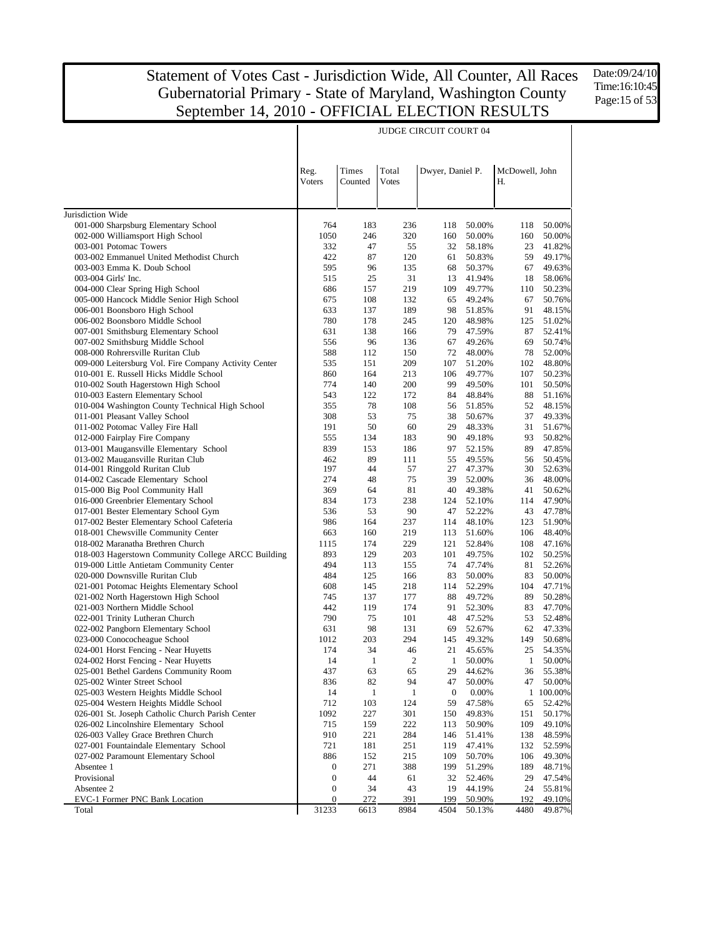$\overline{\phantom{a}}$ 

Date:09/24/10 Time:16:10:45 Page:15 of 53

 $\overline{1}$ 

|                                                                             | Reg.             | Times        | Total          | Dwyer, Daniel P. |                  | McDowell, John |                  |
|-----------------------------------------------------------------------------|------------------|--------------|----------------|------------------|------------------|----------------|------------------|
|                                                                             | Voters           | Counted      | <b>Votes</b>   |                  |                  | Н.             |                  |
|                                                                             |                  |              |                |                  |                  |                |                  |
| Jurisdiction Wide                                                           |                  |              |                |                  |                  |                |                  |
| 001-000 Sharpsburg Elementary School                                        | 764              | 183          | 236            | 118              | 50.00%           | 118            | 50.00%           |
| 002-000 Williamsport High School                                            | 1050             | 246          | 320            | 160              | 50.00%           | 160            | 50.00%           |
| 003-001 Potomac Towers                                                      | 332<br>422       | 47           | 55             | 32               | 58.18%           | 23             | 41.82%           |
| 003-002 Emmanuel United Methodist Church<br>003-003 Emma K. Doub School     | 595              | 87<br>96     | 120<br>135     | 61<br>68         | 50.83%<br>50.37% | 59<br>67       | 49.17%<br>49.63% |
| 003-004 Girls' Inc.                                                         | 515              | 25           | 31             | 13               | 41.94%           | 18             | 58.06%           |
| 004-000 Clear Spring High School                                            | 686              | 157          | 219            | 109              | 49.77%           | 110            | 50.23%           |
| 005-000 Hancock Middle Senior High School                                   | 675              | 108          | 132            | 65               | 49.24%           | 67             | 50.76%           |
| 006-001 Boonsboro High School                                               | 633              | 137          | 189            | 98               | 51.85%           | 91             | 48.15%           |
| 006-002 Boonsboro Middle School                                             | 780              | 178          | 245            | 120              | 48.98%           | 125            | 51.02%           |
| 007-001 Smithsburg Elementary School                                        | 631              | 138          | 166            | 79               | 47.59%           | 87             | 52.41%           |
| 007-002 Smithsburg Middle School                                            | 556              | 96           | 136            | 67               | 49.26%           | 69             | 50.74%           |
| 008-000 Rohrersville Ruritan Club                                           | 588              | 112          | 150            | 72               | 48.00%           | 78             | 52.00%           |
| 009-000 Leitersburg Vol. Fire Company Activity Center                       | 535              | 151          | 209            | 107              | 51.20%           | 102            | 48.80%           |
| 010-001 E. Russell Hicks Middle School                                      | 860              | 164          | 213            | 106              | 49.77%           | 107            | 50.23%           |
| 010-002 South Hagerstown High School                                        | 774              | 140          | 200            | 99               | 49.50%           | 101            | 50.50%           |
| 010-003 Eastern Elementary School                                           | 543              | 122          | 172            | 84               | 48.84%           | 88             | 51.16%           |
| 010-004 Washington County Technical High School                             | 355              | 78           | 108            | 56               | 51.85%           | 52             | 48.15%           |
| 011-001 Pleasant Valley School                                              | 308              | 53           | 75             | 38               | 50.67%           | 37             | 49.33%           |
| 011-002 Potomac Valley Fire Hall                                            | 191              | 50           | 60             | 29               | 48.33%           | 31             | 51.67%           |
| 012-000 Fairplay Fire Company                                               | 555              | 134          | 183            | 90               | 49.18%           | 93             | 50.82%           |
| 013-001 Maugansville Elementary School<br>013-002 Maugansville Ruritan Club | 839<br>462       | 153<br>89    | 186<br>111     | 97<br>55         | 52.15%<br>49.55% | 89<br>56       | 47.85%<br>50.45% |
| 014-001 Ringgold Ruritan Club                                               | 197              | 44           | 57             | 27               | 47.37%           | 30             | 52.63%           |
| 014-002 Cascade Elementary School                                           | 274              | 48           | 75             | 39               | 52.00%           | 36             | 48.00%           |
| 015-000 Big Pool Community Hall                                             | 369              | 64           | 81             | 40               | 49.38%           | 41             | 50.62%           |
| 016-000 Greenbrier Elementary School                                        | 834              | 173          | 238            | 124              | 52.10%           | 114            | 47.90%           |
| 017-001 Bester Elementary School Gym                                        | 536              | 53           | 90             | 47               | 52.22%           | 43             | 47.78%           |
| 017-002 Bester Elementary School Cafeteria                                  | 986              | 164          | 237            | 114              | 48.10%           | 123            | 51.90%           |
| 018-001 Chewsville Community Center                                         | 663              | 160          | 219            | 113              | 51.60%           | 106            | 48.40%           |
| 018-002 Maranatha Brethren Church                                           | 1115             | 174          | 229            | 121              | 52.84%           | 108            | 47.16%           |
| 018-003 Hagerstown Community College ARCC Building                          | 893              | 129          | 203            | 101              | 49.75%           | 102            | 50.25%           |
| 019-000 Little Antietam Community Center                                    | 494              | 113          | 155            | 74               | 47.74%           | 81             | 52.26%           |
| 020-000 Downsville Ruritan Club                                             | 484              | 125          | 166            | 83               | 50.00%           | 83             | 50.00%           |
| 021-001 Potomac Heights Elementary School                                   | 608              | 145          | 218            | 114              | 52.29%           | 104            | 47.71%           |
| 021-002 North Hagerstown High School                                        | 745              | 137          | 177            | 88               | 49.72%           | 89             | 50.28%           |
| 021-003 Northern Middle School                                              | 442              | 119          | 174            | 91               | 52.30%           | 83             | 47.70%           |
| 022-001 Trinity Lutheran Church                                             | 790              | 75           | 101            | 48               | 47.52%           | 53             | 52.48%           |
| 022-002 Pangborn Elementary School<br>023-000 Conococheague School          | 631<br>1012      | 98<br>203    | 131<br>294     | 69<br>145        | 52.67%<br>49.32% | 62<br>149      | 47.33%<br>50.68% |
| 024-001 Horst Fencing - Near Huyetts                                        | 174              | 34           | 46             | 21               | 45.65%           | 25             | 54.35%           |
| 024-002 Horst Fencing - Near Huyetts                                        | 14               | $\mathbf{1}$ | $\overline{c}$ | 1                | 50.00%           | 1              | 50.00%           |
| 025-001 Bethel Gardens Community Room                                       | 437              | 63           | 65             | 29               | 44.62%           | 36             | 55.38%           |
| 025-002 Winter Street School                                                | 836              | 82           | 94             | 47               | 50.00%           | 47             | 50.00%           |
| 025-003 Western Heights Middle School                                       | 14               | $\mathbf{1}$ | $\mathbf{1}$   | $\boldsymbol{0}$ | 0.00%            |                | 1 100.00%        |
| 025-004 Western Heights Middle School                                       | 712              | 103          | 124            | 59               | 47.58%           | 65             | 52.42%           |
| 026-001 St. Joseph Catholic Church Parish Center                            | 1092             | 227          | 301            | 150              | 49.83%           | 151            | 50.17%           |
| 026-002 Lincolnshire Elementary School                                      | 715              | 159          | 222            | 113              | 50.90%           | 109            | 49.10%           |
| 026-003 Valley Grace Brethren Church                                        | 910              | 221          | 284            | 146              | 51.41%           | 138            | 48.59%           |
| 027-001 Fountaindale Elementary School                                      | 721              | 181          | 251            | 119              | 47.41%           | 132            | 52.59%           |
| 027-002 Paramount Elementary School                                         | 886              | 152          | 215            | 109              | 50.70%           | 106            | 49.30%           |
| Absentee 1                                                                  | $\boldsymbol{0}$ | 271          | 388            | 199              | 51.29%           | 189            | 48.71%           |
| Provisional                                                                 | $\boldsymbol{0}$ | 44           | 61             | 32               | 52.46%           | 29             | 47.54%           |
| Absentee 2                                                                  | $\boldsymbol{0}$ | 34           | 43             | 19               | 44.19%           | 24             | 55.81%           |
| EVC-1 Former PNC Bank Location                                              | $\boldsymbol{0}$ | 272          | 391            | 199              | 50.90%           | 192            | 49.10%           |
| Total                                                                       | 31233            | 6613         | 8984           | 4504             | 50.13%           | 4480           | 49.87%           |

JUDGE CIRCUIT COURT 04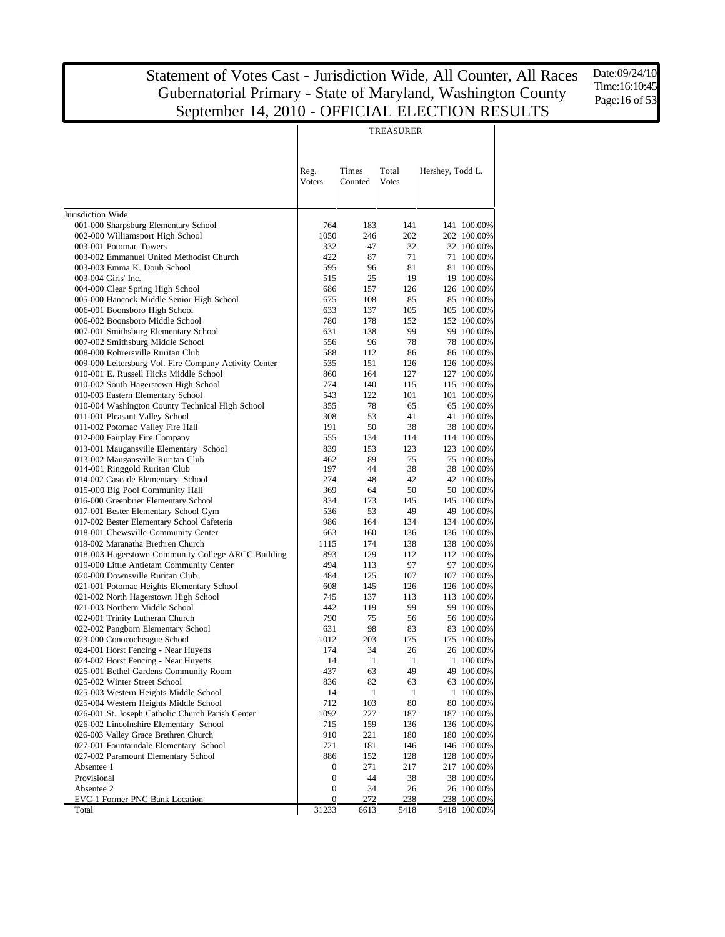Date:09/24/10 Time:16:10:45 Page:16 of 53

| Times<br>Total<br>Reg.<br>Hershey, Todd L.<br><b>Voters</b><br>Counted<br><b>Votes</b><br>Jurisdiction Wide<br>001-000 Sharpsburg Elementary School<br>764<br>183<br>141<br>141 100.00%<br>002-000 Williamsport High School<br>1050<br>246<br>202<br>202 100.00%<br>003-001 Potomac Towers<br>332<br>47<br>32<br>32 100.00%<br>003-002 Emmanuel United Methodist Church<br>422<br>87<br>71<br>71 100.00%<br>003-003 Emma K. Doub School<br>595<br>96<br>81<br>81 100.00%<br>003-004 Girls' Inc.<br>515<br>25<br>19<br>19 100.00%<br>004-000 Clear Spring High School<br>686<br>157<br>126<br>126 100.00%<br>005-000 Hancock Middle Senior High School<br>675<br>108<br>85<br>85 100.00%<br>006-001 Boonsboro High School<br>633<br>137<br>105<br>105 100.00%<br>006-002 Boonsboro Middle School<br>780<br>178<br>152<br>152 100.00%<br>007-001 Smithsburg Elementary School<br>631<br>138<br>99<br>99 100.00%<br>007-002 Smithsburg Middle School<br>556<br>96<br>78<br>78 100.00%<br>008-000 Rohrersville Ruritan Club<br>588<br>112<br>86<br>86 100.00%<br>009-000 Leitersburg Vol. Fire Company Activity Center<br>535<br>151<br>126<br>126 100.00%<br>010-001 E. Russell Hicks Middle School<br>164<br>127 100.00%<br>860<br>127<br>010-002 South Hagerstown High School<br>774<br>140<br>115 100.00%<br>115<br>010-003 Eastern Elementary School<br>543<br>122<br>101<br>101 100.00%<br>010-004 Washington County Technical High School<br>355<br>78<br>65 100.00%<br>65<br>011-001 Pleasant Valley School<br>308<br>53<br>41<br>41 100.00%<br>011-002 Potomac Valley Fire Hall<br>191<br>50<br>38<br>38 100.00%<br>012-000 Fairplay Fire Company<br>555<br>134<br>114<br>114 100.00%<br>013-001 Maugansville Elementary School<br>839<br>153<br>123<br>123 100.00%<br>013-002 Maugansville Ruritan Club<br>462<br>89<br>75<br>75 100,00%<br>014-001 Ringgold Ruritan Club<br>197<br>44<br>38<br>38 100.00%<br>274<br>48<br>014-002 Cascade Elementary School<br>42<br>42 100.00%<br>50<br>015-000 Big Pool Community Hall<br>369<br>64<br>50 100.00%<br>834<br>016-000 Greenbrier Elementary School<br>173<br>145<br>145 100.00%<br>017-001 Bester Elementary School Gym<br>536<br>53<br>49<br>49 100.00%<br>017-002 Bester Elementary School Cafeteria<br>986<br>164<br>134<br>134 100.00%<br>018-001 Chewsville Community Center<br>663<br>160<br>136<br>136 100.00%<br>018-002 Maranatha Brethren Church<br>1115<br>174<br>138<br>138 100.00%<br>018-003 Hagerstown Community College ARCC Building<br>893<br>129<br>112<br>112 100.00%<br>019-000 Little Antietam Community Center<br>494<br>97<br>113<br>97 100.00%<br>020-000 Downsville Ruritan Club<br>484<br>125<br>107<br>107 100.00%<br>021-001 Potomac Heights Elementary School<br>608<br>145<br>126<br>126 100.00%<br>021-002 North Hagerstown High School<br>745<br>137<br>113<br>113 100.00%<br>021-003 Northern Middle School<br>99<br>442<br>119<br>99 100.00%<br>790<br>022-001 Trinity Lutheran Church<br>75<br>56<br>56 100.00%<br>98<br>022-002 Pangborn Elementary School<br>631<br>83<br>83 100.00%<br>203<br>023-000 Conococheague School<br>1012<br>175<br>175 100.00%<br>34<br>024-001 Horst Fencing - Near Huyetts<br>174<br>26<br>26 100.00%<br>024-002 Horst Fencing - Near Huyetts<br>1<br>$\mathbf{1}$<br>1 100.00%<br>14<br>63<br>49<br>025-001 Bethel Gardens Community Room<br>437<br>49 100.00%<br>82<br>025-002 Winter Street School<br>836<br>63<br>63 100.00%<br>025-003 Western Heights Middle School<br>14<br>1<br>1 100.00%<br>1<br>80<br>025-004 Western Heights Middle School<br>712<br>103<br>80 100.00%<br>026-001 St. Joseph Catholic Church Parish Center<br>1092<br>227<br>187<br>187 100.00%<br>026-002 Lincolnshire Elementary School<br>715<br>159<br>136 100.00%<br>136<br>026-003 Valley Grace Brethren Church<br>910<br>221<br>180<br>180 100.00%<br>027-001 Fountaindale Elementary School<br>721<br>181<br>146 100.00%<br>146<br>027-002 Paramount Elementary School<br>886<br>152<br>128 100.00%<br>128<br>Absentee 1<br>271<br>217<br>217 100.00%<br>0<br>Provisional<br>0<br>44<br>38 100.00%<br>38<br>Absentee 2<br>0<br>34<br>26<br>26 100.00%<br>EVC-1 Former PNC Bank Location<br>0<br>272<br>238<br>238 100.00%<br>31233<br>Total<br>6613<br>5418<br>5418 100.00% |  | <b>TREASURER</b> |  |
|------------------------------------------------------------------------------------------------------------------------------------------------------------------------------------------------------------------------------------------------------------------------------------------------------------------------------------------------------------------------------------------------------------------------------------------------------------------------------------------------------------------------------------------------------------------------------------------------------------------------------------------------------------------------------------------------------------------------------------------------------------------------------------------------------------------------------------------------------------------------------------------------------------------------------------------------------------------------------------------------------------------------------------------------------------------------------------------------------------------------------------------------------------------------------------------------------------------------------------------------------------------------------------------------------------------------------------------------------------------------------------------------------------------------------------------------------------------------------------------------------------------------------------------------------------------------------------------------------------------------------------------------------------------------------------------------------------------------------------------------------------------------------------------------------------------------------------------------------------------------------------------------------------------------------------------------------------------------------------------------------------------------------------------------------------------------------------------------------------------------------------------------------------------------------------------------------------------------------------------------------------------------------------------------------------------------------------------------------------------------------------------------------------------------------------------------------------------------------------------------------------------------------------------------------------------------------------------------------------------------------------------------------------------------------------------------------------------------------------------------------------------------------------------------------------------------------------------------------------------------------------------------------------------------------------------------------------------------------------------------------------------------------------------------------------------------------------------------------------------------------------------------------------------------------------------------------------------------------------------------------------------------------------------------------------------------------------------------------------------------------------------------------------------------------------------------------------------------------------------------------------------------------------------------------------------------------------------------------------------------------------------------------------------------------------------------------------------------------------------------------------------------------------------------------------------------------------------------------------------------------------------------------------------------------------------------------------------------------------------------------------------------------------------------------------------------------------------------------------------------------------------------------------------------------------------------------------------------------------------------------------------------------------------|--|------------------|--|
|                                                                                                                                                                                                                                                                                                                                                                                                                                                                                                                                                                                                                                                                                                                                                                                                                                                                                                                                                                                                                                                                                                                                                                                                                                                                                                                                                                                                                                                                                                                                                                                                                                                                                                                                                                                                                                                                                                                                                                                                                                                                                                                                                                                                                                                                                                                                                                                                                                                                                                                                                                                                                                                                                                                                                                                                                                                                                                                                                                                                                                                                                                                                                                                                                                                                                                                                                                                                                                                                                                                                                                                                                                                                                                                                                                                                                                                                                                                                                                                                                                                                                                                                                                                                                                                                                          |  |                  |  |
|                                                                                                                                                                                                                                                                                                                                                                                                                                                                                                                                                                                                                                                                                                                                                                                                                                                                                                                                                                                                                                                                                                                                                                                                                                                                                                                                                                                                                                                                                                                                                                                                                                                                                                                                                                                                                                                                                                                                                                                                                                                                                                                                                                                                                                                                                                                                                                                                                                                                                                                                                                                                                                                                                                                                                                                                                                                                                                                                                                                                                                                                                                                                                                                                                                                                                                                                                                                                                                                                                                                                                                                                                                                                                                                                                                                                                                                                                                                                                                                                                                                                                                                                                                                                                                                                                          |  |                  |  |
|                                                                                                                                                                                                                                                                                                                                                                                                                                                                                                                                                                                                                                                                                                                                                                                                                                                                                                                                                                                                                                                                                                                                                                                                                                                                                                                                                                                                                                                                                                                                                                                                                                                                                                                                                                                                                                                                                                                                                                                                                                                                                                                                                                                                                                                                                                                                                                                                                                                                                                                                                                                                                                                                                                                                                                                                                                                                                                                                                                                                                                                                                                                                                                                                                                                                                                                                                                                                                                                                                                                                                                                                                                                                                                                                                                                                                                                                                                                                                                                                                                                                                                                                                                                                                                                                                          |  |                  |  |
|                                                                                                                                                                                                                                                                                                                                                                                                                                                                                                                                                                                                                                                                                                                                                                                                                                                                                                                                                                                                                                                                                                                                                                                                                                                                                                                                                                                                                                                                                                                                                                                                                                                                                                                                                                                                                                                                                                                                                                                                                                                                                                                                                                                                                                                                                                                                                                                                                                                                                                                                                                                                                                                                                                                                                                                                                                                                                                                                                                                                                                                                                                                                                                                                                                                                                                                                                                                                                                                                                                                                                                                                                                                                                                                                                                                                                                                                                                                                                                                                                                                                                                                                                                                                                                                                                          |  |                  |  |
|                                                                                                                                                                                                                                                                                                                                                                                                                                                                                                                                                                                                                                                                                                                                                                                                                                                                                                                                                                                                                                                                                                                                                                                                                                                                                                                                                                                                                                                                                                                                                                                                                                                                                                                                                                                                                                                                                                                                                                                                                                                                                                                                                                                                                                                                                                                                                                                                                                                                                                                                                                                                                                                                                                                                                                                                                                                                                                                                                                                                                                                                                                                                                                                                                                                                                                                                                                                                                                                                                                                                                                                                                                                                                                                                                                                                                                                                                                                                                                                                                                                                                                                                                                                                                                                                                          |  |                  |  |
|                                                                                                                                                                                                                                                                                                                                                                                                                                                                                                                                                                                                                                                                                                                                                                                                                                                                                                                                                                                                                                                                                                                                                                                                                                                                                                                                                                                                                                                                                                                                                                                                                                                                                                                                                                                                                                                                                                                                                                                                                                                                                                                                                                                                                                                                                                                                                                                                                                                                                                                                                                                                                                                                                                                                                                                                                                                                                                                                                                                                                                                                                                                                                                                                                                                                                                                                                                                                                                                                                                                                                                                                                                                                                                                                                                                                                                                                                                                                                                                                                                                                                                                                                                                                                                                                                          |  |                  |  |
|                                                                                                                                                                                                                                                                                                                                                                                                                                                                                                                                                                                                                                                                                                                                                                                                                                                                                                                                                                                                                                                                                                                                                                                                                                                                                                                                                                                                                                                                                                                                                                                                                                                                                                                                                                                                                                                                                                                                                                                                                                                                                                                                                                                                                                                                                                                                                                                                                                                                                                                                                                                                                                                                                                                                                                                                                                                                                                                                                                                                                                                                                                                                                                                                                                                                                                                                                                                                                                                                                                                                                                                                                                                                                                                                                                                                                                                                                                                                                                                                                                                                                                                                                                                                                                                                                          |  |                  |  |
|                                                                                                                                                                                                                                                                                                                                                                                                                                                                                                                                                                                                                                                                                                                                                                                                                                                                                                                                                                                                                                                                                                                                                                                                                                                                                                                                                                                                                                                                                                                                                                                                                                                                                                                                                                                                                                                                                                                                                                                                                                                                                                                                                                                                                                                                                                                                                                                                                                                                                                                                                                                                                                                                                                                                                                                                                                                                                                                                                                                                                                                                                                                                                                                                                                                                                                                                                                                                                                                                                                                                                                                                                                                                                                                                                                                                                                                                                                                                                                                                                                                                                                                                                                                                                                                                                          |  |                  |  |
|                                                                                                                                                                                                                                                                                                                                                                                                                                                                                                                                                                                                                                                                                                                                                                                                                                                                                                                                                                                                                                                                                                                                                                                                                                                                                                                                                                                                                                                                                                                                                                                                                                                                                                                                                                                                                                                                                                                                                                                                                                                                                                                                                                                                                                                                                                                                                                                                                                                                                                                                                                                                                                                                                                                                                                                                                                                                                                                                                                                                                                                                                                                                                                                                                                                                                                                                                                                                                                                                                                                                                                                                                                                                                                                                                                                                                                                                                                                                                                                                                                                                                                                                                                                                                                                                                          |  |                  |  |
|                                                                                                                                                                                                                                                                                                                                                                                                                                                                                                                                                                                                                                                                                                                                                                                                                                                                                                                                                                                                                                                                                                                                                                                                                                                                                                                                                                                                                                                                                                                                                                                                                                                                                                                                                                                                                                                                                                                                                                                                                                                                                                                                                                                                                                                                                                                                                                                                                                                                                                                                                                                                                                                                                                                                                                                                                                                                                                                                                                                                                                                                                                                                                                                                                                                                                                                                                                                                                                                                                                                                                                                                                                                                                                                                                                                                                                                                                                                                                                                                                                                                                                                                                                                                                                                                                          |  |                  |  |
|                                                                                                                                                                                                                                                                                                                                                                                                                                                                                                                                                                                                                                                                                                                                                                                                                                                                                                                                                                                                                                                                                                                                                                                                                                                                                                                                                                                                                                                                                                                                                                                                                                                                                                                                                                                                                                                                                                                                                                                                                                                                                                                                                                                                                                                                                                                                                                                                                                                                                                                                                                                                                                                                                                                                                                                                                                                                                                                                                                                                                                                                                                                                                                                                                                                                                                                                                                                                                                                                                                                                                                                                                                                                                                                                                                                                                                                                                                                                                                                                                                                                                                                                                                                                                                                                                          |  |                  |  |
|                                                                                                                                                                                                                                                                                                                                                                                                                                                                                                                                                                                                                                                                                                                                                                                                                                                                                                                                                                                                                                                                                                                                                                                                                                                                                                                                                                                                                                                                                                                                                                                                                                                                                                                                                                                                                                                                                                                                                                                                                                                                                                                                                                                                                                                                                                                                                                                                                                                                                                                                                                                                                                                                                                                                                                                                                                                                                                                                                                                                                                                                                                                                                                                                                                                                                                                                                                                                                                                                                                                                                                                                                                                                                                                                                                                                                                                                                                                                                                                                                                                                                                                                                                                                                                                                                          |  |                  |  |
|                                                                                                                                                                                                                                                                                                                                                                                                                                                                                                                                                                                                                                                                                                                                                                                                                                                                                                                                                                                                                                                                                                                                                                                                                                                                                                                                                                                                                                                                                                                                                                                                                                                                                                                                                                                                                                                                                                                                                                                                                                                                                                                                                                                                                                                                                                                                                                                                                                                                                                                                                                                                                                                                                                                                                                                                                                                                                                                                                                                                                                                                                                                                                                                                                                                                                                                                                                                                                                                                                                                                                                                                                                                                                                                                                                                                                                                                                                                                                                                                                                                                                                                                                                                                                                                                                          |  |                  |  |
|                                                                                                                                                                                                                                                                                                                                                                                                                                                                                                                                                                                                                                                                                                                                                                                                                                                                                                                                                                                                                                                                                                                                                                                                                                                                                                                                                                                                                                                                                                                                                                                                                                                                                                                                                                                                                                                                                                                                                                                                                                                                                                                                                                                                                                                                                                                                                                                                                                                                                                                                                                                                                                                                                                                                                                                                                                                                                                                                                                                                                                                                                                                                                                                                                                                                                                                                                                                                                                                                                                                                                                                                                                                                                                                                                                                                                                                                                                                                                                                                                                                                                                                                                                                                                                                                                          |  |                  |  |
|                                                                                                                                                                                                                                                                                                                                                                                                                                                                                                                                                                                                                                                                                                                                                                                                                                                                                                                                                                                                                                                                                                                                                                                                                                                                                                                                                                                                                                                                                                                                                                                                                                                                                                                                                                                                                                                                                                                                                                                                                                                                                                                                                                                                                                                                                                                                                                                                                                                                                                                                                                                                                                                                                                                                                                                                                                                                                                                                                                                                                                                                                                                                                                                                                                                                                                                                                                                                                                                                                                                                                                                                                                                                                                                                                                                                                                                                                                                                                                                                                                                                                                                                                                                                                                                                                          |  |                  |  |
|                                                                                                                                                                                                                                                                                                                                                                                                                                                                                                                                                                                                                                                                                                                                                                                                                                                                                                                                                                                                                                                                                                                                                                                                                                                                                                                                                                                                                                                                                                                                                                                                                                                                                                                                                                                                                                                                                                                                                                                                                                                                                                                                                                                                                                                                                                                                                                                                                                                                                                                                                                                                                                                                                                                                                                                                                                                                                                                                                                                                                                                                                                                                                                                                                                                                                                                                                                                                                                                                                                                                                                                                                                                                                                                                                                                                                                                                                                                                                                                                                                                                                                                                                                                                                                                                                          |  |                  |  |
|                                                                                                                                                                                                                                                                                                                                                                                                                                                                                                                                                                                                                                                                                                                                                                                                                                                                                                                                                                                                                                                                                                                                                                                                                                                                                                                                                                                                                                                                                                                                                                                                                                                                                                                                                                                                                                                                                                                                                                                                                                                                                                                                                                                                                                                                                                                                                                                                                                                                                                                                                                                                                                                                                                                                                                                                                                                                                                                                                                                                                                                                                                                                                                                                                                                                                                                                                                                                                                                                                                                                                                                                                                                                                                                                                                                                                                                                                                                                                                                                                                                                                                                                                                                                                                                                                          |  |                  |  |
|                                                                                                                                                                                                                                                                                                                                                                                                                                                                                                                                                                                                                                                                                                                                                                                                                                                                                                                                                                                                                                                                                                                                                                                                                                                                                                                                                                                                                                                                                                                                                                                                                                                                                                                                                                                                                                                                                                                                                                                                                                                                                                                                                                                                                                                                                                                                                                                                                                                                                                                                                                                                                                                                                                                                                                                                                                                                                                                                                                                                                                                                                                                                                                                                                                                                                                                                                                                                                                                                                                                                                                                                                                                                                                                                                                                                                                                                                                                                                                                                                                                                                                                                                                                                                                                                                          |  |                  |  |
|                                                                                                                                                                                                                                                                                                                                                                                                                                                                                                                                                                                                                                                                                                                                                                                                                                                                                                                                                                                                                                                                                                                                                                                                                                                                                                                                                                                                                                                                                                                                                                                                                                                                                                                                                                                                                                                                                                                                                                                                                                                                                                                                                                                                                                                                                                                                                                                                                                                                                                                                                                                                                                                                                                                                                                                                                                                                                                                                                                                                                                                                                                                                                                                                                                                                                                                                                                                                                                                                                                                                                                                                                                                                                                                                                                                                                                                                                                                                                                                                                                                                                                                                                                                                                                                                                          |  |                  |  |
|                                                                                                                                                                                                                                                                                                                                                                                                                                                                                                                                                                                                                                                                                                                                                                                                                                                                                                                                                                                                                                                                                                                                                                                                                                                                                                                                                                                                                                                                                                                                                                                                                                                                                                                                                                                                                                                                                                                                                                                                                                                                                                                                                                                                                                                                                                                                                                                                                                                                                                                                                                                                                                                                                                                                                                                                                                                                                                                                                                                                                                                                                                                                                                                                                                                                                                                                                                                                                                                                                                                                                                                                                                                                                                                                                                                                                                                                                                                                                                                                                                                                                                                                                                                                                                                                                          |  |                  |  |
|                                                                                                                                                                                                                                                                                                                                                                                                                                                                                                                                                                                                                                                                                                                                                                                                                                                                                                                                                                                                                                                                                                                                                                                                                                                                                                                                                                                                                                                                                                                                                                                                                                                                                                                                                                                                                                                                                                                                                                                                                                                                                                                                                                                                                                                                                                                                                                                                                                                                                                                                                                                                                                                                                                                                                                                                                                                                                                                                                                                                                                                                                                                                                                                                                                                                                                                                                                                                                                                                                                                                                                                                                                                                                                                                                                                                                                                                                                                                                                                                                                                                                                                                                                                                                                                                                          |  |                  |  |
|                                                                                                                                                                                                                                                                                                                                                                                                                                                                                                                                                                                                                                                                                                                                                                                                                                                                                                                                                                                                                                                                                                                                                                                                                                                                                                                                                                                                                                                                                                                                                                                                                                                                                                                                                                                                                                                                                                                                                                                                                                                                                                                                                                                                                                                                                                                                                                                                                                                                                                                                                                                                                                                                                                                                                                                                                                                                                                                                                                                                                                                                                                                                                                                                                                                                                                                                                                                                                                                                                                                                                                                                                                                                                                                                                                                                                                                                                                                                                                                                                                                                                                                                                                                                                                                                                          |  |                  |  |
|                                                                                                                                                                                                                                                                                                                                                                                                                                                                                                                                                                                                                                                                                                                                                                                                                                                                                                                                                                                                                                                                                                                                                                                                                                                                                                                                                                                                                                                                                                                                                                                                                                                                                                                                                                                                                                                                                                                                                                                                                                                                                                                                                                                                                                                                                                                                                                                                                                                                                                                                                                                                                                                                                                                                                                                                                                                                                                                                                                                                                                                                                                                                                                                                                                                                                                                                                                                                                                                                                                                                                                                                                                                                                                                                                                                                                                                                                                                                                                                                                                                                                                                                                                                                                                                                                          |  |                  |  |
|                                                                                                                                                                                                                                                                                                                                                                                                                                                                                                                                                                                                                                                                                                                                                                                                                                                                                                                                                                                                                                                                                                                                                                                                                                                                                                                                                                                                                                                                                                                                                                                                                                                                                                                                                                                                                                                                                                                                                                                                                                                                                                                                                                                                                                                                                                                                                                                                                                                                                                                                                                                                                                                                                                                                                                                                                                                                                                                                                                                                                                                                                                                                                                                                                                                                                                                                                                                                                                                                                                                                                                                                                                                                                                                                                                                                                                                                                                                                                                                                                                                                                                                                                                                                                                                                                          |  |                  |  |
|                                                                                                                                                                                                                                                                                                                                                                                                                                                                                                                                                                                                                                                                                                                                                                                                                                                                                                                                                                                                                                                                                                                                                                                                                                                                                                                                                                                                                                                                                                                                                                                                                                                                                                                                                                                                                                                                                                                                                                                                                                                                                                                                                                                                                                                                                                                                                                                                                                                                                                                                                                                                                                                                                                                                                                                                                                                                                                                                                                                                                                                                                                                                                                                                                                                                                                                                                                                                                                                                                                                                                                                                                                                                                                                                                                                                                                                                                                                                                                                                                                                                                                                                                                                                                                                                                          |  |                  |  |
|                                                                                                                                                                                                                                                                                                                                                                                                                                                                                                                                                                                                                                                                                                                                                                                                                                                                                                                                                                                                                                                                                                                                                                                                                                                                                                                                                                                                                                                                                                                                                                                                                                                                                                                                                                                                                                                                                                                                                                                                                                                                                                                                                                                                                                                                                                                                                                                                                                                                                                                                                                                                                                                                                                                                                                                                                                                                                                                                                                                                                                                                                                                                                                                                                                                                                                                                                                                                                                                                                                                                                                                                                                                                                                                                                                                                                                                                                                                                                                                                                                                                                                                                                                                                                                                                                          |  |                  |  |
|                                                                                                                                                                                                                                                                                                                                                                                                                                                                                                                                                                                                                                                                                                                                                                                                                                                                                                                                                                                                                                                                                                                                                                                                                                                                                                                                                                                                                                                                                                                                                                                                                                                                                                                                                                                                                                                                                                                                                                                                                                                                                                                                                                                                                                                                                                                                                                                                                                                                                                                                                                                                                                                                                                                                                                                                                                                                                                                                                                                                                                                                                                                                                                                                                                                                                                                                                                                                                                                                                                                                                                                                                                                                                                                                                                                                                                                                                                                                                                                                                                                                                                                                                                                                                                                                                          |  |                  |  |
|                                                                                                                                                                                                                                                                                                                                                                                                                                                                                                                                                                                                                                                                                                                                                                                                                                                                                                                                                                                                                                                                                                                                                                                                                                                                                                                                                                                                                                                                                                                                                                                                                                                                                                                                                                                                                                                                                                                                                                                                                                                                                                                                                                                                                                                                                                                                                                                                                                                                                                                                                                                                                                                                                                                                                                                                                                                                                                                                                                                                                                                                                                                                                                                                                                                                                                                                                                                                                                                                                                                                                                                                                                                                                                                                                                                                                                                                                                                                                                                                                                                                                                                                                                                                                                                                                          |  |                  |  |
|                                                                                                                                                                                                                                                                                                                                                                                                                                                                                                                                                                                                                                                                                                                                                                                                                                                                                                                                                                                                                                                                                                                                                                                                                                                                                                                                                                                                                                                                                                                                                                                                                                                                                                                                                                                                                                                                                                                                                                                                                                                                                                                                                                                                                                                                                                                                                                                                                                                                                                                                                                                                                                                                                                                                                                                                                                                                                                                                                                                                                                                                                                                                                                                                                                                                                                                                                                                                                                                                                                                                                                                                                                                                                                                                                                                                                                                                                                                                                                                                                                                                                                                                                                                                                                                                                          |  |                  |  |
|                                                                                                                                                                                                                                                                                                                                                                                                                                                                                                                                                                                                                                                                                                                                                                                                                                                                                                                                                                                                                                                                                                                                                                                                                                                                                                                                                                                                                                                                                                                                                                                                                                                                                                                                                                                                                                                                                                                                                                                                                                                                                                                                                                                                                                                                                                                                                                                                                                                                                                                                                                                                                                                                                                                                                                                                                                                                                                                                                                                                                                                                                                                                                                                                                                                                                                                                                                                                                                                                                                                                                                                                                                                                                                                                                                                                                                                                                                                                                                                                                                                                                                                                                                                                                                                                                          |  |                  |  |
|                                                                                                                                                                                                                                                                                                                                                                                                                                                                                                                                                                                                                                                                                                                                                                                                                                                                                                                                                                                                                                                                                                                                                                                                                                                                                                                                                                                                                                                                                                                                                                                                                                                                                                                                                                                                                                                                                                                                                                                                                                                                                                                                                                                                                                                                                                                                                                                                                                                                                                                                                                                                                                                                                                                                                                                                                                                                                                                                                                                                                                                                                                                                                                                                                                                                                                                                                                                                                                                                                                                                                                                                                                                                                                                                                                                                                                                                                                                                                                                                                                                                                                                                                                                                                                                                                          |  |                  |  |
|                                                                                                                                                                                                                                                                                                                                                                                                                                                                                                                                                                                                                                                                                                                                                                                                                                                                                                                                                                                                                                                                                                                                                                                                                                                                                                                                                                                                                                                                                                                                                                                                                                                                                                                                                                                                                                                                                                                                                                                                                                                                                                                                                                                                                                                                                                                                                                                                                                                                                                                                                                                                                                                                                                                                                                                                                                                                                                                                                                                                                                                                                                                                                                                                                                                                                                                                                                                                                                                                                                                                                                                                                                                                                                                                                                                                                                                                                                                                                                                                                                                                                                                                                                                                                                                                                          |  |                  |  |
|                                                                                                                                                                                                                                                                                                                                                                                                                                                                                                                                                                                                                                                                                                                                                                                                                                                                                                                                                                                                                                                                                                                                                                                                                                                                                                                                                                                                                                                                                                                                                                                                                                                                                                                                                                                                                                                                                                                                                                                                                                                                                                                                                                                                                                                                                                                                                                                                                                                                                                                                                                                                                                                                                                                                                                                                                                                                                                                                                                                                                                                                                                                                                                                                                                                                                                                                                                                                                                                                                                                                                                                                                                                                                                                                                                                                                                                                                                                                                                                                                                                                                                                                                                                                                                                                                          |  |                  |  |
|                                                                                                                                                                                                                                                                                                                                                                                                                                                                                                                                                                                                                                                                                                                                                                                                                                                                                                                                                                                                                                                                                                                                                                                                                                                                                                                                                                                                                                                                                                                                                                                                                                                                                                                                                                                                                                                                                                                                                                                                                                                                                                                                                                                                                                                                                                                                                                                                                                                                                                                                                                                                                                                                                                                                                                                                                                                                                                                                                                                                                                                                                                                                                                                                                                                                                                                                                                                                                                                                                                                                                                                                                                                                                                                                                                                                                                                                                                                                                                                                                                                                                                                                                                                                                                                                                          |  |                  |  |
|                                                                                                                                                                                                                                                                                                                                                                                                                                                                                                                                                                                                                                                                                                                                                                                                                                                                                                                                                                                                                                                                                                                                                                                                                                                                                                                                                                                                                                                                                                                                                                                                                                                                                                                                                                                                                                                                                                                                                                                                                                                                                                                                                                                                                                                                                                                                                                                                                                                                                                                                                                                                                                                                                                                                                                                                                                                                                                                                                                                                                                                                                                                                                                                                                                                                                                                                                                                                                                                                                                                                                                                                                                                                                                                                                                                                                                                                                                                                                                                                                                                                                                                                                                                                                                                                                          |  |                  |  |
|                                                                                                                                                                                                                                                                                                                                                                                                                                                                                                                                                                                                                                                                                                                                                                                                                                                                                                                                                                                                                                                                                                                                                                                                                                                                                                                                                                                                                                                                                                                                                                                                                                                                                                                                                                                                                                                                                                                                                                                                                                                                                                                                                                                                                                                                                                                                                                                                                                                                                                                                                                                                                                                                                                                                                                                                                                                                                                                                                                                                                                                                                                                                                                                                                                                                                                                                                                                                                                                                                                                                                                                                                                                                                                                                                                                                                                                                                                                                                                                                                                                                                                                                                                                                                                                                                          |  |                  |  |
|                                                                                                                                                                                                                                                                                                                                                                                                                                                                                                                                                                                                                                                                                                                                                                                                                                                                                                                                                                                                                                                                                                                                                                                                                                                                                                                                                                                                                                                                                                                                                                                                                                                                                                                                                                                                                                                                                                                                                                                                                                                                                                                                                                                                                                                                                                                                                                                                                                                                                                                                                                                                                                                                                                                                                                                                                                                                                                                                                                                                                                                                                                                                                                                                                                                                                                                                                                                                                                                                                                                                                                                                                                                                                                                                                                                                                                                                                                                                                                                                                                                                                                                                                                                                                                                                                          |  |                  |  |
|                                                                                                                                                                                                                                                                                                                                                                                                                                                                                                                                                                                                                                                                                                                                                                                                                                                                                                                                                                                                                                                                                                                                                                                                                                                                                                                                                                                                                                                                                                                                                                                                                                                                                                                                                                                                                                                                                                                                                                                                                                                                                                                                                                                                                                                                                                                                                                                                                                                                                                                                                                                                                                                                                                                                                                                                                                                                                                                                                                                                                                                                                                                                                                                                                                                                                                                                                                                                                                                                                                                                                                                                                                                                                                                                                                                                                                                                                                                                                                                                                                                                                                                                                                                                                                                                                          |  |                  |  |
|                                                                                                                                                                                                                                                                                                                                                                                                                                                                                                                                                                                                                                                                                                                                                                                                                                                                                                                                                                                                                                                                                                                                                                                                                                                                                                                                                                                                                                                                                                                                                                                                                                                                                                                                                                                                                                                                                                                                                                                                                                                                                                                                                                                                                                                                                                                                                                                                                                                                                                                                                                                                                                                                                                                                                                                                                                                                                                                                                                                                                                                                                                                                                                                                                                                                                                                                                                                                                                                                                                                                                                                                                                                                                                                                                                                                                                                                                                                                                                                                                                                                                                                                                                                                                                                                                          |  |                  |  |
|                                                                                                                                                                                                                                                                                                                                                                                                                                                                                                                                                                                                                                                                                                                                                                                                                                                                                                                                                                                                                                                                                                                                                                                                                                                                                                                                                                                                                                                                                                                                                                                                                                                                                                                                                                                                                                                                                                                                                                                                                                                                                                                                                                                                                                                                                                                                                                                                                                                                                                                                                                                                                                                                                                                                                                                                                                                                                                                                                                                                                                                                                                                                                                                                                                                                                                                                                                                                                                                                                                                                                                                                                                                                                                                                                                                                                                                                                                                                                                                                                                                                                                                                                                                                                                                                                          |  |                  |  |
|                                                                                                                                                                                                                                                                                                                                                                                                                                                                                                                                                                                                                                                                                                                                                                                                                                                                                                                                                                                                                                                                                                                                                                                                                                                                                                                                                                                                                                                                                                                                                                                                                                                                                                                                                                                                                                                                                                                                                                                                                                                                                                                                                                                                                                                                                                                                                                                                                                                                                                                                                                                                                                                                                                                                                                                                                                                                                                                                                                                                                                                                                                                                                                                                                                                                                                                                                                                                                                                                                                                                                                                                                                                                                                                                                                                                                                                                                                                                                                                                                                                                                                                                                                                                                                                                                          |  |                  |  |
|                                                                                                                                                                                                                                                                                                                                                                                                                                                                                                                                                                                                                                                                                                                                                                                                                                                                                                                                                                                                                                                                                                                                                                                                                                                                                                                                                                                                                                                                                                                                                                                                                                                                                                                                                                                                                                                                                                                                                                                                                                                                                                                                                                                                                                                                                                                                                                                                                                                                                                                                                                                                                                                                                                                                                                                                                                                                                                                                                                                                                                                                                                                                                                                                                                                                                                                                                                                                                                                                                                                                                                                                                                                                                                                                                                                                                                                                                                                                                                                                                                                                                                                                                                                                                                                                                          |  |                  |  |
|                                                                                                                                                                                                                                                                                                                                                                                                                                                                                                                                                                                                                                                                                                                                                                                                                                                                                                                                                                                                                                                                                                                                                                                                                                                                                                                                                                                                                                                                                                                                                                                                                                                                                                                                                                                                                                                                                                                                                                                                                                                                                                                                                                                                                                                                                                                                                                                                                                                                                                                                                                                                                                                                                                                                                                                                                                                                                                                                                                                                                                                                                                                                                                                                                                                                                                                                                                                                                                                                                                                                                                                                                                                                                                                                                                                                                                                                                                                                                                                                                                                                                                                                                                                                                                                                                          |  |                  |  |
|                                                                                                                                                                                                                                                                                                                                                                                                                                                                                                                                                                                                                                                                                                                                                                                                                                                                                                                                                                                                                                                                                                                                                                                                                                                                                                                                                                                                                                                                                                                                                                                                                                                                                                                                                                                                                                                                                                                                                                                                                                                                                                                                                                                                                                                                                                                                                                                                                                                                                                                                                                                                                                                                                                                                                                                                                                                                                                                                                                                                                                                                                                                                                                                                                                                                                                                                                                                                                                                                                                                                                                                                                                                                                                                                                                                                                                                                                                                                                                                                                                                                                                                                                                                                                                                                                          |  |                  |  |
|                                                                                                                                                                                                                                                                                                                                                                                                                                                                                                                                                                                                                                                                                                                                                                                                                                                                                                                                                                                                                                                                                                                                                                                                                                                                                                                                                                                                                                                                                                                                                                                                                                                                                                                                                                                                                                                                                                                                                                                                                                                                                                                                                                                                                                                                                                                                                                                                                                                                                                                                                                                                                                                                                                                                                                                                                                                                                                                                                                                                                                                                                                                                                                                                                                                                                                                                                                                                                                                                                                                                                                                                                                                                                                                                                                                                                                                                                                                                                                                                                                                                                                                                                                                                                                                                                          |  |                  |  |
|                                                                                                                                                                                                                                                                                                                                                                                                                                                                                                                                                                                                                                                                                                                                                                                                                                                                                                                                                                                                                                                                                                                                                                                                                                                                                                                                                                                                                                                                                                                                                                                                                                                                                                                                                                                                                                                                                                                                                                                                                                                                                                                                                                                                                                                                                                                                                                                                                                                                                                                                                                                                                                                                                                                                                                                                                                                                                                                                                                                                                                                                                                                                                                                                                                                                                                                                                                                                                                                                                                                                                                                                                                                                                                                                                                                                                                                                                                                                                                                                                                                                                                                                                                                                                                                                                          |  |                  |  |
|                                                                                                                                                                                                                                                                                                                                                                                                                                                                                                                                                                                                                                                                                                                                                                                                                                                                                                                                                                                                                                                                                                                                                                                                                                                                                                                                                                                                                                                                                                                                                                                                                                                                                                                                                                                                                                                                                                                                                                                                                                                                                                                                                                                                                                                                                                                                                                                                                                                                                                                                                                                                                                                                                                                                                                                                                                                                                                                                                                                                                                                                                                                                                                                                                                                                                                                                                                                                                                                                                                                                                                                                                                                                                                                                                                                                                                                                                                                                                                                                                                                                                                                                                                                                                                                                                          |  |                  |  |
|                                                                                                                                                                                                                                                                                                                                                                                                                                                                                                                                                                                                                                                                                                                                                                                                                                                                                                                                                                                                                                                                                                                                                                                                                                                                                                                                                                                                                                                                                                                                                                                                                                                                                                                                                                                                                                                                                                                                                                                                                                                                                                                                                                                                                                                                                                                                                                                                                                                                                                                                                                                                                                                                                                                                                                                                                                                                                                                                                                                                                                                                                                                                                                                                                                                                                                                                                                                                                                                                                                                                                                                                                                                                                                                                                                                                                                                                                                                                                                                                                                                                                                                                                                                                                                                                                          |  |                  |  |
|                                                                                                                                                                                                                                                                                                                                                                                                                                                                                                                                                                                                                                                                                                                                                                                                                                                                                                                                                                                                                                                                                                                                                                                                                                                                                                                                                                                                                                                                                                                                                                                                                                                                                                                                                                                                                                                                                                                                                                                                                                                                                                                                                                                                                                                                                                                                                                                                                                                                                                                                                                                                                                                                                                                                                                                                                                                                                                                                                                                                                                                                                                                                                                                                                                                                                                                                                                                                                                                                                                                                                                                                                                                                                                                                                                                                                                                                                                                                                                                                                                                                                                                                                                                                                                                                                          |  |                  |  |
|                                                                                                                                                                                                                                                                                                                                                                                                                                                                                                                                                                                                                                                                                                                                                                                                                                                                                                                                                                                                                                                                                                                                                                                                                                                                                                                                                                                                                                                                                                                                                                                                                                                                                                                                                                                                                                                                                                                                                                                                                                                                                                                                                                                                                                                                                                                                                                                                                                                                                                                                                                                                                                                                                                                                                                                                                                                                                                                                                                                                                                                                                                                                                                                                                                                                                                                                                                                                                                                                                                                                                                                                                                                                                                                                                                                                                                                                                                                                                                                                                                                                                                                                                                                                                                                                                          |  |                  |  |
|                                                                                                                                                                                                                                                                                                                                                                                                                                                                                                                                                                                                                                                                                                                                                                                                                                                                                                                                                                                                                                                                                                                                                                                                                                                                                                                                                                                                                                                                                                                                                                                                                                                                                                                                                                                                                                                                                                                                                                                                                                                                                                                                                                                                                                                                                                                                                                                                                                                                                                                                                                                                                                                                                                                                                                                                                                                                                                                                                                                                                                                                                                                                                                                                                                                                                                                                                                                                                                                                                                                                                                                                                                                                                                                                                                                                                                                                                                                                                                                                                                                                                                                                                                                                                                                                                          |  |                  |  |
|                                                                                                                                                                                                                                                                                                                                                                                                                                                                                                                                                                                                                                                                                                                                                                                                                                                                                                                                                                                                                                                                                                                                                                                                                                                                                                                                                                                                                                                                                                                                                                                                                                                                                                                                                                                                                                                                                                                                                                                                                                                                                                                                                                                                                                                                                                                                                                                                                                                                                                                                                                                                                                                                                                                                                                                                                                                                                                                                                                                                                                                                                                                                                                                                                                                                                                                                                                                                                                                                                                                                                                                                                                                                                                                                                                                                                                                                                                                                                                                                                                                                                                                                                                                                                                                                                          |  |                  |  |
|                                                                                                                                                                                                                                                                                                                                                                                                                                                                                                                                                                                                                                                                                                                                                                                                                                                                                                                                                                                                                                                                                                                                                                                                                                                                                                                                                                                                                                                                                                                                                                                                                                                                                                                                                                                                                                                                                                                                                                                                                                                                                                                                                                                                                                                                                                                                                                                                                                                                                                                                                                                                                                                                                                                                                                                                                                                                                                                                                                                                                                                                                                                                                                                                                                                                                                                                                                                                                                                                                                                                                                                                                                                                                                                                                                                                                                                                                                                                                                                                                                                                                                                                                                                                                                                                                          |  |                  |  |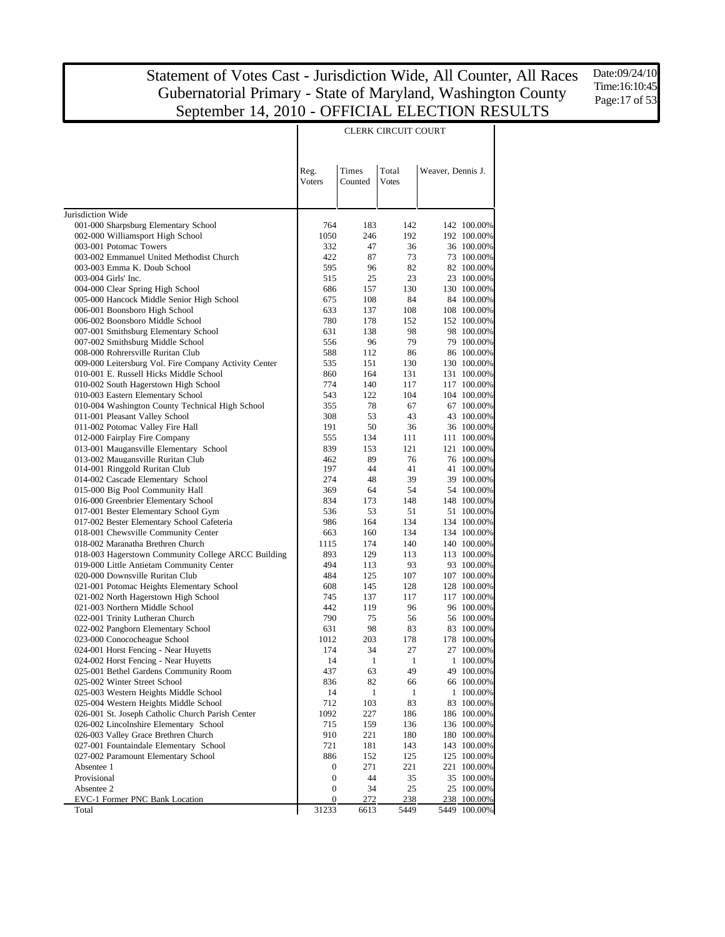Τ

Date:09/24/10 Time:16:10:45 Page:17 of 53

|                                                                        | Reg.<br>Voters            | Times<br>Counted | Total<br><b>Votes</b> | Weaver, Dennis J. |                             |  |  |  |
|------------------------------------------------------------------------|---------------------------|------------------|-----------------------|-------------------|-----------------------------|--|--|--|
| Jurisdiction Wide                                                      |                           |                  |                       |                   |                             |  |  |  |
| 001-000 Sharpsburg Elementary School                                   | 764                       | 183              | 142                   |                   | 142 100.00%                 |  |  |  |
| 002-000 Williamsport High School                                       | 1050                      | 246              | 192                   |                   | 192 100.00%                 |  |  |  |
| 003-001 Potomac Towers                                                 | 332                       | 47               | 36                    |                   | 36 100.00%                  |  |  |  |
| 003-002 Emmanuel United Methodist Church                               | 422                       | 87               | 73                    |                   | 73 100.00%                  |  |  |  |
| 003-003 Emma K. Doub School                                            | 595                       | 96               | 82                    |                   | 82 100.00%                  |  |  |  |
| 003-004 Girls' Inc.                                                    | 515                       | 25               | 23                    |                   | 23 100.00%                  |  |  |  |
| 004-000 Clear Spring High School                                       | 686                       | 157              | 130                   |                   | 130 100.00%                 |  |  |  |
| 005-000 Hancock Middle Senior High School                              | 675                       | 108              | 84                    |                   | 84 100.00%                  |  |  |  |
| 006-001 Boonsboro High School                                          | 633                       | 137              | 108                   |                   | 108 100.00%                 |  |  |  |
| 006-002 Boonsboro Middle School                                        | 780                       | 178              | 152                   |                   | 152 100.00%                 |  |  |  |
| 007-001 Smithsburg Elementary School                                   | 631                       | 138              | 98                    |                   | 98 100.00%                  |  |  |  |
| 007-002 Smithsburg Middle School                                       | 556                       | 96               | 79                    |                   | 79 100.00%                  |  |  |  |
| 008-000 Rohrersville Ruritan Club                                      | 588                       | 112              | 86                    |                   | 86 100.00%                  |  |  |  |
| 009-000 Leitersburg Vol. Fire Company Activity Center                  | 535                       | 151              | 130                   |                   | 130 100.00%                 |  |  |  |
| 010-001 E. Russell Hicks Middle School                                 | 860                       | 164              | 131                   |                   | 131 100.00%                 |  |  |  |
| 010-002 South Hagerstown High School                                   | 774                       | 140              | 117                   |                   | 117 100.00%                 |  |  |  |
| 010-003 Eastern Elementary School                                      | 543                       | 122              | 104                   |                   | 104 100.00%                 |  |  |  |
| 010-004 Washington County Technical High School                        | 355                       | 78               | 67                    |                   | 67 100.00%<br>43 100.00%    |  |  |  |
| 011-001 Pleasant Valley School<br>011-002 Potomac Valley Fire Hall     | 308<br>191                | 53<br>50         | 43<br>36              |                   | 36 100.00%                  |  |  |  |
| 012-000 Fairplay Fire Company                                          | 555                       | 134              | 111                   |                   | 111 100.00%                 |  |  |  |
| 013-001 Maugansville Elementary School                                 | 839                       | 153              | 121                   |                   | 121 100.00%                 |  |  |  |
| 013-002 Maugansville Ruritan Club                                      | 462                       | 89               | 76                    |                   | 76 100.00%                  |  |  |  |
| 014-001 Ringgold Ruritan Club                                          | 197                       | 44               | 41                    |                   | 41 100.00%                  |  |  |  |
| 014-002 Cascade Elementary School                                      | 274                       | 48               | 39                    |                   | 39 100.00%                  |  |  |  |
| 015-000 Big Pool Community Hall                                        | 369                       | 64               | 54                    |                   | 54 100.00%                  |  |  |  |
| 016-000 Greenbrier Elementary School                                   | 834                       | 173              | 148                   |                   | 148 100.00%                 |  |  |  |
| 017-001 Bester Elementary School Gym                                   | 536                       | 53               | 51                    |                   | 51 100.00%                  |  |  |  |
| 017-002 Bester Elementary School Cafeteria                             | 986                       | 164              | 134                   |                   | 134 100.00%                 |  |  |  |
| 018-001 Chewsville Community Center                                    | 663                       | 160              | 134                   |                   | 134 100.00%                 |  |  |  |
| 018-002 Maranatha Brethren Church                                      | 1115                      | 174              | 140                   |                   | 140 100.00%                 |  |  |  |
| 018-003 Hagerstown Community College ARCC Building                     | 893                       | 129              | 113                   |                   | 113 100.00%                 |  |  |  |
| 019-000 Little Antietam Community Center                               | 494                       | 113              | 93                    |                   | 93 100.00%                  |  |  |  |
| 020-000 Downsville Ruritan Club                                        | 484                       | 125              | 107                   |                   | 107 100.00%                 |  |  |  |
| 021-001 Potomac Heights Elementary School                              | 608                       | 145              | 128                   |                   | 128 100.00%                 |  |  |  |
| 021-002 North Hagerstown High School<br>021-003 Northern Middle School | 745<br>442                | 137<br>119       | 117<br>96             |                   | 117 100.00%<br>96 100.00%   |  |  |  |
| 022-001 Trinity Lutheran Church                                        | 790                       | 75               | 56                    |                   | 56 100.00%                  |  |  |  |
| 022-002 Pangborn Elementary School                                     | 631                       | 98               | 83                    |                   | 83 100.00%                  |  |  |  |
| 023-000 Conococheague School                                           | 1012                      | 203              | 178                   |                   | 178 100.00%                 |  |  |  |
| 024-001 Horst Fencing - Near Huyetts                                   | 174                       | 34               | 27                    |                   | 27 100.00%                  |  |  |  |
| 024-002 Horst Fencing - Near Huyetts                                   | 14                        | 1                | 1                     | 1                 | 100.00%                     |  |  |  |
| 025-001 Bethel Gardens Community Room                                  | 437                       | 63               | 49                    |                   | 49 100.00%                  |  |  |  |
| 025-002 Winter Street School                                           | 836                       | 82               | 66                    |                   | 66 100.00%                  |  |  |  |
| 025-003 Western Heights Middle School                                  | 14                        | 1                | 1                     |                   | 1 100.00%                   |  |  |  |
| 025-004 Western Heights Middle School                                  | 712                       | 103              | 83                    |                   | 83 100.00%                  |  |  |  |
| 026-001 St. Joseph Catholic Church Parish Center                       | 1092                      | 227              | 186                   |                   | 186 100.00%                 |  |  |  |
| 026-002 Lincolnshire Elementary School                                 | 715                       | 159              | 136                   |                   | 136 100.00%                 |  |  |  |
| 026-003 Valley Grace Brethren Church                                   | 910                       | 221              | 180                   |                   | 180 100.00%                 |  |  |  |
| 027-001 Fountaindale Elementary School                                 | 721                       | 181              | 143                   |                   | 143 100.00%                 |  |  |  |
| 027-002 Paramount Elementary School                                    | 886                       | 152              | 125                   |                   | 125 100.00%                 |  |  |  |
| Absentee 1                                                             | 0                         | 271              | 221                   |                   | 221 100.00%                 |  |  |  |
| Provisional                                                            | $\boldsymbol{0}$          | 44               | 35                    |                   | 35 100.00%                  |  |  |  |
| Absentee 2                                                             | 0                         | 34               | 25                    |                   | 25 100.00%                  |  |  |  |
| EVC-1 Former PNC Bank Location<br>Total                                | $\boldsymbol{0}$<br>31233 | 272<br>6613      | 238<br>5449           |                   | 238 100.00%<br>5449 100.00% |  |  |  |
|                                                                        |                           |                  |                       |                   |                             |  |  |  |

#### CLERK CIRCUIT COURT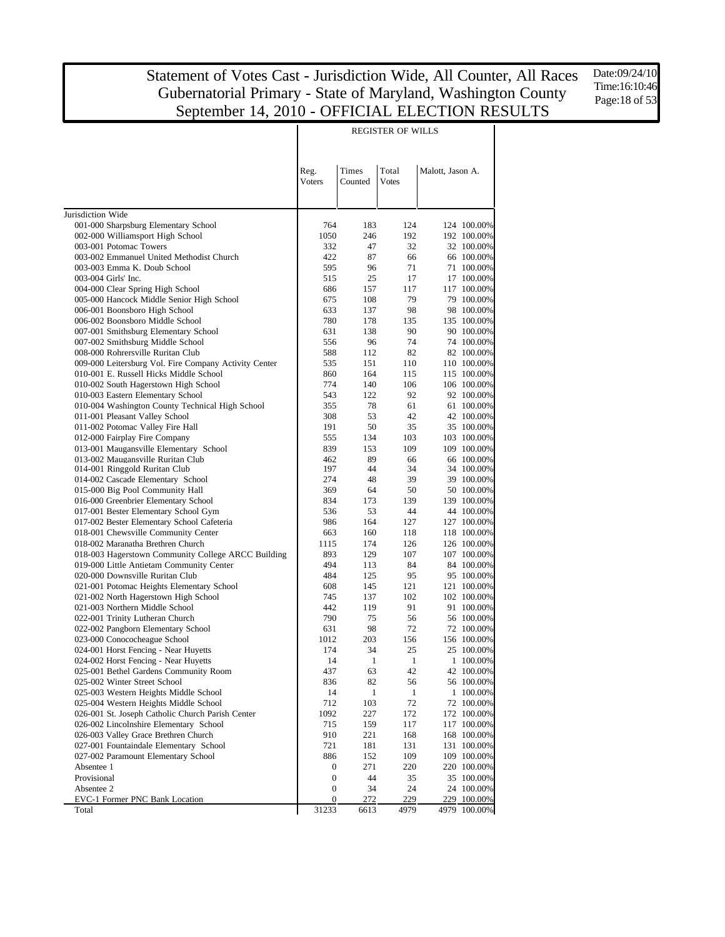Date:09/24/10 Time:16:10:46 Page:18 of 53

|                                                                                         |                |                  | REGISTER OF WILLS     |                  |                            |
|-----------------------------------------------------------------------------------------|----------------|------------------|-----------------------|------------------|----------------------------|
|                                                                                         |                |                  |                       |                  |                            |
|                                                                                         | Reg.<br>Voters | Times<br>Counted | Total<br><b>Votes</b> | Malott, Jason A. |                            |
|                                                                                         |                |                  |                       |                  |                            |
| Jurisdiction Wide                                                                       |                |                  |                       |                  |                            |
| 001-000 Sharpsburg Elementary School                                                    | 764            | 183              | 124                   |                  | 124 100.00%                |
| 002-000 Williamsport High School                                                        | 1050           | 246              | 192                   |                  | 192 100.00%                |
| 003-001 Potomac Towers                                                                  | 332            | 47               | 32                    |                  | 32 100.00%                 |
| 003-002 Emmanuel United Methodist Church                                                | 422            | 87               | 66                    |                  | 66 100.00%                 |
| 003-003 Emma K. Doub School                                                             | 595            | 96               | 71                    |                  | 71 100.00%                 |
| 003-004 Girls' Inc.                                                                     | 515<br>686     | 25<br>157        | 17<br>117             |                  | 17 100.00%<br>117 100.00%  |
| 004-000 Clear Spring High School<br>005-000 Hancock Middle Senior High School           | 675            | 108              | 79                    |                  | 79 100.00%                 |
| 006-001 Boonsboro High School                                                           | 633            | 137              | 98                    |                  | 98 100.00%                 |
| 006-002 Boonsboro Middle School                                                         | 780            | 178              | 135                   |                  | 135 100.00%                |
| 007-001 Smithsburg Elementary School                                                    | 631            | 138              | 90                    |                  | 90 100.00%                 |
| 007-002 Smithsburg Middle School                                                        | 556            | 96               | 74                    |                  | 74 100.00%                 |
| 008-000 Rohrersville Ruritan Club                                                       | 588            | 112              | 82                    |                  | 82 100.00%                 |
| 009-000 Leitersburg Vol. Fire Company Activity Center                                   | 535            | 151              | 110                   |                  | 110 100.00%                |
| 010-001 E. Russell Hicks Middle School                                                  | 860            | 164              | 115                   |                  | 115 100.00%                |
| 010-002 South Hagerstown High School                                                    | 774            | 140              | 106                   |                  | 106 100.00%                |
| 010-003 Eastern Elementary School                                                       | 543            | 122              | 92                    |                  | 92 100.00%                 |
| 010-004 Washington County Technical High School                                         | 355            | 78               | 61                    |                  | 61 100.00%                 |
| 011-001 Pleasant Valley School<br>011-002 Potomac Valley Fire Hall                      | 308<br>191     | 53<br>50         | 42<br>35              |                  | 42 100.00%<br>35 100.00%   |
| 012-000 Fairplay Fire Company                                                           | 555            | 134              | 103                   |                  | 103 100.00%                |
| 013-001 Maugansville Elementary School                                                  | 839            | 153              | 109                   |                  | 109 100.00%                |
| 013-002 Maugansville Ruritan Club                                                       | 462            | 89               | 66                    |                  | 66 100.00%                 |
| 014-001 Ringgold Ruritan Club                                                           | 197            | 44               | 34                    |                  | 34 100.00%                 |
| 014-002 Cascade Elementary School                                                       | 274            | 48               | 39                    |                  | 39 100.00%                 |
| 015-000 Big Pool Community Hall                                                         | 369            | 64               | 50                    |                  | 50 100.00%                 |
| 016-000 Greenbrier Elementary School                                                    | 834            | 173              | 139                   |                  | 139 100.00%                |
| 017-001 Bester Elementary School Gym                                                    | 536            | 53               | 44                    |                  | 44 100.00%                 |
| 017-002 Bester Elementary School Cafeteria                                              | 986            | 164              | 127                   |                  | 127 100.00%                |
| 018-001 Chewsville Community Center                                                     | 663            | 160              | 118                   |                  | 118 100.00%                |
| 018-002 Maranatha Brethren Church<br>018-003 Hagerstown Community College ARCC Building | 1115<br>893    | 174<br>129       | 126<br>107            |                  | 126 100.00%<br>107 100.00% |
| 019-000 Little Antietam Community Center                                                | 494            | 113              | 84                    |                  | 84 100.00%                 |
| 020-000 Downsville Ruritan Club                                                         | 484            | 125              | 95                    |                  | 95 100.00%                 |
| 021-001 Potomac Heights Elementary School                                               | 608            | 145              | 121                   |                  | 121 100.00%                |
| 021-002 North Hagerstown High School                                                    | 745            | 137              | 102                   |                  | 102 100.00%                |
| 021-003 Northern Middle School                                                          | 442            | 119              | 91                    |                  | 91 100.00%                 |
| 022-001 Trinity Lutheran Church                                                         | 790            | 75               | 56                    |                  | 56 100.00%                 |
| 022-002 Pangborn Elementary School                                                      | 631            | 98               | 72                    |                  | 72 100.00%                 |
| 023-000 Conococheague School                                                            | 1012           | 203              | 156                   |                  | 156 100.00%                |
| 024-001 Horst Fencing - Near Huyetts                                                    | 174            | 34               | 25                    |                  | 25 100.00%                 |
| 024-002 Horst Fencing - Near Huyetts                                                    | 14             | $\mathbf{1}$     | $\mathbf{1}$          |                  | 1 100.00%                  |
| 025-001 Bethel Gardens Community Room                                                   | 437            | 63               | 42                    |                  | 42 100.00%                 |
| 025-002 Winter Street School                                                            | 836<br>14      | 82<br>1          | 56<br>$\mathbf{1}$    |                  | 56 100.00%<br>1 100.00%    |
| 025-003 Western Heights Middle School<br>025-004 Western Heights Middle School          | 712            | 103              | 72                    |                  | 72 100.00%                 |
| 026-001 St. Joseph Catholic Church Parish Center                                        | 1092           | 227              | 172                   |                  | 172 100.00%                |
| 026-002 Lincolnshire Elementary School                                                  | 715            | 159              | 117                   |                  | 117 100.00%                |
| 026-003 Valley Grace Brethren Church                                                    | 910            | 221              | 168                   |                  | 168 100.00%                |
| 027-001 Fountaindale Elementary School                                                  | 721            | 181              | 131                   |                  | 131 100.00%                |
| 027-002 Paramount Elementary School                                                     | 886            | 152              | 109                   |                  | 109 100.00%                |
| Absentee 1                                                                              | 0              | 271              | 220                   |                  | 220 100.00%                |
| Provisional                                                                             | 0              | 44               | 35                    |                  | 35 100.00%                 |
| Absentee 2                                                                              | 0              | 34               | 24                    |                  | 24 100.00%                 |
| EVC-1 Former PNC Bank Location                                                          | 0              | 272              | 229                   |                  | 229 100.00%                |
| Total                                                                                   | 31233          | 6613             | 4979                  |                  | 4979 100.00%               |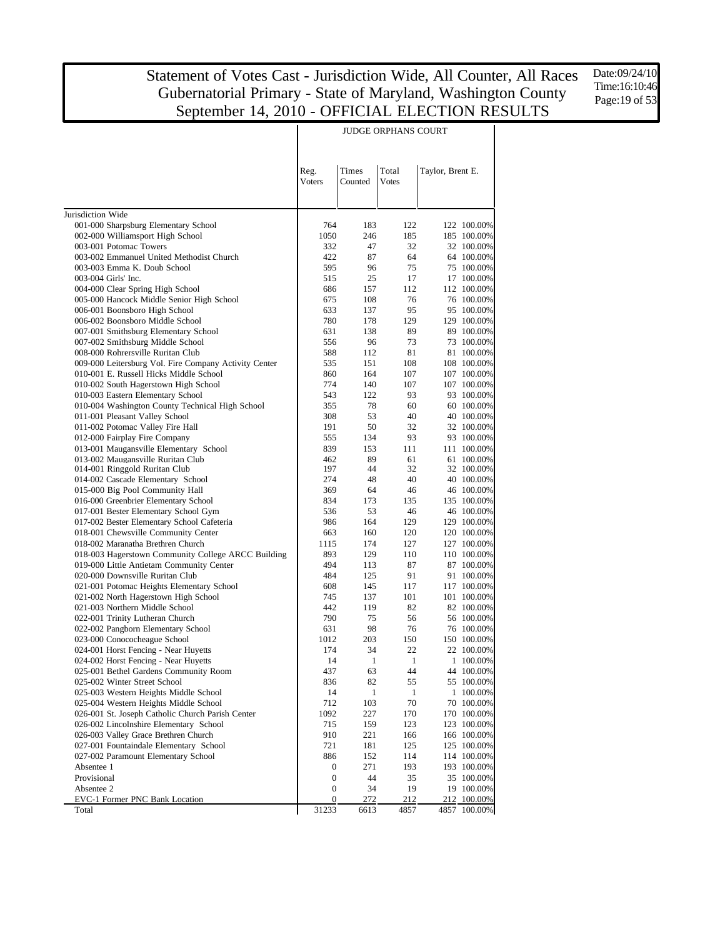T

Date:09/24/10 Time:16:10:46 Page:19 of 53

|                                                                               |                       |              | JUDGE ORPHANS COURT |                  |                           |
|-------------------------------------------------------------------------------|-----------------------|--------------|---------------------|------------------|---------------------------|
|                                                                               |                       |              |                     |                  |                           |
|                                                                               | Reg.                  | Times        | Total               | Taylor, Brent E. |                           |
|                                                                               | Voters                | Counted      | Votes               |                  |                           |
|                                                                               |                       |              |                     |                  |                           |
| Jurisdiction Wide                                                             |                       |              |                     |                  |                           |
| 001-000 Sharpsburg Elementary School                                          | 764                   | 183          | 122                 |                  | 122 100.00%               |
| 002-000 Williamsport High School                                              | 1050                  | 246          | 185                 |                  | 185 100.00%               |
| 003-001 Potomac Towers                                                        | 332                   | 47           | 32                  |                  | 32 100.00%                |
| 003-002 Emmanuel United Methodist Church                                      | 422                   | 87           | 64                  |                  | 64 100.00%                |
| 003-003 Emma K. Doub School                                                   | 595                   | 96           | 75                  |                  | 75 100.00%                |
| 003-004 Girls' Inc.                                                           | 515                   | 25           | 17<br>112           |                  | 17 100.00%                |
| 004-000 Clear Spring High School<br>005-000 Hancock Middle Senior High School | 686<br>675            | 157<br>108   | 76                  |                  | 112 100.00%<br>76 100.00% |
| 006-001 Boonsboro High School                                                 | 633                   | 137          | 95                  |                  | 95 100.00%                |
| 006-002 Boonsboro Middle School                                               | 780                   | 178          | 129                 |                  | 129 100.00%               |
| 007-001 Smithsburg Elementary School                                          | 631                   | 138          | 89                  |                  | 89 100.00%                |
| 007-002 Smithsburg Middle School                                              | 556                   | 96           | 73                  |                  | 73 100.00%                |
| 008-000 Rohrersville Ruritan Club                                             | 588                   | 112          | 81                  |                  | 81 100.00%                |
| 009-000 Leitersburg Vol. Fire Company Activity Center                         | 535                   | 151          | 108                 |                  | 108 100.00%               |
| 010-001 E. Russell Hicks Middle School                                        | 860                   | 164          | 107                 |                  | 107 100.00%               |
| 010-002 South Hagerstown High School<br>010-003 Eastern Elementary School     | 774<br>543            | 140<br>122   | 107<br>93           |                  | 107 100.00%<br>93 100.00% |
| 010-004 Washington County Technical High School                               | 355                   | 78           | 60                  |                  | 60 100.00%                |
| 011-001 Pleasant Valley School                                                | 308                   | 53           | 40                  |                  | 40 100.00%                |
| 011-002 Potomac Valley Fire Hall                                              | 191                   | 50           | 32                  |                  | 32 100.00%                |
| 012-000 Fairplay Fire Company                                                 | 555                   | 134          | 93                  |                  | 93 100.00%                |
| 013-001 Maugansville Elementary School                                        | 839                   | 153          | 111                 |                  | 111 100.00%               |
| 013-002 Maugansville Ruritan Club                                             | 462                   | 89           | 61                  |                  | 61 100.00%                |
| 014-001 Ringgold Ruritan Club                                                 | 197                   | 44           | 32                  |                  | 32 100.00%                |
| 014-002 Cascade Elementary School<br>015-000 Big Pool Community Hall          | 274<br>369            | 48<br>64     | 40<br>46            |                  | 40 100.00%<br>46 100.00%  |
| 016-000 Greenbrier Elementary School                                          | 834                   | 173          | 135                 |                  | 135 100.00%               |
| 017-001 Bester Elementary School Gym                                          | 536                   | 53           | 46                  |                  | 46 100.00%                |
| 017-002 Bester Elementary School Cafeteria                                    | 986                   | 164          | 129                 |                  | 129 100.00%               |
| 018-001 Chewsville Community Center                                           | 663                   | 160          | 120                 |                  | 120 100.00%               |
| 018-002 Maranatha Brethren Church                                             | 1115                  | 174          | 127                 |                  | 127 100.00%               |
| 018-003 Hagerstown Community College ARCC Building                            | 893                   | 129          | 110                 |                  | 110 100.00%               |
| 019-000 Little Antietam Community Center                                      | 494                   | 113          | 87                  |                  | 87 100.00%                |
| 020-000 Downsville Ruritan Club<br>021-001 Potomac Heights Elementary School  | 484<br>608            | 125<br>145   | 91<br>117           |                  | 91 100.00%<br>117 100.00% |
| 021-002 North Hagerstown High School                                          | 745                   | 137          | 101                 |                  | 101 100.00%               |
| 021-003 Northern Middle School                                                | 442                   | 119          | 82                  |                  | 82 100.00%                |
| 022-001 Trinity Lutheran Church                                               | 790                   | 75           | 56                  |                  | 56 100.00%                |
| 022-002 Pangborn Elementary School                                            | 631                   | 98           | 76                  |                  | 76 100.00%                |
| 023-000 Conococheague School                                                  | 1012                  | 203          | 150                 |                  | 150 100.00%               |
| 024-001 Horst Fencing - Near Huyetts                                          | 174                   | 34           | 22                  |                  | 22 100.00%                |
| 024-002 Horst Fencing - Near Huyetts                                          | 14                    | $\mathbf{1}$ | $\mathbf{1}$        |                  | 1 100.00%                 |
| 025-001 Bethel Gardens Community Room<br>025-002 Winter Street School         | 437<br>836            | 63<br>82     | 44<br>55            |                  | 44 100.00%<br>55 100.00%  |
| 025-003 Western Heights Middle School                                         | 14                    | 1            | 1                   |                  | 1 100.00%                 |
| 025-004 Western Heights Middle School                                         | 712                   | 103          | 70                  |                  | 70 100.00%                |
| 026-001 St. Joseph Catholic Church Parish Center                              | 1092                  | 227          | 170                 |                  | 170 100.00%               |
| 026-002 Lincolnshire Elementary School                                        | 715                   | 159          | 123                 |                  | 123 100.00%               |
| 026-003 Valley Grace Brethren Church                                          | 910                   | 221          | 166                 |                  | 166 100.00%               |
| 027-001 Fountaindale Elementary School                                        | 721                   | 181          | 125                 |                  | 125 100.00%               |
| 027-002 Paramount Elementary School                                           | 886                   | 152          | 114                 |                  | 114 100.00%               |
| Absentee 1<br>Provisional                                                     | 0                     | 271          | 193                 |                  | 193 100.00%               |
| Absentee 2                                                                    | 0<br>$\boldsymbol{0}$ | 44<br>34     | 35<br>19            |                  | 35 100.00%<br>19 100.00%  |
| EVC-1 Former PNC Bank Location                                                | 0                     | 272          | 212                 |                  | 212 100.00%               |
| Total                                                                         | 31233                 | 6613         | 4857                | 4857             | 100.00%                   |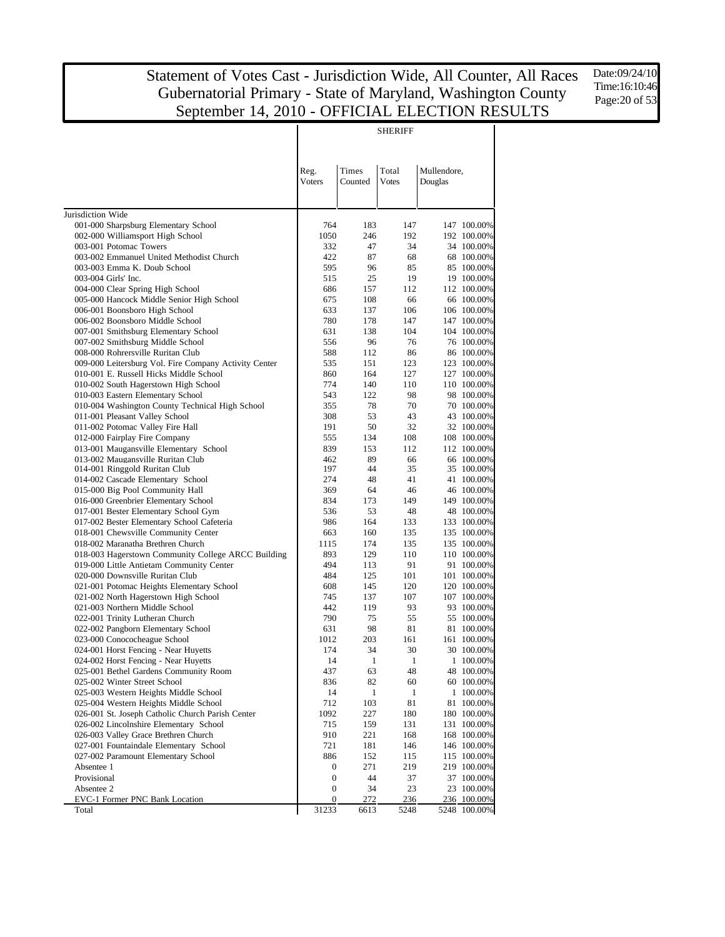T

Date:09/24/10 Time:16:10:46 Page:20 of 53

|                                                                                      | <b>SHERIFF</b> |                  |              |             |                            |  |  |  |
|--------------------------------------------------------------------------------------|----------------|------------------|--------------|-------------|----------------------------|--|--|--|
|                                                                                      |                |                  |              |             |                            |  |  |  |
|                                                                                      |                |                  |              |             |                            |  |  |  |
|                                                                                      | Reg.           | Times<br>Counted | Total        | Mullendore, |                            |  |  |  |
|                                                                                      | Voters         |                  | Votes        | Douglas     |                            |  |  |  |
|                                                                                      |                |                  |              |             |                            |  |  |  |
| Jurisdiction Wide                                                                    |                |                  |              |             |                            |  |  |  |
| 001-000 Sharpsburg Elementary School                                                 | 764            | 183              | 147          |             | 147 100.00%                |  |  |  |
| 002-000 Williamsport High School<br>003-001 Potomac Towers                           | 1050<br>332    | 246<br>47        | 192<br>34    |             | 192 100.00%<br>34 100.00%  |  |  |  |
| 003-002 Emmanuel United Methodist Church                                             | 422            | 87               | 68           |             | 68 100.00%                 |  |  |  |
| 003-003 Emma K. Doub School                                                          | 595            | 96               | 85           |             | 85 100.00%                 |  |  |  |
| 003-004 Girls' Inc.                                                                  | 515            | 25               | 19           |             | 19 100.00%                 |  |  |  |
| 004-000 Clear Spring High School                                                     | 686            | 157              | 112          |             | 112 100.00%                |  |  |  |
| 005-000 Hancock Middle Senior High School                                            | 675            | 108              | 66           |             | 66 100.00%                 |  |  |  |
| 006-001 Boonsboro High School<br>006-002 Boonsboro Middle School                     | 633<br>780     | 137<br>178       | 106<br>147   |             | 106 100.00%<br>147 100.00% |  |  |  |
| 007-001 Smithsburg Elementary School                                                 | 631            | 138              | 104          |             | 104 100.00%                |  |  |  |
| 007-002 Smithsburg Middle School                                                     | 556            | 96               | 76           |             | 76 100.00%                 |  |  |  |
| 008-000 Rohrersville Ruritan Club                                                    | 588            | 112              | 86           |             | 86 100.00%                 |  |  |  |
| 009-000 Leitersburg Vol. Fire Company Activity Center                                | 535            | 151              | 123          |             | 123 100.00%                |  |  |  |
| 010-001 E. Russell Hicks Middle School                                               | 860            | 164              | 127          |             | 127 100.00%                |  |  |  |
| 010-002 South Hagerstown High School                                                 | 774            | 140              | 110          |             | 110 100.00%                |  |  |  |
| 010-003 Eastern Elementary School<br>010-004 Washington County Technical High School | 543<br>355     | 122<br>78        | 98<br>70     |             | 98 100.00%<br>70 100.00%   |  |  |  |
| 011-001 Pleasant Valley School                                                       | 308            | 53               | 43           |             | 43 100.00%                 |  |  |  |
| 011-002 Potomac Valley Fire Hall                                                     | 191            | 50               | 32           |             | 32 100.00%                 |  |  |  |
| 012-000 Fairplay Fire Company                                                        | 555            | 134              | 108          |             | 108 100.00%                |  |  |  |
| 013-001 Maugansville Elementary School                                               | 839            | 153              | 112          |             | 112 100.00%                |  |  |  |
| 013-002 Maugansville Ruritan Club                                                    | 462            | 89               | 66           |             | 66 100.00%                 |  |  |  |
| 014-001 Ringgold Ruritan Club                                                        | 197            | 44               | 35           |             | 35 100.00%                 |  |  |  |
| 014-002 Cascade Elementary School<br>015-000 Big Pool Community Hall                 | 274<br>369     | 48<br>64         | 41<br>46     |             | 41 100.00%<br>46 100.00%   |  |  |  |
| 016-000 Greenbrier Elementary School                                                 | 834            | 173              | 149          |             | 149 100.00%                |  |  |  |
| 017-001 Bester Elementary School Gym                                                 | 536            | 53               | 48           |             | 48 100.00%                 |  |  |  |
| 017-002 Bester Elementary School Cafeteria                                           | 986            | 164              | 133          |             | 133 100.00%                |  |  |  |
| 018-001 Chewsville Community Center                                                  | 663            | 160              | 135          |             | 135 100.00%                |  |  |  |
| 018-002 Maranatha Brethren Church                                                    | 1115           | 174              | 135          |             | 135 100.00%                |  |  |  |
| 018-003 Hagerstown Community College ARCC Building                                   | 893            | 129              | 110          |             | 110 100.00%                |  |  |  |
| 019-000 Little Antietam Community Center<br>020-000 Downsville Ruritan Club          | 494<br>484     | 113<br>125       | 91<br>101    |             | 91 100.00%<br>101 100.00%  |  |  |  |
| 021-001 Potomac Heights Elementary School                                            | 608            | 145              | 120          |             | 120 100.00%                |  |  |  |
| 021-002 North Hagerstown High School                                                 | 745            | 137              | 107          |             | 107 100.00%                |  |  |  |
| 021-003 Northern Middle School                                                       | 442            | 119              | 93           |             | 93 100.00%                 |  |  |  |
| 022-001 Trinity Lutheran Church                                                      | 790            | 75               | 55           |             | 55 100.00%                 |  |  |  |
| 022-002 Pangborn Elementary School                                                   | 631            | 98               | 81           |             | 81 100.00%                 |  |  |  |
| 023-000 Conococheague School                                                         | 1012<br>174    | 203<br>34        | 161<br>30    |             | 161 100.00%<br>30 100.00%  |  |  |  |
| 024-001 Horst Fencing - Near Huyetts<br>024-002 Horst Fencing - Near Huyetts         | 14             | $\mathbf{1}$     | $\mathbf{1}$ |             | 1 100.00%                  |  |  |  |
| 025-001 Bethel Gardens Community Room                                                | 437            | 63               | 48           |             | 48 100.00%                 |  |  |  |
| 025-002 Winter Street School                                                         | 836            | 82               | 60           |             | 60 100.00%                 |  |  |  |
| 025-003 Western Heights Middle School                                                | 14             | 1                | 1            |             | 1 100.00%                  |  |  |  |
| 025-004 Western Heights Middle School                                                | 712            | 103              | 81           |             | 81 100.00%                 |  |  |  |
| 026-001 St. Joseph Catholic Church Parish Center                                     | 1092           | 227              | 180          |             | 180 100.00%                |  |  |  |
| 026-002 Lincolnshire Elementary School                                               | 715<br>910     | 159<br>221       | 131          |             | 131 100.00%<br>168 100.00% |  |  |  |
| 026-003 Valley Grace Brethren Church<br>027-001 Fountaindale Elementary School       | 721            | 181              | 168<br>146   |             | 146 100.00%                |  |  |  |
| 027-002 Paramount Elementary School                                                  | 886            | 152              | 115          |             | 115 100.00%                |  |  |  |
| Absentee 1                                                                           | 0              | 271              | 219          |             | 219 100.00%                |  |  |  |
| Provisional                                                                          | 0              | 44               | 37           |             | 37 100.00%                 |  |  |  |
| Absentee 2                                                                           | 0              | 34               | 23           |             | 23 100.00%                 |  |  |  |
| EVC-1 Former PNC Bank Location                                                       | 0<br>31233     | 272              | 236          |             | 236 100.00%                |  |  |  |
| Total                                                                                |                | 6613             | 5248         |             | 5248 100.00%               |  |  |  |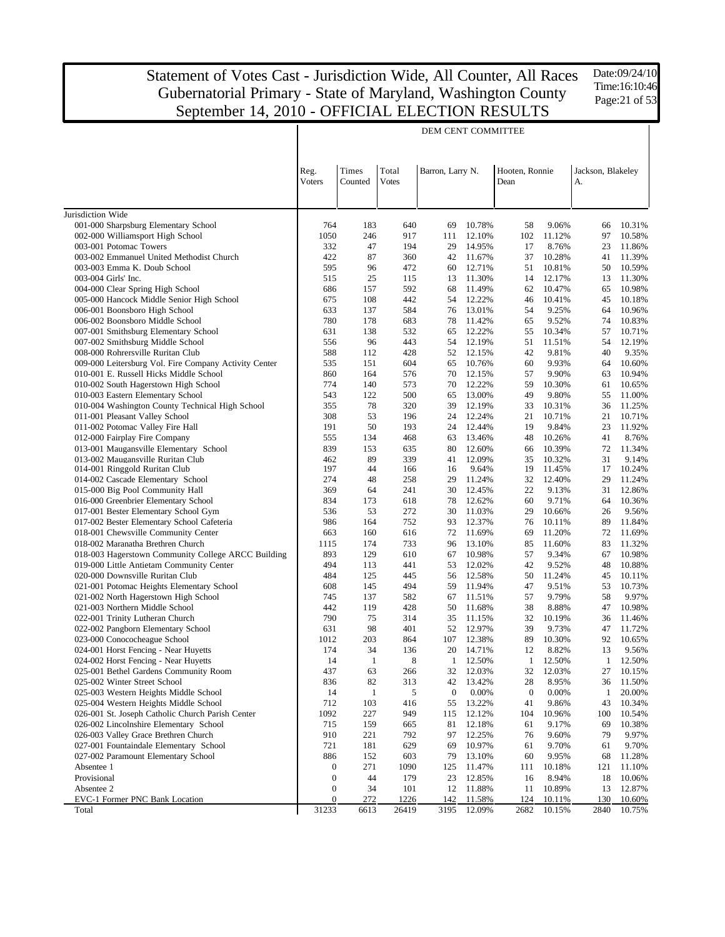Date:09/24/10 Time:16:10:46 Page:21 of 53

|                                                                          |                  |                  |                       | DEM CENT COMMITTEE |                  |                        |                  |                         |                  |
|--------------------------------------------------------------------------|------------------|------------------|-----------------------|--------------------|------------------|------------------------|------------------|-------------------------|------------------|
|                                                                          | Reg.<br>Voters   | Times<br>Counted | Total<br><b>Votes</b> | Barron, Larry N.   |                  | Hooten, Ronnie<br>Dean |                  | Jackson, Blakeley<br>A. |                  |
| Jurisdiction Wide                                                        |                  |                  |                       |                    |                  |                        |                  |                         |                  |
| 001-000 Sharpsburg Elementary School                                     | 764              | 183              | 640                   | 69                 | 10.78%           | 58                     | 9.06%            | 66                      | 10.31%           |
| 002-000 Williamsport High School                                         | 1050             | 246              | 917                   | 111                | 12.10%           | 102                    | 11.12%           | 97                      | 10.58%           |
| 003-001 Potomac Towers                                                   | 332              | 47               | 194                   | 29                 | 14.95%           | 17                     | 8.76%            | 23                      | 11.86%           |
| 003-002 Emmanuel United Methodist Church                                 | 422              | 87               | 360                   | 42                 | 11.67%           | 37                     | 10.28%           | 41                      | 11.39%           |
| 003-003 Emma K. Doub School                                              | 595              | 96               | 472                   | 60                 | 12.71%           | 51                     | 10.81%           | 50                      | 10.59%           |
| 003-004 Girls' Inc.                                                      | 515              | 25               | 115                   | 13                 | 11.30%           | 14                     | 12.17%           | 13                      | 11.30%           |
| 004-000 Clear Spring High School                                         | 686              | 157              | 592                   | 68                 | 11.49%           | 62                     | 10.47%           | 65                      | 10.98%           |
| 005-000 Hancock Middle Senior High School                                | 675              | 108              | 442                   | 54                 | 12.22%           | 46                     | 10.41%           | 45                      | 10.18%           |
| 006-001 Boonsboro High School                                            | 633<br>780       | 137<br>178       | 584                   | 76<br>78           | 13.01%           | 54<br>65               | 9.25%            | 64<br>74                | 10.96%           |
| 006-002 Boonsboro Middle School<br>007-001 Smithsburg Elementary School  | 631              | 138              | 683<br>532            | 65                 | 11.42%<br>12.22% | 55                     | 9.52%<br>10.34%  | 57                      | 10.83%<br>10.71% |
| 007-002 Smithsburg Middle School                                         | 556              | 96               | 443                   | 54                 | 12.19%           | 51                     | 11.51%           | 54                      | 12.19%           |
| 008-000 Rohrersville Ruritan Club                                        | 588              | 112              | 428                   | 52                 | 12.15%           | 42                     | 9.81%            | 40                      | 9.35%            |
| 009-000 Leitersburg Vol. Fire Company Activity Center                    | 535              | 151              | 604                   | 65                 | 10.76%           | 60                     | 9.93%            | 64                      | 10.60%           |
| 010-001 E. Russell Hicks Middle School                                   | 860              | 164              | 576                   | 70                 | 12.15%           | 57                     | 9.90%            | 63                      | 10.94%           |
| 010-002 South Hagerstown High School                                     | 774              | 140              | 573                   | 70                 | 12.22%           | 59                     | 10.30%           | 61                      | 10.65%           |
| 010-003 Eastern Elementary School                                        | 543              | 122              | 500                   | 65                 | 13.00%           | 49                     | 9.80%            | 55                      | 11.00%           |
| 010-004 Washington County Technical High School                          | 355              | 78               | 320                   | 39                 | 12.19%           | 33                     | 10.31%           | 36                      | 11.25%           |
| 011-001 Pleasant Valley School                                           | 308              | 53               | 196                   | 24                 | 12.24%           | 21                     | 10.71%           | 21                      | 10.71%           |
| 011-002 Potomac Valley Fire Hall                                         | 191              | 50               | 193                   | 24                 | 12.44%           | 19                     | 9.84%            | 23                      | 11.92%           |
| 012-000 Fairplay Fire Company                                            | 555              | 134              | 468                   | 63                 | 13.46%           | 48                     | 10.26%           | 41                      | 8.76%            |
| 013-001 Maugansville Elementary School                                   | 839              | 153              | 635                   | 80                 | 12.60%           | 66                     | 10.39%           | 72                      | 11.34%           |
| 013-002 Maugansville Ruritan Club                                        | 462              | 89               | 339                   | 41                 | 12.09%           | 35                     | 10.32%           | 31                      | 9.14%            |
| 014-001 Ringgold Ruritan Club                                            | 197              | 44               | 166                   | 16                 | 9.64%            | 19                     | 11.45%           | 17                      | 10.24%           |
| 014-002 Cascade Elementary School                                        | 274              | 48               | 258                   | 29                 | 11.24%           | 32                     | 12.40%           | 29                      | 11.24%           |
| 015-000 Big Pool Community Hall                                          | 369              | 64               | 241                   | 30                 | 12.45%           | 22                     | 9.13%            | 31                      | 12.86%           |
| 016-000 Greenbrier Elementary School                                     | 834              | 173              | 618                   | 78                 | 12.62%           | 60                     | 9.71%            | 64                      | 10.36%           |
| 017-001 Bester Elementary School Gym                                     | 536              | 53               | 272                   | 30                 | 11.03%           | 29                     | 10.66%           | 26                      | 9.56%            |
| 017-002 Bester Elementary School Cafeteria                               | 986              | 164<br>160       | 752                   | 93                 | 12.37%           | 76<br>69               | 10.11%           | 89                      | 11.84%           |
| 018-001 Chewsville Community Center<br>018-002 Maranatha Brethren Church | 663<br>1115      | 174              | 616<br>733            | 72<br>96           | 11.69%<br>13.10% | 85                     | 11.20%<br>11.60% | 72<br>83                | 11.69%<br>11.32% |
| 018-003 Hagerstown Community College ARCC Building                       | 893              | 129              | 610                   | 67                 | 10.98%           | 57                     | 9.34%            | 67                      | 10.98%           |
| 019-000 Little Antietam Community Center                                 | 494              | 113              | 441                   | 53                 | 12.02%           | 42                     | 9.52%            | 48                      | 10.88%           |
| 020-000 Downsville Ruritan Club                                          | 484              | 125              | 445                   | 56                 | 12.58%           | 50                     | 11.24%           | 45                      | 10.11%           |
| 021-001 Potomac Heights Elementary School                                | 608              | 145              | 494                   | 59                 | 11.94%           | 47                     | 9.51%            | 53                      | 10.73%           |
| 021-002 North Hagerstown High School                                     | 745              | 137              | 582                   | 67                 | 11.51%           | 57                     | 9.79%            | 58                      | 9.97%            |
| 021-003 Northern Middle School                                           | 442              | 119              | 428                   | 50                 | 11.68%           | 38                     | 8.88%            | 47                      | 10.98%           |
| 022-001 Trinity Lutheran Church                                          | 790              | 75               | 314                   | 35                 | 11.15%           | 32                     | 10.19%           | 36                      | 11.46%           |
| 022-002 Pangborn Elementary School                                       | 631              | 98               | 401                   | 52                 | 12.97%           | 39                     | 9.73%            | 47                      | 11.72%           |
| 023-000 Conococheague School                                             | 1012             | 203              | 864                   | 107                | 12.38%           | 89                     | 10.30%           | 92                      | 10.65%           |
| 024-001 Horst Fencing - Near Huyetts                                     | 174              | 34               | 136                   | 20                 | 14.71%           | 12                     | 8.82%            | 13                      | 9.56%            |
| 024-002 Horst Fencing - Near Huyetts                                     | 14               | -1               | 8                     | 1                  | 12.50%           | 1                      | 12.50%           | 1                       | 12.50%           |
| 025-001 Bethel Gardens Community Room                                    | 437              | 63               | 266                   | 32                 | 12.03%           | 32                     | 12.03%           | 27                      | 10.15%           |
| 025-002 Winter Street School                                             | 836              | 82               | 313                   | 42                 | 13.42%           | 28                     | 8.95%            | 36                      | 11.50%           |
| 025-003 Western Heights Middle School                                    | 14               | $\mathbf{1}$     | 5                     | $\boldsymbol{0}$   | 0.00%            | $\boldsymbol{0}$       | 0.00%            | $\mathbf{1}$            | 20.00%           |
| 025-004 Western Heights Middle School                                    | 712              | 103              | 416                   | 55                 | 13.22%           | 41                     | 9.86%            | 43                      | 10.34%           |
| 026-001 St. Joseph Catholic Church Parish Center                         | 1092             | 227              | 949                   | 115                | 12.12%           | 104                    | 10.96%           | 100                     | 10.54%           |
| 026-002 Lincolnshire Elementary School                                   | 715              | 159              | 665                   | 81                 | 12.18%           | 61                     | 9.17%            | 69                      | 10.38%           |
| 026-003 Valley Grace Brethren Church                                     | 910              | 221              | 792                   | 97                 | 12.25%           | 76                     | 9.60%            | 79                      | 9.97%            |
| 027-001 Fountaindale Elementary School                                   | 721              | 181<br>152       | 629                   | 69                 | 10.97%           | 61                     | 9.70%            | 61                      | 9.70%            |
| 027-002 Paramount Elementary School<br>Absentee 1                        | 886<br>0         | 271              | 603<br>1090           | 79<br>125          | 13.10%<br>11.47% | 60                     | 9.95%<br>10.18%  | 68                      | 11.28%<br>11.10% |
| Provisional                                                              | $\boldsymbol{0}$ | 44               | 179                   | 23                 | 12.85%           | 111<br>16              | 8.94%            | 121<br>18               | 10.06%           |
| Absentee 2                                                               | $\boldsymbol{0}$ | 34               | 101                   | 12                 | 11.88%           | 11                     | 10.89%           | 13                      | 12.87%           |
| EVC-1 Former PNC Bank Location                                           | $\boldsymbol{0}$ | 272              | 1226                  | 142                | 11.58%           | 124                    | 10.11%           | 130                     | 10.60%           |
| Total                                                                    | 31233            | 6613             | 26419                 | 3195               | 12.09%           | 2682                   | 10.15%           | 2840                    | 10.75%           |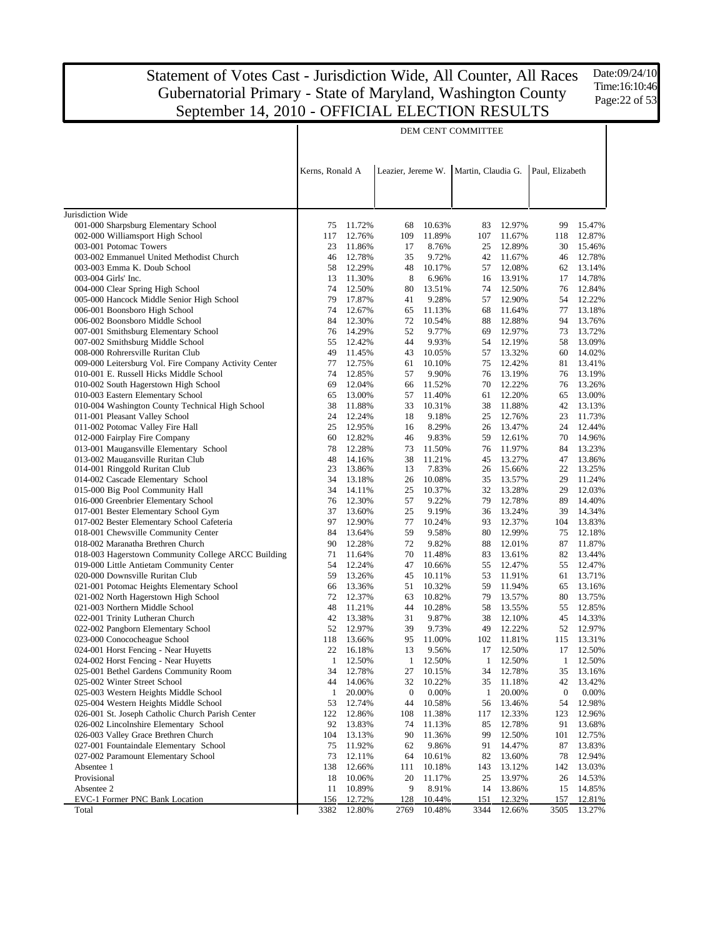Date:09/24/10 Time:16:10:46 Page:22 of 53

|                                                                               | DEM CENT COMMITTEE |                  |                    |                  |                                         |                     |                    |                     |  |  |
|-------------------------------------------------------------------------------|--------------------|------------------|--------------------|------------------|-----------------------------------------|---------------------|--------------------|---------------------|--|--|
|                                                                               | Kerns, Ronald A    |                  |                    |                  | Leazier, Jereme W.   Martin, Claudia G. |                     | Paul, Elizabeth    |                     |  |  |
|                                                                               |                    |                  |                    |                  |                                         |                     |                    |                     |  |  |
|                                                                               |                    |                  |                    |                  |                                         |                     |                    |                     |  |  |
| Jurisdiction Wide                                                             |                    |                  |                    |                  |                                         |                     |                    |                     |  |  |
| 001-000 Sharpsburg Elementary School                                          | 75                 | 11.72%           | 68                 | 10.63%           | 83                                      | 12.97%              | 99                 | 15.47%              |  |  |
| 002-000 Williamsport High School                                              | 117                | 12.76%           | 109                | 11.89%           | 107                                     | 11.67%              | 118                | 12.87%              |  |  |
| 003-001 Potomac Towers                                                        | 23                 | 11.86%           | 17                 | 8.76%            | 25                                      | 12.89%              | 30                 | 15.46%              |  |  |
| 003-002 Emmanuel United Methodist Church                                      | 46                 | 12.78%<br>12.29% | 35                 | 9.72%            | 42                                      | 11.67%<br>12.08%    | 46<br>62           | 12.78%              |  |  |
| 003-003 Emma K. Doub School<br>003-004 Girls' Inc.                            | 58<br>13           | 11.30%           | 48<br>8            | 10.17%<br>6.96%  | 57<br>16                                | 13.91%              | 17                 | 13.14%<br>14.78%    |  |  |
| 004-000 Clear Spring High School                                              | 74                 | 12.50%           | 80                 | 13.51%           | 74                                      | 12.50%              | 76                 | 12.84%              |  |  |
| 005-000 Hancock Middle Senior High School                                     | 79                 | 17.87%           | 41                 | 9.28%            | 57                                      | 12.90%              | 54                 | 12.22%              |  |  |
| 006-001 Boonsboro High School                                                 | 74                 | 12.67%           | 65                 | 11.13%           | 68                                      | 11.64%              | 77                 | 13.18%              |  |  |
| 006-002 Boonsboro Middle School                                               | 84                 | 12.30%           | 72                 | 10.54%           | 88                                      | 12.88%              | 94                 | 13.76%              |  |  |
| 007-001 Smithsburg Elementary School                                          | 76                 | 14.29%           | 52                 | 9.77%            | 69                                      | 12.97%              | 73                 | 13.72%              |  |  |
| 007-002 Smithsburg Middle School                                              | 55                 | 12.42%           | 44                 | 9.93%            | 54                                      | 12.19%              | 58                 | 13.09%              |  |  |
| 008-000 Rohrersville Ruritan Club                                             | 49                 | 11.45%           | 43                 | 10.05%           | 57                                      | 13.32%              | 60                 | 14.02%              |  |  |
| 009-000 Leitersburg Vol. Fire Company Activity Center                         | 77                 | 12.75%           | 61                 | 10.10%           | 75                                      | 12.42%              | 81                 | 13.41%              |  |  |
| 010-001 E. Russell Hicks Middle School                                        | 74                 | 12.85%           | 57                 | 9.90%            | 76                                      | 13.19%              | 76                 | 13.19%              |  |  |
| 010-002 South Hagerstown High School                                          | 69                 | 12.04%           | 66                 | 11.52%           | 70                                      | 12.22%              | 76                 | 13.26%              |  |  |
| 010-003 Eastern Elementary School                                             | 65                 | 13.00%           | 57                 | 11.40%           | 61                                      | 12.20%              | 65                 | 13.00%              |  |  |
| 010-004 Washington County Technical High School                               | 38                 | 11.88%           | 33                 | 10.31%           | 38                                      | 11.88%              | 42                 | 13.13%              |  |  |
| 011-001 Pleasant Valley School                                                | 24                 | 12.24%           | 18                 | 9.18%            | 25                                      | 12.76%              | 23                 | 11.73%              |  |  |
| 011-002 Potomac Valley Fire Hall                                              | 25                 | 12.95%           | 16                 | 8.29%            | 26                                      | 13.47%              | 24                 | 12.44%              |  |  |
| 012-000 Fairplay Fire Company                                                 | 60                 | 12.82%           | 46                 | 9.83%            | 59                                      | 12.61%              | 70                 | 14.96%              |  |  |
| 013-001 Maugansville Elementary School                                        | 78                 | 12.28%           | 73                 | 11.50%           | 76                                      | 11.97%              | 84                 | 13.23%              |  |  |
| 013-002 Maugansville Ruritan Club                                             | 48                 | 14.16%           | 38                 | 11.21%           | 45                                      | 13.27%              | 47                 | 13.86%              |  |  |
| 014-001 Ringgold Ruritan Club                                                 | 23                 | 13.86%           | 13                 | 7.83%            | 26                                      | 15.66%              | 22                 | 13.25%              |  |  |
| 014-002 Cascade Elementary School                                             | 34                 | 13.18%           | 26                 | 10.08%           | 35                                      | 13.57%              | 29                 | 11.24%              |  |  |
| 015-000 Big Pool Community Hall                                               | 34                 | 14.11%           | 25                 | 10.37%           | 32                                      | 13.28%              | 29                 | 12.03%              |  |  |
| 016-000 Greenbrier Elementary School                                          | 76                 | 12.30%           | 57                 | 9.22%            | 79                                      | 12.78%              | 89                 | 14.40%              |  |  |
| 017-001 Bester Elementary School Gym                                          | 37                 | 13.60%           | 25                 | 9.19%            | 36                                      | 13.24%              | 39                 | 14.34%              |  |  |
| 017-002 Bester Elementary School Cafeteria                                    | 97                 | 12.90%           | 77                 | 10.24%           | 93                                      | 12.37%              | 104                | 13.83%              |  |  |
| 018-001 Chewsville Community Center                                           | 84                 | 13.64%           | 59                 | 9.58%            | 80                                      | 12.99%              | 75                 | 12.18%              |  |  |
| 018-002 Maranatha Brethren Church                                             | 90                 | 12.28%           | 72                 | 9.82%            | 88                                      | 12.01%              | 87                 | 11.87%              |  |  |
| 018-003 Hagerstown Community College ARCC Building                            | 71                 | 11.64%           | 70                 | 11.48%           | 83                                      | 13.61%              | 82                 | 13.44%              |  |  |
| 019-000 Little Antietam Community Center                                      | 54                 | 12.24%           | 47                 | 10.66%           | 55                                      | 12.47%              | 55                 | 12.47%              |  |  |
| 020-000 Downsville Ruritan Club                                               | 59                 | 13.26%           | 45                 | 10.11%           | 53                                      | 11.91%              | 61                 | 13.71%              |  |  |
| 021-001 Potomac Heights Elementary School                                     | 66                 | 13.36%           | 51                 | 10.32%           | 59                                      | 11.94%              | 65                 | 13.16%              |  |  |
| 021-002 North Hagerstown High School                                          | 72                 | 12.37%           | 63                 | 10.82%           | 79                                      | 13.57%              | 80                 | 13.75%              |  |  |
| 021-003 Northern Middle School                                                | 48                 | 11.21%           | 44                 | 10.28%           | 58                                      | 13.55%              | 55                 | 12.85%              |  |  |
| 022-001 Trinity Lutheran Church                                               | 42                 | 13.38%           | 31                 | 9.87%            | 38                                      | 12.10%              | 45                 | 14.33%              |  |  |
| 022-002 Pangborn Elementary School                                            | 52                 | 12.97%           | 39                 | 9.73%<br>11.00%  | 49                                      | 12.22%              | 52                 | 12.97%              |  |  |
| 023-000 Conococheague School                                                  | 118<br>22          | 13.66%           | 95<br>13           | 9.56%            | 102                                     | 11.81%<br>17 12.50% | 115                | 13.31%<br>17 12.50% |  |  |
| 024-001 Horst Fencing - Near Huyetts                                          | $\mathbf{1}$       | 16.18%<br>12.50% |                    |                  |                                         |                     |                    |                     |  |  |
| 024-002 Horst Fencing - Near Huyetts<br>025-001 Bethel Gardens Community Room | 34                 | 12.78%           | $\mathbf{1}$<br>27 | 12.50%           | $\mathbf{1}$<br>34                      | 12.50%<br>12.78%    | $\mathbf{1}$<br>35 | 12.50%              |  |  |
| 025-002 Winter Street School                                                  | 44                 | 14.06%           | 32                 | 10.15%<br>10.22% | 35                                      | 11.18%              | 42                 | 13.16%<br>13.42%    |  |  |
| 025-003 Western Heights Middle School                                         | 1                  | 20.00%           | $\boldsymbol{0}$   | 0.00%            | 1                                       | 20.00%              | $\boldsymbol{0}$   | 0.00%               |  |  |
| 025-004 Western Heights Middle School                                         | 53                 | 12.74%           | 44                 | 10.58%           | 56                                      | 13.46%              | 54                 | 12.98%              |  |  |
| 026-001 St. Joseph Catholic Church Parish Center                              | 122                | 12.86%           | 108                | 11.38%           | 117                                     | 12.33%              | 123                | 12.96%              |  |  |
| 026-002 Lincolnshire Elementary School                                        | 92                 | 13.83%           | 74                 | 11.13%           | 85                                      | 12.78%              | 91                 | 13.68%              |  |  |
| 026-003 Valley Grace Brethren Church                                          | 104                | 13.13%           | 90                 | 11.36%           | 99                                      | 12.50%              | 101                | 12.75%              |  |  |
| 027-001 Fountaindale Elementary School                                        | 75                 | 11.92%           | 62                 | 9.86%            | 91                                      | 14.47%              | 87                 | 13.83%              |  |  |
| 027-002 Paramount Elementary School                                           | 73                 | 12.11%           | 64                 | 10.61%           | 82                                      | 13.60%              | 78                 | 12.94%              |  |  |
| Absentee 1                                                                    | 138                | 12.66%           | 111                | 10.18%           | 143                                     | 13.12%              | 142                | 13.03%              |  |  |
| Provisional                                                                   | 18                 | 10.06%           | 20                 | 11.17%           | 25                                      | 13.97%              | 26                 | 14.53%              |  |  |
| Absentee 2                                                                    | 11                 | 10.89%           | 9                  | 8.91%            | 14                                      | 13.86%              | 15                 | 14.85%              |  |  |
| EVC-1 Former PNC Bank Location                                                | 156                | 12.72%           | 128                | 10.44%           | 151                                     | 12.32%              | 157                | 12.81%              |  |  |
| Total                                                                         | 3382               | 12.80%           | 2769               | 10.48%           | 3344                                    | 12.66%              | 3505               | 13.27%              |  |  |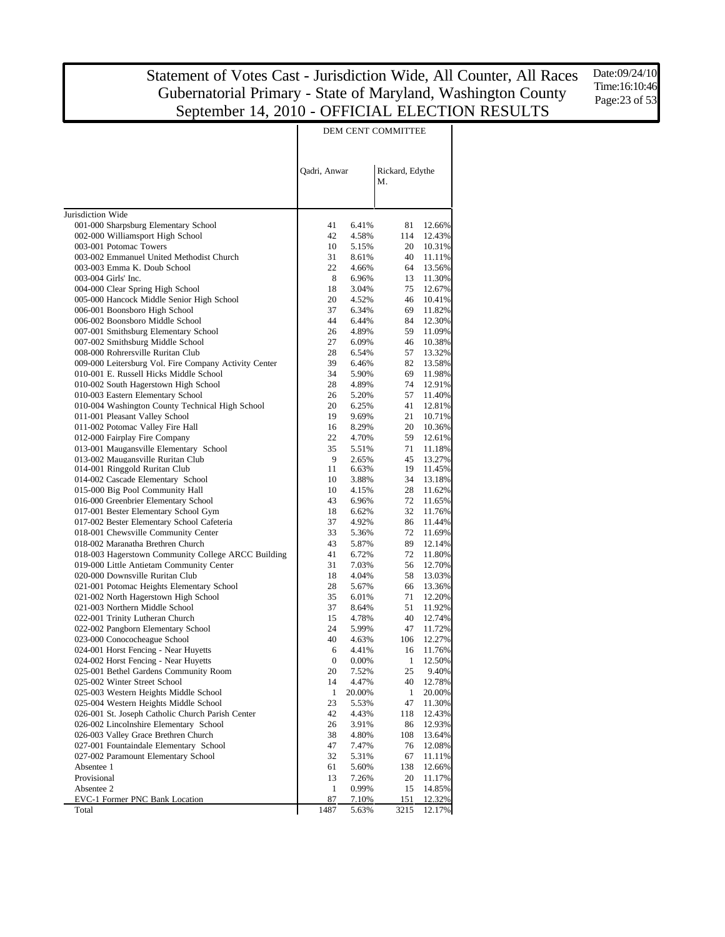Date:09/24/10 Time:16:10:46 Page:23 of 53

|                                                                                | DEM CENT COMMITTEE |                |                       |                  |  |  |
|--------------------------------------------------------------------------------|--------------------|----------------|-----------------------|------------------|--|--|
|                                                                                | Qadri, Anwar       |                | Rickard, Edythe<br>M. |                  |  |  |
|                                                                                |                    |                |                       |                  |  |  |
| Jurisdiction Wide                                                              | 41                 | 6.41%          | 81                    | 12.66%           |  |  |
| 001-000 Sharpsburg Elementary School<br>002-000 Williamsport High School       | 42                 | 4.58%          | 114                   | 12.43%           |  |  |
| 003-001 Potomac Towers                                                         | 10                 | 5.15%          | 20                    | 10.31%           |  |  |
| 003-002 Emmanuel United Methodist Church                                       | 31                 | 8.61%          | 40                    | 11.11%           |  |  |
| 003-003 Emma K. Doub School                                                    | 22                 | 4.66%          | 64                    | 13.56%           |  |  |
| 003-004 Girls' Inc.                                                            | 8                  | 6.96%          | 13                    | 11.30%           |  |  |
| 004-000 Clear Spring High School                                               | 18                 | 3.04%          | 75                    | 12.67%           |  |  |
| 005-000 Hancock Middle Senior High School                                      | 20                 | 4.52%          | 46                    | 10.41%           |  |  |
| 006-001 Boonsboro High School                                                  | 37                 | 6.34%          | 69                    | 11.82%           |  |  |
| 006-002 Boonsboro Middle School                                                | 44                 | 6.44%          | 84                    | 12.30%           |  |  |
| 007-001 Smithsburg Elementary School                                           | 26                 | 4.89%          | 59                    | 11.09%           |  |  |
| 007-002 Smithsburg Middle School<br>008-000 Rohrersville Ruritan Club          | 27<br>28           | 6.09%<br>6.54% | 46<br>57              | 10.38%<br>13.32% |  |  |
| 009-000 Leitersburg Vol. Fire Company Activity Center                          | 39                 | 6.46%          | 82                    | 13.58%           |  |  |
| 010-001 E. Russell Hicks Middle School                                         | 34                 | 5.90%          | 69                    | 11.98%           |  |  |
| 010-002 South Hagerstown High School                                           | 28                 | 4.89%          | 74                    | 12.91%           |  |  |
| 010-003 Eastern Elementary School                                              | 26                 | 5.20%          | 57                    | 11.40%           |  |  |
| 010-004 Washington County Technical High School                                | 20                 | 6.25%          | 41                    | 12.81%           |  |  |
| 011-001 Pleasant Valley School                                                 | 19                 | 9.69%          | 21                    | 10.71%           |  |  |
| 011-002 Potomac Valley Fire Hall                                               | 16                 | 8.29%          | 20                    | 10.36%           |  |  |
| 012-000 Fairplay Fire Company                                                  | 22                 | 4.70%          | 59                    | 12.61%           |  |  |
| 013-001 Maugansville Elementary School                                         | 35                 | 5.51%          | 71                    | 11.18%           |  |  |
| 013-002 Maugansville Ruritan Club                                              | 9<br>11            | 2.65%          | 45<br>19              | 13.27%           |  |  |
| 014-001 Ringgold Ruritan Club<br>014-002 Cascade Elementary School             | 10                 | 6.63%<br>3.88% | 34                    | 11.45%<br>13.18% |  |  |
| 015-000 Big Pool Community Hall                                                | 10                 | 4.15%          | 28                    | 11.62%           |  |  |
| 016-000 Greenbrier Elementary School                                           | 43                 | 6.96%          | 72                    | 11.65%           |  |  |
| 017-001 Bester Elementary School Gym                                           | 18                 | 6.62%          | 32                    | 11.76%           |  |  |
| 017-002 Bester Elementary School Cafeteria                                     | 37                 | 4.92%          | 86                    | 11.44%           |  |  |
| 018-001 Chewsville Community Center                                            | 33                 | 5.36%          | 72                    | 11.69%           |  |  |
| 018-002 Maranatha Brethren Church                                              | 43                 | 5.87%          | 89                    | 12.14%           |  |  |
| 018-003 Hagerstown Community College ARCC Building                             | 41                 | 6.72%          | 72                    | 11.80%           |  |  |
| 019-000 Little Antietam Community Center                                       | 31                 | 7.03%          | 56                    | 12.70%           |  |  |
| 020-000 Downsville Ruritan Club                                                | 18                 | 4.04%          | 58                    | 13.03%           |  |  |
| 021-001 Potomac Heights Elementary School                                      | 28                 | 5.67%          | 66                    | 13.36%           |  |  |
| 021-002 North Hagerstown High School<br>021-003 Northern Middle School         | 35<br>37           | 6.01%<br>8.64% | 71<br>51              | 12.20%<br>11.92% |  |  |
| 022-001 Trinity Lutheran Church                                                | 15                 | 4.78%          | 40                    | 12.74%           |  |  |
| 022-002 Pangborn Elementary School                                             | 24                 | 5.99%          | 47                    | 11.72%           |  |  |
| 023-000 Conococheague School                                                   | 40                 | 4.63%          | 106                   | 12.27%           |  |  |
| 024-001 Horst Fencing - Near Huyetts                                           | 6                  | 4.41%          |                       | 16 11.76%        |  |  |
| 024-002 Horst Fencing - Near Huyetts                                           | $\boldsymbol{0}$   | 0.00%          | 1                     | 12.50%           |  |  |
| 025-001 Bethel Gardens Community Room                                          | 20                 | 7.52%          | 25                    | 9.40%            |  |  |
| 025-002 Winter Street School                                                   | 14                 | 4.47%          | 40                    | 12.78%           |  |  |
| 025-003 Western Heights Middle School                                          | $\mathbf{1}$       | 20.00%         | 1                     | 20.00%           |  |  |
| 025-004 Western Heights Middle School                                          | 23                 | 5.53%          | 47                    | 11.30%           |  |  |
| 026-001 St. Joseph Catholic Church Parish Center                               | 42                 | 4.43%          | 118                   | 12.43%           |  |  |
| 026-002 Lincolnshire Elementary School                                         | 26                 | 3.91%<br>4.80% | 86                    | 12.93%           |  |  |
| 026-003 Valley Grace Brethren Church<br>027-001 Fountaindale Elementary School | 38                 |                | 108                   | 13.64%           |  |  |
| 027-002 Paramount Elementary School                                            | 47<br>32           | 7.47%<br>5.31% | 76<br>67              | 12.08%<br>11.11% |  |  |
| Absentee 1                                                                     | 61                 | 5.60%          | 138                   | 12.66%           |  |  |
| Provisional                                                                    | 13                 | 7.26%          | 20                    | 11.17%           |  |  |
| Absentee 2                                                                     | 1                  | 0.99%          | 15                    | 14.85%           |  |  |
| EVC-1 Former PNC Bank Location                                                 | 87                 | 7.10%          | 151                   | 12.32%           |  |  |
| Total                                                                          | 1487               | 5.63%          | 3215                  | 12.17%           |  |  |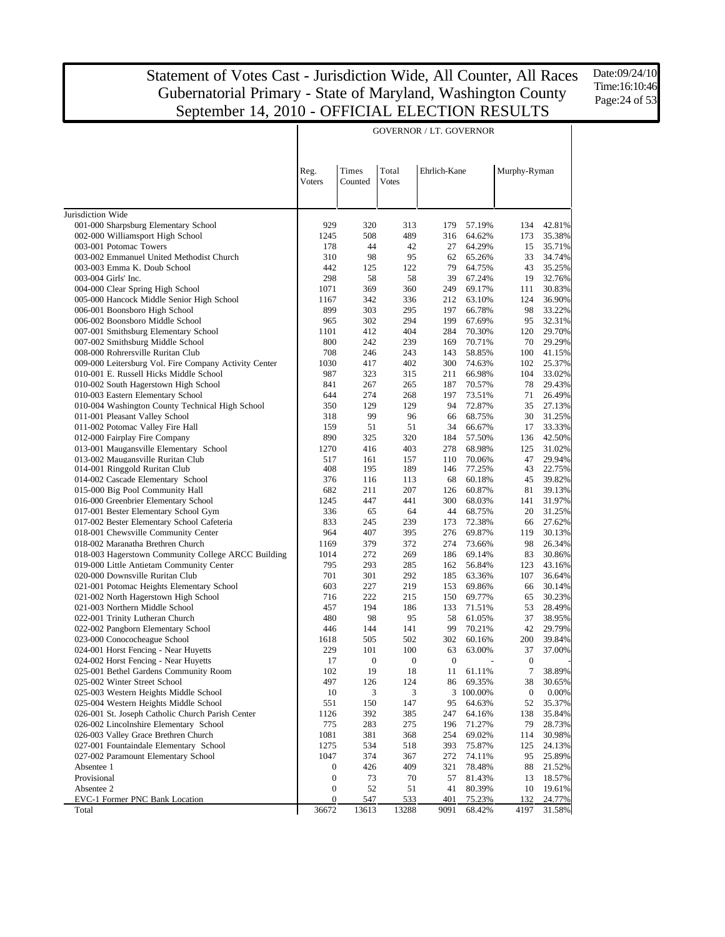$\overline{\phantom{a}}$ 

GOVERNOR / LT. GOVERNOR

Date:09/24/10 Time:16:10:46 Page:24 of 53

 $\overline{\phantom{a}}$ 

|                                                                              | Reg.             | Times            | Total            | Ehrlich-Kane |                  | Murphy-Ryman     |                  |
|------------------------------------------------------------------------------|------------------|------------------|------------------|--------------|------------------|------------------|------------------|
|                                                                              | Voters           | Counted          | <b>Votes</b>     |              |                  |                  |                  |
| Jurisdiction Wide                                                            |                  |                  |                  |              |                  |                  |                  |
| 001-000 Sharpsburg Elementary School                                         | 929              | 320              | 313              | 179          | 57.19%           | 134              | 42.81%           |
| 002-000 Williamsport High School                                             | 1245             | 508              | 489              | 316          | 64.62%           | 173              | 35.38%           |
| 003-001 Potomac Towers                                                       | 178              | 44               | 42               | 27           | 64.29%           | 15               | 35.71%           |
| 003-002 Emmanuel United Methodist Church                                     | 310              | 98               | 95               | 62           | 65.26%           | 33               | 34.74%           |
| 003-003 Emma K. Doub School                                                  | 442              | 125              | 122              | 79           | 64.75%           | 43               | 35.25%           |
| 003-004 Girls' Inc.                                                          | 298              | 58               | 58               | 39           | 67.24%           | 19               | 32.76%           |
| 004-000 Clear Spring High School                                             | 1071             | 369              | 360              | 249          | 69.17%           | 111              | 30.83%           |
| 005-000 Hancock Middle Senior High School                                    | 1167             | 342              | 336              | 212          | 63.10%           | 124              | 36.90%           |
| 006-001 Boonsboro High School                                                | 899              | 303              | 295              | 197          | 66.78%           | 98               | 33.22%           |
| 006-002 Boonsboro Middle School                                              | 965              | 302              | 294              | 199          | 67.69%           | 95               | 32.31%           |
| 007-001 Smithsburg Elementary School                                         | 1101             | 412              | 404              | 284          | 70.30%           | 120              | 29.70%           |
| 007-002 Smithsburg Middle School                                             | 800              | 242              | 239              | 169          | 70.71%           | 70               | 29.29%           |
| 008-000 Rohrersville Ruritan Club                                            | 708              | 246              | 243              | 143          | 58.85%           | 100              | 41.15%           |
| 009-000 Leitersburg Vol. Fire Company Activity Center                        | 1030             | 417              | 402              | 300          | 74.63%           | 102              | 25.37%           |
| 010-001 E. Russell Hicks Middle School                                       | 987              | 323              | 315              | 211          | 66.98%           | 104              | 33.02%           |
| 010-002 South Hagerstown High School                                         | 841              | 267              | 265              | 187          | 70.57%           | 78               | 29.43%           |
| 010-003 Eastern Elementary School                                            | 644              | 274              | 268              | 197          | 73.51%           | 71               | 26.49%           |
| 010-004 Washington County Technical High School                              | 350              | 129              | 129              | 94           | 72.87%           | 35               | 27.13%           |
| 011-001 Pleasant Valley School                                               | 318              | 99               | 96               | 66           | 68.75%           | 30               | 31.25%           |
| 011-002 Potomac Valley Fire Hall                                             | 159              | 51               | 51               | 34           | 66.67%           | 17               | 33.33%           |
| 012-000 Fairplay Fire Company                                                | 890              | 325              | 320              | 184          | 57.50%           | 136              | 42.50%           |
| 013-001 Maugansville Elementary School                                       | 1270             | 416              | 403              | 278          | 68.98%           | 125              | 31.02%           |
| 013-002 Maugansville Ruritan Club                                            | 517              | 161              | 157              | 110          | 70.06%           | 47               | 29.94%           |
| 014-001 Ringgold Ruritan Club                                                | 408              | 195              | 189              | 146          | 77.25%           | 43               | 22.75%           |
| 014-002 Cascade Elementary School                                            | 376              | 116              | 113              | 68           | 60.18%           | 45               | 39.82%           |
| 015-000 Big Pool Community Hall                                              | 682              | 211              | 207              | 126          | 60.87%           | 81               | 39.13%           |
| 016-000 Greenbrier Elementary School<br>017-001 Bester Elementary School Gym | 1245<br>336      | 447<br>65        | 441<br>64        | 300<br>44    | 68.03%<br>68.75% | 141<br>20        | 31.97%<br>31.25% |
| 017-002 Bester Elementary School Cafeteria                                   | 833              | 245              | 239              | 173          | 72.38%           | 66               | 27.62%           |
| 018-001 Chewsville Community Center                                          | 964              | 407              | 395              | 276          | 69.87%           | 119              | 30.13%           |
| 018-002 Maranatha Brethren Church                                            | 1169             | 379              | 372              | 274          | 73.66%           | 98               | 26.34%           |
| 018-003 Hagerstown Community College ARCC Building                           | 1014             | 272              | 269              | 186          | 69.14%           | 83               | 30.86%           |
| 019-000 Little Antietam Community Center                                     | 795              | 293              | 285              | 162          | 56.84%           | 123              | 43.16%           |
| 020-000 Downsville Ruritan Club                                              | 701              | 301              | 292              | 185          | 63.36%           | 107              | 36.64%           |
| 021-001 Potomac Heights Elementary School                                    | 603              | 227              | 219              | 153          | 69.86%           | 66               | 30.14%           |
| 021-002 North Hagerstown High School                                         | 716              | 222              | 215              | 150          | 69.77%           | 65               | 30.23%           |
| 021-003 Northern Middle School                                               | 457              | 194              | 186              | 133          | 71.51%           | 53               | 28.49%           |
| 022-001 Trinity Lutheran Church                                              | 480              | 98               | 95               | 58           | 61.05%           | 37               | 38.95%           |
| 022-002 Pangborn Elementary School                                           | 446              | 144              | 141              | 99           | 70.21%           | 42               | 29.79%           |
| 023-000 Conococheague School                                                 | 1618             | 505              | 502              | 302          | 60.16%           | 200              | 39.84%           |
| 024-001 Horst Fencing - Near Huyetts                                         | 229              | 101              | 100              | 63           | 63.00%           | 37               | 37.00%           |
| 024-002 Horst Fencing - Near Huyetts                                         | 17               | $\boldsymbol{0}$ | $\boldsymbol{0}$ | $\mathbf{0}$ |                  | $\mathbf{0}$     |                  |
| 025-001 Bethel Gardens Community Room                                        | 102              | 19               | 18               | 11           | 61.11%           | 7                | 38.89%           |
| 025-002 Winter Street School                                                 | 497              | 126              | 124              | 86           | 69.35%           | 38               | 30.65%           |
| 025-003 Western Heights Middle School                                        | 10               | 3                | 3                |              | 3 100.00%        | $\boldsymbol{0}$ | 0.00%            |
| 025-004 Western Heights Middle School                                        | 551              | 150              | 147              | 95           | 64.63%           | 52               | 35.37%           |
| 026-001 St. Joseph Catholic Church Parish Center                             | 1126             | 392              | 385              | 247          | 64.16%           | 138              | 35.84%           |
| 026-002 Lincolnshire Elementary School                                       | 775              | 283              | 275              | 196          | 71.27%           | 79               | 28.73%           |
| 026-003 Valley Grace Brethren Church                                         | 1081             | 381              | 368              | 254          | 69.02%           | 114              | 30.98%           |
| 027-001 Fountaindale Elementary School                                       | 1275             | 534              | 518              | 393          | 75.87%           | 125              | 24.13%           |
| 027-002 Paramount Elementary School                                          | 1047             | 374              | 367              | 272          | 74.11%           | 95               | 25.89%           |
| Absentee 1                                                                   | $\mathbf{0}$     | 426              | 409              | 321          | 78.48%           | 88               | 21.52%           |
| Provisional                                                                  | $\boldsymbol{0}$ | 73               | 70               | 57           | 81.43%           | 13               | 18.57%           |
| Absentee 2                                                                   | $\boldsymbol{0}$ | 52               | 51               | 41           | 80.39%           | 10               | 19.61%           |
| EVC-1 Former PNC Bank Location                                               | $\boldsymbol{0}$ | 547              | 533              | 401          | 75.23%           | 132              | 24.77%           |
| Total                                                                        | 36672            | 13613            | 13288            | 9091         | 68.42%           | 4197             | 31.58%           |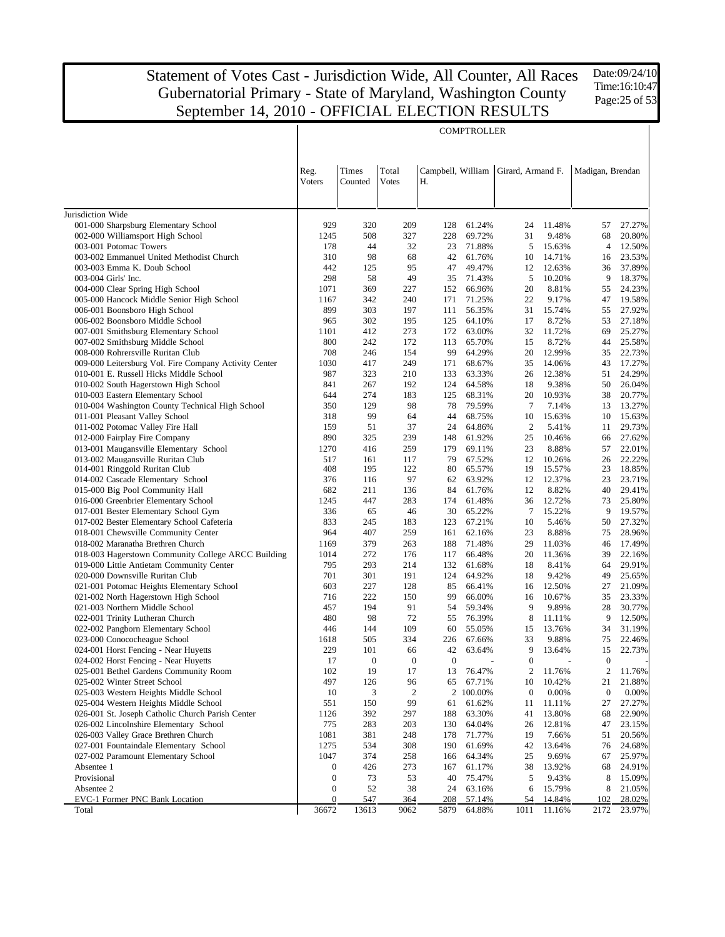Date:09/24/10 Time:16:10:47 Page:25 of 53

|                                                                                         |                                      |                        |                         |                    | <b>COMPTROLLER</b> |                                    |                  |                                |                  |
|-----------------------------------------------------------------------------------------|--------------------------------------|------------------------|-------------------------|--------------------|--------------------|------------------------------------|------------------|--------------------------------|------------------|
|                                                                                         |                                      |                        |                         |                    |                    |                                    |                  |                                |                  |
|                                                                                         |                                      |                        |                         |                    |                    |                                    |                  |                                |                  |
|                                                                                         | Reg.                                 | Times                  | Total                   | Campbell, William  |                    | Girard, Armand F.                  |                  | Madigan, Brendan               |                  |
|                                                                                         | Voters                               | Counted                | Votes                   | Н.                 |                    |                                    |                  |                                |                  |
|                                                                                         |                                      |                        |                         |                    |                    |                                    |                  |                                |                  |
| Jurisdiction Wide                                                                       |                                      |                        |                         |                    |                    |                                    |                  |                                |                  |
| 001-000 Sharpsburg Elementary School                                                    | 929                                  | 320                    | 209                     | 128                | 61.24%             | 24                                 | 11.48%           | 57                             | 27.27%           |
| 002-000 Williamsport High School                                                        | 1245                                 | 508                    | 327                     | 228                | 69.72%             | 31                                 | 9.48%            | 68                             | 20.80%           |
| 003-001 Potomac Towers                                                                  | 178                                  | 44                     | 32                      | 23                 | 71.88%             | 5                                  | 15.63%           | 4                              | 12.50%           |
| 003-002 Emmanuel United Methodist Church                                                | 310                                  | 98                     | 68                      | 42                 | 61.76%             | 10                                 | 14.71%           | 16                             | 23.53%           |
| 003-003 Emma K. Doub School                                                             | 442                                  | 125                    | 95                      | 47                 | 49.47%             | 12                                 | 12.63%           | 36                             | 37.89%           |
| 003-004 Girls' Inc.                                                                     | 298                                  | 58                     | 49                      | 35                 | 71.43%             | 5                                  | 10.20%           | 9                              | 18.37%           |
| 004-000 Clear Spring High School                                                        | 1071                                 | 369                    | 227                     | 152                | 66.96%             | 20                                 | 8.81%            | 55                             | 24.23%           |
| 005-000 Hancock Middle Senior High School                                               | 1167                                 | 342                    | 240                     | 171                | 71.25%             | 22                                 | 9.17%            | 47                             | 19.58%           |
| 006-001 Boonsboro High School                                                           | 899                                  | 303                    | 197                     | 111                | 56.35%             | 31<br>17                           | 15.74%           | 55                             | 27.92%           |
| 006-002 Boonsboro Middle School<br>007-001 Smithsburg Elementary School                 | 965<br>1101                          | 302<br>412             | 195<br>273              | 125<br>172         | 64.10%<br>63.00%   | 32                                 | 8.72%<br>11.72%  | 53<br>69                       | 27.18%<br>25.27% |
| 007-002 Smithsburg Middle School                                                        | 800                                  | 242                    | 172                     | 113                | 65.70%             | 15                                 | 8.72%            | 44                             | 25.58%           |
| 008-000 Rohrersville Ruritan Club                                                       | 708                                  | 246                    | 154                     | 99                 | 64.29%             | 20                                 | 12.99%           | 35                             | 22.73%           |
| 009-000 Leitersburg Vol. Fire Company Activity Center                                   | 1030                                 | 417                    | 249                     | 171                | 68.67%             | 35                                 | 14.06%           | 43                             | 17.27%           |
| 010-001 E. Russell Hicks Middle School                                                  | 987                                  | 323                    | 210                     | 133                | 63.33%             | 26                                 | 12.38%           | 51                             | 24.29%           |
| 010-002 South Hagerstown High School                                                    | 841                                  | 267                    | 192                     | 124                | 64.58%             | 18                                 | 9.38%            | 50                             | 26.04%           |
| 010-003 Eastern Elementary School                                                       | 644                                  | 274                    | 183                     | 125                | 68.31%             | 20                                 | 10.93%           | 38                             | 20.77%           |
| 010-004 Washington County Technical High School                                         | 350                                  | 129                    | 98                      | 78                 | 79.59%             | $\tau$                             | 7.14%            | 13                             | 13.27%           |
| 011-001 Pleasant Valley School                                                          | 318                                  | 99                     | 64                      | 44                 | 68.75%             | 10                                 | 15.63%           | 10                             | 15.63%           |
| 011-002 Potomac Valley Fire Hall                                                        | 159                                  | 51                     | 37                      | 24                 | 64.86%             | $\overline{2}$                     | 5.41%            | 11                             | 29.73%           |
| 012-000 Fairplay Fire Company<br>013-001 Maugansville Elementary School                 | 890<br>1270                          | 325<br>416             | 239<br>259              | 148<br>179         | 61.92%<br>69.11%   | 25<br>23                           | 10.46%<br>8.88%  | 66<br>57                       | 27.62%<br>22.01% |
| 013-002 Maugansville Ruritan Club                                                       | 517                                  | 161                    | 117                     | 79                 | 67.52%             | 12                                 | 10.26%           | 26                             | 22.22%           |
| 014-001 Ringgold Ruritan Club                                                           | 408                                  | 195                    | 122                     | 80                 | 65.57%             | 19                                 | 15.57%           | 23                             | 18.85%           |
| 014-002 Cascade Elementary School                                                       | 376                                  | 116                    | 97                      | 62                 | 63.92%             | 12                                 | 12.37%           | 23                             | 23.71%           |
| 015-000 Big Pool Community Hall                                                         | 682                                  | 211                    | 136                     | 84                 | 61.76%             | 12                                 | 8.82%            | 40                             | 29.41%           |
| 016-000 Greenbrier Elementary School                                                    | 1245                                 | 447                    | 283                     | 174                | 61.48%             | 36                                 | 12.72%           | 73                             | 25.80%           |
| 017-001 Bester Elementary School Gym                                                    | 336                                  | 65                     | 46                      | 30                 | 65.22%             | 7                                  | 15.22%           | 9                              | 19.57%           |
| 017-002 Bester Elementary School Cafeteria                                              | 833                                  | 245                    | 183                     | 123                | 67.21%             | 10                                 | 5.46%            | 50                             | 27.32%           |
| 018-001 Chewsville Community Center                                                     | 964                                  | 407                    | 259                     | 161                | 62.16%             | 23                                 | 8.88%            | 75                             | 28.96%           |
| 018-002 Maranatha Brethren Church<br>018-003 Hagerstown Community College ARCC Building | 1169<br>1014                         | 379<br>272             | 263<br>176              | 188<br>117         | 71.48%<br>66.48%   | 29<br>20                           | 11.03%<br>11.36% | 46<br>39                       | 17.49%<br>22.16% |
| 019-000 Little Antietam Community Center                                                | 795                                  | 293                    | 214                     | 132                | 61.68%             | 18                                 | 8.41%            | 64                             | 29.91%           |
| 020-000 Downsville Ruritan Club                                                         | 701                                  | 301                    | 191                     | 124                | 64.92%             | 18                                 | 9.42%            | 49                             | 25.65%           |
| 021-001 Potomac Heights Elementary School                                               | 603                                  | 227                    | 128                     | 85                 | 66.41%             | 16                                 | 12.50%           | 27                             | 21.09%           |
| 021-002 North Hagerstown High School                                                    | 716                                  | 222                    | 150                     | 99                 | 66.00%             | 16                                 | 10.67%           | 35                             | 23.33%           |
| 021-003 Northern Middle School                                                          | 457                                  | 194                    | 91                      | 54                 | 59.34%             | 9                                  | 9.89%            | 28                             | 30.77%           |
| 022-001 Trinity Lutheran Church                                                         | 480                                  | 98                     | 72                      | 55                 | 76.39%             | 8                                  | 11.11%           | 9                              | 12.50%           |
| 022-002 Pangborn Elementary School                                                      | 446                                  | 144                    | 109                     | 60                 | 55.05%             | 15                                 | 13.76%           | 34                             | 31.19%           |
| 023-000 Conococheague School                                                            | 1618                                 | 505                    | 334                     | 226                | 67.66%             | 33                                 | 9.88%            | 75                             | 22.46%           |
| 024-001 Horst Fencing - Near Huyetts                                                    | 229                                  | 101                    | 66                      | 42                 | 63.64%             | 9                                  | 13.64%           | 15                             | 22.73%           |
| 024-002 Horst Fencing - Near Huyetts<br>025-001 Bethel Gardens Community Room           | 17<br>102                            | $\boldsymbol{0}$<br>19 | $\boldsymbol{0}$<br>17  | $\mathbf{0}$<br>13 | 76.47%             | $\boldsymbol{0}$<br>$\overline{c}$ | 11.76%           | $\boldsymbol{0}$<br>$\sqrt{2}$ | 11.76%           |
| 025-002 Winter Street School                                                            | 497                                  | 126                    | 96                      | 65                 | 67.71%             | 10                                 | 10.42%           | 21                             | 21.88%           |
| 025-003 Western Heights Middle School                                                   | 10                                   | 3                      | $\overline{\mathbf{c}}$ |                    | 2 100.00%          | $\boldsymbol{0}$                   | 0.00%            | $\boldsymbol{0}$               | 0.00%            |
| 025-004 Western Heights Middle School                                                   | 551                                  | 150                    | 99                      | 61                 | 61.62%             | 11                                 | 11.11%           | 27                             | 27.27%           |
| 026-001 St. Joseph Catholic Church Parish Center                                        | 1126                                 | 392                    | 297                     | 188                | 63.30%             | 41                                 | 13.80%           | 68                             | 22.90%           |
| 026-002 Lincolnshire Elementary School                                                  | 775                                  | 283                    | 203                     | 130                | 64.04%             | 26                                 | 12.81%           | 47                             | 23.15%           |
| 026-003 Valley Grace Brethren Church                                                    | 1081                                 | 381                    | 248                     | 178                | 71.77%             | 19                                 | 7.66%            | 51                             | 20.56%           |
| 027-001 Fountaindale Elementary School                                                  | 1275                                 | 534                    | 308                     | 190                | 61.69%             | 42                                 | 13.64%           | 76                             | 24.68%           |
| 027-002 Paramount Elementary School                                                     | 1047                                 | 374                    | 258                     | 166                | 64.34%             | 25                                 | 9.69%            | 67                             | 25.97%           |
| Absentee 1                                                                              | $\mathbf{0}$                         | 426                    | 273                     | 167                | 61.17%             | 38                                 | 13.92%           | 68                             | 24.91%           |
| Provisional<br>Absentee 2                                                               | $\boldsymbol{0}$<br>$\boldsymbol{0}$ | 73<br>52               | 53<br>38                | 40<br>24           | 75.47%             | 5<br>6                             | 9.43%<br>15.79%  | 8<br>8                         | 15.09%<br>21.05% |
| EVC-1 Former PNC Bank Location                                                          | $\boldsymbol{0}$                     | 547                    | 364                     | 208                | 63.16%<br>57.14%   | 54                                 | 14.84%           | 102                            | 28.02%           |
| Total                                                                                   | 36672                                | 13613                  | 9062                    | 5879               | 64.88%             | 1011                               | 11.16%           | 2172                           | 23.97%           |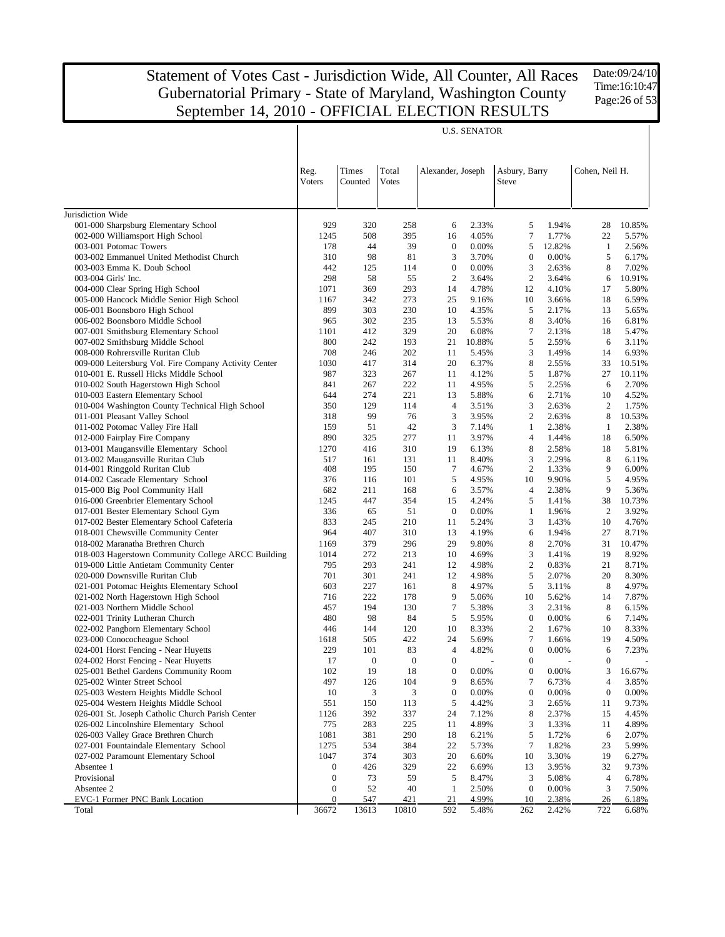Date:09/24/10 Time:16:10:47 Page:26 of 53

|                                                                          |                                      |                  |                       |                   | <b>U.S. SENATOR</b> |                        |                |                      |                 |
|--------------------------------------------------------------------------|--------------------------------------|------------------|-----------------------|-------------------|---------------------|------------------------|----------------|----------------------|-----------------|
|                                                                          | Reg.<br>Voters                       | Times<br>Counted | Total<br><b>Votes</b> | Alexander, Joseph |                     | Asbury, Barry<br>Steve |                | Cohen, Neil H.       |                 |
| Jurisdiction Wide                                                        |                                      |                  |                       |                   |                     |                        |                |                      |                 |
| 001-000 Sharpsburg Elementary School                                     | 929                                  | 320              | 258                   | 6                 | 2.33%               | 5                      | 1.94%          | 28                   | 10.85%          |
| 002-000 Williamsport High School                                         | 1245                                 | 508              | 395                   | 16                | 4.05%               | $\tau$                 | 1.77%          | 22                   | 5.57%           |
| 003-001 Potomac Towers                                                   | 178                                  | 44               | 39                    | $\boldsymbol{0}$  | 0.00%               | 5                      | 12.82%         | 1                    | 2.56%           |
| 003-002 Emmanuel United Methodist Church                                 | 310                                  | 98               | 81                    | 3                 | 3.70%               | $\mathbf{0}$           | 0.00%          | 5                    | 6.17%           |
| 003-003 Emma K. Doub School                                              | 442                                  | 125              | 114                   | $\boldsymbol{0}$  | 0.00%               | 3                      | 2.63%          | 8                    | 7.02%           |
| 003-004 Girls' Inc.                                                      | 298                                  | 58               | 55                    | 2                 | 3.64%               | $\overline{c}$         | 3.64%          | 6                    | 10.91%          |
| 004-000 Clear Spring High School                                         | 1071                                 | 369              | 293                   | 14                | 4.78%               | 12                     | 4.10%          | 17                   | 5.80%           |
| 005-000 Hancock Middle Senior High School                                | 1167                                 | 342              | 273                   | 25                | 9.16%               | 10                     | 3.66%          | 18                   | 6.59%           |
| 006-001 Boonsboro High School                                            | 899<br>965                           | 303<br>302       | 230                   | 10<br>13          | 4.35%               | 5<br>8                 | 2.17%          | 13<br>16             | 5.65%           |
| 006-002 Boonsboro Middle School<br>007-001 Smithsburg Elementary School  | 1101                                 | 412              | 235<br>329            | 20                | 5.53%<br>6.08%      | $\tau$                 | 3.40%<br>2.13% | 18                   | 6.81%<br>5.47%  |
| 007-002 Smithsburg Middle School                                         | 800                                  | 242              | 193                   | 21                | 10.88%              | 5                      | 2.59%          | 6                    | 3.11%           |
| 008-000 Rohrersville Ruritan Club                                        | 708                                  | 246              | 202                   | 11                | 5.45%               | 3                      | 1.49%          | 14                   | 6.93%           |
| 009-000 Leitersburg Vol. Fire Company Activity Center                    | 1030                                 | 417              | 314                   | 20                | 6.37%               | 8                      | 2.55%          | 33                   | 10.51%          |
| 010-001 E. Russell Hicks Middle School                                   | 987                                  | 323              | 267                   | 11                | 4.12%               | 5                      | 1.87%          | 27                   | 10.11%          |
| 010-002 South Hagerstown High School                                     | 841                                  | 267              | 222                   | 11                | 4.95%               | 5                      | 2.25%          | 6                    | 2.70%           |
| 010-003 Eastern Elementary School                                        | 644                                  | 274              | 221                   | 13                | 5.88%               | 6                      | 2.71%          | 10                   | 4.52%           |
| 010-004 Washington County Technical High School                          | 350                                  | 129              | 114                   | 4                 | 3.51%               | 3                      | 2.63%          | 2                    | 1.75%           |
| 011-001 Pleasant Valley School                                           | 318                                  | 99               | 76                    | 3                 | 3.95%               | $\mathbf{2}$           | 2.63%          | 8                    | 10.53%          |
| 011-002 Potomac Valley Fire Hall                                         | 159                                  | 51               | 42                    | 3                 | 7.14%               | 1                      | 2.38%          | 1                    | 2.38%           |
| 012-000 Fairplay Fire Company                                            | 890                                  | 325              | 277                   | 11                | 3.97%               | $\overline{4}$         | 1.44%          | 18                   | 6.50%           |
| 013-001 Maugansville Elementary School                                   | 1270                                 | 416              | 310                   | 19                | 6.13%               | 8                      | 2.58%          | 18                   | 5.81%           |
| 013-002 Maugansville Ruritan Club                                        | 517                                  | 161              | 131                   | 11                | 8.40%               | 3                      | 2.29%          | 8                    | 6.11%           |
| 014-001 Ringgold Ruritan Club                                            | 408                                  | 195              | 150                   | 7                 | 4.67%               | $\overline{c}$         | 1.33%          | 9                    | 6.00%           |
| 014-002 Cascade Elementary School                                        | 376                                  | 116              | 101                   | 5                 | 4.95%               | 10                     | 9.90%          | 5                    | 4.95%           |
| 015-000 Big Pool Community Hall                                          | 682                                  | 211              | 168                   | 6                 | 3.57%               | $\overline{4}$         | 2.38%          | 9                    | 5.36%           |
| 016-000 Greenbrier Elementary School                                     | 1245                                 | 447              | 354                   | 15                | 4.24%               | 5                      | 1.41%          | 38                   | 10.73%          |
| 017-001 Bester Elementary School Gym                                     | 336                                  | 65               | 51                    | $\mathbf{0}$      | 0.00%               | 1                      | 1.96%          | 2                    | 3.92%           |
| 017-002 Bester Elementary School Cafeteria                               | 833<br>964                           | 245<br>407       | 210                   | 11<br>13          | 5.24%               | 3                      | 1.43%          | 10<br>27             | 4.76%           |
| 018-001 Chewsville Community Center<br>018-002 Maranatha Brethren Church | 1169                                 | 379              | 310<br>296            | 29                | 4.19%<br>9.80%      | 6<br>8                 | 1.94%<br>2.70% | 31                   | 8.71%<br>10.47% |
| 018-003 Hagerstown Community College ARCC Building                       | 1014                                 | 272              | 213                   | 10                | 4.69%               | 3                      | 1.41%          | 19                   | 8.92%           |
| 019-000 Little Antietam Community Center                                 | 795                                  | 293              | 241                   | 12                | 4.98%               | $\mathbf{2}$           | 0.83%          | 21                   | 8.71%           |
| 020-000 Downsville Ruritan Club                                          | 701                                  | 301              | 241                   | 12                | 4.98%               | 5                      | 2.07%          | 20                   | 8.30%           |
| 021-001 Potomac Heights Elementary School                                | 603                                  | 227              | 161                   | 8                 | 4.97%               | 5                      | 3.11%          | 8                    | 4.97%           |
| 021-002 North Hagerstown High School                                     | 716                                  | 222              | 178                   | 9                 | 5.06%               | 10                     | 5.62%          | 14                   | 7.87%           |
| 021-003 Northern Middle School                                           | 457                                  | 194              | 130                   | $\tau$            | 5.38%               | 3                      | 2.31%          | 8                    | 6.15%           |
| 022-001 Trinity Lutheran Church                                          | 480                                  | 98               | 84                    | 5                 | 5.95%               | $\boldsymbol{0}$       | 0.00%          | 6                    | 7.14%           |
| 022-002 Pangborn Elementary School                                       | 446                                  | 144              | 120                   | 10                | 8.33%               | $\overline{c}$         | 1.67%          | 10                   | 8.33%           |
| 023-000 Conococheague School                                             | 1618                                 | 505              | 422                   | 24                | 5.69%               | $\tau$                 | 1.66%          | 19                   | 4.50%           |
| 024-001 Horst Fencing - Near Huyetts                                     | 229                                  | 101              | 83                    | $\overline{4}$    | 4.82%               | $\mathbf{0}$           | 0.00%          | 6                    | 7.23%           |
| 024-002 Horst Fencing - Near Huyetts                                     | 17                                   | $\theta$         | $\theta$              | $\boldsymbol{0}$  |                     | $\theta$               |                | $\boldsymbol{0}$     |                 |
| 025-001 Bethel Gardens Community Room                                    | 102                                  | 19               | 18                    | $\boldsymbol{0}$  | 0.00%               | $\boldsymbol{0}$       | 0.00%          | 3                    | 16.67%          |
| 025-002 Winter Street School                                             | 497                                  | 126              | 104                   | 9                 | 8.65%               | 7                      | 6.73%          | 4                    | 3.85%           |
| 025-003 Western Heights Middle School                                    | 10                                   | 3                | 3                     | $\boldsymbol{0}$  | 0.00%               | $\boldsymbol{0}$       | 0.00%          | $\boldsymbol{0}$     | 0.00%           |
| 025-004 Western Heights Middle School                                    | 551                                  | 150              | 113                   | 5                 | 4.42%               | 3                      | 2.65%          | 11                   | 9.73%           |
| 026-001 St. Joseph Catholic Church Parish Center                         | 1126                                 | 392              | 337                   | 24                | 7.12%               | 8                      | 2.37%          | 15                   | 4.45%           |
| 026-002 Lincolnshire Elementary School                                   | 775                                  | 283              | 225                   | 11                | 4.89%               | 3                      | 1.33%          | 11                   | 4.89%           |
| 026-003 Valley Grace Brethren Church                                     | 1081                                 | 381              | 290                   | 18                | 6.21%               | 5                      | 1.72%          | 6                    | 2.07%           |
| 027-001 Fountaindale Elementary School                                   | 1275                                 | 534              | 384                   | 22                | 5.73%               | $\tau$                 | 1.82%          | 23                   | 5.99%           |
| 027-002 Paramount Elementary School                                      | 1047                                 | 374              | 303                   | 20                | 6.60%               | 10                     | 3.30%          | 19                   | 6.27%           |
| Absentee 1<br>Provisional                                                | $\boldsymbol{0}$<br>$\boldsymbol{0}$ | 426<br>73        | 329<br>59             | 22<br>5           | 6.69%<br>8.47%      | 13<br>3                | 3.95%<br>5.08% | 32<br>$\overline{4}$ | 9.73%<br>6.78%  |
| Absentee 2                                                               | $\boldsymbol{0}$                     | 52               | 40                    | 1                 | 2.50%               | $\mathbf{0}$           | 0.00%          | 3                    | 7.50%           |
| EVC-1 Former PNC Bank Location                                           | $\boldsymbol{0}$                     | 547              | 421                   | 21                | 4.99%               | 10                     | 2.38%          | 26                   | 6.18%           |
| Total                                                                    | 36672                                | 13613            | 10810                 | 592               | 5.48%               | 262                    | 2.42%          | 722                  | 6.68%           |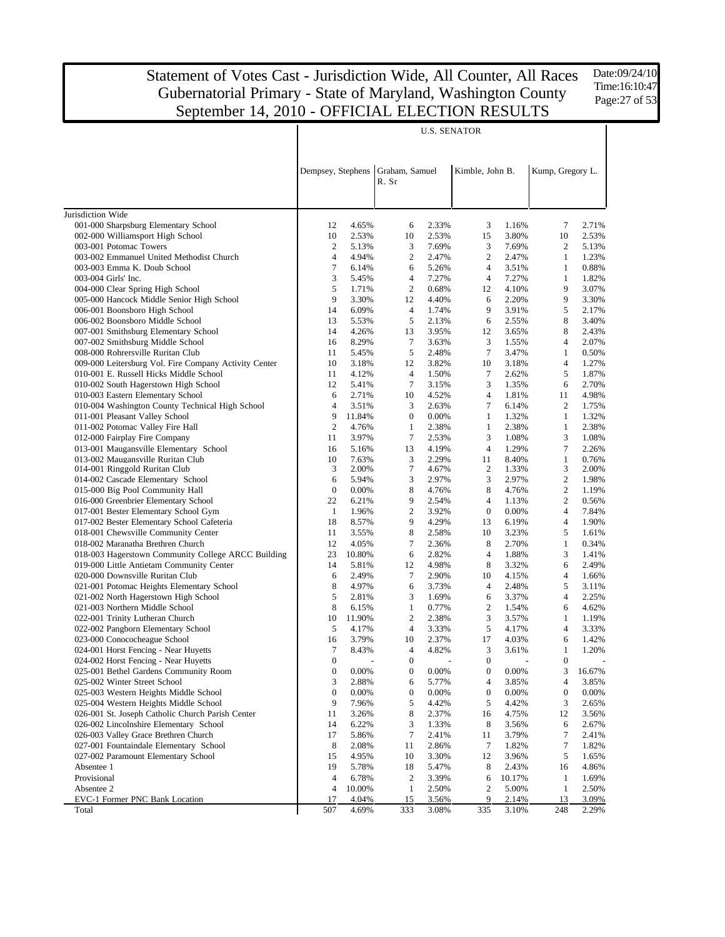Date:09/24/10 Time:16:10:47 Page:27 of 53

|                                                                                    | <b>U.S. SENATOR</b>   |                |                         |                |                                    |                |                       |                |  |
|------------------------------------------------------------------------------------|-----------------------|----------------|-------------------------|----------------|------------------------------------|----------------|-----------------------|----------------|--|
|                                                                                    | Dempsey, Stephens     |                | Graham, Samuel<br>R. Sr |                | Kimble, John B.                    |                | Kump, Gregory L.      |                |  |
|                                                                                    |                       |                |                         |                |                                    |                |                       |                |  |
| Jurisdiction Wide                                                                  |                       |                |                         |                |                                    |                |                       |                |  |
| 001-000 Sharpsburg Elementary School                                               | 12                    | 4.65%          | 6                       | 2.33%          | 3                                  | 1.16%          | 7                     | 2.71%          |  |
| 002-000 Williamsport High School                                                   | 10                    | 2.53%          | 10                      | 2.53%          | 15                                 | 3.80%          | 10                    | 2.53%          |  |
| 003-001 Potomac Towers                                                             | $\boldsymbol{2}$      | 5.13%          | 3                       | 7.69%          | 3                                  | 7.69%          | $\overline{2}$        | 5.13%          |  |
| 003-002 Emmanuel United Methodist Church                                           | 4                     | 4.94%          | $\overline{2}$          | 2.47%          | $\overline{2}$                     | 2.47%          | $\mathbf{1}$          | 1.23%          |  |
| 003-003 Emma K. Doub School                                                        | 7                     | 6.14%          | 6                       | 5.26%          | $\overline{4}$                     | 3.51%          | $\mathbf{1}$          | 0.88%          |  |
| 003-004 Girls' Inc.                                                                | 3                     | 5.45%          | $\overline{4}$          | 7.27%          | $\overline{4}$                     | 7.27%          | $\mathbf{1}$          | 1.82%          |  |
| 004-000 Clear Spring High School                                                   | 5                     | 1.71%          | $\overline{2}$          | 0.68%          | 12                                 | 4.10%          | 9                     | 3.07%          |  |
| 005-000 Hancock Middle Senior High School                                          | 9                     | 3.30%          | 12                      | 4.40%          | 6                                  | 2.20%          | 9                     | 3.30%          |  |
| 006-001 Boonsboro High School<br>006-002 Boonsboro Middle School                   | 14<br>13              | 6.09%<br>5.53% | $\overline{4}$<br>5     | 1.74%<br>2.13% | 9<br>6                             | 3.91%          | 5<br>8                | 2.17%<br>3.40% |  |
| 007-001 Smithsburg Elementary School                                               | 14                    | 4.26%          | 13                      | 3.95%          | 12                                 | 2.55%<br>3.65% | 8                     | 2.43%          |  |
| 007-002 Smithsburg Middle School                                                   | 16                    | 8.29%          | $\tau$                  | 3.63%          | 3                                  | 1.55%          | $\overline{4}$        | 2.07%          |  |
| 008-000 Rohrersville Ruritan Club                                                  | 11                    | 5.45%          | 5                       | 2.48%          | $\tau$                             | 3.47%          | $\mathbf{1}$          | 0.50%          |  |
| 009-000 Leitersburg Vol. Fire Company Activity Center                              | 10                    | 3.18%          | 12                      | 3.82%          | 10                                 | 3.18%          | $\overline{4}$        | 1.27%          |  |
| 010-001 E. Russell Hicks Middle School                                             | 11                    | 4.12%          | $\overline{4}$          | 1.50%          | $\tau$                             | 2.62%          | 5                     | 1.87%          |  |
| 010-002 South Hagerstown High School                                               | 12                    | 5.41%          | $\tau$                  | 3.15%          | 3                                  | 1.35%          | 6                     | 2.70%          |  |
| 010-003 Eastern Elementary School                                                  | 6                     | 2.71%          | 10                      | 4.52%          | $\overline{4}$                     | 1.81%          | 11                    | 4.98%          |  |
| 010-004 Washington County Technical High School                                    | 4                     | 3.51%          | 3                       | 2.63%          | 7                                  | 6.14%          | $\overline{2}$        | 1.75%          |  |
| 011-001 Pleasant Valley School                                                     | 9                     | 11.84%         | $\boldsymbol{0}$        | 0.00%          | $\mathbf{1}$                       | 1.32%          | $\mathbf{1}$          | 1.32%          |  |
| 011-002 Potomac Valley Fire Hall                                                   | $\overline{c}$        | 4.76%          | $\mathbf{1}$            | 2.38%          | $\mathbf{1}$                       | 2.38%          | $\mathbf{1}$          | 2.38%          |  |
| 012-000 Fairplay Fire Company                                                      | 11                    | 3.97%          | 7                       | 2.53%          | 3                                  | 1.08%          | 3                     | 1.08%          |  |
| 013-001 Maugansville Elementary School                                             | 16                    | 5.16%          | 13                      | 4.19%          | $\overline{4}$                     | 1.29%          | 7                     | 2.26%          |  |
| 013-002 Maugansville Ruritan Club                                                  | 10                    | 7.63%          | 3                       | 2.29%          | 11                                 | 8.40%          | $\mathbf{1}$          | 0.76%          |  |
| 014-001 Ringgold Ruritan Club                                                      | 3                     | 2.00%          | 7                       | 4.67%          | 2                                  | 1.33%          | 3                     | 2.00%          |  |
| 014-002 Cascade Elementary School                                                  | 6                     | 5.94%          | 3                       | 2.97%          | 3                                  | 2.97%          | $\boldsymbol{2}$      | 1.98%          |  |
| 015-000 Big Pool Community Hall                                                    | $\boldsymbol{0}$      | 0.00%          | 8                       | 4.76%          | 8                                  | 4.76%          | $\boldsymbol{2}$      | 1.19%          |  |
| 016-000 Greenbrier Elementary School                                               | 22                    | 6.21%          | 9<br>$\mathfrak{2}$     | 2.54%          | $\overline{4}$<br>$\boldsymbol{0}$ | 1.13%          | $\mathbf{2}$<br>4     | 0.56%          |  |
| 017-001 Bester Elementary School Gym<br>017-002 Bester Elementary School Cafeteria | $\mathbf{1}$<br>18    | 1.96%<br>8.57% | 9                       | 3.92%<br>4.29% | 13                                 | 0.00%<br>6.19% | $\overline{4}$        | 7.84%<br>1.90% |  |
| 018-001 Chewsville Community Center                                                | 11                    | 3.55%          | 8                       | 2.58%          | 10                                 | 3.23%          | 5                     | 1.61%          |  |
| 018-002 Maranatha Brethren Church                                                  | 12                    | 4.05%          | 7                       | 2.36%          | 8                                  | 2.70%          | $\mathbf{1}$          | 0.34%          |  |
| 018-003 Hagerstown Community College ARCC Building                                 | 23                    | 10.80%         | 6                       | 2.82%          | 4                                  | 1.88%          | 3                     | 1.41%          |  |
| 019-000 Little Antietam Community Center                                           | 14                    | 5.81%          | 12                      | 4.98%          | 8                                  | 3.32%          | 6                     | 2.49%          |  |
| 020-000 Downsville Ruritan Club                                                    | 6                     | 2.49%          | 7                       | 2.90%          | 10                                 | 4.15%          | 4                     | 1.66%          |  |
| 021-001 Potomac Heights Elementary School                                          | 8                     | 4.97%          | 6                       | 3.73%          | $\overline{4}$                     | 2.48%          | 5                     | 3.11%          |  |
| 021-002 North Hagerstown High School                                               | 5                     | 2.81%          | 3                       | 1.69%          | 6                                  | 3.37%          | 4                     | 2.25%          |  |
| 021-003 Northern Middle School                                                     | 8                     | 6.15%          | $\mathbf{1}$            | 0.77%          | $\overline{c}$                     | 1.54%          | 6                     | 4.62%          |  |
| 022-001 Trinity Lutheran Church                                                    | 10                    | 11.90%         | $\overline{2}$          | 2.38%          | 3                                  | 3.57%          | $\mathbf{1}$          | 1.19%          |  |
| 022-002 Pangborn Elementary School                                                 | 5                     | 4.17%          | $\overline{4}$          | 3.33%          | 5                                  | 4.17%          | 4                     | 3.33%          |  |
| 023-000 Conococheague School                                                       | 16                    | 3.79%          | 10                      | 2.37%          | 17                                 | 4.03%          | 6                     | 1.42%          |  |
| 024-001 Horst Fencing - Near Huyetts                                               | 7                     | 8.43%          | $\overline{4}$          | 4.82%          | 3                                  | 3.61%          | $\mathbf{1}$          | 1.20%          |  |
| 024-002 Horst Fencing - Near Huyetts                                               | $\boldsymbol{0}$      |                | $\boldsymbol{0}$        |                | $\boldsymbol{0}$                   |                | $\boldsymbol{0}$      |                |  |
| 025-001 Bethel Gardens Community Room                                              | $\boldsymbol{0}$      | 0.00%          | $\boldsymbol{0}$        | 0.00%          | $\boldsymbol{0}$                   | 0.00%          | 3                     | 16.67%         |  |
| 025-002 Winter Street School                                                       | 3<br>$\boldsymbol{0}$ | 2.88%<br>0.00% | 6<br>$\boldsymbol{0}$   | 5.77%          | 4<br>$\bf{0}$                      | 3.85%<br>0.00% | 4<br>$\boldsymbol{0}$ | 3.85%          |  |
| 025-003 Western Heights Middle School<br>025-004 Western Heights Middle School     | 9                     | 7.96%          | 5                       | 0.00%<br>4.42% | 5                                  | 4.42%          | 3                     | 0.00%<br>2.65% |  |
| 026-001 St. Joseph Catholic Church Parish Center                                   | 11                    | 3.26%          | 8                       | 2.37%          | 16                                 | 4.75%          | 12                    | 3.56%          |  |
| 026-002 Lincolnshire Elementary School                                             | 14                    | 6.22%          | 3                       | 1.33%          | 8                                  | 3.56%          | 6                     | 2.67%          |  |
| 026-003 Valley Grace Brethren Church                                               | 17                    | 5.86%          | 7                       | 2.41%          | 11                                 | 3.79%          | 7                     | 2.41%          |  |
| 027-001 Fountaindale Elementary School                                             | 8                     | 2.08%          | 11                      | 2.86%          | 7                                  | 1.82%          | 7                     | 1.82%          |  |
| 027-002 Paramount Elementary School                                                | 15                    | 4.95%          | 10                      | 3.30%          | 12                                 | 3.96%          | 5                     | 1.65%          |  |
| Absentee 1                                                                         | 19                    | 5.78%          | 18                      | 5.47%          | 8                                  | 2.43%          | 16                    | 4.86%          |  |
| Provisional                                                                        | 4                     | 6.78%          | $\overline{\mathbf{c}}$ | 3.39%          | 6                                  | 10.17%         | $\mathbf{1}$          | 1.69%          |  |
| Absentee 2                                                                         | 4                     | 10.00%         | 1                       | 2.50%          | 2                                  | 5.00%          | $\mathbf{1}$          | 2.50%          |  |
| EVC-1 Former PNC Bank Location                                                     | 17                    | 4.04%          | 15                      | 3.56%          | 9                                  | 2.14%          | 13                    | 3.09%          |  |
| Total                                                                              | 507                   | 4.69%          | 333                     | 3.08%          | 335                                | 3.10%          | 248                   | 2.29%          |  |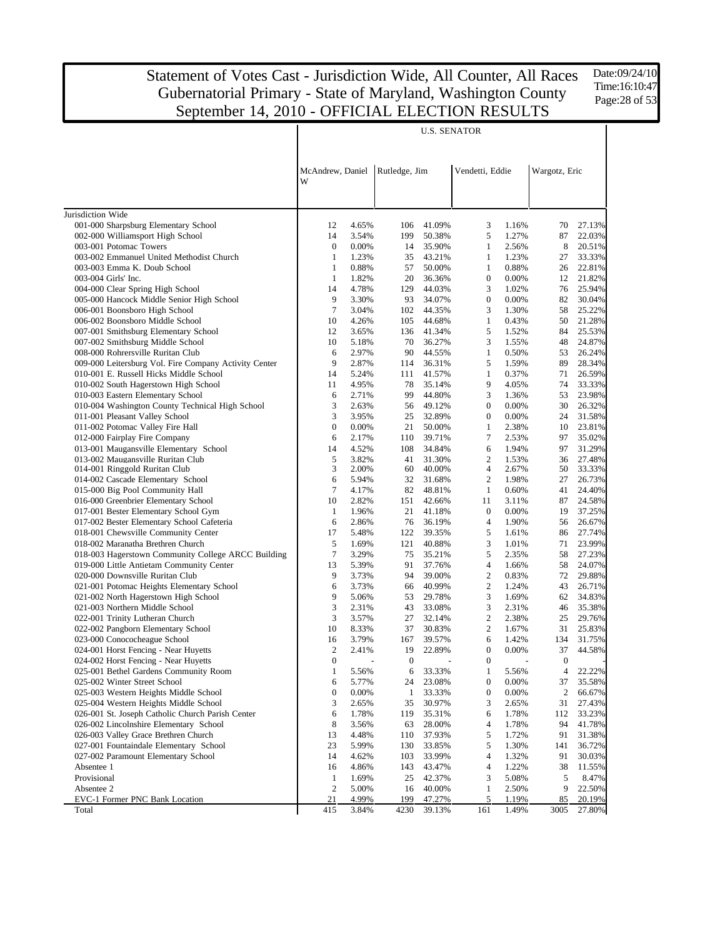Date:09/24/10 Time:16:10:47 Page:28 of 53

| Vendetti, Eddie<br>McAndrew, Daniel<br>Rutledge, Jim<br>Wargotz, Eric<br>W                                                                                                                                          |                  |
|---------------------------------------------------------------------------------------------------------------------------------------------------------------------------------------------------------------------|------------------|
|                                                                                                                                                                                                                     |                  |
|                                                                                                                                                                                                                     |                  |
| Jurisdiction Wide                                                                                                                                                                                                   |                  |
| 001-000 Sharpsburg Elementary School<br>12<br>4.65%<br>41.09%<br>3<br>1.16%<br>70<br>106                                                                                                                            | 27.13%           |
| 002-000 Williamsport High School<br>14<br>3.54%<br>199<br>50.38%<br>5<br>1.27%<br>87<br>003-001 Potomac Towers<br>$\boldsymbol{0}$<br>0.00%<br>35.90%<br>$\mathbf{1}$<br>2.56%<br>8<br>14                           | 22.03%<br>20.51% |
| 003-002 Emmanuel United Methodist Church<br>1<br>1.23%<br>43.21%<br>1<br>1.23%<br>27<br>35                                                                                                                          | 33.33%           |
| 003-003 Emma K. Doub School<br>1<br>0.88%<br>57<br>50.00%<br>1<br>0.88%<br>26                                                                                                                                       | 22.81%           |
| $\boldsymbol{0}$<br>003-004 Girls' Inc.<br>1<br>1.82%<br>20<br>36.36%<br>0.00%<br>12                                                                                                                                | 21.82%           |
| 004-000 Clear Spring High School<br>14<br>4.78%<br>129<br>44.03%<br>3<br>1.02%<br>76                                                                                                                                | 25.94%           |
| 9<br>$\boldsymbol{0}$<br>005-000 Hancock Middle Senior High School<br>3.30%<br>93<br>34.07%<br>0.00%<br>82                                                                                                          | 30.04%           |
| $\tau$<br>006-001 Boonsboro High School<br>3.04%<br>44.35%<br>3<br>1.30%<br>58<br>102                                                                                                                               | 25.22%           |
| 006-002 Boonsboro Middle School<br>10<br>4.26%<br>44.68%<br>$\mathbf{1}$<br>0.43%<br>50<br>105                                                                                                                      | 21.28%           |
| 5<br>007-001 Smithsburg Elementary School<br>12<br>3.65%<br>41.34%<br>1.52%<br>84<br>136                                                                                                                            | 25.53%           |
| 3<br>007-002 Smithsburg Middle School<br>10<br>5.18%<br>70<br>36.27%<br>1.55%<br>48                                                                                                                                 | 24.87%           |
| 008-000 Rohrersville Ruritan Club<br>6<br>2.97%<br>90<br>44.55%<br>$\mathbf{1}$<br>0.50%<br>53                                                                                                                      | 26.24%           |
| 9<br>009-000 Leitersburg Vol. Fire Company Activity Center<br>2.87%<br>36.31%<br>5<br>1.59%<br>89<br>114                                                                                                            | 28.34%           |
| 71<br>010-001 E. Russell Hicks Middle School<br>14<br>5.24%<br>41.57%<br>$\mathbf{1}$<br>0.37%<br>111                                                                                                               | 26.59%           |
| 9<br>74<br>010-002 South Hagerstown High School<br>11<br>4.95%<br>78<br>35.14%<br>4.05%                                                                                                                             | 33.33%           |
| 010-003 Eastern Elementary School<br>6<br>2.71%<br>99<br>44.80%<br>3<br>1.36%<br>53                                                                                                                                 | 23.98%           |
| 010-004 Washington County Technical High School<br>3<br>2.63%<br>49.12%<br>$\boldsymbol{0}$<br>0.00%<br>30<br>56<br>3<br>011-001 Pleasant Valley School<br>3.95%<br>25<br>32.89%<br>$\boldsymbol{0}$<br>0.00%<br>24 | 26.32%<br>31.58% |
| $\boldsymbol{0}$<br>011-002 Potomac Valley Fire Hall<br>0.00%<br>21<br>50.00%<br>$\mathbf{1}$<br>2.38%<br>10                                                                                                        | 23.81%           |
| 7<br>012-000 Fairplay Fire Company<br>6<br>2.17%<br>39.71%<br>2.53%<br>97<br>110                                                                                                                                    | 35.02%           |
| 97<br>013-001 Maugansville Elementary School<br>14<br>4.52%<br>108<br>34.84%<br>6<br>1.94%                                                                                                                          | 31.29%           |
| 5<br>$\overline{2}$<br>013-002 Maugansville Ruritan Club<br>3.82%<br>41<br>31.30%<br>1.53%<br>36                                                                                                                    | 27.48%           |
| 3<br>014-001 Ringgold Ruritan Club<br>2.00%<br>40.00%<br>4<br>2.67%<br>50<br>60                                                                                                                                     | 33.33%           |
| $\overline{2}$<br>014-002 Cascade Elementary School<br>6<br>5.94%<br>32<br>31.68%<br>1.98%<br>27                                                                                                                    | 26.73%           |
| 7<br>0.60%<br>015-000 Big Pool Community Hall<br>4.17%<br>82<br>48.81%<br>1<br>41                                                                                                                                   | 24.40%           |
| 10<br>2.82%<br>87<br>016-000 Greenbrier Elementary School<br>151<br>42.66%<br>11<br>3.11%                                                                                                                           | 24.58%           |
| 017-001 Bester Elementary School Gym<br>$\mathbf{1}$<br>$\boldsymbol{0}$<br>0.00%<br>19<br>1.96%<br>21<br>41.18%                                                                                                    | 37.25%           |
| 017-002 Bester Elementary School Cafeteria<br>6<br>2.86%<br>76<br>36.19%<br>$\overline{4}$<br>1.90%<br>56                                                                                                           | 26.67%           |
| 018-001 Chewsville Community Center<br>17<br>5<br>5.48%<br>122<br>39.35%<br>1.61%<br>86                                                                                                                             | 27.74%           |
| 5<br>3<br>018-002 Maranatha Brethren Church<br>1.69%<br>121<br>40.88%<br>1.01%<br>71                                                                                                                                | 23.99%           |
| 7<br>3.29%<br>5<br>58<br>018-003 Hagerstown Community College ARCC Building<br>75<br>35.21%<br>2.35%                                                                                                                | 27.23%           |
| 13<br>$\overline{4}$<br>58<br>019-000 Little Antietam Community Center<br>5.39%<br>91<br>37.76%<br>1.66%                                                                                                            | 24.07%           |
| 9<br>$\overline{2}$<br>020-000 Downsville Ruritan Club<br>3.73%<br>94<br>39.00%<br>0.83%<br>72                                                                                                                      | 29.88%           |
| 6<br>40.99%<br>$\overline{2}$<br>021-001 Potomac Heights Elementary School<br>3.73%<br>1.24%<br>43<br>66                                                                                                            | 26.71%           |
| 9<br>3<br>021-002 North Hagerstown High School<br>5.06%<br>53<br>29.78%<br>1.69%<br>62<br>3<br>3                                                                                                                    | 34.83%           |
| 021-003 Northern Middle School<br>2.31%<br>43<br>33.08%<br>2.31%<br>46<br>3<br>$\overline{c}$<br>2.38%<br>022-001 Trinity Lutheran Church<br>3.57%<br>27<br>32.14%<br>25                                            | 35.38%<br>29.76% |
| 10<br>$\overline{c}$<br>1.67%<br>022-002 Pangborn Elementary School<br>8.33%<br>37<br>30.83%<br>31                                                                                                                  | 25.83%           |
| 3.79%<br>39.57%<br>1.42%<br>023-000 Conococheague School<br>16<br>167<br>6<br>134                                                                                                                                   | 31.75%           |
| $\overline{c}$<br>2.41%<br>19<br>22.89%<br>$0.00\%$<br>37<br>024-001 Horst Fencing - Near Huyetts<br>$\overline{0}$                                                                                                 | 44.58%           |
| $\boldsymbol{0}$<br>$\boldsymbol{0}$<br>$\boldsymbol{0}$<br>024-002 Horst Fencing - Near Huyetts<br>$\boldsymbol{0}$                                                                                                |                  |
| 025-001 Bethel Gardens Community Room<br>$\mathbf{1}$<br>5.56%<br>33.33%<br>$\mathbf{1}$<br>5.56%<br>6<br>4                                                                                                         | 22.22%           |
| 025-002 Winter Street School<br>5.77%<br>23.08%<br>$\boldsymbol{0}$<br>0.00%<br>37<br>6<br>24                                                                                                                       | 35.58%           |
| $\boldsymbol{0}$<br>0.00%<br>$\mathbf{1}$<br>$\boldsymbol{0}$<br>0.00%<br>2<br>025-003 Western Heights Middle School<br>33.33%                                                                                      | 66.67%           |
| 3<br>3<br>025-004 Western Heights Middle School<br>35<br>30.97%<br>31<br>2.65%<br>2.65%                                                                                                                             | 27.43%           |
| 026-001 St. Joseph Catholic Church Parish Center<br>6<br>1.78%<br>119<br>35.31%<br>1.78%<br>112<br>6                                                                                                                | 33.23%           |
| 8<br>026-002 Lincolnshire Elementary School<br>28.00%<br>4<br>1.78%<br>94<br>3.56%<br>63                                                                                                                            | 41.78%           |
| 5<br>026-003 Valley Grace Brethren Church<br>13<br>4.48%<br>37.93%<br>1.72%<br>91<br>110                                                                                                                            | 31.38%           |
| 5<br>027-001 Fountaindale Elementary School<br>23<br>5.99%<br>33.85%<br>1.30%<br>130<br>141                                                                                                                         | 36.72%           |
| 027-002 Paramount Elementary School<br>14<br>4.62%<br>$\overline{4}$<br>1.32%<br>91<br>103<br>33.99%                                                                                                                | 30.03%           |
| $\overline{4}$<br>1.22%<br>38<br>Absentee 1<br>16<br>4.86%<br>143<br>43.47%                                                                                                                                         | 11.55%           |
| 5<br>Provisional<br>1.69%<br>25<br>3<br>5.08%<br>$\mathbf{1}$<br>42.37%                                                                                                                                             | 8.47%            |
| $\boldsymbol{2}$<br>9<br>Absentee 2<br>5.00%<br>2.50%<br>16<br>40.00%<br>$\mathbf{1}$                                                                                                                               | 22.50%           |
| 85<br>EVC-1 Former PNC Bank Location<br>21<br>4.99%<br>199<br>47.27%<br>5<br>1.19%<br>415<br>3.84%<br>4230<br>161<br>3005<br>Total<br>39.13%<br>1.49%                                                               | 20.19%<br>27.80% |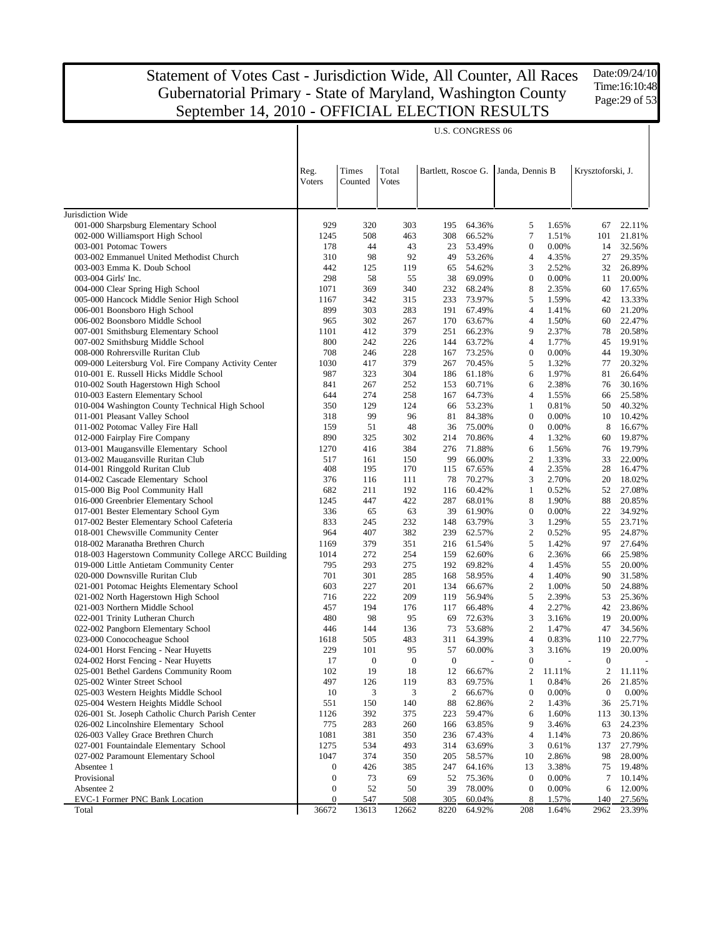Date:09/24/10 Time:16:10:48 Page:29 of 53

|                                                                                                 |                  |                  |                       |                  | <b>U.S. CONGRESS 06</b> |                                     |                |                   |                  |
|-------------------------------------------------------------------------------------------------|------------------|------------------|-----------------------|------------------|-------------------------|-------------------------------------|----------------|-------------------|------------------|
|                                                                                                 | Reg.<br>Voters   | Times<br>Counted | Total<br><b>Votes</b> |                  |                         | Bartlett, Roscoe G. Janda, Dennis B |                | Krysztoforski, J. |                  |
| Jurisdiction Wide                                                                               |                  |                  |                       |                  |                         |                                     |                |                   |                  |
| 001-000 Sharpsburg Elementary School                                                            | 929              | 320              | 303                   | 195              | 64.36%                  | 5                                   | 1.65%          | 67                | 22.11%           |
| 002-000 Williamsport High School                                                                | 1245             | 508              | 463                   | 308              | 66.52%                  | $\tau$                              | 1.51%          | 101               | 21.81%           |
| 003-001 Potomac Towers                                                                          | 178              | 44               | 43                    | 23               | 53.49%                  | $\mathbf{0}$                        | 0.00%          | 14                | 32.56%           |
| 003-002 Emmanuel United Methodist Church                                                        | 310              | 98               | 92                    | 49               | 53.26%                  | $\overline{4}$                      | 4.35%          | 27                | 29.35%           |
| 003-003 Emma K. Doub School                                                                     | 442              | 125              | 119                   | 65               | 54.62%                  | 3                                   | 2.52%          | 32                | 26.89%           |
| 003-004 Girls' Inc.                                                                             | 298              | 58               | 55                    | 38               | 69.09%                  | $\mathbf{0}$                        | 0.00%          | 11                | 20.00%           |
| 004-000 Clear Spring High School                                                                | 1071             | 369              | 340                   | 232              | 68.24%                  | 8                                   | 2.35%          | 60                | 17.65%           |
| 005-000 Hancock Middle Senior High School                                                       | 1167             | 342              | 315                   | 233              | 73.97%                  | 5                                   | 1.59%          | 42                | 13.33%           |
| 006-001 Boonsboro High School                                                                   | 899              | 303              | 283                   | 191              | 67.49%                  | $\overline{4}$                      | 1.41%          | 60                | 21.20%           |
| 006-002 Boonsboro Middle School                                                                 | 965              | 302              | 267                   | 170              | 63.67%                  | $\overline{4}$<br>9                 | 1.50%          | 60                | 22.47%           |
| 007-001 Smithsburg Elementary School                                                            | 1101<br>800      | 412              | 379                   | 251<br>144       | 66.23%<br>63.72%        | $\overline{4}$                      | 2.37%          | 78<br>45          | 20.58%           |
| 007-002 Smithsburg Middle School<br>008-000 Rohrersville Ruritan Club                           | 708              | 242<br>246       | 226<br>228            | 167              | 73.25%                  | $\boldsymbol{0}$                    | 1.77%<br>0.00% | 44                | 19.91%<br>19.30% |
|                                                                                                 | 1030             | 417              | 379                   | 267              | 70.45%                  | 5                                   | 1.32%          | 77                | 20.32%           |
| 009-000 Leitersburg Vol. Fire Company Activity Center<br>010-001 E. Russell Hicks Middle School | 987              | 323              | 304                   | 186              | 61.18%                  | 6                                   | 1.97%          | 81                | 26.64%           |
| 010-002 South Hagerstown High School                                                            | 841              | 267              | 252                   | 153              | 60.71%                  | 6                                   | 2.38%          | 76                | 30.16%           |
| 010-003 Eastern Elementary School                                                               | 644              | 274              | 258                   | 167              | 64.73%                  | $\overline{4}$                      | 1.55%          | 66                | 25.58%           |
| 010-004 Washington County Technical High School                                                 | 350              | 129              | 124                   | 66               | 53.23%                  | 1                                   | 0.81%          | 50                | 40.32%           |
| 011-001 Pleasant Valley School                                                                  | 318              | 99               | 96                    | 81               | 84.38%                  | $\mathbf{0}$                        | 0.00%          | 10                | 10.42%           |
| 011-002 Potomac Valley Fire Hall                                                                | 159              | 51               | 48                    | 36               | 75.00%                  | $\boldsymbol{0}$                    | 0.00%          | 8                 | 16.67%           |
| 012-000 Fairplay Fire Company                                                                   | 890              | 325              | 302                   | 214              | 70.86%                  | $\overline{4}$                      | 1.32%          | 60                | 19.87%           |
| 013-001 Maugansville Elementary School                                                          | 1270             | 416              | 384                   | 276              | 71.88%                  | 6                                   | 1.56%          | 76                | 19.79%           |
| 013-002 Maugansville Ruritan Club                                                               | 517              | 161              | 150                   | 99               | 66.00%                  | $\mathbf{2}$                        | 1.33%          | 33                | 22.00%           |
| 014-001 Ringgold Ruritan Club                                                                   | 408              | 195              | 170                   | 115              | 67.65%                  | $\overline{4}$                      | 2.35%          | 28                | 16.47%           |
| 014-002 Cascade Elementary School                                                               | 376              | 116              | 111                   | 78               | 70.27%                  | 3                                   | 2.70%          | 20                | 18.02%           |
| 015-000 Big Pool Community Hall                                                                 | 682              | 211              | 192                   | 116              | 60.42%                  | $\mathbf{1}$                        | 0.52%          | 52                | 27.08%           |
| 016-000 Greenbrier Elementary School                                                            | 1245             | 447              | 422                   | 287              | 68.01%                  | 8                                   | 1.90%          | 88                | 20.85%           |
| 017-001 Bester Elementary School Gym                                                            | 336              | 65               | 63                    | 39               | 61.90%                  | $\boldsymbol{0}$                    | 0.00%          | 22                | 34.92%           |
| 017-002 Bester Elementary School Cafeteria                                                      | 833              | 245              | 232                   | 148              | 63.79%                  | 3                                   | 1.29%          | 55                | 23.71%           |
| 018-001 Chewsville Community Center                                                             | 964              | 407              | 382                   | 239              | 62.57%                  | $\overline{2}$                      | 0.52%          | 95                | 24.87%           |
| 018-002 Maranatha Brethren Church                                                               | 1169             | 379              | 351                   | 216              | 61.54%                  | 5                                   | 1.42%          | 97                | 27.64%           |
| 018-003 Hagerstown Community College ARCC Building                                              | 1014             | 272              | 254                   | 159              | 62.60%                  | 6                                   | 2.36%          | 66                | 25.98%           |
| 019-000 Little Antietam Community Center                                                        | 795              | 293              | 275                   | 192              | 69.82%                  | $\overline{4}$                      | 1.45%          | 55                | 20.00%           |
| 020-000 Downsville Ruritan Club                                                                 | 701              | 301              | 285                   | 168              | 58.95%                  | $\overline{4}$                      | 1.40%          | 90                | 31.58%           |
| 021-001 Potomac Heights Elementary School                                                       | 603              | 227              | 201                   | 134              | 66.67%                  | $\overline{2}$                      | 1.00%          | 50                | 24.88%           |
| 021-002 North Hagerstown High School                                                            | 716              | 222              | 209                   | 119              | 56.94%                  | 5                                   | 2.39%          | 53                | 25.36%           |
| 021-003 Northern Middle School                                                                  | 457              | 194              | 176                   | 117              | 66.48%<br>72.63%        | $\overline{4}$                      | 2.27%          | 42                | 23.86%           |
| 022-001 Trinity Lutheran Church<br>022-002 Pangborn Elementary School                           | 480<br>446       | 98<br>144        | 95<br>136             | 69<br>73         | 53.68%                  | 3<br>$\overline{2}$                 | 3.16%<br>1.47% | 19<br>47          | 20.00%<br>34.56% |
| 023-000 Conococheague School                                                                    | 1618             | 505              | 483                   | 311              | 64.39%                  | $\overline{4}$                      | 0.83%          | 110               | 22.77%           |
| 024-001 Horst Fencing - Near Huyetts                                                            | 229              | 101              | 95                    | 57               | 60.00%                  | 3                                   | 3.16%          | 19                | 20.00%           |
|                                                                                                 | 17               | $\theta$         | $\theta$              | $\theta$         |                         | $\boldsymbol{0}$                    |                | $\theta$          |                  |
| 024-002 Horst Fencing - Near Huyetts<br>025-001 Bethel Gardens Community Room                   | 102              | 19               | 18                    | 12               | 66.67%                  | $\boldsymbol{2}$                    | 11.11%         | $\boldsymbol{2}$  | 11.11%           |
| 025-002 Winter Street School                                                                    | 497              | 126              | 119                   | 83               | 69.75%                  | $\mathbf{1}$                        | 0.84%          | 26                | 21.85%           |
| 025-003 Western Heights Middle School                                                           | 10               | 3                | 3                     | $\boldsymbol{2}$ | 66.67%                  | $\boldsymbol{0}$                    | 0.00%          | $\boldsymbol{0}$  | 0.00%            |
| 025-004 Western Heights Middle School                                                           | 551              | 150              | 140                   | 88               | 62.86%                  | $\overline{2}$                      | 1.43%          | 36                | 25.71%           |
| 026-001 St. Joseph Catholic Church Parish Center                                                | 1126             | 392              | 375                   | 223              | 59.47%                  | 6                                   | 1.60%          | 113               | 30.13%           |
| 026-002 Lincolnshire Elementary School                                                          | 775              | 283              | 260                   | 166              | 63.85%                  | 9                                   | 3.46%          | 63                | 24.23%           |
| 026-003 Valley Grace Brethren Church                                                            | 1081             | 381              | 350                   | 236              | 67.43%                  | $\overline{4}$                      | 1.14%          | 73                | 20.86%           |
| 027-001 Fountaindale Elementary School                                                          | 1275             | 534              | 493                   | 314              | 63.69%                  | 3                                   | 0.61%          | 137               | 27.79%           |
| 027-002 Paramount Elementary School                                                             | 1047             | 374              | 350                   | 205              | 58.57%                  | 10                                  | 2.86%          | 98                | 28.00%           |
| Absentee 1                                                                                      | $\boldsymbol{0}$ | 426              | 385                   | 247              | 64.16%                  | 13                                  | 3.38%          | 75                | 19.48%           |
| Provisional                                                                                     | $\boldsymbol{0}$ | 73               | 69                    | 52               | 75.36%                  | $\bf{0}$                            | 0.00%          | 7                 | 10.14%           |
| Absentee 2                                                                                      | $\boldsymbol{0}$ | 52               | 50                    | 39               | 78.00%                  | $\boldsymbol{0}$                    | 0.00%          | 6                 | 12.00%           |
| EVC-1 Former PNC Bank Location                                                                  | $\boldsymbol{0}$ | 547              | 508                   | 305              | 60.04%                  | 8                                   | 1.57%          | 140               | 27.56%           |
| Total                                                                                           | 36672            | 13613            | 12662                 | 8220             | 64.92%                  | 208                                 | 1.64%          | 2962              | 23.39%           |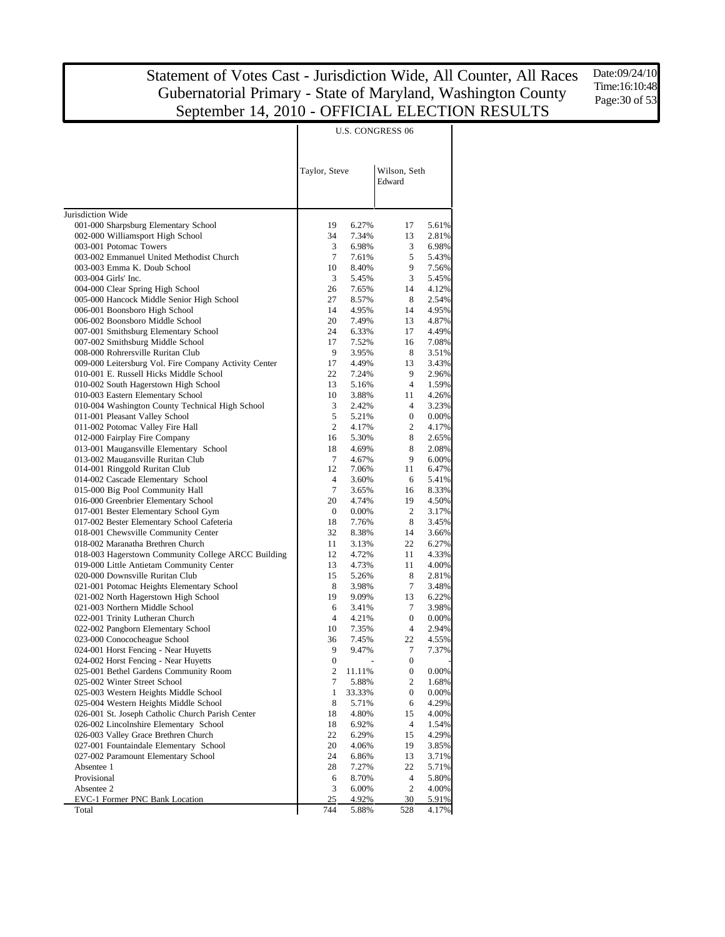Date:09/24/10 Time:16:10:48 Page:30 of 53

|                                                                                |                  | U.S. CONGRESS 06 |                        |                |  |  |  |
|--------------------------------------------------------------------------------|------------------|------------------|------------------------|----------------|--|--|--|
|                                                                                | Taylor, Steve    |                  | Wilson, Seth<br>Edward |                |  |  |  |
| Jurisdiction Wide                                                              |                  |                  |                        |                |  |  |  |
| 001-000 Sharpsburg Elementary School                                           | 19               | 6.27%            | 17                     | 5.61%          |  |  |  |
| 002-000 Williamsport High School                                               | 34               | 7.34%            | 13                     | 2.81%          |  |  |  |
| 003-001 Potomac Towers                                                         | 3                | 6.98%            | 3                      | 6.98%          |  |  |  |
| 003-002 Emmanuel United Methodist Church                                       | $\tau$           | 7.61%            | 5                      | 5.43%          |  |  |  |
| 003-003 Emma K. Doub School                                                    | 10               | 8.40%            | 9                      | 7.56%          |  |  |  |
| 003-004 Girls' Inc.<br>004-000 Clear Spring High School                        | 3<br>26          | 5.45%<br>7.65%   | 3<br>14                | 5.45%<br>4.12% |  |  |  |
| 005-000 Hancock Middle Senior High School                                      | 27               | 8.57%            | 8                      | 2.54%          |  |  |  |
| 006-001 Boonsboro High School                                                  | 14               | 4.95%            | 14                     | 4.95%          |  |  |  |
| 006-002 Boonsboro Middle School                                                | 20               | 7.49%            | 13                     | 4.87%          |  |  |  |
| 007-001 Smithsburg Elementary School                                           | 24               | 6.33%            | 17                     | 4.49%          |  |  |  |
| 007-002 Smithsburg Middle School                                               | 17               | 7.52%            | 16                     | 7.08%          |  |  |  |
| 008-000 Rohrersville Ruritan Club                                              | 9                | 3.95%            | 8                      | 3.51%          |  |  |  |
| 009-000 Leitersburg Vol. Fire Company Activity Center                          | 17               | 4.49%            | 13                     | 3.43%          |  |  |  |
| 010-001 E. Russell Hicks Middle School                                         | 22               | 7.24%            | 9                      | 2.96%          |  |  |  |
| 010-002 South Hagerstown High School                                           | 13               | 5.16%            | 4                      | 1.59%          |  |  |  |
| 010-003 Eastern Elementary School                                              | 10               | 3.88%            | 11                     | 4.26%          |  |  |  |
| 010-004 Washington County Technical High School                                | 3                | 2.42%            | 4                      | 3.23%          |  |  |  |
| 011-001 Pleasant Valley School                                                 | 5                | 5.21%            | 0                      | 0.00%          |  |  |  |
| 011-002 Potomac Valley Fire Hall                                               | 2                | 4.17%            | 2<br>8                 | 4.17%          |  |  |  |
| 012-000 Fairplay Fire Company<br>013-001 Maugansville Elementary School        | 16<br>18         | 5.30%<br>4.69%   | 8                      | 2.65%<br>2.08% |  |  |  |
| 013-002 Maugansville Ruritan Club                                              | $\tau$           | 4.67%            | 9                      | 6.00%          |  |  |  |
| 014-001 Ringgold Ruritan Club                                                  | 12               | 7.06%            | 11                     | 6.47%          |  |  |  |
| 014-002 Cascade Elementary School                                              | $\overline{4}$   | 3.60%            | 6                      | 5.41%          |  |  |  |
| 015-000 Big Pool Community Hall                                                | 7                | 3.65%            | 16                     | 8.33%          |  |  |  |
| 016-000 Greenbrier Elementary School                                           | 20               | 4.74%            | 19                     | 4.50%          |  |  |  |
| 017-001 Bester Elementary School Gym                                           | $\boldsymbol{0}$ | 0.00%            | $\overline{c}$         | 3.17%          |  |  |  |
| 017-002 Bester Elementary School Cafeteria                                     | 18               | 7.76%            | 8                      | 3.45%          |  |  |  |
| 018-001 Chewsville Community Center                                            | 32               | 8.38%            | 14                     | 3.66%          |  |  |  |
| 018-002 Maranatha Brethren Church                                              | 11               | 3.13%            | 22                     | 6.27%          |  |  |  |
| 018-003 Hagerstown Community College ARCC Building                             | 12               | 4.72%            | 11                     | 4.33%          |  |  |  |
| 019-000 Little Antietam Community Center                                       | 13               | 4.73%            | 11                     | 4.00%          |  |  |  |
| 020-000 Downsville Ruritan Club<br>021-001 Potomac Heights Elementary School   | 15<br>8          | 5.26%<br>3.98%   | 8<br>7                 | 2.81%<br>3.48% |  |  |  |
| 021-002 North Hagerstown High School                                           | 19               | 9.09%            | 13                     | 6.22%          |  |  |  |
| 021-003 Northern Middle School                                                 | 6                | 3.41%            | 7                      | 3.98%          |  |  |  |
| 022-001 Trinity Lutheran Church                                                | $\overline{4}$   | 4.21%            | $\mathbf{0}$           | 0.00%          |  |  |  |
| 022-002 Pangborn Elementary School                                             | 10               | 7.35%            | 4                      | 2.94%          |  |  |  |
| 023-000 Conococheague School                                                   | 36               | 7.45%            | 22                     | 4.55%          |  |  |  |
| 024-001 Horst Fencing - Near Huyetts                                           | 9                | 9.47%            | 7                      | 7.37%          |  |  |  |
| 024-002 Horst Fencing - Near Huyetts                                           | $\mathbf{0}$     |                  | $\mathbf{0}$           |                |  |  |  |
| 025-001 Bethel Gardens Community Room                                          | $\boldsymbol{2}$ | 11.11%           | 0                      | 0.00%          |  |  |  |
| 025-002 Winter Street School                                                   | 7                | 5.88%            | 2                      | 1.68%          |  |  |  |
| 025-003 Western Heights Middle School                                          | 1                | 33.33%           | $\boldsymbol{0}$       | 0.00%          |  |  |  |
| 025-004 Western Heights Middle School                                          | 8                | 5.71%            | 6                      | 4.29%          |  |  |  |
| 026-001 St. Joseph Catholic Church Parish Center                               | 18               | 4.80%            | 15                     | 4.00%          |  |  |  |
| 026-002 Lincolnshire Elementary School<br>026-003 Valley Grace Brethren Church | 18<br>22         | 6.92%<br>6.29%   | $\overline{4}$<br>15   | 1.54%<br>4.29% |  |  |  |
| 027-001 Fountaindale Elementary School                                         | 20               |                  | 19                     | 3.85%          |  |  |  |
| 027-002 Paramount Elementary School                                            | 24               | 4.06%<br>6.86%   | 13                     | 3.71%          |  |  |  |
| Absentee 1                                                                     | 28               | 7.27%            | 22                     | 5.71%          |  |  |  |
| Provisional                                                                    | 6                | 8.70%            | 4                      | 5.80%          |  |  |  |
| Absentee 2                                                                     | 3                | 6.00%            | 2                      | 4.00%          |  |  |  |
| EVC-1 Former PNC Bank Location                                                 | 25               | 4.92%            | 30                     | 5.91%          |  |  |  |
| Total                                                                          | 744              | 5.88%            | 528                    | 4.17%          |  |  |  |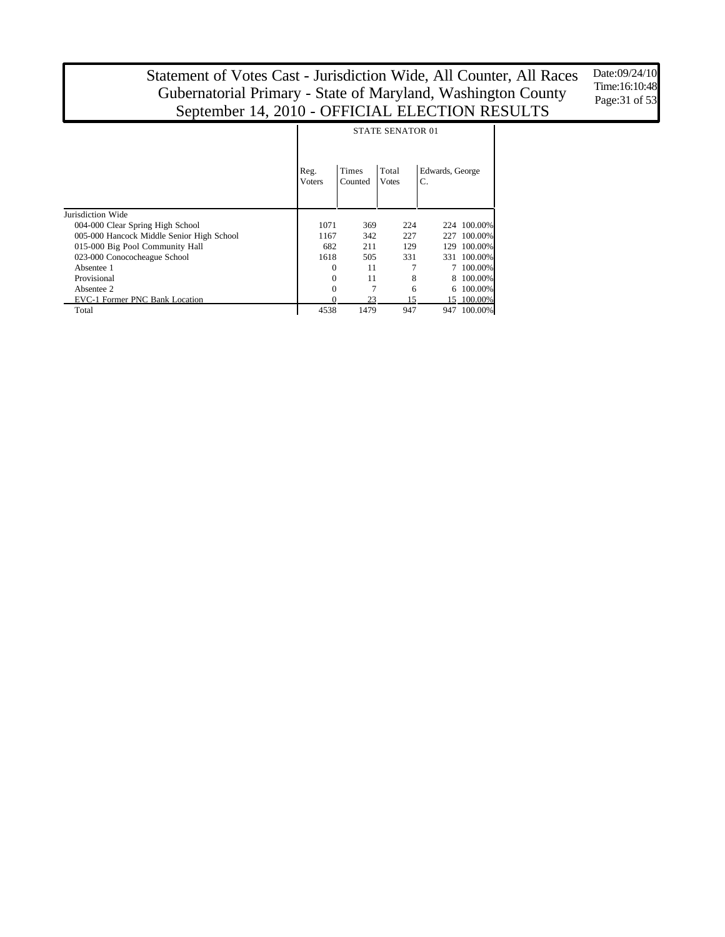Date:09/24/10 Time:16:10:48 Page:31 of 53

|                                           | <b>STATE SENATOR 01</b> |                         |                       |                       |             |  |  |  |  |  |
|-------------------------------------------|-------------------------|-------------------------|-----------------------|-----------------------|-------------|--|--|--|--|--|
|                                           | Reg.<br><b>Voters</b>   | <b>Times</b><br>Counted | Total<br><b>Votes</b> | Edwards, George<br>C. |             |  |  |  |  |  |
| Jurisdiction Wide                         |                         |                         |                       |                       |             |  |  |  |  |  |
| 004-000 Clear Spring High School          | 1071                    | 369                     | 224                   |                       | 224 100.00% |  |  |  |  |  |
| 005-000 Hancock Middle Senior High School | 1167                    | 342                     | 227                   | 227                   | 100.00%     |  |  |  |  |  |
| 015-000 Big Pool Community Hall           | 682                     | 211                     | 129                   | 129                   | 100.00%     |  |  |  |  |  |
| 023-000 Conococheague School              | 1618                    | 505                     | 331                   | 331                   | 100.00%     |  |  |  |  |  |
| Absentee 1                                | 0                       | 11                      |                       |                       | 100.00%     |  |  |  |  |  |
| Provisional                               | 0                       | 11                      | 8                     |                       | 100.00%     |  |  |  |  |  |
| Absentee 2                                | $\theta$                | 7                       | 6                     | 6                     | 100.00%     |  |  |  |  |  |
| <b>EVC-1 Former PNC Bank Location</b>     |                         | 23                      | 15                    |                       | 15 100.00%  |  |  |  |  |  |
| Total                                     | 4538                    | 1479                    | 947                   | 947                   | 100.00%     |  |  |  |  |  |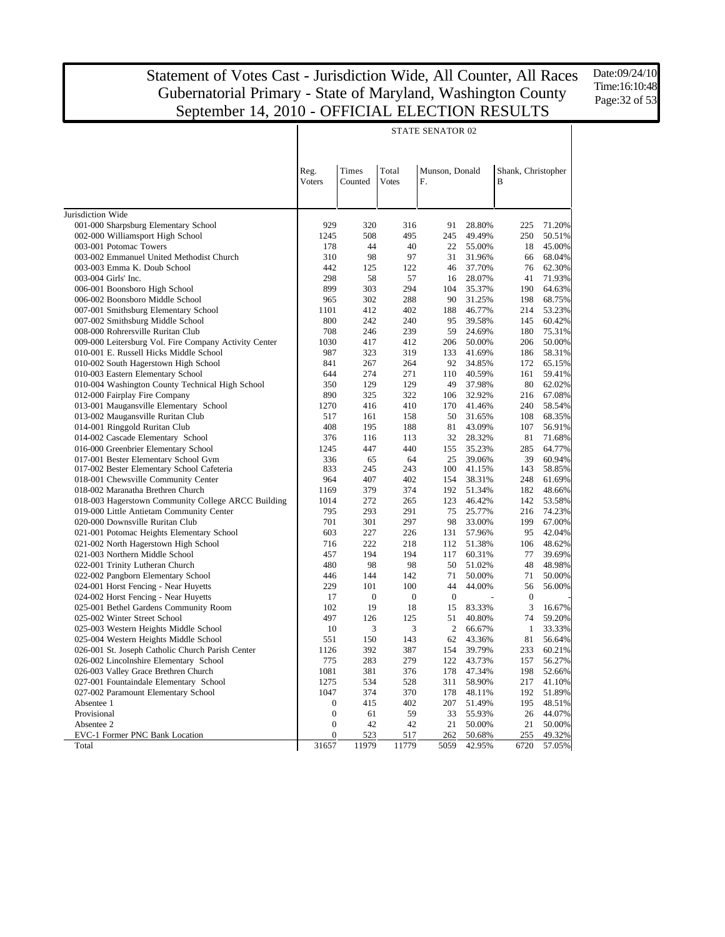Date:09/24/10 Time:16:10:48 Page:32 of 53

|                                                                          |                  |                  |                  | STATE SENATOR 02     |                  |                         |                  |
|--------------------------------------------------------------------------|------------------|------------------|------------------|----------------------|------------------|-------------------------|------------------|
|                                                                          |                  |                  |                  |                      |                  |                         |                  |
|                                                                          | Reg.<br>Voters   | Times<br>Counted | Total<br>Votes   | Munson, Donald<br>F. |                  | Shank, Christopher<br>B |                  |
|                                                                          |                  |                  |                  |                      |                  |                         |                  |
|                                                                          |                  |                  |                  |                      |                  |                         |                  |
| Jurisdiction Wide                                                        |                  |                  |                  |                      |                  |                         |                  |
| 001-000 Sharpsburg Elementary School                                     | 929              | 320              | 316              | 91                   | 28.80%           | 225                     | 71.20%           |
| 002-000 Williamsport High School                                         | 1245             | 508              | 495              | 245                  | 49.49%           | 250                     | 50.51%           |
| 003-001 Potomac Towers                                                   | 178              | 44               | 40               | 22                   | 55.00%           | 18                      | 45.00%           |
| 003-002 Emmanuel United Methodist Church                                 | 310              | 98               | 97               | 31                   | 31.96%           | 66                      | 68.04%           |
| 003-003 Emma K. Doub School                                              | 442              | 125              | 122              | 46                   | 37.70%           | 76                      | 62.30%           |
| 003-004 Girls' Inc.                                                      | 298              | 58               | 57               | 16                   | 28.07%           | 41                      | 71.93%           |
| 006-001 Boonsboro High School                                            | 899              | 303              | 294              | 104                  | 35.37%           | 190                     | 64.63%           |
| 006-002 Boonsboro Middle School                                          | 965              | 302              | 288              | 90                   | 31.25%           | 198                     | 68.75%           |
| 007-001 Smithsburg Elementary School                                     | 1101             | 412              | 402              | 188                  | 46.77%           | 214                     | 53.23%           |
| 007-002 Smithsburg Middle School                                         | 800              | 242              | 240              | 95                   | 39.58%           | 145                     | 60.42%           |
| 008-000 Rohrersville Ruritan Club                                        | 708              | 246              | 239              | 59                   | 24.69%           | 180                     | 75.31%           |
| 009-000 Leitersburg Vol. Fire Company Activity Center                    | 1030             | 417              | 412              | 206                  | 50.00%           | 206                     | 50.00%           |
| 010-001 E. Russell Hicks Middle School                                   | 987              | 323              | 319              | 133                  | 41.69%           | 186                     | 58.31%           |
| 010-002 South Hagerstown High School                                     | 841              | 267              | 264              | 92                   | 34.85%           | 172                     | 65.15%           |
| 010-003 Eastern Elementary School                                        | 644              | 274              | 271              | 110                  | 40.59%           | 161                     | 59.41%           |
| 010-004 Washington County Technical High School                          | 350              | 129              | 129              | 49                   | 37.98%           | 80                      | 62.02%           |
| 012-000 Fairplay Fire Company                                            | 890              | 325              | 322              | 106                  | 32.92%           | 216                     | 67.08%           |
| 013-001 Maugansville Elementary School                                   | 1270             | 416              | 410              | 170                  | 41.46%           | 240                     | 58.54%           |
| 013-002 Maugansville Ruritan Club                                        | 517              | 161              | 158              | 50                   | 31.65%           | 108                     | 68.35%           |
| 014-001 Ringgold Ruritan Club                                            | 408              | 195              | 188              | 81                   | 43.09%           | 107                     | 56.91%           |
| 014-002 Cascade Elementary School                                        | 376              | 116              | 113              | 32                   | 28.32%           | 81                      | 71.68%           |
| 016-000 Greenbrier Elementary School                                     | 1245             | 447              | 440              | 155                  | 35.23%           | 285                     | 64.77%           |
| 017-001 Bester Elementary School Gym                                     | 336              | 65<br>245        | 64               | 25<br>100            | 39.06%           | 39                      | 60.94%           |
| 017-002 Bester Elementary School Cafeteria                               | 833<br>964       | 407              | 243<br>402       | 154                  | 41.15%<br>38.31% | 143<br>248              | 58.85%<br>61.69% |
| 018-001 Chewsville Community Center<br>018-002 Maranatha Brethren Church | 1169             | 379              | 374              | 192                  | 51.34%           | 182                     | 48.66%           |
| 018-003 Hagerstown Community College ARCC Building                       | 1014             | 272              | 265              | 123                  | 46.42%           | 142                     | 53.58%           |
| 019-000 Little Antietam Community Center                                 | 795              | 293              | 291              | 75                   | 25.77%           | 216                     | 74.23%           |
| 020-000 Downsville Ruritan Club                                          | 701              | 301              | 297              | 98                   | 33.00%           | 199                     | 67.00%           |
| 021-001 Potomac Heights Elementary School                                | 603              | 227              | 226              | 131                  | 57.96%           | 95                      | 42.04%           |
| 021-002 North Hagerstown High School                                     | 716              | 222              | 218              | 112                  | 51.38%           | 106                     | 48.62%           |
| 021-003 Northern Middle School                                           | 457              | 194              | 194              | 117                  | 60.31%           | 77                      | 39.69%           |
| 022-001 Trinity Lutheran Church                                          | 480              | 98               | 98               | 50                   | 51.02%           | 48                      | 48.98%           |
| 022-002 Pangborn Elementary School                                       | 446              | 144              | 142              | 71                   | 50.00%           | 71                      | 50.00%           |
| 024-001 Horst Fencing - Near Huyetts                                     | 229              | 101              | 100              | 44                   | 44.00%           | 56                      | 56.00%           |
| 024-002 Horst Fencing - Near Huyetts                                     | 17               | $\boldsymbol{0}$ | $\boldsymbol{0}$ | $\boldsymbol{0}$     |                  | $\boldsymbol{0}$        |                  |
| 025-001 Bethel Gardens Community Room                                    | 102              | 19               | 18               | 15                   | 83.33%           | 3                       | 16.67%           |
| 025-002 Winter Street School                                             | 497              | 126              | 125              | 51                   | 40.80%           | 74                      | 59.20%           |
| 025-003 Western Heights Middle School                                    | 10               | 3                | 3                | 2                    | 66.67%           | $\mathbf{1}$            | 33.33%           |
| 025-004 Western Heights Middle School                                    | 551              | 150              | 143              | 62                   | 43.36%           | 81                      | 56.64%           |
| 026-001 St. Joseph Catholic Church Parish Center                         | 1126             | 392              | 387              | 154                  | 39.79%           | 233                     | 60.21%           |
| 026-002 Lincolnshire Elementary School                                   | 775              | 283              | 279              | 122                  | 43.73%           | 157                     | 56.27%           |
| 026-003 Valley Grace Brethren Church                                     | 1081             | 381              | 376              | 178                  | 47.34%           | 198                     | 52.66%           |
| 027-001 Fountaindale Elementary School                                   | 1275             | 534              | 528              | 311                  | 58.90%           | 217                     | 41.10%           |
| 027-002 Paramount Elementary School                                      | 1047             | 374              | 370              | 178                  | 48.11%           | 192                     | 51.89%           |
| Absentee 1                                                               | $\boldsymbol{0}$ | 415              | 402              | 207                  | 51.49%           | 195                     | 48.51%           |
| Provisional                                                              | $\boldsymbol{0}$ | 61               | 59               | 33                   | 55.93%           | 26                      | 44.07%           |
| Absentee 2                                                               | $\boldsymbol{0}$ | 42               | 42               | 21                   | 50.00%           | 21                      | 50.00%           |
| EVC-1 Former PNC Bank Location                                           | $\boldsymbol{0}$ | 523              | 517              | 262                  | 50.68%           | 255                     | 49.32%           |
| Total                                                                    | 31657            | 11979            | 11779            | 5059                 | 42.95%           | 6720                    | 57.05%           |

#### STATE SENATOR 02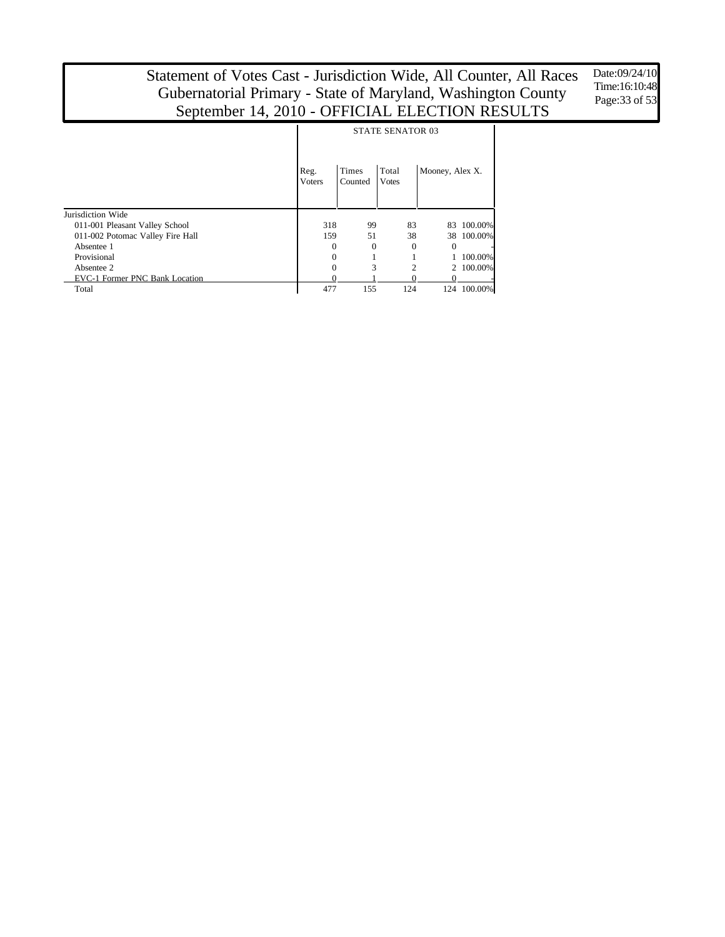Date:09/24/10 Time:16:10:48 Page: 33 of 53

|                                       |                       | <b>STATE SENATOR 03</b> |                       |                 |                          |  |  |  |  |  |  |
|---------------------------------------|-----------------------|-------------------------|-----------------------|-----------------|--------------------------|--|--|--|--|--|--|
|                                       | Reg.<br><b>Voters</b> | Times<br>Counted        | Total<br><b>Votes</b> | Mooney, Alex X. |                          |  |  |  |  |  |  |
| Jurisdiction Wide                     |                       |                         |                       |                 |                          |  |  |  |  |  |  |
| 011-001 Pleasant Valley School        | 318                   | 99                      | 83                    | 83              | 100.00%                  |  |  |  |  |  |  |
| 011-002 Potomac Valley Fire Hall      | 159                   | 51                      | 38                    |                 | 38 100,00%               |  |  |  |  |  |  |
| Absentee 1                            | 0                     | $\Omega$                | $\Omega$              | $\Omega$        | $\overline{\phantom{m}}$ |  |  |  |  |  |  |
| Provisional                           | 0                     |                         |                       |                 | 100.00%                  |  |  |  |  |  |  |
| Absentee 2                            | 0                     | 3                       | 2                     |                 | 2 100,00%                |  |  |  |  |  |  |
| <b>EVC-1 Former PNC Bank Location</b> |                       |                         |                       |                 |                          |  |  |  |  |  |  |
| Total                                 | 477                   | 155                     | 124                   | 124             | 100.00%                  |  |  |  |  |  |  |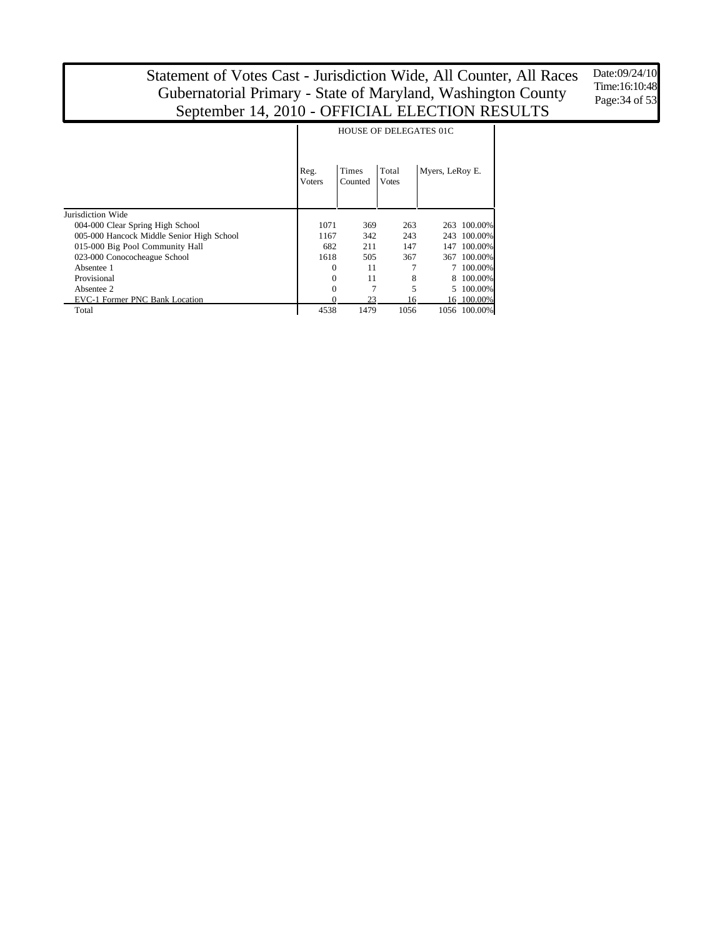Date:09/24/10 Time:16:10:48 Page:34 of 53

|                                           | <b>HOUSE OF DELEGATES 01C</b> |                  |                       |                 |              |  |  |  |  |  |
|-------------------------------------------|-------------------------------|------------------|-----------------------|-----------------|--------------|--|--|--|--|--|
|                                           | Reg.<br><b>Voters</b>         | Times<br>Counted | Total<br><b>Votes</b> | Myers, LeRoy E. |              |  |  |  |  |  |
| Jurisdiction Wide                         |                               |                  |                       |                 |              |  |  |  |  |  |
| 004-000 Clear Spring High School          | 1071                          | 369              | 263                   |                 | 263 100.00%  |  |  |  |  |  |
| 005-000 Hancock Middle Senior High School | 1167                          | 342              | 243                   | 243             | 100.00%      |  |  |  |  |  |
| 015-000 Big Pool Community Hall           | 682                           | 211              | 147                   | 147             | 100.00%      |  |  |  |  |  |
| 023-000 Conococheague School              | 1618                          | 505              | 367                   |                 | 367 100.00%  |  |  |  |  |  |
| Absentee 1                                | 0                             | 11               |                       |                 | 100.00%      |  |  |  |  |  |
| Provisional                               | 0                             | 11               | 8                     | 8               | 100.00%      |  |  |  |  |  |
| Absentee 2                                | $\theta$                      | 7                | 5                     |                 | 100.00%      |  |  |  |  |  |
| <b>EVC-1 Former PNC Bank Location</b>     | 0                             | 23               | 16                    |                 | 16 100.00%   |  |  |  |  |  |
| Total                                     | 4538                          | 1479             | 1056                  |                 | 1056 100.00% |  |  |  |  |  |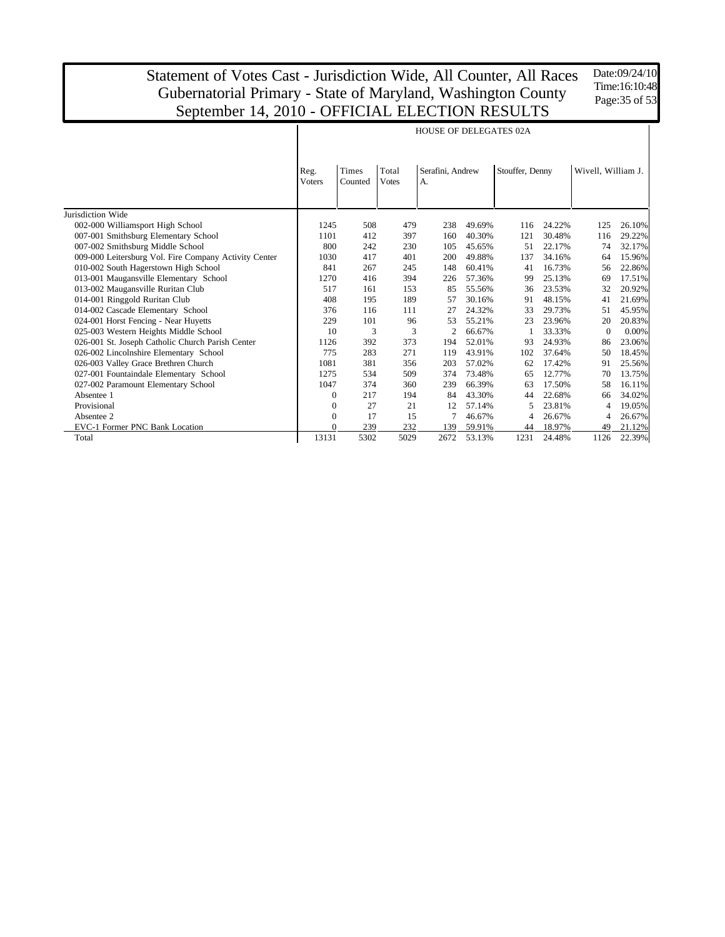Date:09/24/10 Time:16:10:48 Page: 35 of 53

|                                                       | <b>HOUSE OF DELEGATES 02A</b> |                  |                       |                        |        |                 |        |                    |        |  |  |
|-------------------------------------------------------|-------------------------------|------------------|-----------------------|------------------------|--------|-----------------|--------|--------------------|--------|--|--|
|                                                       | Reg.<br><b>Voters</b>         | Times<br>Counted | Total<br><b>Votes</b> | Serafini, Andrew<br>A. |        | Stouffer, Denny |        | Wivell, William J. |        |  |  |
| Jurisdiction Wide                                     |                               |                  |                       |                        |        |                 |        |                    |        |  |  |
| 002-000 Williamsport High School                      | 1245                          | 508              | 479                   | 238                    | 49.69% | 116             | 24.22% | 125                | 26.10% |  |  |
| 007-001 Smithsburg Elementary School                  | 1101                          | 412              | 397                   | 160                    | 40.30% | 121             | 30.48% | 116                | 29.22% |  |  |
| 007-002 Smithsburg Middle School                      | 800                           | 242              | 230                   | 105                    | 45.65% | 51              | 22.17% | 74                 | 32.17% |  |  |
| 009-000 Leitersburg Vol. Fire Company Activity Center | 1030                          | 417              | 401                   | 200                    | 49.88% | 137             | 34.16% | 64                 | 15.96% |  |  |
| 010-002 South Hagerstown High School                  | 841                           | 267              | 245                   | 148                    | 60.41% | 41              | 16.73% | 56                 | 22.86% |  |  |
| 013-001 Maugansville Elementary School                | 1270                          | 416              | 394                   | 226                    | 57.36% | 99              | 25.13% | 69                 | 17.51% |  |  |
| 013-002 Maugansville Ruritan Club                     | 517                           | 161              | 153                   | 85                     | 55.56% | 36              | 23.53% | 32                 | 20.92% |  |  |
| 014-001 Ringgold Ruritan Club                         | 408                           | 195              | 189                   | 57                     | 30.16% | 91              | 48.15% | 41                 | 21.69% |  |  |
| 014-002 Cascade Elementary School                     | 376                           | 116              | 111                   | 27                     | 24.32% | 33              | 29.73% | 51                 | 45.95% |  |  |
| 024-001 Horst Fencing - Near Huyetts                  | 229                           | 101              | 96                    | 53                     | 55.21% | 23              | 23.96% | 20                 | 20.83% |  |  |
| 025-003 Western Heights Middle School                 | 10                            | 3                | 3                     | $\overline{c}$         | 66.67% |                 | 33.33% | $\Omega$           | 0.00%  |  |  |
| 026-001 St. Joseph Catholic Church Parish Center      | 1126                          | 392              | 373                   | 194                    | 52.01% | 93              | 24.93% | 86                 | 23.06% |  |  |
| 026-002 Lincolnshire Elementary School                | 775                           | 283              | 271                   | 119                    | 43.91% | 102             | 37.64% | 50                 | 18.45% |  |  |
| 026-003 Valley Grace Brethren Church                  | 1081                          | 381              | 356                   | 203                    | 57.02% | 62              | 17.42% | 91                 | 25.56% |  |  |
| 027-001 Fountaindale Elementary School                | 1275                          | 534              | 509                   | 374                    | 73.48% | 65              | 12.77% | 70                 | 13.75% |  |  |
| 027-002 Paramount Elementary School                   | 1047                          | 374              | 360                   | 239                    | 66.39% | 63              | 17.50% | 58                 | 16.11% |  |  |
| Absentee 1                                            | $\theta$                      | 217              | 194                   | 84                     | 43.30% | 44              | 22.68% | 66                 | 34.02% |  |  |
| Provisional                                           | $\mathbf{0}$                  | 27               | 21                    | 12                     | 57.14% | 5               | 23.81% | 4                  | 19.05% |  |  |
| Absentee 2                                            | $\mathbf{0}$                  | 17               | 15                    |                        | 46.67% | 4               | 26.67% | 4                  | 26.67% |  |  |
| EVC-1 Former PNC Bank Location                        | $\Omega$                      | 239              | 232                   | 139                    | 59.91% | 44              | 18.97% | 49                 | 21.12% |  |  |
| Total                                                 | 13131                         | 5302             | 5029                  | 2672                   | 53.13% | 1231            | 24.48% | 1126               | 22.39% |  |  |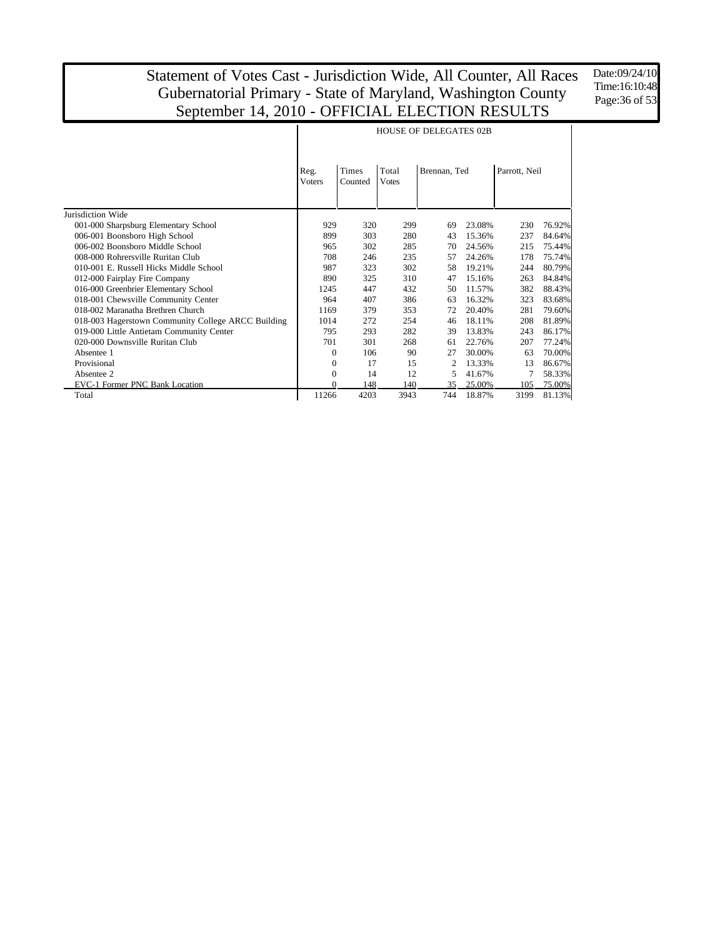Date:09/24/10 Time:16:10:48 Page:36 of 53

|                                                    |                       |                  | <b>HOUSE OF DELEGATES 02B</b> |              |        |               |        |
|----------------------------------------------------|-----------------------|------------------|-------------------------------|--------------|--------|---------------|--------|
|                                                    | Reg.<br><b>Voters</b> | Times<br>Counted | Total<br><b>Votes</b>         | Brennan, Ted |        | Parrott, Neil |        |
| Jurisdiction Wide                                  |                       |                  |                               |              |        |               |        |
| 001-000 Sharpsburg Elementary School               | 929                   | 320              | 299                           | 69           | 23.08% | 230           | 76.92% |
| 006-001 Boonsboro High School                      | 899                   | 303              | 280                           | 43           | 15.36% | 237           | 84.64% |
| 006-002 Boonsboro Middle School                    | 965                   | 302              | 285                           | 70           | 24.56% | 215           | 75.44% |
| 008-000 Rohrersville Ruritan Club                  | 708                   | 246              | 235                           | 57           | 24.26% | 178           | 75.74% |
| 010-001 F. Russell Hicks Middle School             | 987                   | 323              | 302                           | 58           | 19.21% | 244           | 80.79% |
| 012-000 Fairplay Fire Company                      | 890                   | 325              | 310                           | 47           | 15.16% | 263           | 84.84% |
| 016-000 Greenbrier Elementary School               | 1245                  | 447              | 432                           | 50           | 11.57% | 382           | 88.43% |
| 018-001 Chewsville Community Center                | 964                   | 407              | 386                           | 63           | 16.32% | 323           | 83.68% |
| 018-002 Maranatha Brethren Church                  | 1169                  | 379              | 353                           | 72           | 20.40% | 281           | 79.60% |
| 018-003 Hagerstown Community College ARCC Building | 1014                  | 272              | 254                           | 46           | 18.11% | 208           | 81.89% |
| 019-000 Little Antietam Community Center           | 795                   | 293              | 282                           | 39           | 13.83% | 243           | 86.17% |
| 020-000 Downsville Ruritan Club                    | 701                   | 301              | 268                           | 61           | 22.76% | 207           | 77.24% |
| Absentee 1                                         | $\Omega$              | 106              | 90                            | 27           | 30.00% | 63            | 70.00% |
| Provisional                                        | $\Omega$              | 17               | 15                            | 2            | 13.33% | 13            | 86.67% |
| Absentee 2                                         | $\Omega$              | 14               | 12                            | 5            | 41.67% | 7             | 58.33% |
| EVC-1 Former PNC Bank Location                     |                       | 148              | 140                           | 35           | 25.00% | 105           | 75.00% |
| Total                                              | 11266                 | 4203             | 3943                          | 744          | 18.87% | 3199          | 81.13% |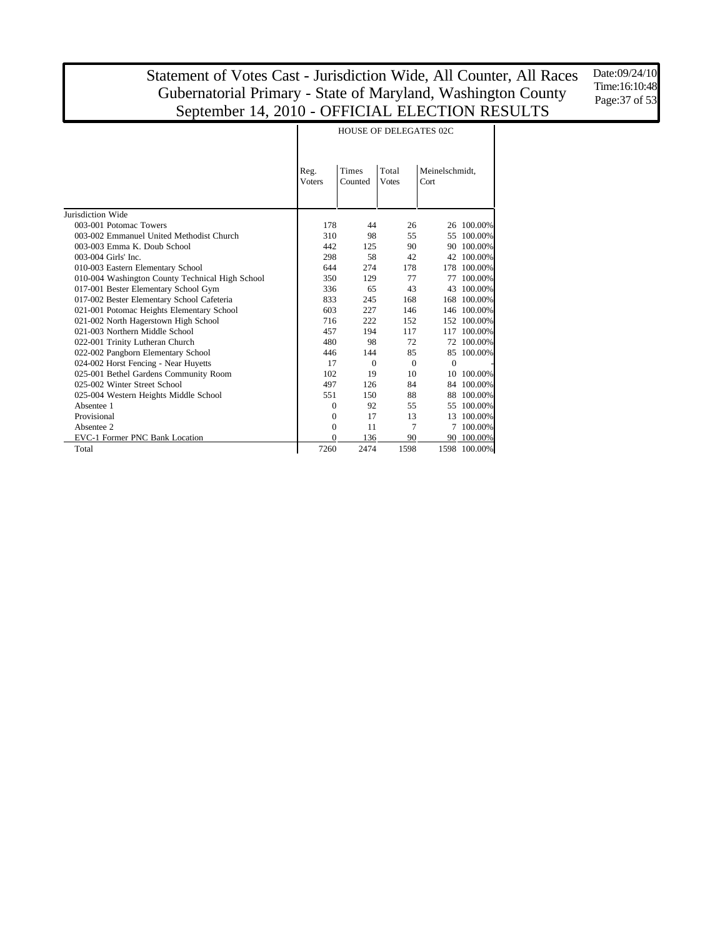Date:09/24/10 Time:16:10:48 Page:37 of 53

|                                                 | Reg.<br><b>Voters</b> | <b>Times</b><br>Counted | Total<br><b>Votes</b> | Meinelschmidt,<br>Cort |              |
|-------------------------------------------------|-----------------------|-------------------------|-----------------------|------------------------|--------------|
| Jurisdiction Wide                               |                       |                         |                       |                        |              |
| 003-001 Potomac Towers                          | 178                   | 44                      | 26                    |                        | 26 100.00%   |
| 003-002 Emmanuel United Methodist Church        | 310                   | 98                      | 55                    | 55                     | 100.00%      |
| 003-003 Emma K. Doub School                     | 442                   | 125                     | 90                    | 90                     | 100.00%      |
| 003-004 Girls' Inc.                             | 298                   | 58                      | 42                    | 42                     | 100.00%      |
| 010-003 Eastern Elementary School               | 644                   | 274                     | 178                   |                        | 178 100.00%  |
| 010-004 Washington County Technical High School | 350                   | 129                     | 77                    | 77                     | 100.00%      |
| 017-001 Bester Elementary School Gym            | 336                   | 65                      | 43                    | 43                     | 100.00%      |
| 017-002 Bester Elementary School Cafeteria      | 833                   | 245                     | 168                   |                        | 168 100.00%  |
| 021-001 Potomac Heights Elementary School       | 603                   | 227                     | 146                   |                        | 146 100.00%  |
| 021-002 North Hagerstown High School            | 716                   | 222                     | 152                   | 152                    | 100.00%      |
| 021-003 Northern Middle School                  | 457                   | 194                     | 117                   | 117                    | 100.00%      |
| 022-001 Trinity Lutheran Church                 | 480                   | 98                      | 72                    |                        | 72 100.00%   |
| 022-002 Pangborn Elementary School              | 446                   | 144                     | 85                    |                        | 85 100.00%   |
| 024-002 Horst Fencing - Near Huyetts            | 17                    | $\Omega$                | $\Omega$              | $\Omega$               |              |
| 025-001 Bethel Gardens Community Room           | 102                   | 19                      | 10                    | 10                     | 100.00%      |
| 025-002 Winter Street School                    | 497                   | 126                     | 84                    |                        | 84 100.00%   |
| 025-004 Western Heights Middle School           | 551                   | 150                     | 88                    | 88                     | 100.00%      |
| Absentee 1                                      | $\Omega$              | 92                      | 55                    | 55                     | 100.00%      |
| Provisional                                     | $\mathbf{0}$          | 17                      | 13                    | 13                     | 100.00%      |
| Absentee 2                                      | $\mathbf{0}$          | 11                      | 7                     |                        | 7 100.00%    |
| <b>EVC-1 Former PNC Bank Location</b>           | $\Omega$              | 136                     | 90                    | 90                     | 100.00%      |
| Total                                           | 7260                  | 2474                    | 1598                  |                        | 1598 100.00% |

T

#### HOUSE OF DELEGATES 02C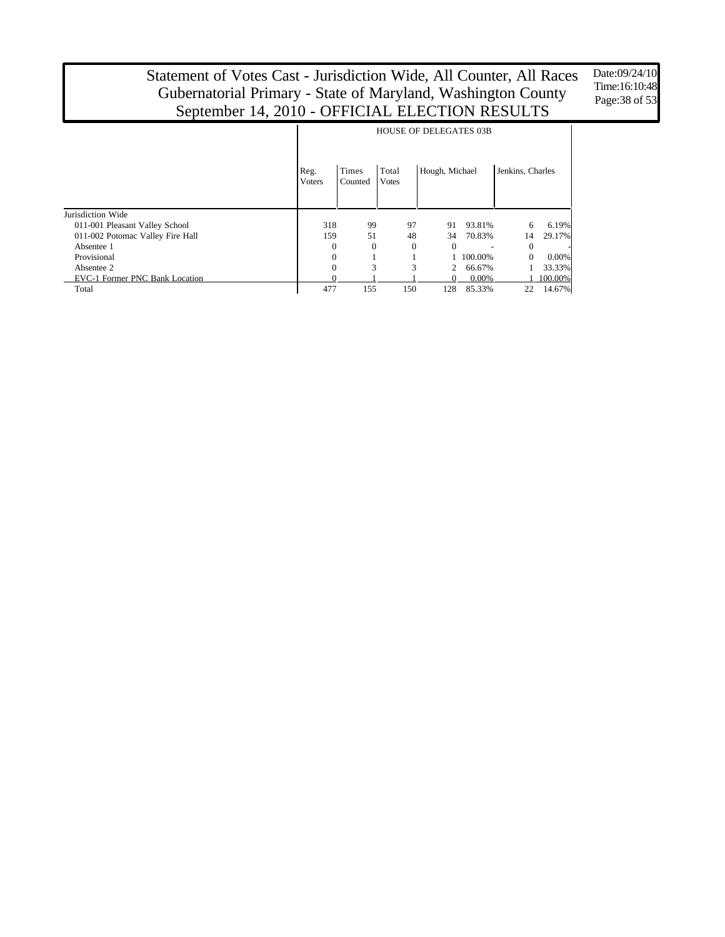Date:09/24/10 Time:16:10:48 Page:38 of 53

|                                  |                       | <b>HOUSE OF DELEGATES 03B</b> |                       |                |          |                  |           |  |  |  |  |  |
|----------------------------------|-----------------------|-------------------------------|-----------------------|----------------|----------|------------------|-----------|--|--|--|--|--|
|                                  | Reg.<br><b>Voters</b> | Times<br>Counted              | Total<br><b>Votes</b> | Hough, Michael |          | Jenkins, Charles |           |  |  |  |  |  |
| Jurisdiction Wide                |                       |                               |                       |                |          |                  |           |  |  |  |  |  |
| 011-001 Pleasant Valley School   | 318                   | 99                            | 97                    | 91             | 93.81%   | 6                | 6.19%     |  |  |  |  |  |
| 011-002 Potomac Valley Fire Hall | 159                   | 51                            | 48                    | 34             | 70.83%   | 14               | 29.17%    |  |  |  |  |  |
| Absentee 1                       | $\Omega$              | $\Omega$                      | $\theta$              | $\Omega$       |          | $\Omega$         |           |  |  |  |  |  |
| Provisional                      | $\Omega$              |                               |                       |                | 100.00%  | $\Omega$         | $0.00\%$  |  |  |  |  |  |
| Absentee 2                       | $\Omega$              | 3                             | 3                     | 2              | 66.67%   |                  | 33.33%    |  |  |  |  |  |
| EVC-1 Former PNC Bank Location   |                       |                               |                       | $\Omega$       | $0.00\%$ |                  | 1 100.00% |  |  |  |  |  |
| Total                            | 477                   | 155                           | 150                   | 128            | 85.33%   | 22               | 14.67%    |  |  |  |  |  |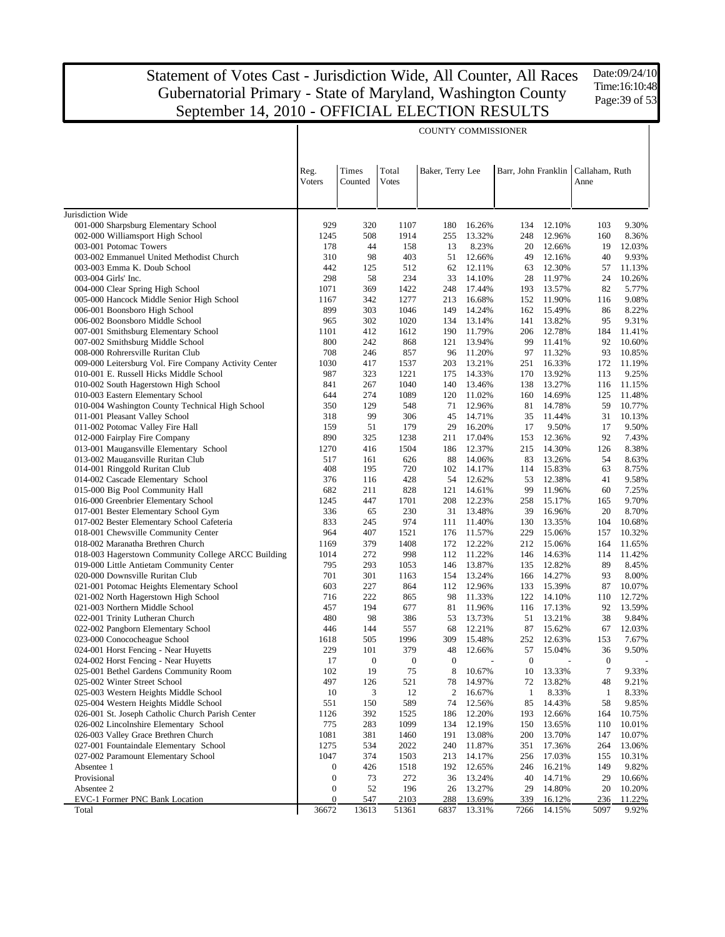Date:09/24/10 Time:16:10:48 Page:39 of 53

|                                                                         |                       |                  |                       | <b>COUNTY COMMISSIONER</b> |                  |              |                  |                                              |                 |
|-------------------------------------------------------------------------|-----------------------|------------------|-----------------------|----------------------------|------------------|--------------|------------------|----------------------------------------------|-----------------|
|                                                                         | Reg.<br><b>Voters</b> | Times<br>Counted | Total<br><b>Votes</b> | Baker, Terry Lee           |                  |              |                  | Barr, John Franklin   Callaham, Ruth<br>Anne |                 |
| Jurisdiction Wide                                                       |                       |                  |                       |                            |                  |              |                  |                                              |                 |
| 001-000 Sharpsburg Elementary School                                    | 929                   | 320              | 1107                  | 180                        | 16.26%           | 134          | 12.10%           | 103                                          | 9.30%           |
| 002-000 Williamsport High School                                        | 1245                  | 508              | 1914                  | 255                        | 13.32%           | 248          | 12.96%           | 160                                          | 8.36%           |
| 003-001 Potomac Towers                                                  | 178                   | 44               | 158                   | 13                         | 8.23%            | 20           | 12.66%           | 19                                           | 12.03%          |
| 003-002 Emmanuel United Methodist Church                                | 310                   | 98               | 403                   | 51                         | 12.66%           | 49           | 12.16%           | 40                                           | 9.93%           |
| 003-003 Emma K. Doub School                                             | 442                   | 125              | 512                   | 62                         | 12.11%           | 63           | 12.30%           | 57                                           | 11.13%          |
| 003-004 Girls' Inc.                                                     | 298                   | 58               | 234                   | 33                         | 14.10%           | 28           | 11.97%           | 24                                           | 10.26%          |
| 004-000 Clear Spring High School                                        | 1071                  | 369              | 1422                  | 248                        | 17.44%           | 193          | 13.57%           | 82                                           | 5.77%           |
| 005-000 Hancock Middle Senior High School                               | 1167                  | 342              | 1277                  | 213                        | 16.68%           | 152          | 11.90%           | 116                                          | 9.08%           |
| 006-001 Boonsboro High School                                           | 899<br>965            | 303<br>302       | 1046                  | 149<br>134                 | 14.24%<br>13.14% | 162<br>141   | 15.49%           | 86<br>95                                     | 8.22%<br>9.31%  |
| 006-002 Boonsboro Middle School<br>007-001 Smithsburg Elementary School | 1101                  | 412              | 1020<br>1612          | 190                        | 11.79%           | 206          | 13.82%<br>12.78% | 184                                          | 11.41%          |
| 007-002 Smithsburg Middle School                                        | 800                   | 242              | 868                   | 121                        | 13.94%           | 99           | 11.41%           | 92                                           | 10.60%          |
| 008-000 Rohrersville Ruritan Club                                       | 708                   | 246              | 857                   | 96                         | 11.20%           | 97           | 11.32%           | 93                                           | 10.85%          |
| 009-000 Leitersburg Vol. Fire Company Activity Center                   | 1030                  | 417              | 1537                  | 203                        | 13.21%           | 251          | 16.33%           | 172                                          | 11.19%          |
| 010-001 E. Russell Hicks Middle School                                  | 987                   | 323              | 1221                  | 175                        | 14.33%           | 170          | 13.92%           | 113                                          | 9.25%           |
| 010-002 South Hagerstown High School                                    | 841                   | 267              | 1040                  | 140                        | 13.46%           | 138          | 13.27%           | 116                                          | 11.15%          |
| 010-003 Eastern Elementary School                                       | 644                   | 274              | 1089                  | 120                        | 11.02%           | 160          | 14.69%           | 125                                          | 11.48%          |
| 010-004 Washington County Technical High School                         | 350                   | 129              | 548                   | 71                         | 12.96%           | 81           | 14.78%           | 59                                           | 10.77%          |
| 011-001 Pleasant Valley School                                          | 318                   | 99               | 306                   | 45                         | 14.71%           | 35           | 11.44%           | 31                                           | 10.13%          |
| 011-002 Potomac Valley Fire Hall                                        | 159                   | 51               | 179                   | 29                         | 16.20%           | 17           | 9.50%            | 17                                           | 9.50%           |
| 012-000 Fairplay Fire Company                                           | 890                   | 325              | 1238                  | 211                        | 17.04%           | 153          | 12.36%           | 92                                           | 7.43%           |
| 013-001 Maugansville Elementary School                                  | 1270                  | 416              | 1504                  | 186                        | 12.37%           | 215          | 14.30%           | 126                                          | 8.38%           |
| 013-002 Maugansville Ruritan Club                                       | 517                   | 161              | 626                   | 88                         | 14.06%           | 83           | 13.26%           | 54                                           | 8.63%           |
| 014-001 Ringgold Ruritan Club                                           | 408                   | 195              | 720                   | 102                        | 14.17%           | 114          | 15.83%           | 63                                           | 8.75%           |
| 014-002 Cascade Elementary School                                       | 376                   | 116              | 428                   | 54                         | 12.62%           | 53           | 12.38%           | 41                                           | 9.58%           |
| 015-000 Big Pool Community Hall                                         | 682                   | 211              | 828                   | 121                        | 14.61%           | 99           | 11.96%           | 60                                           | 7.25%           |
| 016-000 Greenbrier Elementary School                                    | 1245                  | 447              | 1701                  | 208                        | 12.23%           | 258          | 15.17%           | 165                                          | 9.70%           |
| 017-001 Bester Elementary School Gym                                    | 336                   | 65               | 230                   | 31                         | 13.48%           | 39           | 16.96%           | 20                                           | 8.70%           |
| 017-002 Bester Elementary School Cafeteria                              | 833                   | 245              | 974                   | 111                        | 11.40%           | 130          | 13.35%           | 104                                          | 10.68%          |
| 018-001 Chewsville Community Center                                     | 964                   | 407              | 1521                  | 176                        | 11.57%           | 229          | 15.06%           | 157                                          | 10.32%          |
| 018-002 Maranatha Brethren Church                                       | 1169                  | 379              | 1408                  | 172                        | 12.22%           | 212          | 15.06%           | 164                                          | 11.65%          |
| 018-003 Hagerstown Community College ARCC Building                      | 1014                  | 272              | 998                   | 112                        | 11.22%           | 146          | 14.63%           | 114                                          | 11.42%          |
| 019-000 Little Antietam Community Center                                | 795                   | 293              | 1053                  | 146                        | 13.87%           | 135          | 12.82%           | 89                                           | 8.45%           |
| 020-000 Downsville Ruritan Club                                         | 701<br>603            | 301<br>227       | 1163<br>864           | 154                        | 13.24%<br>12.96% | 166          | 14.27%<br>15.39% | 93<br>87                                     | 8.00%<br>10.07% |
| 021-001 Potomac Heights Elementary School                               | 716                   | 222              | 865                   | 112<br>98                  | 11.33%           | 133<br>122   | 14.10%           | 110                                          | 12.72%          |
| 021-002 North Hagerstown High School<br>021-003 Northern Middle School  | 457                   | 194              | 677                   | 81                         | 11.96%           | 116          | 17.13%           | 92                                           | 13.59%          |
| 022-001 Trinity Lutheran Church                                         | 480                   | 98               | 386                   | 53                         | 13.73%           | 51           | 13.21%           | 38                                           | 9.84%           |
| 022-002 Pangborn Elementary School                                      | 446                   | 144              | 557                   | 68                         | 12.21%           | 87           | 15.62%           | 67                                           | 12.03%          |
| 023-000 Conococheague School                                            | 1618                  | 505              | 1996                  | 309                        | 15.48%           | 252          | 12.63%           | 153                                          | 7.67%           |
| 024-001 Horst Fencing - Near Huyetts                                    | 229                   | 101              | 379                   | 48                         | 12.66%           | 57           | 15.04%           | 36                                           | 9.50%           |
| 024-002 Horst Fencing - Near Huyetts                                    | 17                    | $\theta$         | $\theta$              | $\theta$                   |                  | $\theta$     |                  | $\theta$                                     |                 |
| 025-001 Bethel Gardens Community Room                                   | 102                   | 19               | 75                    | 8                          | 10.67%           | 10           | 13.33%           | $\tau$                                       | 9.33%           |
| 025-002 Winter Street School                                            | 497                   | 126              | 521                   | 78                         | 14.97%           | 72           | 13.82%           | 48                                           | 9.21%           |
| 025-003 Western Heights Middle School                                   | 10                    | 3                | 12                    | 2                          | 16.67%           | $\mathbf{1}$ | 8.33%            | $\mathbf{1}$                                 | 8.33%           |
| 025-004 Western Heights Middle School                                   | 551                   | 150              | 589                   | 74                         | 12.56%           | 85           | 14.43%           | 58                                           | 9.85%           |
| 026-001 St. Joseph Catholic Church Parish Center                        | 1126                  | 392              | 1525                  | 186                        | 12.20%           | 193          | 12.66%           | 164                                          | 10.75%          |
| 026-002 Lincolnshire Elementary School                                  | 775                   | 283              | 1099                  | 134                        | 12.19%           | 150          | 13.65%           | 110                                          | 10.01%          |
| 026-003 Valley Grace Brethren Church                                    | 1081                  | 381              | 1460                  | 191                        | 13.08%           | 200          | 13.70%           | 147                                          | 10.07%          |
| 027-001 Fountaindale Elementary School                                  | 1275                  | 534              | 2022                  | 240                        | 11.87%           | 351          | 17.36%           | 264                                          | 13.06%          |
| 027-002 Paramount Elementary School                                     | 1047                  | 374              | 1503                  | 213                        | 14.17%           | 256          | 17.03%           | 155                                          | 10.31%          |
| Absentee 1                                                              | $\boldsymbol{0}$      | 426              | 1518                  | 192                        | 12.65%           | 246          | 16.21%           | 149                                          | 9.82%           |
| Provisional                                                             | $\boldsymbol{0}$      | 73               | 272                   | 36                         | 13.24%           | 40           | 14.71%           | 29                                           | 10.66%          |
| Absentee 2                                                              | $\boldsymbol{0}$      | 52               | 196                   | 26                         | 13.27%           | 29           | 14.80%           | 20                                           | 10.20%          |
| EVC-1 Former PNC Bank Location                                          | 0                     | 547              | 2103                  | 288                        | 13.69%           | 339          | 16.12%           | 236                                          | 11.22%          |
| Total                                                                   | 36672                 | 13613            | 51361                 | 6837                       | 13.31%           | 7266         | 14.15%           | 5097                                         | 9.92%           |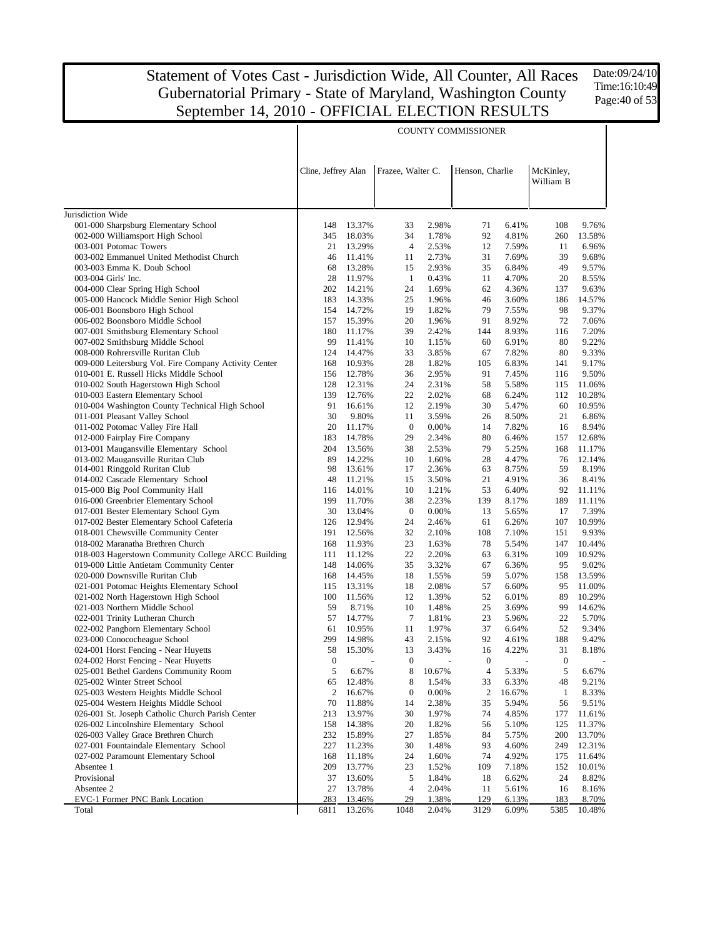Date:09/24/10 Time:16:10:49 Page:40 of 53

|                                                                                           |                     |                  |                   |                | <b>COUNTY COMMISSIONER</b> |                |                        |                 |
|-------------------------------------------------------------------------------------------|---------------------|------------------|-------------------|----------------|----------------------------|----------------|------------------------|-----------------|
|                                                                                           | Cline, Jeffrey Alan |                  | Frazee, Walter C. |                | Henson, Charlie            |                | McKinley,<br>William B |                 |
| Jurisdiction Wide                                                                         |                     |                  |                   |                |                            |                |                        |                 |
| 001-000 Sharpsburg Elementary School                                                      | 148                 | 13.37%           | 33                | 2.98%          | 71                         | 6.41%          | 108                    | 9.76%           |
| 002-000 Williamsport High School                                                          | 345                 | 18.03%           | 34                | 1.78%          | 92                         | 4.81%          | 260                    | 13.58%          |
| 003-001 Potomac Towers                                                                    | 21                  | 13.29%           | 4                 | 2.53%          | 12                         | 7.59%          | 11                     | 6.96%           |
| 003-002 Emmanuel United Methodist Church                                                  | 46                  | 11.41%           | 11                | 2.73%          | 31                         | 7.69%          | 39                     | 9.68%           |
| 003-003 Emma K. Doub School                                                               | 68                  | 13.28%           | 15                | 2.93%          | 35                         | 6.84%          | 49                     | 9.57%           |
| 003-004 Girls' Inc.                                                                       | 28                  | 11.97%           | $\mathbf{1}$      | 0.43%          | 11                         | 4.70%          | 20                     | 8.55%           |
| 004-000 Clear Spring High School                                                          | 202                 | 14.21%           | 24                | 1.69%          | 62                         | 4.36%          | 137                    | 9.63%           |
| 005-000 Hancock Middle Senior High School                                                 | 183                 | 14.33%           | 25                | 1.96%          | 46                         | 3.60%          | 186                    | 14.57%          |
| 006-001 Boonsboro High School                                                             | 154                 | 14.72%           | 19                | 1.82%          | 79                         | 7.55%          | 98                     | 9.37%           |
| 006-002 Boonsboro Middle School                                                           | 157                 | 15.39%           | 20                | 1.96%          | 91                         | 8.92%          | 72                     | 7.06%           |
| 007-001 Smithsburg Elementary School                                                      | 180                 | 11.17%           | 39                | 2.42%          | 144                        | 8.93%          | 116                    | 7.20%           |
| 007-002 Smithsburg Middle School                                                          | 99                  | 11.41%           | 10                | 1.15%          | 60                         | 6.91%          | 80                     | 9.22%           |
| 008-000 Rohrersville Ruritan Club                                                         | 124                 | 14.47%           | 33                | 3.85%          | 67                         | 7.82%          | 80                     | 9.33%           |
| 009-000 Leitersburg Vol. Fire Company Activity Center                                     | 168                 | 10.93%           | 28<br>36          | 1.82%          | 105                        | 6.83%          | 141                    | 9.17%           |
| 010-001 E. Russell Hicks Middle School<br>010-002 South Hagerstown High School            | 156<br>128          | 12.78%<br>12.31% | 24                | 2.95%<br>2.31% | 91<br>58                   | 7.45%<br>5.58% | 116<br>115             | 9.50%<br>11.06% |
| 010-003 Eastern Elementary School                                                         | 139                 | 12.76%           | 22                | 2.02%          | 68                         | 6.24%          | 112                    | 10.28%          |
| 010-004 Washington County Technical High School                                           | 91                  | 16.61%           | 12                | 2.19%          | 30                         | 5.47%          | 60                     | 10.95%          |
| 011-001 Pleasant Valley School                                                            | 30                  | 9.80%            | 11                | 3.59%          | 26                         | 8.50%          | 21                     | 6.86%           |
| 011-002 Potomac Valley Fire Hall                                                          | 20                  | 11.17%           | $\boldsymbol{0}$  | 0.00%          | 14                         | 7.82%          | 16                     | 8.94%           |
| 012-000 Fairplay Fire Company                                                             | 183                 | 14.78%           | 29                | 2.34%          | 80                         | 6.46%          | 157                    | 12.68%          |
| 013-001 Maugansville Elementary School                                                    | 204                 | 13.56%           | 38                | 2.53%          | 79                         | 5.25%          | 168                    | 11.17%          |
| 013-002 Maugansville Ruritan Club                                                         | 89                  | 14.22%           | 10                | 1.60%          | 28                         | 4.47%          | 76                     | 12.14%          |
| 014-001 Ringgold Ruritan Club                                                             | 98                  | 13.61%           | 17                | 2.36%          | 63                         | 8.75%          | 59                     | 8.19%           |
| 014-002 Cascade Elementary School                                                         | 48                  | 11.21%           | 15                | 3.50%          | 21                         | 4.91%          | 36                     | 8.41%           |
| 015-000 Big Pool Community Hall                                                           | 116                 | 14.01%           | 10                | 1.21%          | 53                         | 6.40%          | 92                     | 11.11%          |
| 016-000 Greenbrier Elementary School                                                      | 199                 | 11.70%           | 38                | 2.23%          | 139                        | 8.17%          | 189                    | 11.11%          |
| 017-001 Bester Elementary School Gym                                                      | 30                  | 13.04%           | $\boldsymbol{0}$  | 0.00%          | 13                         | 5.65%          | 17                     | 7.39%           |
| 017-002 Bester Elementary School Cafeteria<br>018-001 Chewsville Community Center         | 126<br>191          | 12.94%<br>12.56% | 24<br>32          | 2.46%          | 61<br>108                  | 6.26%          | 107<br>151             | 10.99%<br>9.93% |
| 018-002 Maranatha Brethren Church                                                         | 168                 | 11.93%           | 23                | 2.10%<br>1.63% | 78                         | 7.10%<br>5.54% | 147                    | 10.44%          |
| 018-003 Hagerstown Community College ARCC Building                                        | 111                 | 11.12%           | 22                | 2.20%          | 63                         | 6.31%          | 109                    | 10.92%          |
| 019-000 Little Antietam Community Center                                                  | 148                 | 14.06%           | 35                | 3.32%          | 67                         | 6.36%          | 95                     | 9.02%           |
| 020-000 Downsville Ruritan Club                                                           | 168                 | 14.45%           | 18                | 1.55%          | 59                         | 5.07%          | 158                    | 13.59%          |
| 021-001 Potomac Heights Elementary School                                                 | 115                 | 13.31%           | 18                | 2.08%          | 57                         | 6.60%          | 95                     | 11.00%          |
| 021-002 North Hagerstown High School                                                      | 100                 | 11.56%           | 12                | 1.39%          | 52                         | 6.01%          | 89                     | 10.29%          |
| 021-003 Northern Middle School                                                            | 59                  | 8.71%            | 10                | 1.48%          | 25                         | 3.69%          | 99                     | 14.62%          |
| 022-001 Trinity Lutheran Church                                                           | 57                  | 14.77%           | $\overline{7}$    | 1.81%          | 23                         | 5.96%          | 22                     | 5.70%           |
| 022-002 Pangborn Elementary School                                                        | 61                  | 10.95%           | 11                | 1.97%          | 37                         | 6.64%          | 52                     | 9.34%           |
| 023-000 Conococheague School                                                              | 299                 | 14.98%           | 43                | 2.15%          | 92                         | 4.61%          | 188                    | 9.42%           |
| 024-001 Horst Fencing - Near Huyetts                                                      |                     | 58 15.30%        | 13                | 3.43%          | 16                         | 4.22%          | 31                     | 8.18%           |
| 024-002 Horst Fencing - Near Huyetts                                                      | $\boldsymbol{0}$    |                  | $\boldsymbol{0}$  |                | $\boldsymbol{0}$           |                | $\boldsymbol{0}$       |                 |
| 025-001 Bethel Gardens Community Room                                                     | 5                   | 6.67%            | 8                 | 10.67%         | 4                          | 5.33%          | 5                      | 6.67%           |
| 025-002 Winter Street School                                                              | 65                  | 12.48%           | 8                 | 1.54%          | 33                         | 6.33%          | 48                     | 9.21%           |
| 025-003 Western Heights Middle School                                                     | 2                   | 16.67%           | $\boldsymbol{0}$  | 0.00%          | 2                          | 16.67%         | $\mathbf{1}$           | 8.33%           |
| 025-004 Western Heights Middle School<br>026-001 St. Joseph Catholic Church Parish Center | 70<br>213           | 11.88%<br>13.97% | 14<br>30          | 2.38%<br>1.97% | 35<br>74                   | 5.94%<br>4.85% | 56<br>177              | 9.51%<br>11.61% |
| 026-002 Lincolnshire Elementary School                                                    | 158                 | 14.38%           | 20                | 1.82%          | 56                         | 5.10%          | 125                    | 11.37%          |
| 026-003 Valley Grace Brethren Church                                                      | 232                 | 15.89%           | 27                | 1.85%          | 84                         | 5.75%          | 200                    | 13.70%          |
| 027-001 Fountaindale Elementary School                                                    | 227                 | 11.23%           | 30                | 1.48%          | 93                         | 4.60%          | 249                    | 12.31%          |
| 027-002 Paramount Elementary School                                                       | 168                 | 11.18%           | 24                | 1.60%          | 74                         | 4.92%          | 175                    | 11.64%          |
| Absentee 1                                                                                | 209                 | 13.77%           | 23                | 1.52%          | 109                        | 7.18%          | 152                    | 10.01%          |
| Provisional                                                                               | 37                  | 13.60%           | 5                 | 1.84%          | 18                         | 6.62%          | 24                     | 8.82%           |
| Absentee 2                                                                                | 27                  | 13.78%           | 4                 | 2.04%          | 11                         | 5.61%          | 16                     | 8.16%           |
| EVC-1 Former PNC Bank Location                                                            | 283                 | 13.46%           | 29                | 1.38%          | 129                        | 6.13%          | 183                    | 8.70%           |
| Total                                                                                     | 6811                | 13.26%           | 1048              | 2.04%          | 3129                       | 6.09%          | 5385                   | 10.48%          |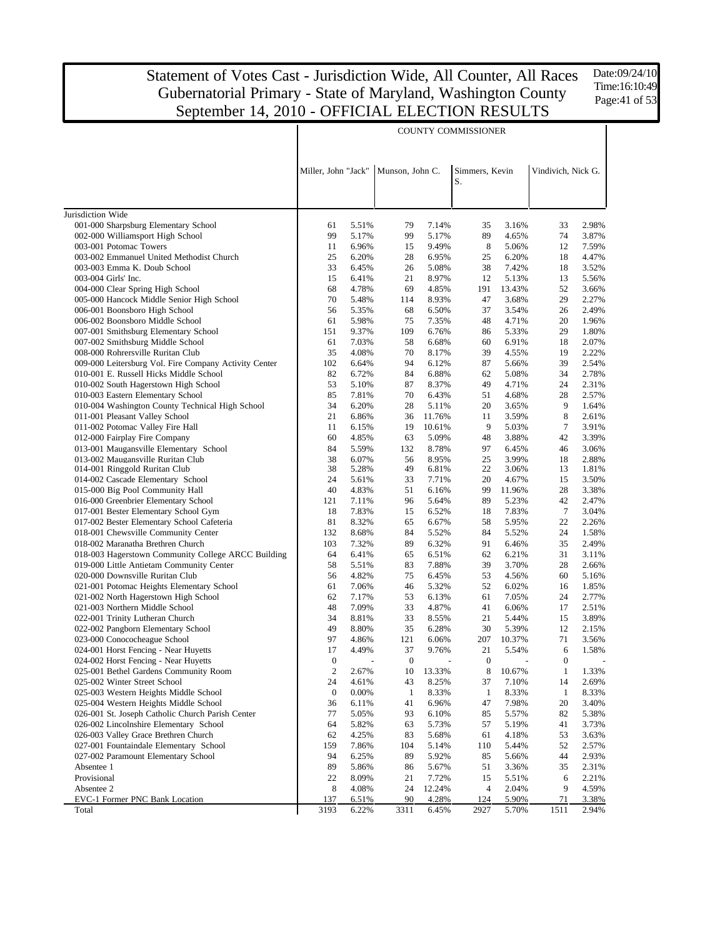Date:09/24/10 Time:16:10:49 Page:41 of 53

|                                                                                            |                     |                          |                  |                          | <b>COUNTY COMMISSIONER</b> |                |                    |                |
|--------------------------------------------------------------------------------------------|---------------------|--------------------------|------------------|--------------------------|----------------------------|----------------|--------------------|----------------|
|                                                                                            | Miller, John "Jack" |                          | Munson, John C.  |                          | Simmers, Kevin<br>S.       |                | Vindivich, Nick G. |                |
|                                                                                            |                     |                          |                  |                          |                            |                |                    |                |
| Jurisdiction Wide                                                                          |                     |                          |                  |                          |                            |                |                    |                |
| 001-000 Sharpsburg Elementary School                                                       | 61                  | 5.51%                    | 79               | 7.14%                    | 35                         | 3.16%          | 33                 | 2.98%          |
| 002-000 Williamsport High School                                                           | 99                  | 5.17%                    | 99               | 5.17%                    | 89                         | 4.65%          | 74                 | 3.87%          |
| 003-001 Potomac Towers                                                                     | 11                  | 6.96%                    | 15               | 9.49%                    | 8                          | 5.06%          | 12                 | 7.59%          |
| 003-002 Emmanuel United Methodist Church                                                   | 25                  | 6.20%                    | 28               | 6.95%                    | 25                         | 6.20%          | 18                 | 4.47%          |
| 003-003 Emma K. Doub School                                                                | 33                  | 6.45%                    | 26               | 5.08%                    | 38                         | 7.42%          | 18                 | 3.52%          |
| 003-004 Girls' Inc.                                                                        | 15                  | 6.41%                    | 21               | 8.97%                    | 12                         | 5.13%          | 13                 | 5.56%          |
| 004-000 Clear Spring High School                                                           | 68                  | 4.78%                    | 69               | 4.85%                    | 191                        | 13.43%         | 52                 | 3.66%          |
| 005-000 Hancock Middle Senior High School<br>006-001 Boonsboro High School                 | 70<br>56            | 5.48%<br>5.35%           | 114<br>68        | 8.93%<br>6.50%           | 47<br>37                   | 3.68%<br>3.54% | 29<br>26           | 2.27%<br>2.49% |
| 006-002 Boonsboro Middle School                                                            | 61                  | 5.98%                    | 75               | 7.35%                    | 48                         | 4.71%          | 20                 | 1.96%          |
| 007-001 Smithsburg Elementary School                                                       | 151                 | 9.37%                    | 109              | 6.76%                    | 86                         | 5.33%          | 29                 | 1.80%          |
| 007-002 Smithsburg Middle School                                                           | 61                  | 7.03%                    | 58               | 6.68%                    | 60                         | 6.91%          | 18                 | 2.07%          |
| 008-000 Rohrersville Ruritan Club                                                          | 35                  | 4.08%                    | 70               | 8.17%                    | 39                         | 4.55%          | 19                 | 2.22%          |
| 009-000 Leitersburg Vol. Fire Company Activity Center                                      | 102                 | 6.64%                    | 94               | 6.12%                    | 87                         | 5.66%          | 39                 | 2.54%          |
| 010-001 E. Russell Hicks Middle School                                                     | 82                  | 6.72%                    | 84               | 6.88%                    | 62                         | 5.08%          | 34                 | 2.78%          |
| 010-002 South Hagerstown High School                                                       | 53                  | 5.10%                    | 87               | 8.37%                    | 49                         | 4.71%          | 24                 | 2.31%          |
| 010-003 Eastern Elementary School                                                          | 85                  | 7.81%                    | 70               | 6.43%                    | 51                         | 4.68%          | 28                 | 2.57%          |
| 010-004 Washington County Technical High School                                            | 34                  | 6.20%                    | 28               | 5.11%                    | 20                         | 3.65%          | 9                  | 1.64%          |
| 011-001 Pleasant Valley School                                                             | 21                  | 6.86%                    | 36               | 11.76%                   | 11                         | 3.59%          | 8                  | 2.61%          |
| 011-002 Potomac Valley Fire Hall                                                           | 11                  | 6.15%                    | 19               | 10.61%                   | 9<br>48                    | 5.03%          | 7                  | 3.91%          |
| 012-000 Fairplay Fire Company<br>013-001 Maugansville Elementary School                    | 60<br>84            | 4.85%<br>5.59%           | 63<br>132        | 5.09%<br>8.78%           | 97                         | 3.88%<br>6.45% | 42<br>46           | 3.39%<br>3.06% |
| 013-002 Maugansville Ruritan Club                                                          | 38                  | 6.07%                    | 56               | 8.95%                    | 25                         | 3.99%          | 18                 | 2.88%          |
| 014-001 Ringgold Ruritan Club                                                              | 38                  | 5.28%                    | 49               | 6.81%                    | 22                         | 3.06%          | 13                 | 1.81%          |
| 014-002 Cascade Elementary School                                                          | 24                  | 5.61%                    | 33               | 7.71%                    | 20                         | 4.67%          | 15                 | 3.50%          |
| 015-000 Big Pool Community Hall                                                            | 40                  | 4.83%                    | 51               | 6.16%                    | 99                         | 11.96%         | 28                 | 3.38%          |
| 016-000 Greenbrier Elementary School                                                       | 121                 | 7.11%                    | 96               | 5.64%                    | 89                         | 5.23%          | 42                 | 2.47%          |
| 017-001 Bester Elementary School Gym                                                       | 18                  | 7.83%                    | 15               | 6.52%                    | 18                         | 7.83%          | $\tau$             | 3.04%          |
| 017-002 Bester Elementary School Cafeteria                                                 | 81                  | 8.32%                    | 65               | 6.67%                    | 58                         | 5.95%          | 22                 | 2.26%          |
| 018-001 Chewsville Community Center                                                        | 132                 | 8.68%                    | 84               | 5.52%                    | 84                         | 5.52%          | 24                 | 1.58%          |
| 018-002 Maranatha Brethren Church                                                          | 103                 | 7.32%                    | 89               | 6.32%                    | 91                         | 6.46%          | 35                 | 2.49%          |
| 018-003 Hagerstown Community College ARCC Building                                         | 64                  | 6.41%                    | 65               | 6.51%                    | 62                         | 6.21%          | 31                 | 3.11%          |
| 019-000 Little Antietam Community Center<br>020-000 Downsville Ruritan Club                | 58<br>56            | 5.51%<br>4.82%           | 83<br>75         | 7.88%<br>6.45%           | 39<br>53                   | 3.70%<br>4.56% | 28<br>60           | 2.66%<br>5.16% |
| 021-001 Potomac Heights Elementary School                                                  | 61                  | 7.06%                    | 46               | 5.32%                    | 52                         | 6.02%          | 16                 | 1.85%          |
| 021-002 North Hagerstown High School                                                       | 62                  | 7.17%                    | 53               | 6.13%                    | 61                         | 7.05%          | 24                 | 2.77%          |
| 021-003 Northern Middle School                                                             | 48                  | 7.09%                    | 33               | 4.87%                    | 41                         | 6.06%          | 17                 | 2.51%          |
| 022-001 Trinity Lutheran Church                                                            | 34                  | 8.81%                    | 33               | 8.55%                    | 21                         | 5.44%          | 15                 | 3.89%          |
| 022-002 Pangborn Elementary School                                                         | 49                  | 8.80%                    | 35               | 6.28%                    | 30                         | 5.39%          | 12                 | 2.15%          |
| 023-000 Conococheague School                                                               | 97                  | 4.86%                    | 121              | 6.06%                    | 207                        | 10.37%         | 71                 | 3.56%          |
| 024-001 Horst Fencing - Near Huyetts                                                       | 17                  | 4.49%                    | 37               | 9.76%                    | 21                         | 5.54%          | 6                  | 1.58%          |
| 024-002 Horst Fencing - Near Huyetts                                                       | $\boldsymbol{0}$    | $\overline{\phantom{a}}$ | $\boldsymbol{0}$ | $\overline{\phantom{a}}$ | $\boldsymbol{0}$           | ÷,             | $\boldsymbol{0}$   |                |
| 025-001 Bethel Gardens Community Room                                                      | $\boldsymbol{2}$    | 2.67%                    | 10               | 13.33%                   | 8                          | 10.67%         | $\mathbf{1}$       | 1.33%          |
| 025-002 Winter Street School                                                               | 24                  | 4.61%                    | 43               | 8.25%                    | 37                         | 7.10%          | 14                 | 2.69%          |
| 025-003 Western Heights Middle School                                                      | $\boldsymbol{0}$    | 0.00%                    | -1               | 8.33%                    | $\mathbf{1}$               | 8.33%          | $\overline{1}$     | 8.33%          |
| 025-004 Western Heights Middle School                                                      | 36<br>77            | 6.11%                    | 41<br>93         | 6.96%                    | 47                         | 7.98%          | 20                 | 3.40%          |
| 026-001 St. Joseph Catholic Church Parish Center<br>026-002 Lincolnshire Elementary School | 64                  | 5.05%<br>5.82%           | 63               | 6.10%<br>5.73%           | 85<br>57                   | 5.57%<br>5.19% | 82<br>41           | 5.38%<br>3.73% |
| 026-003 Valley Grace Brethren Church                                                       | 62                  | 4.25%                    | 83               | 5.68%                    | 61                         | 4.18%          | 53                 | 3.63%          |
| 027-001 Fountaindale Elementary School                                                     | 159                 | 7.86%                    | 104              | 5.14%                    | 110                        | 5.44%          | 52                 | 2.57%          |
| 027-002 Paramount Elementary School                                                        | 94                  | 6.25%                    | 89               | 5.92%                    | 85                         | 5.66%          | 44                 | 2.93%          |
| Absentee 1                                                                                 | 89                  | 5.86%                    | 86               | 5.67%                    | 51                         | 3.36%          | 35                 | 2.31%          |
| Provisional                                                                                | 22                  | 8.09%                    | 21               | 7.72%                    | 15                         | 5.51%          | 6                  | 2.21%          |
| Absentee 2                                                                                 | 8                   | 4.08%                    | 24               | 12.24%                   | 4                          | 2.04%          | 9                  | 4.59%          |
| EVC-1 Former PNC Bank Location                                                             | 137                 | 6.51%                    | 90               | 4.28%                    | 124                        | 5.90%          | 71                 | 3.38%          |
| Total                                                                                      | 3193                | 6.22%                    | 3311             | 6.45%                    | 2927                       | 5.70%          | 1511               | 2.94%          |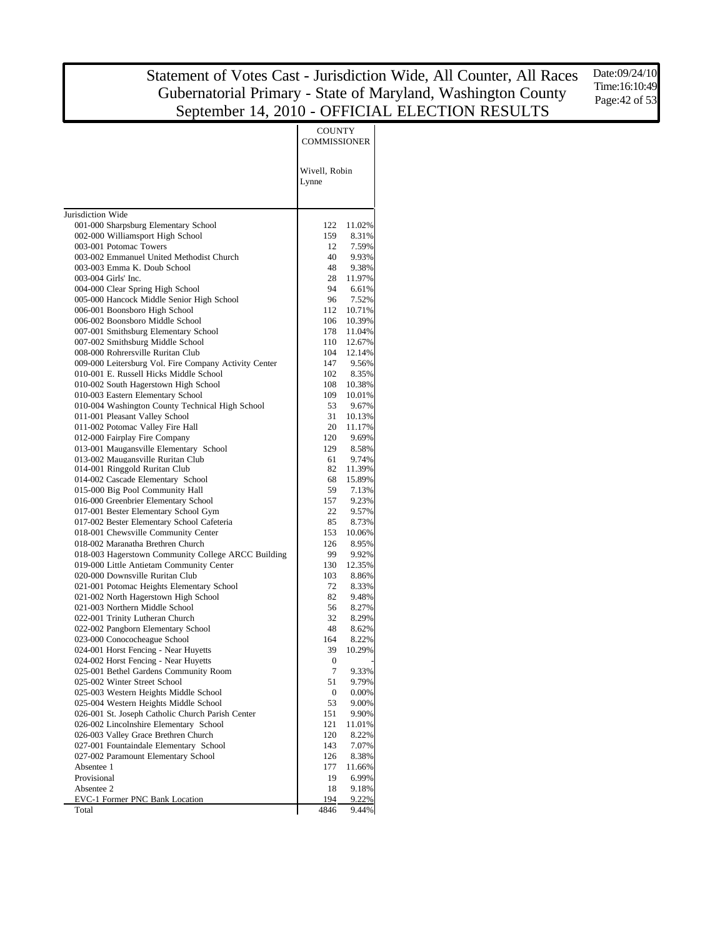Date:09/24/10 Time:16:10:49 Page:42 of 53

|                                                                                    | <b>COUNTY</b><br><b>COMMISSIONER</b> |                  |
|------------------------------------------------------------------------------------|--------------------------------------|------------------|
|                                                                                    | Wivell, Robin<br>Lynne               |                  |
| Jurisdiction Wide                                                                  |                                      |                  |
| 001-000 Sharpsburg Elementary School                                               | 122                                  | 11.02%           |
| 002-000 Williamsport High School                                                   | 159                                  | 8.31%            |
| 003-001 Potomac Towers<br>003-002 Emmanuel United Methodist Church                 | 12<br>40                             | 7.59%<br>9.93%   |
| 003-003 Emma K. Doub School                                                        | 48                                   | 9.38%            |
| 003-004 Girls' Inc.                                                                | 28                                   | 11.97%           |
| 004-000 Clear Spring High School                                                   | 94                                   | 6.61%            |
| 005-000 Hancock Middle Senior High School                                          | 96                                   | 7.52%            |
| 006-001 Boonsboro High School                                                      | 112                                  | 10.71%           |
| 006-002 Boonsboro Middle School                                                    | 106                                  | 10.39%           |
| 007-001 Smithsburg Elementary School                                               | 178                                  | 11.04%           |
| 007-002 Smithsburg Middle School                                                   | 110                                  | 12.67%           |
| 008-000 Rohrersville Ruritan Club                                                  | 104                                  | 12.14%           |
| 009-000 Leitersburg Vol. Fire Company Activity Center                              | 147                                  | 9.56%            |
| 010-001 E. Russell Hicks Middle School                                             | 102                                  | 8.35%            |
| 010-002 South Hagerstown High School<br>010-003 Eastern Elementary School          | 108<br>109                           | 10.38%<br>10.01% |
| 010-004 Washington County Technical High School                                    | 53                                   | 9.67%            |
| 011-001 Pleasant Valley School                                                     | 31                                   | 10.13%           |
| 011-002 Potomac Valley Fire Hall                                                   | 20                                   | 11.17%           |
| 012-000 Fairplay Fire Company                                                      | 120                                  | 9.69%            |
| 013-001 Maugansville Elementary School                                             | 129                                  | 8.58%            |
| 013-002 Maugansville Ruritan Club                                                  | 61                                   | 9.74%            |
| 014-001 Ringgold Ruritan Club                                                      | 82                                   | 11.39%           |
| 014-002 Cascade Elementary School                                                  | 68                                   | 15.89%           |
| 015-000 Big Pool Community Hall                                                    | 59                                   | 7.13%            |
| 016-000 Greenbrier Elementary School                                               | 157                                  | 9.23%            |
| 017-001 Bester Elementary School Gym<br>017-002 Bester Elementary School Cafeteria | 22<br>85                             | 9.57%<br>8.73%   |
| 018-001 Chewsville Community Center                                                | 153                                  | 10.06%           |
| 018-002 Maranatha Brethren Church                                                  | 126                                  | 8.95%            |
| 018-003 Hagerstown Community College ARCC Building                                 | 99                                   | 9.92%            |
| 019-000 Little Antietam Community Center                                           | 130                                  | 12.35%           |
| 020-000 Downsville Ruritan Club                                                    | 103                                  | 8.86%            |
| 021-001 Potomac Heights Elementary School                                          | 72                                   | 8.33%            |
| 021-002 North Hagerstown High School                                               | 82                                   | 9.48%            |
| 021-003 Northern Middle School                                                     | 56                                   | 8.27%            |
| 022-001 Trinity Lutheran Church                                                    | 32                                   | 8.29%            |
| 022-002 Pangborn Elementary School                                                 | 48                                   | 8.62%            |
| 023-000 Conococheague School                                                       | 164                                  | 8.22%            |
| 024-001 Horst Fencing - Near Huyetts                                               | 39                                   | 10.29%           |
| 024-002 Horst Fencing - Near Huyetts<br>025-001 Bethel Gardens Community Room      | 0<br>7                               | 9.33%            |
| 025-002 Winter Street School                                                       | 51                                   | 9.79%            |
| 025-003 Western Heights Middle School                                              | $\boldsymbol{0}$                     | 0.00%            |
| 025-004 Western Heights Middle School                                              | 53                                   | 9.00%            |
| 026-001 St. Joseph Catholic Church Parish Center                                   | 151                                  | 9.90%            |
| 026-002 Lincolnshire Elementary School                                             | 121                                  | 11.01%           |
| 026-003 Valley Grace Brethren Church                                               | 120                                  | 8.22%            |
| 027-001 Fountaindale Elementary School                                             | 143                                  | 7.07%            |
| 027-002 Paramount Elementary School                                                | 126                                  | 8.38%            |
| Absentee 1                                                                         | 177                                  | 11.66%           |
| Provisional                                                                        | 19                                   | 6.99%            |
| Absentee 2                                                                         | 18                                   | 9.18%            |
| <b>EVC-1 Former PNC Bank Location</b>                                              | 194                                  | 9.22%            |
| Total                                                                              | 4846                                 | 9.44%            |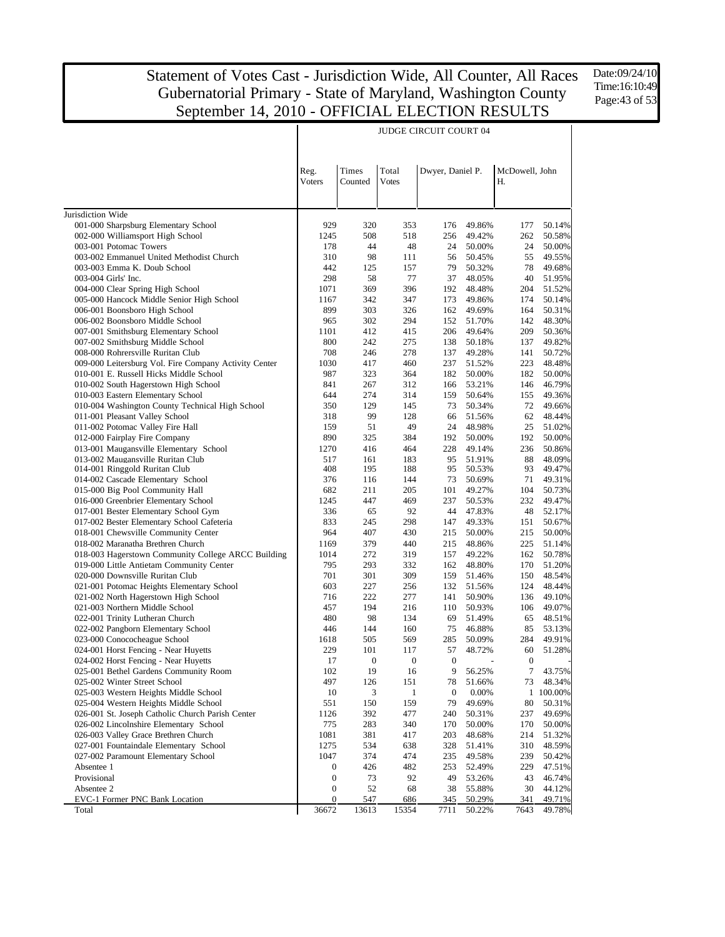$\overline{\phantom{a}}$ 

JUDGE CIRCUIT COURT 04

Date:09/24/10 Time:16:10:49 Page:43 of 53

 $\top$ 

| <b>Times</b><br>Total<br>Dwyer, Daniel P.<br>McDowell, John<br>Reg.<br>Voters<br>Counted<br><b>Votes</b><br>Н.<br>Jurisdiction Wide<br>001-000 Sharpsburg Elementary School<br>929<br>320<br>353<br>176<br>49.86%<br>177<br>50.14%<br>002-000 Williamsport High School<br>1245<br>508<br>49.42%<br>262<br>50.58%<br>518<br>256<br>003-001 Potomac Towers<br>44<br>48<br>178<br>24<br>50.00%<br>24<br>50.00%<br>003-002 Emmanuel United Methodist Church<br>310<br>98<br>49.55%<br>111<br>56<br>50.45%<br>55<br>003-003 Emma K. Doub School<br>442<br>78<br>49.68%<br>125<br>157<br>79<br>50.32%<br>298<br>58<br>77<br>37<br>40<br>51.95%<br>003-004 Girls' Inc.<br>48.05%<br>369<br>396<br>51.52%<br>004-000 Clear Spring High School<br>1071<br>192<br>48.48%<br>204<br>005-000 Hancock Middle Senior High School<br>342<br>347<br>50.14%<br>1167<br>173<br>49.86%<br>174<br>006-001 Boonsboro High School<br>899<br>303<br>326<br>50.31%<br>162<br>49.69%<br>164<br>965<br>302<br>294<br>142<br>48.30%<br>006-002 Boonsboro Middle School<br>152<br>51.70%<br>412<br>209<br>50.36%<br>007-001 Smithsburg Elementary School<br>1101<br>415<br>206<br>49.64%<br>800<br>242<br>49.82%<br>007-002 Smithsburg Middle School<br>275<br>138<br>50.18%<br>137<br>708<br>246<br>278<br>008-000 Rohrersville Ruritan Club<br>137<br>49.28%<br>141<br>50.72%<br>1030<br>417<br>460<br>223<br>48.48%<br>009-000 Leitersburg Vol. Fire Company Activity Center<br>237<br>51.52%<br>987<br>323<br>010-001 E. Russell Hicks Middle School<br>364<br>182<br>50.00%<br>182<br>50.00%<br>841<br>312<br>46.79%<br>010-002 South Hagerstown High School<br>267<br>166<br>53.21%<br>146<br>010-003 Eastern Elementary School<br>644<br>274<br>314<br>49.36%<br>159<br>50.64%<br>155<br>010-004 Washington County Technical High School<br>350<br>129<br>72<br>49.66%<br>145<br>73<br>50.34%<br>011-001 Pleasant Valley School<br>99<br>128<br>62<br>48.44%<br>318<br>51.56%<br>66<br>011-002 Potomac Valley Fire Hall<br>159<br>51<br>49<br>48.98%<br>25<br>51.02%<br>24<br>012-000 Fairplay Fire Company<br>890<br>325<br>384<br>192<br>50.00%<br>192<br>50.00%<br>013-001 Maugansville Elementary School<br>1270<br>416<br>464<br>228<br>236<br>50.86%<br>49.14%<br>013-002 Maugansville Ruritan Club<br>161<br>48.09%<br>517<br>183<br>95<br>51.91%<br>88<br>408<br>014-001 Ringgold Ruritan Club<br>195<br>188<br>93<br>49.47%<br>95<br>50.53%<br>376<br>49.31%<br>014-002 Cascade Elementary School<br>116<br>144<br>73<br>50.69%<br>71<br>015-000 Big Pool Community Hall<br>682<br>211<br>205<br>101<br>49.27%<br>104<br>50.73%<br>016-000 Greenbrier Elementary School<br>1245<br>447<br>469<br>232<br>49.47%<br>237<br>50.53%<br>017-001 Bester Elementary School Gym<br>336<br>65<br>92<br>48<br>52.17%<br>44<br>47.83%<br>017-002 Bester Elementary School Cafeteria<br>833<br>245<br>298<br>50.67%<br>49.33%<br>151<br>147<br>018-001 Chewsville Community Center<br>964<br>407<br>430<br>215<br>50.00%<br>215<br>50.00%<br>379<br>440<br>225<br>018-002 Maranatha Brethren Church<br>1169<br>215<br>48.86%<br>51.14%<br>018-003 Hagerstown Community College ARCC Building<br>1014<br>272<br>50.78%<br>319<br>157<br>49.22%<br>162<br>019-000 Little Antietam Community Center<br>795<br>293<br>332<br>51.20%<br>162<br>48.80%<br>170<br>701<br>301<br>309<br>150<br>48.54%<br>020-000 Downsville Ruritan Club<br>159<br>51.46%<br>603<br>227<br>48.44%<br>021-001 Potomac Heights Elementary School<br>256<br>132<br>51.56%<br>124<br>716<br>222<br>277<br>49.10%<br>021-002 North Hagerstown High School<br>141<br>50.90%<br>136<br>021-003 Northern Middle School<br>457<br>49.07%<br>194<br>216<br>110<br>50.93%<br>106<br>480<br>98<br>48.51%<br>022-001 Trinity Lutheran Church<br>134<br>69<br>51.49%<br>65<br>446<br>144<br>160<br>53.13%<br>022-002 Pangborn Elementary School<br>75<br>46.88%<br>85<br>023-000 Conococheague School<br>1618<br>505<br>569<br>49.91%<br>285<br>50.09%<br>284<br>229<br>101<br>57<br>51.28%<br>024-001 Horst Fencing - Near Huyetts<br>117<br>48.72%<br>60<br>024-002 Horst Fencing - Near Huyetts<br>17<br>$\boldsymbol{0}$<br>$\boldsymbol{0}$<br>$\mathbf{0}$<br>$\mathbf{0}$<br>025-001 Bethel Gardens Community Room<br>102<br>19<br>16<br>9<br>56.25%<br>7<br>43.75%<br>78<br>73<br>48.34%<br>025-002 Winter Street School<br>497<br>126<br>151<br>51.66%<br>10<br>1 100.00%<br>025-003 Western Heights Middle School<br>$\boldsymbol{0}$<br>0.00%<br>3<br>1<br>$80\,$<br>025-004 Western Heights Middle School<br>551<br>150<br>159<br>79<br>50.31%<br>49.69%<br>026-001 St. Joseph Catholic Church Parish Center<br>392<br>477<br>237<br>49.69%<br>1126<br>240<br>50.31%<br>026-002 Lincolnshire Elementary School<br>775<br>170<br>283<br>340<br>170<br>50.00%<br>50.00%<br>026-003 Valley Grace Brethren Church<br>1081<br>381<br>417<br>203<br>48.68%<br>214<br>51.32%<br>027-001 Fountaindale Elementary School<br>310<br>48.59%<br>1275<br>534<br>638<br>328<br>51.41%<br>027-002 Paramount Elementary School<br>1047<br>374<br>474<br>235<br>49.58%<br>239<br>50.42%<br>229<br>47.51%<br>Absentee 1<br>$\boldsymbol{0}$<br>426<br>482<br>253<br>52.49%<br>Provisional<br>73<br>92<br>$\boldsymbol{0}$<br>49<br>53.26%<br>43<br>46.74%<br>Absentee 2<br>52<br>30<br>44.12%<br>$\boldsymbol{0}$<br>68<br>38<br>55.88%<br>EVC-1 Former PNC Bank Location<br>$\boldsymbol{0}$<br>547<br>686<br>345<br>50.29%<br>341<br>49.71%<br>36672<br>13613<br>7711<br>49.78%<br>Total<br>15354<br>50.22%<br>7643 |  |  |  |  |
|---------------------------------------------------------------------------------------------------------------------------------------------------------------------------------------------------------------------------------------------------------------------------------------------------------------------------------------------------------------------------------------------------------------------------------------------------------------------------------------------------------------------------------------------------------------------------------------------------------------------------------------------------------------------------------------------------------------------------------------------------------------------------------------------------------------------------------------------------------------------------------------------------------------------------------------------------------------------------------------------------------------------------------------------------------------------------------------------------------------------------------------------------------------------------------------------------------------------------------------------------------------------------------------------------------------------------------------------------------------------------------------------------------------------------------------------------------------------------------------------------------------------------------------------------------------------------------------------------------------------------------------------------------------------------------------------------------------------------------------------------------------------------------------------------------------------------------------------------------------------------------------------------------------------------------------------------------------------------------------------------------------------------------------------------------------------------------------------------------------------------------------------------------------------------------------------------------------------------------------------------------------------------------------------------------------------------------------------------------------------------------------------------------------------------------------------------------------------------------------------------------------------------------------------------------------------------------------------------------------------------------------------------------------------------------------------------------------------------------------------------------------------------------------------------------------------------------------------------------------------------------------------------------------------------------------------------------------------------------------------------------------------------------------------------------------------------------------------------------------------------------------------------------------------------------------------------------------------------------------------------------------------------------------------------------------------------------------------------------------------------------------------------------------------------------------------------------------------------------------------------------------------------------------------------------------------------------------------------------------------------------------------------------------------------------------------------------------------------------------------------------------------------------------------------------------------------------------------------------------------------------------------------------------------------------------------------------------------------------------------------------------------------------------------------------------------------------------------------------------------------------------------------------------------------------------------------------------------------------------------------------------------------------------------------------------------------------------------------------------------------------------------------------------------------------------------------------------------------------------------------------------------------------------------------------------------------------------------------------------------------------------------------------------------------------------------------------------------------------------------------------------------------------------------------------------------------------------------------------------------------------------------------------------------------------------------------------------------------------------------------------------------------------------------------------------------------------------------------------------------------------------------------------------------------------------------------------------------------------------------------------------------------------------------------------------------------------------------------------------------------------------------------------------------------------------------------------------------------------------------------------------------------------------------------|--|--|--|--|
|                                                                                                                                                                                                                                                                                                                                                                                                                                                                                                                                                                                                                                                                                                                                                                                                                                                                                                                                                                                                                                                                                                                                                                                                                                                                                                                                                                                                                                                                                                                                                                                                                                                                                                                                                                                                                                                                                                                                                                                                                                                                                                                                                                                                                                                                                                                                                                                                                                                                                                                                                                                                                                                                                                                                                                                                                                                                                                                                                                                                                                                                                                                                                                                                                                                                                                                                                                                                                                                                                                                                                                                                                                                                                                                                                                                                                                                                                                                                                                                                                                                                                                                                                                                                                                                                                                                                                                                                                                                                                                                                                                                                                                                                                                                                                                                                                                                                                                                                                                                                                                                                                                                                                                                                                                                                                                                                                                                                                                                                                                                                                   |  |  |  |  |
|                                                                                                                                                                                                                                                                                                                                                                                                                                                                                                                                                                                                                                                                                                                                                                                                                                                                                                                                                                                                                                                                                                                                                                                                                                                                                                                                                                                                                                                                                                                                                                                                                                                                                                                                                                                                                                                                                                                                                                                                                                                                                                                                                                                                                                                                                                                                                                                                                                                                                                                                                                                                                                                                                                                                                                                                                                                                                                                                                                                                                                                                                                                                                                                                                                                                                                                                                                                                                                                                                                                                                                                                                                                                                                                                                                                                                                                                                                                                                                                                                                                                                                                                                                                                                                                                                                                                                                                                                                                                                                                                                                                                                                                                                                                                                                                                                                                                                                                                                                                                                                                                                                                                                                                                                                                                                                                                                                                                                                                                                                                                                   |  |  |  |  |
|                                                                                                                                                                                                                                                                                                                                                                                                                                                                                                                                                                                                                                                                                                                                                                                                                                                                                                                                                                                                                                                                                                                                                                                                                                                                                                                                                                                                                                                                                                                                                                                                                                                                                                                                                                                                                                                                                                                                                                                                                                                                                                                                                                                                                                                                                                                                                                                                                                                                                                                                                                                                                                                                                                                                                                                                                                                                                                                                                                                                                                                                                                                                                                                                                                                                                                                                                                                                                                                                                                                                                                                                                                                                                                                                                                                                                                                                                                                                                                                                                                                                                                                                                                                                                                                                                                                                                                                                                                                                                                                                                                                                                                                                                                                                                                                                                                                                                                                                                                                                                                                                                                                                                                                                                                                                                                                                                                                                                                                                                                                                                   |  |  |  |  |
|                                                                                                                                                                                                                                                                                                                                                                                                                                                                                                                                                                                                                                                                                                                                                                                                                                                                                                                                                                                                                                                                                                                                                                                                                                                                                                                                                                                                                                                                                                                                                                                                                                                                                                                                                                                                                                                                                                                                                                                                                                                                                                                                                                                                                                                                                                                                                                                                                                                                                                                                                                                                                                                                                                                                                                                                                                                                                                                                                                                                                                                                                                                                                                                                                                                                                                                                                                                                                                                                                                                                                                                                                                                                                                                                                                                                                                                                                                                                                                                                                                                                                                                                                                                                                                                                                                                                                                                                                                                                                                                                                                                                                                                                                                                                                                                                                                                                                                                                                                                                                                                                                                                                                                                                                                                                                                                                                                                                                                                                                                                                                   |  |  |  |  |
|                                                                                                                                                                                                                                                                                                                                                                                                                                                                                                                                                                                                                                                                                                                                                                                                                                                                                                                                                                                                                                                                                                                                                                                                                                                                                                                                                                                                                                                                                                                                                                                                                                                                                                                                                                                                                                                                                                                                                                                                                                                                                                                                                                                                                                                                                                                                                                                                                                                                                                                                                                                                                                                                                                                                                                                                                                                                                                                                                                                                                                                                                                                                                                                                                                                                                                                                                                                                                                                                                                                                                                                                                                                                                                                                                                                                                                                                                                                                                                                                                                                                                                                                                                                                                                                                                                                                                                                                                                                                                                                                                                                                                                                                                                                                                                                                                                                                                                                                                                                                                                                                                                                                                                                                                                                                                                                                                                                                                                                                                                                                                   |  |  |  |  |
|                                                                                                                                                                                                                                                                                                                                                                                                                                                                                                                                                                                                                                                                                                                                                                                                                                                                                                                                                                                                                                                                                                                                                                                                                                                                                                                                                                                                                                                                                                                                                                                                                                                                                                                                                                                                                                                                                                                                                                                                                                                                                                                                                                                                                                                                                                                                                                                                                                                                                                                                                                                                                                                                                                                                                                                                                                                                                                                                                                                                                                                                                                                                                                                                                                                                                                                                                                                                                                                                                                                                                                                                                                                                                                                                                                                                                                                                                                                                                                                                                                                                                                                                                                                                                                                                                                                                                                                                                                                                                                                                                                                                                                                                                                                                                                                                                                                                                                                                                                                                                                                                                                                                                                                                                                                                                                                                                                                                                                                                                                                                                   |  |  |  |  |
|                                                                                                                                                                                                                                                                                                                                                                                                                                                                                                                                                                                                                                                                                                                                                                                                                                                                                                                                                                                                                                                                                                                                                                                                                                                                                                                                                                                                                                                                                                                                                                                                                                                                                                                                                                                                                                                                                                                                                                                                                                                                                                                                                                                                                                                                                                                                                                                                                                                                                                                                                                                                                                                                                                                                                                                                                                                                                                                                                                                                                                                                                                                                                                                                                                                                                                                                                                                                                                                                                                                                                                                                                                                                                                                                                                                                                                                                                                                                                                                                                                                                                                                                                                                                                                                                                                                                                                                                                                                                                                                                                                                                                                                                                                                                                                                                                                                                                                                                                                                                                                                                                                                                                                                                                                                                                                                                                                                                                                                                                                                                                   |  |  |  |  |
|                                                                                                                                                                                                                                                                                                                                                                                                                                                                                                                                                                                                                                                                                                                                                                                                                                                                                                                                                                                                                                                                                                                                                                                                                                                                                                                                                                                                                                                                                                                                                                                                                                                                                                                                                                                                                                                                                                                                                                                                                                                                                                                                                                                                                                                                                                                                                                                                                                                                                                                                                                                                                                                                                                                                                                                                                                                                                                                                                                                                                                                                                                                                                                                                                                                                                                                                                                                                                                                                                                                                                                                                                                                                                                                                                                                                                                                                                                                                                                                                                                                                                                                                                                                                                                                                                                                                                                                                                                                                                                                                                                                                                                                                                                                                                                                                                                                                                                                                                                                                                                                                                                                                                                                                                                                                                                                                                                                                                                                                                                                                                   |  |  |  |  |
|                                                                                                                                                                                                                                                                                                                                                                                                                                                                                                                                                                                                                                                                                                                                                                                                                                                                                                                                                                                                                                                                                                                                                                                                                                                                                                                                                                                                                                                                                                                                                                                                                                                                                                                                                                                                                                                                                                                                                                                                                                                                                                                                                                                                                                                                                                                                                                                                                                                                                                                                                                                                                                                                                                                                                                                                                                                                                                                                                                                                                                                                                                                                                                                                                                                                                                                                                                                                                                                                                                                                                                                                                                                                                                                                                                                                                                                                                                                                                                                                                                                                                                                                                                                                                                                                                                                                                                                                                                                                                                                                                                                                                                                                                                                                                                                                                                                                                                                                                                                                                                                                                                                                                                                                                                                                                                                                                                                                                                                                                                                                                   |  |  |  |  |
|                                                                                                                                                                                                                                                                                                                                                                                                                                                                                                                                                                                                                                                                                                                                                                                                                                                                                                                                                                                                                                                                                                                                                                                                                                                                                                                                                                                                                                                                                                                                                                                                                                                                                                                                                                                                                                                                                                                                                                                                                                                                                                                                                                                                                                                                                                                                                                                                                                                                                                                                                                                                                                                                                                                                                                                                                                                                                                                                                                                                                                                                                                                                                                                                                                                                                                                                                                                                                                                                                                                                                                                                                                                                                                                                                                                                                                                                                                                                                                                                                                                                                                                                                                                                                                                                                                                                                                                                                                                                                                                                                                                                                                                                                                                                                                                                                                                                                                                                                                                                                                                                                                                                                                                                                                                                                                                                                                                                                                                                                                                                                   |  |  |  |  |
|                                                                                                                                                                                                                                                                                                                                                                                                                                                                                                                                                                                                                                                                                                                                                                                                                                                                                                                                                                                                                                                                                                                                                                                                                                                                                                                                                                                                                                                                                                                                                                                                                                                                                                                                                                                                                                                                                                                                                                                                                                                                                                                                                                                                                                                                                                                                                                                                                                                                                                                                                                                                                                                                                                                                                                                                                                                                                                                                                                                                                                                                                                                                                                                                                                                                                                                                                                                                                                                                                                                                                                                                                                                                                                                                                                                                                                                                                                                                                                                                                                                                                                                                                                                                                                                                                                                                                                                                                                                                                                                                                                                                                                                                                                                                                                                                                                                                                                                                                                                                                                                                                                                                                                                                                                                                                                                                                                                                                                                                                                                                                   |  |  |  |  |
|                                                                                                                                                                                                                                                                                                                                                                                                                                                                                                                                                                                                                                                                                                                                                                                                                                                                                                                                                                                                                                                                                                                                                                                                                                                                                                                                                                                                                                                                                                                                                                                                                                                                                                                                                                                                                                                                                                                                                                                                                                                                                                                                                                                                                                                                                                                                                                                                                                                                                                                                                                                                                                                                                                                                                                                                                                                                                                                                                                                                                                                                                                                                                                                                                                                                                                                                                                                                                                                                                                                                                                                                                                                                                                                                                                                                                                                                                                                                                                                                                                                                                                                                                                                                                                                                                                                                                                                                                                                                                                                                                                                                                                                                                                                                                                                                                                                                                                                                                                                                                                                                                                                                                                                                                                                                                                                                                                                                                                                                                                                                                   |  |  |  |  |
|                                                                                                                                                                                                                                                                                                                                                                                                                                                                                                                                                                                                                                                                                                                                                                                                                                                                                                                                                                                                                                                                                                                                                                                                                                                                                                                                                                                                                                                                                                                                                                                                                                                                                                                                                                                                                                                                                                                                                                                                                                                                                                                                                                                                                                                                                                                                                                                                                                                                                                                                                                                                                                                                                                                                                                                                                                                                                                                                                                                                                                                                                                                                                                                                                                                                                                                                                                                                                                                                                                                                                                                                                                                                                                                                                                                                                                                                                                                                                                                                                                                                                                                                                                                                                                                                                                                                                                                                                                                                                                                                                                                                                                                                                                                                                                                                                                                                                                                                                                                                                                                                                                                                                                                                                                                                                                                                                                                                                                                                                                                                                   |  |  |  |  |
|                                                                                                                                                                                                                                                                                                                                                                                                                                                                                                                                                                                                                                                                                                                                                                                                                                                                                                                                                                                                                                                                                                                                                                                                                                                                                                                                                                                                                                                                                                                                                                                                                                                                                                                                                                                                                                                                                                                                                                                                                                                                                                                                                                                                                                                                                                                                                                                                                                                                                                                                                                                                                                                                                                                                                                                                                                                                                                                                                                                                                                                                                                                                                                                                                                                                                                                                                                                                                                                                                                                                                                                                                                                                                                                                                                                                                                                                                                                                                                                                                                                                                                                                                                                                                                                                                                                                                                                                                                                                                                                                                                                                                                                                                                                                                                                                                                                                                                                                                                                                                                                                                                                                                                                                                                                                                                                                                                                                                                                                                                                                                   |  |  |  |  |
|                                                                                                                                                                                                                                                                                                                                                                                                                                                                                                                                                                                                                                                                                                                                                                                                                                                                                                                                                                                                                                                                                                                                                                                                                                                                                                                                                                                                                                                                                                                                                                                                                                                                                                                                                                                                                                                                                                                                                                                                                                                                                                                                                                                                                                                                                                                                                                                                                                                                                                                                                                                                                                                                                                                                                                                                                                                                                                                                                                                                                                                                                                                                                                                                                                                                                                                                                                                                                                                                                                                                                                                                                                                                                                                                                                                                                                                                                                                                                                                                                                                                                                                                                                                                                                                                                                                                                                                                                                                                                                                                                                                                                                                                                                                                                                                                                                                                                                                                                                                                                                                                                                                                                                                                                                                                                                                                                                                                                                                                                                                                                   |  |  |  |  |
|                                                                                                                                                                                                                                                                                                                                                                                                                                                                                                                                                                                                                                                                                                                                                                                                                                                                                                                                                                                                                                                                                                                                                                                                                                                                                                                                                                                                                                                                                                                                                                                                                                                                                                                                                                                                                                                                                                                                                                                                                                                                                                                                                                                                                                                                                                                                                                                                                                                                                                                                                                                                                                                                                                                                                                                                                                                                                                                                                                                                                                                                                                                                                                                                                                                                                                                                                                                                                                                                                                                                                                                                                                                                                                                                                                                                                                                                                                                                                                                                                                                                                                                                                                                                                                                                                                                                                                                                                                                                                                                                                                                                                                                                                                                                                                                                                                                                                                                                                                                                                                                                                                                                                                                                                                                                                                                                                                                                                                                                                                                                                   |  |  |  |  |
|                                                                                                                                                                                                                                                                                                                                                                                                                                                                                                                                                                                                                                                                                                                                                                                                                                                                                                                                                                                                                                                                                                                                                                                                                                                                                                                                                                                                                                                                                                                                                                                                                                                                                                                                                                                                                                                                                                                                                                                                                                                                                                                                                                                                                                                                                                                                                                                                                                                                                                                                                                                                                                                                                                                                                                                                                                                                                                                                                                                                                                                                                                                                                                                                                                                                                                                                                                                                                                                                                                                                                                                                                                                                                                                                                                                                                                                                                                                                                                                                                                                                                                                                                                                                                                                                                                                                                                                                                                                                                                                                                                                                                                                                                                                                                                                                                                                                                                                                                                                                                                                                                                                                                                                                                                                                                                                                                                                                                                                                                                                                                   |  |  |  |  |
|                                                                                                                                                                                                                                                                                                                                                                                                                                                                                                                                                                                                                                                                                                                                                                                                                                                                                                                                                                                                                                                                                                                                                                                                                                                                                                                                                                                                                                                                                                                                                                                                                                                                                                                                                                                                                                                                                                                                                                                                                                                                                                                                                                                                                                                                                                                                                                                                                                                                                                                                                                                                                                                                                                                                                                                                                                                                                                                                                                                                                                                                                                                                                                                                                                                                                                                                                                                                                                                                                                                                                                                                                                                                                                                                                                                                                                                                                                                                                                                                                                                                                                                                                                                                                                                                                                                                                                                                                                                                                                                                                                                                                                                                                                                                                                                                                                                                                                                                                                                                                                                                                                                                                                                                                                                                                                                                                                                                                                                                                                                                                   |  |  |  |  |
|                                                                                                                                                                                                                                                                                                                                                                                                                                                                                                                                                                                                                                                                                                                                                                                                                                                                                                                                                                                                                                                                                                                                                                                                                                                                                                                                                                                                                                                                                                                                                                                                                                                                                                                                                                                                                                                                                                                                                                                                                                                                                                                                                                                                                                                                                                                                                                                                                                                                                                                                                                                                                                                                                                                                                                                                                                                                                                                                                                                                                                                                                                                                                                                                                                                                                                                                                                                                                                                                                                                                                                                                                                                                                                                                                                                                                                                                                                                                                                                                                                                                                                                                                                                                                                                                                                                                                                                                                                                                                                                                                                                                                                                                                                                                                                                                                                                                                                                                                                                                                                                                                                                                                                                                                                                                                                                                                                                                                                                                                                                                                   |  |  |  |  |
|                                                                                                                                                                                                                                                                                                                                                                                                                                                                                                                                                                                                                                                                                                                                                                                                                                                                                                                                                                                                                                                                                                                                                                                                                                                                                                                                                                                                                                                                                                                                                                                                                                                                                                                                                                                                                                                                                                                                                                                                                                                                                                                                                                                                                                                                                                                                                                                                                                                                                                                                                                                                                                                                                                                                                                                                                                                                                                                                                                                                                                                                                                                                                                                                                                                                                                                                                                                                                                                                                                                                                                                                                                                                                                                                                                                                                                                                                                                                                                                                                                                                                                                                                                                                                                                                                                                                                                                                                                                                                                                                                                                                                                                                                                                                                                                                                                                                                                                                                                                                                                                                                                                                                                                                                                                                                                                                                                                                                                                                                                                                                   |  |  |  |  |
|                                                                                                                                                                                                                                                                                                                                                                                                                                                                                                                                                                                                                                                                                                                                                                                                                                                                                                                                                                                                                                                                                                                                                                                                                                                                                                                                                                                                                                                                                                                                                                                                                                                                                                                                                                                                                                                                                                                                                                                                                                                                                                                                                                                                                                                                                                                                                                                                                                                                                                                                                                                                                                                                                                                                                                                                                                                                                                                                                                                                                                                                                                                                                                                                                                                                                                                                                                                                                                                                                                                                                                                                                                                                                                                                                                                                                                                                                                                                                                                                                                                                                                                                                                                                                                                                                                                                                                                                                                                                                                                                                                                                                                                                                                                                                                                                                                                                                                                                                                                                                                                                                                                                                                                                                                                                                                                                                                                                                                                                                                                                                   |  |  |  |  |
|                                                                                                                                                                                                                                                                                                                                                                                                                                                                                                                                                                                                                                                                                                                                                                                                                                                                                                                                                                                                                                                                                                                                                                                                                                                                                                                                                                                                                                                                                                                                                                                                                                                                                                                                                                                                                                                                                                                                                                                                                                                                                                                                                                                                                                                                                                                                                                                                                                                                                                                                                                                                                                                                                                                                                                                                                                                                                                                                                                                                                                                                                                                                                                                                                                                                                                                                                                                                                                                                                                                                                                                                                                                                                                                                                                                                                                                                                                                                                                                                                                                                                                                                                                                                                                                                                                                                                                                                                                                                                                                                                                                                                                                                                                                                                                                                                                                                                                                                                                                                                                                                                                                                                                                                                                                                                                                                                                                                                                                                                                                                                   |  |  |  |  |
|                                                                                                                                                                                                                                                                                                                                                                                                                                                                                                                                                                                                                                                                                                                                                                                                                                                                                                                                                                                                                                                                                                                                                                                                                                                                                                                                                                                                                                                                                                                                                                                                                                                                                                                                                                                                                                                                                                                                                                                                                                                                                                                                                                                                                                                                                                                                                                                                                                                                                                                                                                                                                                                                                                                                                                                                                                                                                                                                                                                                                                                                                                                                                                                                                                                                                                                                                                                                                                                                                                                                                                                                                                                                                                                                                                                                                                                                                                                                                                                                                                                                                                                                                                                                                                                                                                                                                                                                                                                                                                                                                                                                                                                                                                                                                                                                                                                                                                                                                                                                                                                                                                                                                                                                                                                                                                                                                                                                                                                                                                                                                   |  |  |  |  |
|                                                                                                                                                                                                                                                                                                                                                                                                                                                                                                                                                                                                                                                                                                                                                                                                                                                                                                                                                                                                                                                                                                                                                                                                                                                                                                                                                                                                                                                                                                                                                                                                                                                                                                                                                                                                                                                                                                                                                                                                                                                                                                                                                                                                                                                                                                                                                                                                                                                                                                                                                                                                                                                                                                                                                                                                                                                                                                                                                                                                                                                                                                                                                                                                                                                                                                                                                                                                                                                                                                                                                                                                                                                                                                                                                                                                                                                                                                                                                                                                                                                                                                                                                                                                                                                                                                                                                                                                                                                                                                                                                                                                                                                                                                                                                                                                                                                                                                                                                                                                                                                                                                                                                                                                                                                                                                                                                                                                                                                                                                                                                   |  |  |  |  |
|                                                                                                                                                                                                                                                                                                                                                                                                                                                                                                                                                                                                                                                                                                                                                                                                                                                                                                                                                                                                                                                                                                                                                                                                                                                                                                                                                                                                                                                                                                                                                                                                                                                                                                                                                                                                                                                                                                                                                                                                                                                                                                                                                                                                                                                                                                                                                                                                                                                                                                                                                                                                                                                                                                                                                                                                                                                                                                                                                                                                                                                                                                                                                                                                                                                                                                                                                                                                                                                                                                                                                                                                                                                                                                                                                                                                                                                                                                                                                                                                                                                                                                                                                                                                                                                                                                                                                                                                                                                                                                                                                                                                                                                                                                                                                                                                                                                                                                                                                                                                                                                                                                                                                                                                                                                                                                                                                                                                                                                                                                                                                   |  |  |  |  |
|                                                                                                                                                                                                                                                                                                                                                                                                                                                                                                                                                                                                                                                                                                                                                                                                                                                                                                                                                                                                                                                                                                                                                                                                                                                                                                                                                                                                                                                                                                                                                                                                                                                                                                                                                                                                                                                                                                                                                                                                                                                                                                                                                                                                                                                                                                                                                                                                                                                                                                                                                                                                                                                                                                                                                                                                                                                                                                                                                                                                                                                                                                                                                                                                                                                                                                                                                                                                                                                                                                                                                                                                                                                                                                                                                                                                                                                                                                                                                                                                                                                                                                                                                                                                                                                                                                                                                                                                                                                                                                                                                                                                                                                                                                                                                                                                                                                                                                                                                                                                                                                                                                                                                                                                                                                                                                                                                                                                                                                                                                                                                   |  |  |  |  |
|                                                                                                                                                                                                                                                                                                                                                                                                                                                                                                                                                                                                                                                                                                                                                                                                                                                                                                                                                                                                                                                                                                                                                                                                                                                                                                                                                                                                                                                                                                                                                                                                                                                                                                                                                                                                                                                                                                                                                                                                                                                                                                                                                                                                                                                                                                                                                                                                                                                                                                                                                                                                                                                                                                                                                                                                                                                                                                                                                                                                                                                                                                                                                                                                                                                                                                                                                                                                                                                                                                                                                                                                                                                                                                                                                                                                                                                                                                                                                                                                                                                                                                                                                                                                                                                                                                                                                                                                                                                                                                                                                                                                                                                                                                                                                                                                                                                                                                                                                                                                                                                                                                                                                                                                                                                                                                                                                                                                                                                                                                                                                   |  |  |  |  |
|                                                                                                                                                                                                                                                                                                                                                                                                                                                                                                                                                                                                                                                                                                                                                                                                                                                                                                                                                                                                                                                                                                                                                                                                                                                                                                                                                                                                                                                                                                                                                                                                                                                                                                                                                                                                                                                                                                                                                                                                                                                                                                                                                                                                                                                                                                                                                                                                                                                                                                                                                                                                                                                                                                                                                                                                                                                                                                                                                                                                                                                                                                                                                                                                                                                                                                                                                                                                                                                                                                                                                                                                                                                                                                                                                                                                                                                                                                                                                                                                                                                                                                                                                                                                                                                                                                                                                                                                                                                                                                                                                                                                                                                                                                                                                                                                                                                                                                                                                                                                                                                                                                                                                                                                                                                                                                                                                                                                                                                                                                                                                   |  |  |  |  |
|                                                                                                                                                                                                                                                                                                                                                                                                                                                                                                                                                                                                                                                                                                                                                                                                                                                                                                                                                                                                                                                                                                                                                                                                                                                                                                                                                                                                                                                                                                                                                                                                                                                                                                                                                                                                                                                                                                                                                                                                                                                                                                                                                                                                                                                                                                                                                                                                                                                                                                                                                                                                                                                                                                                                                                                                                                                                                                                                                                                                                                                                                                                                                                                                                                                                                                                                                                                                                                                                                                                                                                                                                                                                                                                                                                                                                                                                                                                                                                                                                                                                                                                                                                                                                                                                                                                                                                                                                                                                                                                                                                                                                                                                                                                                                                                                                                                                                                                                                                                                                                                                                                                                                                                                                                                                                                                                                                                                                                                                                                                                                   |  |  |  |  |
|                                                                                                                                                                                                                                                                                                                                                                                                                                                                                                                                                                                                                                                                                                                                                                                                                                                                                                                                                                                                                                                                                                                                                                                                                                                                                                                                                                                                                                                                                                                                                                                                                                                                                                                                                                                                                                                                                                                                                                                                                                                                                                                                                                                                                                                                                                                                                                                                                                                                                                                                                                                                                                                                                                                                                                                                                                                                                                                                                                                                                                                                                                                                                                                                                                                                                                                                                                                                                                                                                                                                                                                                                                                                                                                                                                                                                                                                                                                                                                                                                                                                                                                                                                                                                                                                                                                                                                                                                                                                                                                                                                                                                                                                                                                                                                                                                                                                                                                                                                                                                                                                                                                                                                                                                                                                                                                                                                                                                                                                                                                                                   |  |  |  |  |
|                                                                                                                                                                                                                                                                                                                                                                                                                                                                                                                                                                                                                                                                                                                                                                                                                                                                                                                                                                                                                                                                                                                                                                                                                                                                                                                                                                                                                                                                                                                                                                                                                                                                                                                                                                                                                                                                                                                                                                                                                                                                                                                                                                                                                                                                                                                                                                                                                                                                                                                                                                                                                                                                                                                                                                                                                                                                                                                                                                                                                                                                                                                                                                                                                                                                                                                                                                                                                                                                                                                                                                                                                                                                                                                                                                                                                                                                                                                                                                                                                                                                                                                                                                                                                                                                                                                                                                                                                                                                                                                                                                                                                                                                                                                                                                                                                                                                                                                                                                                                                                                                                                                                                                                                                                                                                                                                                                                                                                                                                                                                                   |  |  |  |  |
|                                                                                                                                                                                                                                                                                                                                                                                                                                                                                                                                                                                                                                                                                                                                                                                                                                                                                                                                                                                                                                                                                                                                                                                                                                                                                                                                                                                                                                                                                                                                                                                                                                                                                                                                                                                                                                                                                                                                                                                                                                                                                                                                                                                                                                                                                                                                                                                                                                                                                                                                                                                                                                                                                                                                                                                                                                                                                                                                                                                                                                                                                                                                                                                                                                                                                                                                                                                                                                                                                                                                                                                                                                                                                                                                                                                                                                                                                                                                                                                                                                                                                                                                                                                                                                                                                                                                                                                                                                                                                                                                                                                                                                                                                                                                                                                                                                                                                                                                                                                                                                                                                                                                                                                                                                                                                                                                                                                                                                                                                                                                                   |  |  |  |  |
|                                                                                                                                                                                                                                                                                                                                                                                                                                                                                                                                                                                                                                                                                                                                                                                                                                                                                                                                                                                                                                                                                                                                                                                                                                                                                                                                                                                                                                                                                                                                                                                                                                                                                                                                                                                                                                                                                                                                                                                                                                                                                                                                                                                                                                                                                                                                                                                                                                                                                                                                                                                                                                                                                                                                                                                                                                                                                                                                                                                                                                                                                                                                                                                                                                                                                                                                                                                                                                                                                                                                                                                                                                                                                                                                                                                                                                                                                                                                                                                                                                                                                                                                                                                                                                                                                                                                                                                                                                                                                                                                                                                                                                                                                                                                                                                                                                                                                                                                                                                                                                                                                                                                                                                                                                                                                                                                                                                                                                                                                                                                                   |  |  |  |  |
|                                                                                                                                                                                                                                                                                                                                                                                                                                                                                                                                                                                                                                                                                                                                                                                                                                                                                                                                                                                                                                                                                                                                                                                                                                                                                                                                                                                                                                                                                                                                                                                                                                                                                                                                                                                                                                                                                                                                                                                                                                                                                                                                                                                                                                                                                                                                                                                                                                                                                                                                                                                                                                                                                                                                                                                                                                                                                                                                                                                                                                                                                                                                                                                                                                                                                                                                                                                                                                                                                                                                                                                                                                                                                                                                                                                                                                                                                                                                                                                                                                                                                                                                                                                                                                                                                                                                                                                                                                                                                                                                                                                                                                                                                                                                                                                                                                                                                                                                                                                                                                                                                                                                                                                                                                                                                                                                                                                                                                                                                                                                                   |  |  |  |  |
|                                                                                                                                                                                                                                                                                                                                                                                                                                                                                                                                                                                                                                                                                                                                                                                                                                                                                                                                                                                                                                                                                                                                                                                                                                                                                                                                                                                                                                                                                                                                                                                                                                                                                                                                                                                                                                                                                                                                                                                                                                                                                                                                                                                                                                                                                                                                                                                                                                                                                                                                                                                                                                                                                                                                                                                                                                                                                                                                                                                                                                                                                                                                                                                                                                                                                                                                                                                                                                                                                                                                                                                                                                                                                                                                                                                                                                                                                                                                                                                                                                                                                                                                                                                                                                                                                                                                                                                                                                                                                                                                                                                                                                                                                                                                                                                                                                                                                                                                                                                                                                                                                                                                                                                                                                                                                                                                                                                                                                                                                                                                                   |  |  |  |  |
|                                                                                                                                                                                                                                                                                                                                                                                                                                                                                                                                                                                                                                                                                                                                                                                                                                                                                                                                                                                                                                                                                                                                                                                                                                                                                                                                                                                                                                                                                                                                                                                                                                                                                                                                                                                                                                                                                                                                                                                                                                                                                                                                                                                                                                                                                                                                                                                                                                                                                                                                                                                                                                                                                                                                                                                                                                                                                                                                                                                                                                                                                                                                                                                                                                                                                                                                                                                                                                                                                                                                                                                                                                                                                                                                                                                                                                                                                                                                                                                                                                                                                                                                                                                                                                                                                                                                                                                                                                                                                                                                                                                                                                                                                                                                                                                                                                                                                                                                                                                                                                                                                                                                                                                                                                                                                                                                                                                                                                                                                                                                                   |  |  |  |  |
|                                                                                                                                                                                                                                                                                                                                                                                                                                                                                                                                                                                                                                                                                                                                                                                                                                                                                                                                                                                                                                                                                                                                                                                                                                                                                                                                                                                                                                                                                                                                                                                                                                                                                                                                                                                                                                                                                                                                                                                                                                                                                                                                                                                                                                                                                                                                                                                                                                                                                                                                                                                                                                                                                                                                                                                                                                                                                                                                                                                                                                                                                                                                                                                                                                                                                                                                                                                                                                                                                                                                                                                                                                                                                                                                                                                                                                                                                                                                                                                                                                                                                                                                                                                                                                                                                                                                                                                                                                                                                                                                                                                                                                                                                                                                                                                                                                                                                                                                                                                                                                                                                                                                                                                                                                                                                                                                                                                                                                                                                                                                                   |  |  |  |  |
|                                                                                                                                                                                                                                                                                                                                                                                                                                                                                                                                                                                                                                                                                                                                                                                                                                                                                                                                                                                                                                                                                                                                                                                                                                                                                                                                                                                                                                                                                                                                                                                                                                                                                                                                                                                                                                                                                                                                                                                                                                                                                                                                                                                                                                                                                                                                                                                                                                                                                                                                                                                                                                                                                                                                                                                                                                                                                                                                                                                                                                                                                                                                                                                                                                                                                                                                                                                                                                                                                                                                                                                                                                                                                                                                                                                                                                                                                                                                                                                                                                                                                                                                                                                                                                                                                                                                                                                                                                                                                                                                                                                                                                                                                                                                                                                                                                                                                                                                                                                                                                                                                                                                                                                                                                                                                                                                                                                                                                                                                                                                                   |  |  |  |  |
|                                                                                                                                                                                                                                                                                                                                                                                                                                                                                                                                                                                                                                                                                                                                                                                                                                                                                                                                                                                                                                                                                                                                                                                                                                                                                                                                                                                                                                                                                                                                                                                                                                                                                                                                                                                                                                                                                                                                                                                                                                                                                                                                                                                                                                                                                                                                                                                                                                                                                                                                                                                                                                                                                                                                                                                                                                                                                                                                                                                                                                                                                                                                                                                                                                                                                                                                                                                                                                                                                                                                                                                                                                                                                                                                                                                                                                                                                                                                                                                                                                                                                                                                                                                                                                                                                                                                                                                                                                                                                                                                                                                                                                                                                                                                                                                                                                                                                                                                                                                                                                                                                                                                                                                                                                                                                                                                                                                                                                                                                                                                                   |  |  |  |  |
|                                                                                                                                                                                                                                                                                                                                                                                                                                                                                                                                                                                                                                                                                                                                                                                                                                                                                                                                                                                                                                                                                                                                                                                                                                                                                                                                                                                                                                                                                                                                                                                                                                                                                                                                                                                                                                                                                                                                                                                                                                                                                                                                                                                                                                                                                                                                                                                                                                                                                                                                                                                                                                                                                                                                                                                                                                                                                                                                                                                                                                                                                                                                                                                                                                                                                                                                                                                                                                                                                                                                                                                                                                                                                                                                                                                                                                                                                                                                                                                                                                                                                                                                                                                                                                                                                                                                                                                                                                                                                                                                                                                                                                                                                                                                                                                                                                                                                                                                                                                                                                                                                                                                                                                                                                                                                                                                                                                                                                                                                                                                                   |  |  |  |  |
|                                                                                                                                                                                                                                                                                                                                                                                                                                                                                                                                                                                                                                                                                                                                                                                                                                                                                                                                                                                                                                                                                                                                                                                                                                                                                                                                                                                                                                                                                                                                                                                                                                                                                                                                                                                                                                                                                                                                                                                                                                                                                                                                                                                                                                                                                                                                                                                                                                                                                                                                                                                                                                                                                                                                                                                                                                                                                                                                                                                                                                                                                                                                                                                                                                                                                                                                                                                                                                                                                                                                                                                                                                                                                                                                                                                                                                                                                                                                                                                                                                                                                                                                                                                                                                                                                                                                                                                                                                                                                                                                                                                                                                                                                                                                                                                                                                                                                                                                                                                                                                                                                                                                                                                                                                                                                                                                                                                                                                                                                                                                                   |  |  |  |  |
|                                                                                                                                                                                                                                                                                                                                                                                                                                                                                                                                                                                                                                                                                                                                                                                                                                                                                                                                                                                                                                                                                                                                                                                                                                                                                                                                                                                                                                                                                                                                                                                                                                                                                                                                                                                                                                                                                                                                                                                                                                                                                                                                                                                                                                                                                                                                                                                                                                                                                                                                                                                                                                                                                                                                                                                                                                                                                                                                                                                                                                                                                                                                                                                                                                                                                                                                                                                                                                                                                                                                                                                                                                                                                                                                                                                                                                                                                                                                                                                                                                                                                                                                                                                                                                                                                                                                                                                                                                                                                                                                                                                                                                                                                                                                                                                                                                                                                                                                                                                                                                                                                                                                                                                                                                                                                                                                                                                                                                                                                                                                                   |  |  |  |  |
|                                                                                                                                                                                                                                                                                                                                                                                                                                                                                                                                                                                                                                                                                                                                                                                                                                                                                                                                                                                                                                                                                                                                                                                                                                                                                                                                                                                                                                                                                                                                                                                                                                                                                                                                                                                                                                                                                                                                                                                                                                                                                                                                                                                                                                                                                                                                                                                                                                                                                                                                                                                                                                                                                                                                                                                                                                                                                                                                                                                                                                                                                                                                                                                                                                                                                                                                                                                                                                                                                                                                                                                                                                                                                                                                                                                                                                                                                                                                                                                                                                                                                                                                                                                                                                                                                                                                                                                                                                                                                                                                                                                                                                                                                                                                                                                                                                                                                                                                                                                                                                                                                                                                                                                                                                                                                                                                                                                                                                                                                                                                                   |  |  |  |  |
|                                                                                                                                                                                                                                                                                                                                                                                                                                                                                                                                                                                                                                                                                                                                                                                                                                                                                                                                                                                                                                                                                                                                                                                                                                                                                                                                                                                                                                                                                                                                                                                                                                                                                                                                                                                                                                                                                                                                                                                                                                                                                                                                                                                                                                                                                                                                                                                                                                                                                                                                                                                                                                                                                                                                                                                                                                                                                                                                                                                                                                                                                                                                                                                                                                                                                                                                                                                                                                                                                                                                                                                                                                                                                                                                                                                                                                                                                                                                                                                                                                                                                                                                                                                                                                                                                                                                                                                                                                                                                                                                                                                                                                                                                                                                                                                                                                                                                                                                                                                                                                                                                                                                                                                                                                                                                                                                                                                                                                                                                                                                                   |  |  |  |  |
|                                                                                                                                                                                                                                                                                                                                                                                                                                                                                                                                                                                                                                                                                                                                                                                                                                                                                                                                                                                                                                                                                                                                                                                                                                                                                                                                                                                                                                                                                                                                                                                                                                                                                                                                                                                                                                                                                                                                                                                                                                                                                                                                                                                                                                                                                                                                                                                                                                                                                                                                                                                                                                                                                                                                                                                                                                                                                                                                                                                                                                                                                                                                                                                                                                                                                                                                                                                                                                                                                                                                                                                                                                                                                                                                                                                                                                                                                                                                                                                                                                                                                                                                                                                                                                                                                                                                                                                                                                                                                                                                                                                                                                                                                                                                                                                                                                                                                                                                                                                                                                                                                                                                                                                                                                                                                                                                                                                                                                                                                                                                                   |  |  |  |  |
|                                                                                                                                                                                                                                                                                                                                                                                                                                                                                                                                                                                                                                                                                                                                                                                                                                                                                                                                                                                                                                                                                                                                                                                                                                                                                                                                                                                                                                                                                                                                                                                                                                                                                                                                                                                                                                                                                                                                                                                                                                                                                                                                                                                                                                                                                                                                                                                                                                                                                                                                                                                                                                                                                                                                                                                                                                                                                                                                                                                                                                                                                                                                                                                                                                                                                                                                                                                                                                                                                                                                                                                                                                                                                                                                                                                                                                                                                                                                                                                                                                                                                                                                                                                                                                                                                                                                                                                                                                                                                                                                                                                                                                                                                                                                                                                                                                                                                                                                                                                                                                                                                                                                                                                                                                                                                                                                                                                                                                                                                                                                                   |  |  |  |  |
|                                                                                                                                                                                                                                                                                                                                                                                                                                                                                                                                                                                                                                                                                                                                                                                                                                                                                                                                                                                                                                                                                                                                                                                                                                                                                                                                                                                                                                                                                                                                                                                                                                                                                                                                                                                                                                                                                                                                                                                                                                                                                                                                                                                                                                                                                                                                                                                                                                                                                                                                                                                                                                                                                                                                                                                                                                                                                                                                                                                                                                                                                                                                                                                                                                                                                                                                                                                                                                                                                                                                                                                                                                                                                                                                                                                                                                                                                                                                                                                                                                                                                                                                                                                                                                                                                                                                                                                                                                                                                                                                                                                                                                                                                                                                                                                                                                                                                                                                                                                                                                                                                                                                                                                                                                                                                                                                                                                                                                                                                                                                                   |  |  |  |  |
|                                                                                                                                                                                                                                                                                                                                                                                                                                                                                                                                                                                                                                                                                                                                                                                                                                                                                                                                                                                                                                                                                                                                                                                                                                                                                                                                                                                                                                                                                                                                                                                                                                                                                                                                                                                                                                                                                                                                                                                                                                                                                                                                                                                                                                                                                                                                                                                                                                                                                                                                                                                                                                                                                                                                                                                                                                                                                                                                                                                                                                                                                                                                                                                                                                                                                                                                                                                                                                                                                                                                                                                                                                                                                                                                                                                                                                                                                                                                                                                                                                                                                                                                                                                                                                                                                                                                                                                                                                                                                                                                                                                                                                                                                                                                                                                                                                                                                                                                                                                                                                                                                                                                                                                                                                                                                                                                                                                                                                                                                                                                                   |  |  |  |  |
|                                                                                                                                                                                                                                                                                                                                                                                                                                                                                                                                                                                                                                                                                                                                                                                                                                                                                                                                                                                                                                                                                                                                                                                                                                                                                                                                                                                                                                                                                                                                                                                                                                                                                                                                                                                                                                                                                                                                                                                                                                                                                                                                                                                                                                                                                                                                                                                                                                                                                                                                                                                                                                                                                                                                                                                                                                                                                                                                                                                                                                                                                                                                                                                                                                                                                                                                                                                                                                                                                                                                                                                                                                                                                                                                                                                                                                                                                                                                                                                                                                                                                                                                                                                                                                                                                                                                                                                                                                                                                                                                                                                                                                                                                                                                                                                                                                                                                                                                                                                                                                                                                                                                                                                                                                                                                                                                                                                                                                                                                                                                                   |  |  |  |  |
|                                                                                                                                                                                                                                                                                                                                                                                                                                                                                                                                                                                                                                                                                                                                                                                                                                                                                                                                                                                                                                                                                                                                                                                                                                                                                                                                                                                                                                                                                                                                                                                                                                                                                                                                                                                                                                                                                                                                                                                                                                                                                                                                                                                                                                                                                                                                                                                                                                                                                                                                                                                                                                                                                                                                                                                                                                                                                                                                                                                                                                                                                                                                                                                                                                                                                                                                                                                                                                                                                                                                                                                                                                                                                                                                                                                                                                                                                                                                                                                                                                                                                                                                                                                                                                                                                                                                                                                                                                                                                                                                                                                                                                                                                                                                                                                                                                                                                                                                                                                                                                                                                                                                                                                                                                                                                                                                                                                                                                                                                                                                                   |  |  |  |  |
|                                                                                                                                                                                                                                                                                                                                                                                                                                                                                                                                                                                                                                                                                                                                                                                                                                                                                                                                                                                                                                                                                                                                                                                                                                                                                                                                                                                                                                                                                                                                                                                                                                                                                                                                                                                                                                                                                                                                                                                                                                                                                                                                                                                                                                                                                                                                                                                                                                                                                                                                                                                                                                                                                                                                                                                                                                                                                                                                                                                                                                                                                                                                                                                                                                                                                                                                                                                                                                                                                                                                                                                                                                                                                                                                                                                                                                                                                                                                                                                                                                                                                                                                                                                                                                                                                                                                                                                                                                                                                                                                                                                                                                                                                                                                                                                                                                                                                                                                                                                                                                                                                                                                                                                                                                                                                                                                                                                                                                                                                                                                                   |  |  |  |  |
|                                                                                                                                                                                                                                                                                                                                                                                                                                                                                                                                                                                                                                                                                                                                                                                                                                                                                                                                                                                                                                                                                                                                                                                                                                                                                                                                                                                                                                                                                                                                                                                                                                                                                                                                                                                                                                                                                                                                                                                                                                                                                                                                                                                                                                                                                                                                                                                                                                                                                                                                                                                                                                                                                                                                                                                                                                                                                                                                                                                                                                                                                                                                                                                                                                                                                                                                                                                                                                                                                                                                                                                                                                                                                                                                                                                                                                                                                                                                                                                                                                                                                                                                                                                                                                                                                                                                                                                                                                                                                                                                                                                                                                                                                                                                                                                                                                                                                                                                                                                                                                                                                                                                                                                                                                                                                                                                                                                                                                                                                                                                                   |  |  |  |  |
|                                                                                                                                                                                                                                                                                                                                                                                                                                                                                                                                                                                                                                                                                                                                                                                                                                                                                                                                                                                                                                                                                                                                                                                                                                                                                                                                                                                                                                                                                                                                                                                                                                                                                                                                                                                                                                                                                                                                                                                                                                                                                                                                                                                                                                                                                                                                                                                                                                                                                                                                                                                                                                                                                                                                                                                                                                                                                                                                                                                                                                                                                                                                                                                                                                                                                                                                                                                                                                                                                                                                                                                                                                                                                                                                                                                                                                                                                                                                                                                                                                                                                                                                                                                                                                                                                                                                                                                                                                                                                                                                                                                                                                                                                                                                                                                                                                                                                                                                                                                                                                                                                                                                                                                                                                                                                                                                                                                                                                                                                                                                                   |  |  |  |  |
|                                                                                                                                                                                                                                                                                                                                                                                                                                                                                                                                                                                                                                                                                                                                                                                                                                                                                                                                                                                                                                                                                                                                                                                                                                                                                                                                                                                                                                                                                                                                                                                                                                                                                                                                                                                                                                                                                                                                                                                                                                                                                                                                                                                                                                                                                                                                                                                                                                                                                                                                                                                                                                                                                                                                                                                                                                                                                                                                                                                                                                                                                                                                                                                                                                                                                                                                                                                                                                                                                                                                                                                                                                                                                                                                                                                                                                                                                                                                                                                                                                                                                                                                                                                                                                                                                                                                                                                                                                                                                                                                                                                                                                                                                                                                                                                                                                                                                                                                                                                                                                                                                                                                                                                                                                                                                                                                                                                                                                                                                                                                                   |  |  |  |  |
|                                                                                                                                                                                                                                                                                                                                                                                                                                                                                                                                                                                                                                                                                                                                                                                                                                                                                                                                                                                                                                                                                                                                                                                                                                                                                                                                                                                                                                                                                                                                                                                                                                                                                                                                                                                                                                                                                                                                                                                                                                                                                                                                                                                                                                                                                                                                                                                                                                                                                                                                                                                                                                                                                                                                                                                                                                                                                                                                                                                                                                                                                                                                                                                                                                                                                                                                                                                                                                                                                                                                                                                                                                                                                                                                                                                                                                                                                                                                                                                                                                                                                                                                                                                                                                                                                                                                                                                                                                                                                                                                                                                                                                                                                                                                                                                                                                                                                                                                                                                                                                                                                                                                                                                                                                                                                                                                                                                                                                                                                                                                                   |  |  |  |  |
|                                                                                                                                                                                                                                                                                                                                                                                                                                                                                                                                                                                                                                                                                                                                                                                                                                                                                                                                                                                                                                                                                                                                                                                                                                                                                                                                                                                                                                                                                                                                                                                                                                                                                                                                                                                                                                                                                                                                                                                                                                                                                                                                                                                                                                                                                                                                                                                                                                                                                                                                                                                                                                                                                                                                                                                                                                                                                                                                                                                                                                                                                                                                                                                                                                                                                                                                                                                                                                                                                                                                                                                                                                                                                                                                                                                                                                                                                                                                                                                                                                                                                                                                                                                                                                                                                                                                                                                                                                                                                                                                                                                                                                                                                                                                                                                                                                                                                                                                                                                                                                                                                                                                                                                                                                                                                                                                                                                                                                                                                                                                                   |  |  |  |  |
|                                                                                                                                                                                                                                                                                                                                                                                                                                                                                                                                                                                                                                                                                                                                                                                                                                                                                                                                                                                                                                                                                                                                                                                                                                                                                                                                                                                                                                                                                                                                                                                                                                                                                                                                                                                                                                                                                                                                                                                                                                                                                                                                                                                                                                                                                                                                                                                                                                                                                                                                                                                                                                                                                                                                                                                                                                                                                                                                                                                                                                                                                                                                                                                                                                                                                                                                                                                                                                                                                                                                                                                                                                                                                                                                                                                                                                                                                                                                                                                                                                                                                                                                                                                                                                                                                                                                                                                                                                                                                                                                                                                                                                                                                                                                                                                                                                                                                                                                                                                                                                                                                                                                                                                                                                                                                                                                                                                                                                                                                                                                                   |  |  |  |  |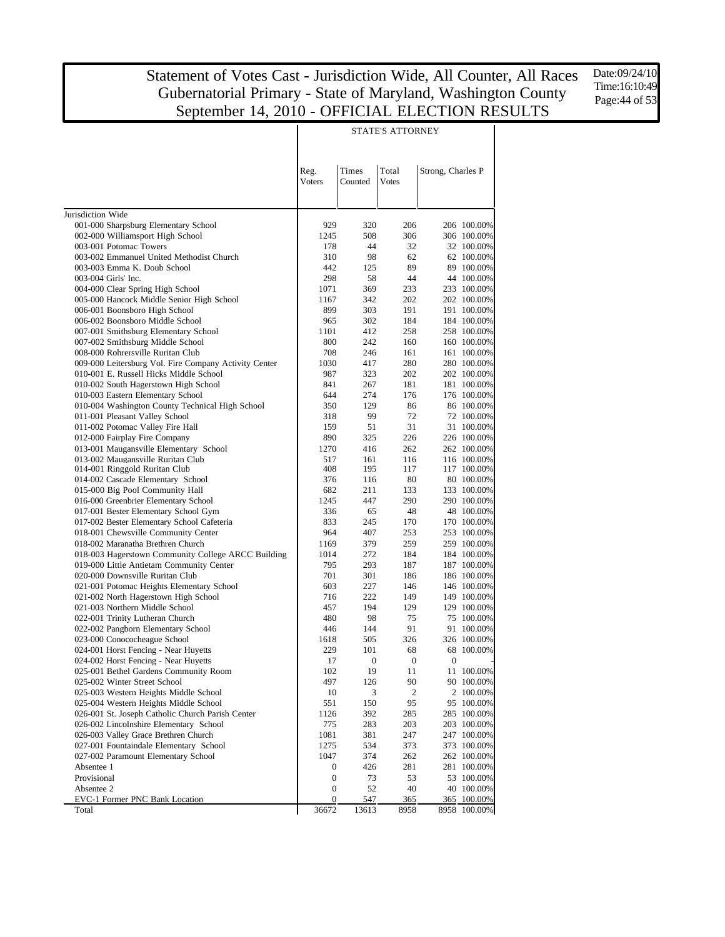Date:09/24/10 Time:16:10:49 Page:44 of 53

|                                                                                           |                |                  | <b>SIAIL SALIUNNEI</b> |                   |                          |
|-------------------------------------------------------------------------------------------|----------------|------------------|------------------------|-------------------|--------------------------|
|                                                                                           | Reg.<br>Voters | Times<br>Counted | Total<br><b>Votes</b>  | Strong, Charles P |                          |
| Jurisdiction Wide                                                                         |                |                  |                        |                   |                          |
| 001-000 Sharpsburg Elementary School                                                      | 929            | 320              | 206                    |                   | 206 100.00%              |
| 002-000 Williamsport High School                                                          | 1245           | 508              | 306                    |                   | 306 100.00%              |
| 003-001 Potomac Towers                                                                    | 178            | 44               | 32                     |                   | 32 100.00%               |
| 003-002 Emmanuel United Methodist Church                                                  | 310            | 98               | 62                     |                   | 62 100.00%               |
| 003-003 Emma K. Doub School                                                               | 442            | 125              | 89                     |                   | 89 100.00%               |
| 003-004 Girls' Inc.                                                                       | 298            | 58               | 44                     |                   | 44 100.00%               |
| 004-000 Clear Spring High School                                                          | 1071           | 369              | 233                    |                   | 233 100.00%              |
| 005-000 Hancock Middle Senior High School                                                 | 1167           | 342              | 202                    |                   | 202 100.00%              |
| 006-001 Boonsboro High School                                                             | 899            | 303              | 191                    |                   | 191 100.00%              |
| 006-002 Boonsboro Middle School                                                           | 965            | 302              | 184                    |                   | 184 100.00%              |
| 007-001 Smithsburg Elementary School                                                      | 1101           | 412              | 258                    |                   | 258 100.00%              |
| 007-002 Smithsburg Middle School                                                          | 800            | 242              | 160                    |                   | 160 100.00%              |
| 008-000 Rohrersville Ruritan Club                                                         | 708            | 246              | 161                    |                   | 161 100.00%              |
| 009-000 Leitersburg Vol. Fire Company Activity Center                                     | 1030           | 417              | 280                    |                   | 280 100.00%              |
| 010-001 E. Russell Hicks Middle School                                                    | 987            | 323              | 202                    |                   | 202 100.00%              |
| 010-002 South Hagerstown High School                                                      | 841            | 267              | 181                    |                   | 181 100.00%              |
| 010-003 Eastern Elementary School                                                         | 644            | 274              | 176                    |                   | 176 100.00%              |
| 010-004 Washington County Technical High School<br>011-001 Pleasant Valley School         | 350            | 129<br>99        | 86<br>72               |                   | 86 100.00%               |
| 011-002 Potomac Valley Fire Hall                                                          | 318<br>159     | 51               | 31                     |                   | 72 100.00%<br>31 100.00% |
| 012-000 Fairplay Fire Company                                                             | 890            | 325              | 226                    |                   | 226 100.00%              |
| 013-001 Maugansville Elementary School                                                    | 1270           | 416              | 262                    |                   | 262 100.00%              |
| 013-002 Maugansville Ruritan Club                                                         | 517            | 161              | 116                    |                   | 116 100.00%              |
| 014-001 Ringgold Ruritan Club                                                             | 408            | 195              | 117                    |                   | 117 100.00%              |
| 014-002 Cascade Elementary School                                                         | 376            | 116              | 80                     |                   | 80 100.00%               |
| 015-000 Big Pool Community Hall                                                           | 682            | 211              | 133                    |                   | 133 100.00%              |
| 016-000 Greenbrier Elementary School                                                      | 1245           | 447              | 290                    |                   | 290 100.00%              |
| 017-001 Bester Elementary School Gym                                                      | 336            | 65               | 48                     |                   | 48 100.00%               |
| 017-002 Bester Elementary School Cafeteria                                                | 833            | 245              | 170                    |                   | 170 100.00%              |
| 018-001 Chewsville Community Center                                                       | 964            | 407              | 253                    |                   | 253 100.00%              |
| 018-002 Maranatha Brethren Church                                                         | 1169           | 379              | 259                    |                   | 259 100.00%              |
| 018-003 Hagerstown Community College ARCC Building                                        | 1014           | 272              | 184                    |                   | 184 100.00%              |
| 019-000 Little Antietam Community Center                                                  | 795            | 293              | 187                    |                   | 187 100.00%              |
| 020-000 Downsville Ruritan Club                                                           | 701            | 301              | 186                    |                   | 186 100.00%              |
| 021-001 Potomac Heights Elementary School                                                 | 603            | 227              | 146                    |                   | 146 100.00%              |
| 021-002 North Hagerstown High School                                                      | 716            | 222              | 149                    |                   | 149 100.00%              |
| 021-003 Northern Middle School                                                            | 457            | 194              | 129                    |                   | 129 100.00%              |
| 022-001 Trinity Lutheran Church                                                           | 480            | 98               | 75                     |                   | 75 100.00%               |
| 022-002 Pangborn Elementary School                                                        | 446            | 144              | 91                     |                   | 91 100.00%               |
| 023-000 Conococheague School                                                              | 1618           | 505              | 326                    |                   | 326 100.00%              |
| 024-001 Horst Fencing - Near Huyetts                                                      | 229            | 101              | 68                     |                   | 68 100.00%               |
| 024-002 Horst Fencing - Near Huyetts                                                      | 17             | $\mathbf{0}$     | $\mathbf{0}$           | $\mathbf{0}$      |                          |
| 025-001 Bethel Gardens Community Room                                                     | 102            | 19               | 11                     |                   | 11 100.00%               |
| 025-002 Winter Street School                                                              | 497            | 126              | 90                     |                   | 90 100.00%               |
| 025-003 Western Heights Middle School                                                     | 10             | 3                | 2                      |                   | 2 100.00%<br>95 100.00%  |
| 025-004 Western Heights Middle School<br>026-001 St. Joseph Catholic Church Parish Center | 551<br>1126    | 150<br>392       | 95<br>285              |                   | 285 100.00%              |
| 026-002 Lincolnshire Elementary School                                                    | 775            | 283              | 203                    |                   | 203 100.00%              |
| 026-003 Valley Grace Brethren Church                                                      | 1081           | 381              | 247                    |                   | 247 100.00%              |
| 027-001 Fountaindale Elementary School                                                    | 1275           | 534              | 373                    |                   | 373 100.00%              |
| 027-002 Paramount Elementary School                                                       | 1047           | 374              | 262                    |                   | 262 100.00%              |
| Absentee 1                                                                                | 0              | 426              | 281                    |                   | 281 100.00%              |
| Provisional                                                                               | 0              | 73               | 53                     |                   | 53 100.00%               |
| Absentee 2                                                                                | 0              | 52               | 40                     |                   | 40 100.00%               |
| EVC-1 Former PNC Bank Location                                                            | 0              | <u>547</u>       | 365                    |                   | 365 100.00%              |
| Total                                                                                     | 36672          | 13613            | 8958                   |                   | 8958 100.00%             |

#### STATE'S ATTORNEY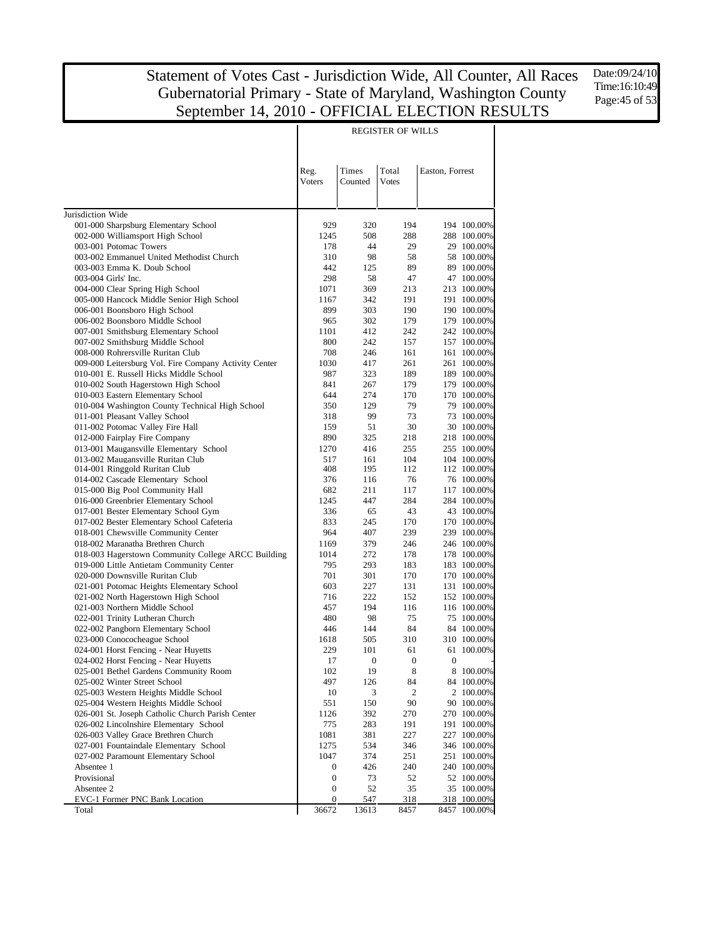Date:09/24/10 Time:16:10:49 Page:45 of 53

|                                                                       |                       |                  | <b>REGISTER OF WILLS</b> |                  |                            |
|-----------------------------------------------------------------------|-----------------------|------------------|--------------------------|------------------|----------------------------|
|                                                                       | Reg.                  | Times            | Total                    | Easton, Forrest  |                            |
|                                                                       | Voters                | Counted          | <b>Votes</b>             |                  |                            |
| Jurisdiction Wide                                                     |                       |                  |                          |                  |                            |
| 001-000 Sharpsburg Elementary School                                  | 929                   | 320              | 194                      |                  | 194 100.00%                |
| 002-000 Williamsport High School                                      | 1245                  | 508              | 288                      |                  | 288 100.00%                |
| 003-001 Potomac Towers                                                | 178                   | 44               | 29                       |                  | 29 100.00%                 |
| 003-002 Emmanuel United Methodist Church                              | 310                   | 98               | 58                       |                  | 58 100.00%                 |
| 003-003 Emma K. Doub School                                           | 442                   | 125              | 89                       |                  | 89 100.00%                 |
| 003-004 Girls' Inc.                                                   | 298                   | 58               | 47                       |                  | 47 100.00%                 |
| 004-000 Clear Spring High School                                      | 1071                  | 369              | 213                      |                  | 213 100.00%                |
| 005-000 Hancock Middle Senior High School                             | 1167<br>899           | 342<br>303       | 191<br>190               |                  | 191 100.00%<br>190 100.00% |
| 006-001 Boonsboro High School<br>006-002 Boonsboro Middle School      | 965                   | 302              | 179                      |                  | 179 100.00%                |
| 007-001 Smithsburg Elementary School                                  | 1101                  | 412              | 242                      |                  | 242 100.00%                |
| 007-002 Smithsburg Middle School                                      | 800                   | 242              | 157                      |                  | 157 100.00%                |
| 008-000 Rohrersville Ruritan Club                                     | 708                   | 246              | 161                      |                  | 161 100.00%                |
| 009-000 Leitersburg Vol. Fire Company Activity Center                 | 1030                  | 417              | 261                      |                  | 261 100.00%                |
| 010-001 E. Russell Hicks Middle School                                | 987                   | 323              | 189                      |                  | 189 100.00%                |
| 010-002 South Hagerstown High School                                  | 841                   | 267              | 179                      |                  | 179 100.00%                |
| 010-003 Eastern Elementary School                                     | 644                   | 274              | 170                      |                  | 170 100.00%                |
| 010-004 Washington County Technical High School                       | 350                   | 129              | 79                       |                  | 79 100.00%                 |
| 011-001 Pleasant Valley School                                        | 318                   | 99               | 73                       |                  | 73 100.00%                 |
| 011-002 Potomac Valley Fire Hall                                      | 159                   | 51               | 30                       |                  | 30 100.00%                 |
| 012-000 Fairplay Fire Company                                         | 890                   | 325              | 218                      |                  | 218 100.00%                |
| 013-001 Maugansville Elementary School                                | 1270                  | 416              | 255                      |                  | 255 100.00%                |
| 013-002 Maugansville Ruritan Club<br>014-001 Ringgold Ruritan Club    | 517<br>408            | 161<br>195       | 104<br>112               |                  | 104 100.00%<br>112 100.00% |
| 014-002 Cascade Elementary School                                     | 376                   | 116              | 76                       |                  | 76 100.00%                 |
| 015-000 Big Pool Community Hall                                       | 682                   | 211              | 117                      |                  | 117 100.00%                |
| 016-000 Greenbrier Elementary School                                  | 1245                  | 447              | 284                      |                  | 284 100.00%                |
| 017-001 Bester Elementary School Gym                                  | 336                   | 65               | 43                       |                  | 43 100.00%                 |
| 017-002 Bester Elementary School Cafeteria                            | 833                   | 245              | 170                      |                  | 170 100.00%                |
| 018-001 Chewsville Community Center                                   | 964                   | 407              | 239                      |                  | 239 100.00%                |
| 018-002 Maranatha Brethren Church                                     | 1169                  | 379              | 246                      |                  | 246 100.00%                |
| 018-003 Hagerstown Community College ARCC Building                    | 1014                  | 272              | 178                      |                  | 178 100.00%                |
| 019-000 Little Antietam Community Center                              | 795                   | 293              | 183                      |                  | 183 100.00%                |
| 020-000 Downsville Ruritan Club                                       | 701                   | 301              | 170                      |                  | 170 100.00%                |
| 021-001 Potomac Heights Elementary School                             | 603                   | 227              | 131                      |                  | 131 100.00%                |
| 021-002 North Hagerstown High School                                  | 716                   | 222              | 152                      |                  | 152 100.00%                |
| 021-003 Northern Middle School                                        | 457<br>480            | 194<br>98        | 116<br>75                |                  | 116 100.00%<br>75 100.00%  |
| 022-001 Trinity Lutheran Church<br>022-002 Pangborn Elementary School | 446                   | 144              | 84                       |                  | 84 100.00%                 |
| 023-000 Conococheague School                                          | 1618                  | 505              | 310                      |                  | 310 100.00%                |
| 024-001 Horst Fencing - Near Huyetts                                  | 229                   | 101              | 61                       |                  | 61 100.00%                 |
| 024-002 Horst Fencing - Near Huyetts                                  | 17                    | $\boldsymbol{0}$ | $\boldsymbol{0}$         | $\boldsymbol{0}$ |                            |
| 025-001 Bethel Gardens Community Room                                 | 102                   | 19               | 8                        |                  | 8 100.00%                  |
| 025-002 Winter Street School                                          | 497                   | 126              | 84                       |                  | 84 100.00%                 |
| 025-003 Western Heights Middle School                                 | 10                    | 3                | 2                        |                  | 2 100.00%                  |
| 025-004 Western Heights Middle School                                 | 551                   | 150              | 90                       |                  | 90 100.00%                 |
| 026-001 St. Joseph Catholic Church Parish Center                      | 1126                  | 392              | 270                      |                  | 270 100.00%                |
| 026-002 Lincolnshire Elementary School                                | 775                   | 283              | 191                      |                  | 191 100.00%                |
| 026-003 Valley Grace Brethren Church                                  | 1081                  | 381              | 227                      |                  | 227 100.00%                |
| 027-001 Fountaindale Elementary School                                | 1275                  | 534              | 346                      |                  | 346 100.00%                |
| 027-002 Paramount Elementary School                                   | 1047                  | 374              | 251                      |                  | 251 100.00%                |
| Absentee 1                                                            | 0                     | 426              | 240                      |                  | 240 100.00%                |
| Provisional                                                           | 0                     | 73               | 52                       |                  | 52 100.00%                 |
| Absentee 2<br>EVC-1 Former PNC Bank Location                          | 0<br>$\boldsymbol{0}$ | 52<br>547        | 35<br>318                |                  | 35 100.00%<br>318 100.00%  |
| Total                                                                 | 36672                 | 13613            | 8457                     |                  | 8457 100.00%               |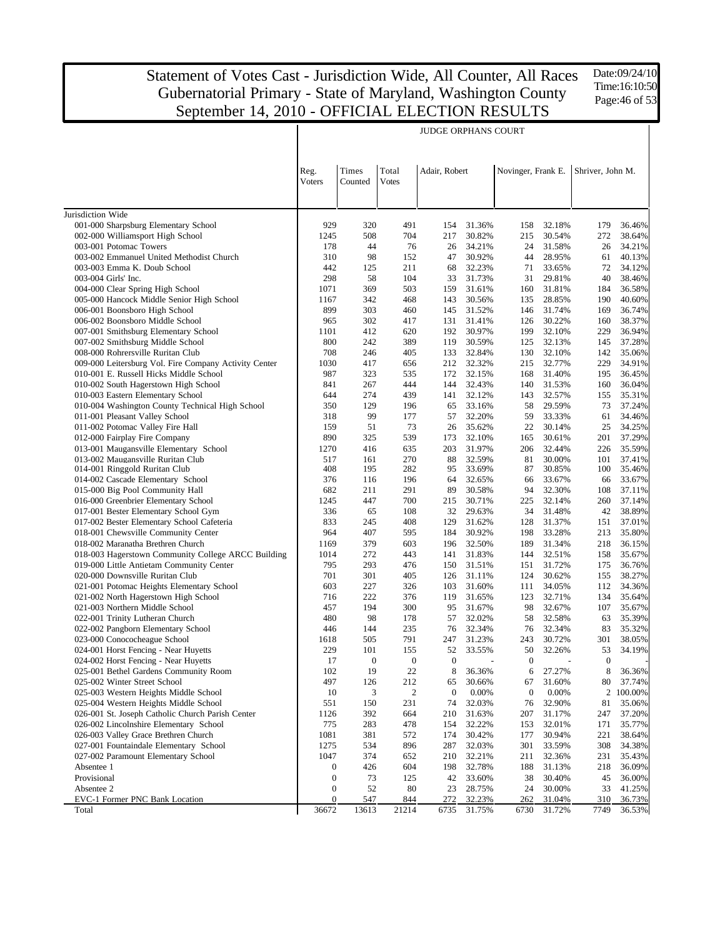Date:09/24/10 Time:16:10:50 Page:46 of 53

|                                                                               |                       |                  |                       | <b>JUDGE ORPHANS COURT</b> |                  |                    |                  |                  |                  |
|-------------------------------------------------------------------------------|-----------------------|------------------|-----------------------|----------------------------|------------------|--------------------|------------------|------------------|------------------|
|                                                                               | Reg.<br><b>Voters</b> | Times<br>Counted | Total<br><b>Votes</b> | Adair, Robert              |                  | Novinger, Frank E. |                  | Shriver, John M. |                  |
| Jurisdiction Wide                                                             |                       |                  |                       |                            |                  |                    |                  |                  |                  |
| 001-000 Sharpsburg Elementary School                                          | 929                   | 320              | 491                   | 154                        | 31.36%           | 158                | 32.18%           | 179              | 36.46%           |
| 002-000 Williamsport High School                                              | 1245                  | 508              | 704                   | 217                        | 30.82%           | 215                | 30.54%           | 272              | 38.64%           |
| 003-001 Potomac Towers                                                        | 178                   | 44               | 76                    | 26                         | 34.21%           | 24                 | 31.58%           | 26               | 34.21%           |
| 003-002 Emmanuel United Methodist Church                                      | 310                   | 98               | 152                   | 47                         | 30.92%           | 44                 | 28.95%           | 61               | 40.13%           |
| 003-003 Emma K. Doub School                                                   | 442                   | 125              | 211                   | 68                         | 32.23%           | 71                 | 33.65%           | 72               | 34.12%           |
| 003-004 Girls' Inc.                                                           | 298                   | 58               | 104                   | 33                         | 31.73%           | 31                 | 29.81%           | 40               | 38.46%           |
| 004-000 Clear Spring High School                                              | 1071                  | 369              | 503                   | 159                        | 31.61%           | 160                | 31.81%           | 184              | 36.58%           |
| 005-000 Hancock Middle Senior High School                                     | 1167                  | 342              | 468                   | 143                        | 30.56%           | 135                | 28.85%           | 190              | 40.60%           |
| 006-001 Boonsboro High School<br>006-002 Boonsboro Middle School              | 899<br>965            | 303<br>302       | 460<br>417            | 145<br>131                 | 31.52%<br>31.41% | 146<br>126         | 31.74%<br>30.22% | 169<br>160       | 36.74%<br>38.37% |
| 007-001 Smithsburg Elementary School                                          | 1101                  | 412              | 620                   | 192                        | 30.97%           | 199                | 32.10%           | 229              | 36.94%           |
| 007-002 Smithsburg Middle School                                              | 800                   | 242              | 389                   | 119                        | 30.59%           | 125                | 32.13%           | 145              | 37.28%           |
| 008-000 Rohrersville Ruritan Club                                             | 708                   | 246              | 405                   | 133                        | 32.84%           | 130                | 32.10%           | 142              | 35.06%           |
| 009-000 Leitersburg Vol. Fire Company Activity Center                         | 1030                  | 417              | 656                   | 212                        | 32.32%           | 215                | 32.77%           | 229              | 34.91%           |
| 010-001 E. Russell Hicks Middle School                                        | 987                   | 323              | 535                   | 172                        | 32.15%           | 168                | 31.40%           | 195              | 36.45%           |
| 010-002 South Hagerstown High School                                          | 841                   | 267              | 444                   | 144                        | 32.43%           | 140                | 31.53%           | 160              | 36.04%           |
| 010-003 Eastern Elementary School                                             | 644                   | 274              | 439                   | 141                        | 32.12%           | 143                | 32.57%           | 155              | 35.31%           |
| 010-004 Washington County Technical High School                               | 350                   | 129              | 196                   | 65                         | 33.16%           | 58                 | 29.59%           | 73               | 37.24%           |
| 011-001 Pleasant Valley School                                                | 318                   | 99               | 177                   | 57                         | 32.20%           | 59                 | 33.33%           | 61               | 34.46%           |
| 011-002 Potomac Valley Fire Hall                                              | 159                   | 51               | 73                    | 26                         | 35.62%           | 22                 | 30.14%           | 25               | 34.25%           |
| 012-000 Fairplay Fire Company                                                 | 890                   | 325              | 539                   | 173                        | 32.10%           | 165                | 30.61%           | 201              | 37.29%           |
| 013-001 Maugansville Elementary School                                        | 1270                  | 416              | 635                   | 203                        | 31.97%           | 206                | 32.44%           | 226              | 35.59%           |
| 013-002 Maugansville Ruritan Club                                             | 517                   | 161              | 270                   | 88                         | 32.59%           | 81                 | 30.00%           | 101              | 37.41%           |
| 014-001 Ringgold Ruritan Club                                                 | 408                   | 195              | 282                   | 95                         | 33.69%           | 87                 | 30.85%           | 100              | 35.46%           |
| 014-002 Cascade Elementary School                                             | 376                   | 116              | 196                   | 64                         | 32.65%           | 66                 | 33.67%           | 66               | 33.67%           |
| 015-000 Big Pool Community Hall                                               | 682                   | 211              | 291                   | 89                         | 30.58%           | 94                 | 32.30%           | 108              | 37.11%           |
| 016-000 Greenbrier Elementary School                                          | 1245                  | 447              | 700                   | 215                        | 30.71%           | 225                | 32.14%           | 260              | 37.14%           |
| 017-001 Bester Elementary School Gym                                          | 336                   | 65               | 108                   | 32                         | 29.63%           | 34                 | 31.48%           | 42               | 38.89%           |
| 017-002 Bester Elementary School Cafeteria                                    | 833<br>964            | 245<br>407       | 408<br>595            | 129                        | 31.62%           | 128                | 31.37%           | 151              | 37.01%           |
| 018-001 Chewsville Community Center<br>018-002 Maranatha Brethren Church      | 1169                  | 379              | 603                   | 184<br>196                 | 30.92%<br>32.50% | 198<br>189         | 33.28%<br>31.34% | 213<br>218       | 35.80%<br>36.15% |
| 018-003 Hagerstown Community College ARCC Building                            | 1014                  | 272              | 443                   | 141                        | 31.83%           | 144                | 32.51%           | 158              | 35.67%           |
| 019-000 Little Antietam Community Center                                      | 795                   | 293              | 476                   | 150                        | 31.51%           | 151                | 31.72%           | 175              | 36.76%           |
| 020-000 Downsville Ruritan Club                                               | 701                   | 301              | 405                   | 126                        | 31.11%           | 124                | 30.62%           | 155              | 38.27%           |
| 021-001 Potomac Heights Elementary School                                     | 603                   | 227              | 326                   | 103                        | 31.60%           | 111                | 34.05%           | 112              | 34.36%           |
| 021-002 North Hagerstown High School                                          | 716                   | 222              | 376                   | 119                        | 31.65%           | 123                | 32.71%           | 134              | 35.64%           |
| 021-003 Northern Middle School                                                | 457                   | 194              | 300                   | 95                         | 31.67%           | 98                 | 32.67%           | 107              | 35.67%           |
| 022-001 Trinity Lutheran Church                                               | 480                   | 98               | 178                   | 57                         | 32.02%           | 58                 | 32.58%           | 63               | 35.39%           |
| 022-002 Pangborn Elementary School                                            | 446                   | 144              | 235                   | 76                         | 32.34%           | 76                 | 32.34%           | 83               | 35.32%           |
| 023-000 Conococheague School                                                  | 1618                  | 505              | 791                   | 247                        | 31.23%           | 243                | 30.72%           | 301              | 38.05%           |
| 024-001 Horst Fencing - Near Huyetts                                          | 229                   | 101              | 155                   | 52                         | 33.55%           | 50                 | 32.26%           | 53               | 34.19%           |
| 024-002 Horst Fencing - Near Huyetts                                          | 17                    | $\theta$         | $\theta$              | $\mathbf{0}$               |                  | $\theta$           |                  | $\theta$         |                  |
| 025-001 Bethel Gardens Community Room                                         | 102                   | 19               | $22\,$                | 8                          | 36.36%           | 6                  | 27.27%           | 8                | 36.36%           |
| 025-002 Winter Street School                                                  | 497                   | 126              | 212                   | 65                         | 30.66%           | 67                 | 31.60%           | 80               | 37.74%           |
| 025-003 Western Heights Middle School                                         | 10                    | 3                | $\boldsymbol{2}$      | $\boldsymbol{0}$           | 0.00%            | $\boldsymbol{0}$   | 0.00%            |                  | 2 100.00%        |
| 025-004 Western Heights Middle School                                         | 551                   | 150              | 231                   | 74                         | 32.03%           | 76                 | 32.90%           | 81               | 35.06%           |
| 026-001 St. Joseph Catholic Church Parish Center                              | 1126                  | 392              | 664                   | 210                        | 31.63%           | 207                | 31.17%           | 247              | 37.20%           |
| 026-002 Lincolnshire Elementary School                                        | 775                   | 283              | 478                   | 154                        | 32.22%           | 153                | 32.01%           | 171              | 35.77%           |
| 026-003 Valley Grace Brethren Church                                          | 1081                  | 381              | 572                   | 174                        | 30.42%           | 177                | 30.94%           | 221              | 38.64%           |
| 027-001 Fountaindale Elementary School<br>027-002 Paramount Elementary School | 1275<br>1047          | 534              | 896                   | 287                        | 32.03%           | 301                | 33.59%           | 308              | 34.38%           |
| Absentee 1                                                                    | $\boldsymbol{0}$      | 374<br>426       | 652<br>604            | 210                        | 32.21%<br>32.78% | 211<br>188         | 32.36%<br>31.13% | 231<br>218       | 35.43%<br>36.09% |
| Provisional                                                                   | $\boldsymbol{0}$      | 73               | 125                   | 198<br>42                  | 33.60%           | 38                 | 30.40%           | 45               | 36.00%           |
| Absentee 2                                                                    | $\boldsymbol{0}$      | 52               | 80                    | 23                         | 28.75%           | 24                 | 30.00%           | 33               | 41.25%           |
| EVC-1 Former PNC Bank Location                                                | $\boldsymbol{0}$      | 547              | 844                   | 272                        | 32.23%           | 262                | 31.04%           | 310              | 36.73%           |
| Total                                                                         | 36672                 | 13613            | 21214                 | 6735                       | 31.75%           | 6730               | 31.72%           | 7749             | 36.53%           |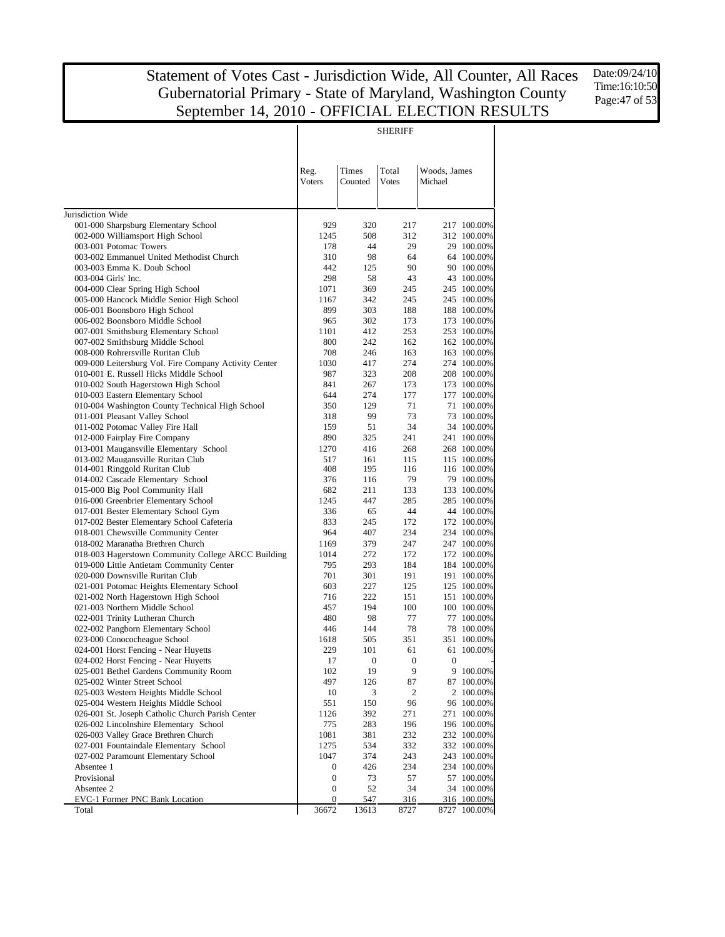Date:09/24/10 Time:16:10:50 Page:47 of 53

|                                                                                      |                  |                       | <b>SHERIFF</b>        |                         |                           |
|--------------------------------------------------------------------------------------|------------------|-----------------------|-----------------------|-------------------------|---------------------------|
|                                                                                      | Reg.<br>Voters   | Times<br>Counted      | Total<br><b>Votes</b> | Woods, James<br>Michael |                           |
| Jurisdiction Wide                                                                    |                  |                       |                       |                         |                           |
| 001-000 Sharpsburg Elementary School                                                 | 929              | 320                   | 217                   |                         | 217 100.00%               |
| 002-000 Williamsport High School                                                     | 1245             | 508                   | 312                   |                         | 312 100.00%               |
| 003-001 Potomac Towers                                                               | 178              | 44                    | 29                    |                         | 29 100.00%                |
| 003-002 Emmanuel United Methodist Church                                             | 310              | 98                    | 64                    |                         | 64 100.00%                |
| 003-003 Emma K. Doub School                                                          | 442              | 125                   | 90                    |                         | 90 100,00%                |
| 003-004 Girls' Inc.                                                                  | 298              | 58                    | 43                    |                         | 43 100.00%                |
| 004-000 Clear Spring High School                                                     | 1071             | 369                   | 245                   |                         | 245 100.00%               |
| 005-000 Hancock Middle Senior High School                                            | 1167             | 342                   | 245                   |                         | 245 100.00%               |
| 006-001 Boonsboro High School                                                        | 899              | 303                   | 188                   |                         | 188 100.00%               |
| 006-002 Boonsboro Middle School                                                      | 965              | 302                   | 173                   |                         | 173 100.00%               |
| 007-001 Smithsburg Elementary School                                                 | 1101             | 412                   | 253                   |                         | 253 100.00%               |
| 007-002 Smithsburg Middle School                                                     | 800              | 242                   | 162                   |                         | 162 100.00%               |
| 008-000 Rohrersville Ruritan Club                                                    | 708              | 246                   | 163                   |                         | 163 100.00%               |
| 009-000 Leitersburg Vol. Fire Company Activity Center                                | 1030             | 417                   | 274                   |                         | 274 100.00%               |
| 010-001 E. Russell Hicks Middle School                                               | 987              | 323                   | 208                   |                         | 208 100.00%               |
| 010-002 South Hagerstown High School                                                 | 841              | 267                   | 173                   |                         | 173 100.00%               |
| 010-003 Eastern Elementary School<br>010-004 Washington County Technical High School | 644<br>350       | 274                   | 177<br>71             |                         | 177 100.00%<br>71 100.00% |
| 011-001 Pleasant Valley School                                                       | 318              | 129<br>99             | 73                    |                         | 73 100,00%                |
| 011-002 Potomac Valley Fire Hall                                                     | 159              | 51                    | 34                    |                         | 34 100.00%                |
| 012-000 Fairplay Fire Company                                                        | 890              | 325                   | 241                   |                         | 241 100.00%               |
| 013-001 Maugansville Elementary School                                               | 1270             | 416                   | 268                   |                         | 268 100.00%               |
| 013-002 Maugansville Ruritan Club                                                    | 517              | 161                   | 115                   |                         | 115 100.00%               |
| 014-001 Ringgold Ruritan Club                                                        | 408              | 195                   | 116                   |                         | 116 100.00%               |
| 014-002 Cascade Elementary School                                                    | 376              | 116                   | 79                    |                         | 79 100.00%                |
| 015-000 Big Pool Community Hall                                                      | 682              | 211                   | 133                   |                         | 133 100.00%               |
| 016-000 Greenbrier Elementary School                                                 | 1245             | 447                   | 285                   |                         | 285 100.00%               |
| 017-001 Bester Elementary School Gym                                                 | 336              | 65                    | 44                    |                         | 44 100.00%                |
| 017-002 Bester Elementary School Cafeteria                                           | 833              | 245                   | 172                   |                         | 172 100.00%               |
| 018-001 Chewsville Community Center                                                  | 964              | 407                   | 234                   |                         | 234 100.00%               |
| 018-002 Maranatha Brethren Church                                                    | 1169             | 379                   | 247                   |                         | 247 100.00%               |
| 018-003 Hagerstown Community College ARCC Building                                   | 1014             | 272                   | 172                   |                         | 172 100.00%               |
| 019-000 Little Antietam Community Center                                             | 795              | 293                   | 184                   |                         | 184 100.00%               |
| 020-000 Downsville Ruritan Club                                                      | 701              | 301                   | 191                   |                         | 191 100.00%               |
| 021-001 Potomac Heights Elementary School                                            | 603              | 227                   | 125                   |                         | 125 100.00%               |
| 021-002 North Hagerstown High School                                                 | 716              | 222                   | 151                   |                         | 151 100.00%               |
| 021-003 Northern Middle School                                                       | 457              | 194                   | 100                   |                         | 100 100.00%               |
| 022-001 Trinity Lutheran Church                                                      | 480              | 98                    | 77                    |                         | 77 100.00%                |
| 022-002 Pangborn Elementary School                                                   | 446              | 144                   | 78                    |                         | 78 100.00%                |
| 023-000 Conococheague School                                                         | 1618             | 505                   | 351                   |                         | 351 100.00%               |
| 024-001 Horst Fencing - Near Huyetts                                                 | 229              | 101                   | 61                    |                         | 61 100.00%                |
| 024-002 Horst Fencing - Near Huyetts                                                 | 17               | $\boldsymbol{\theta}$ | $\boldsymbol{\theta}$ | $\theta$                |                           |
| 025-001 Bethel Gardens Community Room                                                | 102              | 19                    | 9                     |                         | 9 100.00%                 |
| 025-002 Winter Street School                                                         | 497              | 126                   | 87                    |                         | 87 100.00%                |
| 025-003 Western Heights Middle School<br>025-004 Western Heights Middle School       | 10               | 3<br>150              | 2                     |                         | 2 100.00%                 |
| 026-001 St. Joseph Catholic Church Parish Center                                     | 551<br>1126      | 392                   | 96<br>271             |                         | 96 100.00%<br>271 100.00% |
| 026-002 Lincolnshire Elementary School                                               | 775              | 283                   | 196                   |                         | 196 100.00%               |
| 026-003 Valley Grace Brethren Church                                                 | 1081             | 381                   | 232                   |                         | 232 100.00%               |
| 027-001 Fountaindale Elementary School                                               | 1275             | 534                   | 332                   |                         | 332 100.00%               |
| 027-002 Paramount Elementary School                                                  | 1047             | 374                   | 243                   |                         | 243 100.00%               |
| Absentee 1                                                                           | 0                | 426                   | 234                   |                         | 234 100.00%               |
| Provisional                                                                          | $\boldsymbol{0}$ | 73                    | 57                    |                         | 57 100.00%                |
| Absentee 2                                                                           | $\boldsymbol{0}$ | 52                    | 34                    |                         | 34 100.00%                |
| EVC-1 Former PNC Bank Location                                                       | 0                | 547                   | 316                   |                         | 316 100.00%               |
| Total                                                                                | 36672            | 13613                 | 8727                  |                         | 8727 100.00%              |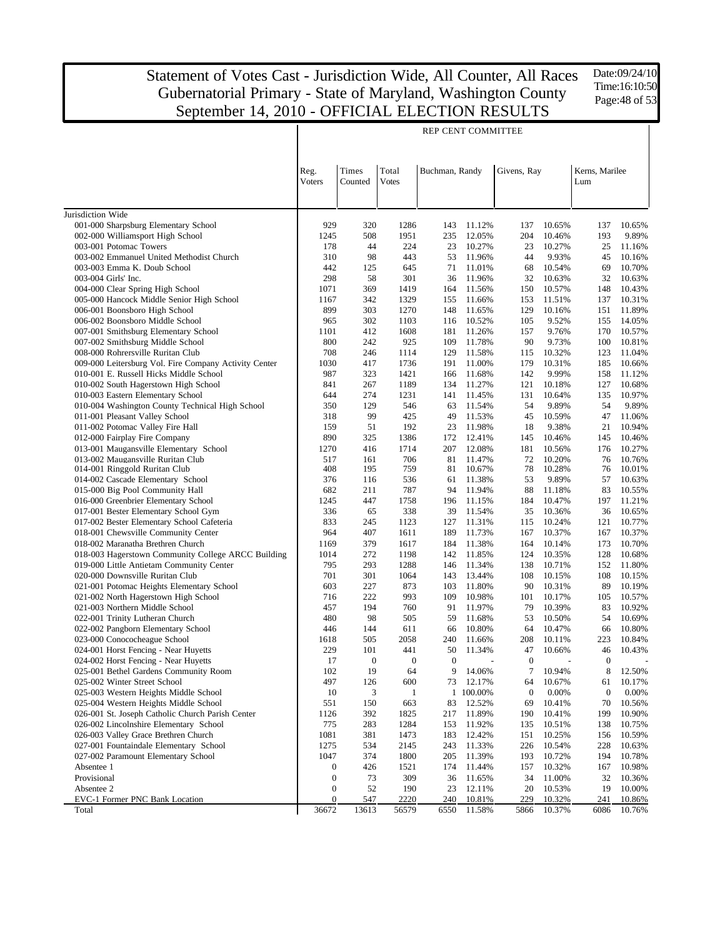Date:09/24/10 Time:16:10:50 Page:48 of 53

| Times<br>Total<br>Buchman, Randy<br>Kerns, Marilee<br>Reg.<br>Givens, Ray<br>Voters<br>Counted<br><b>Votes</b><br>Lum<br>Jurisdiction Wide<br>001-000 Sharpsburg Elementary School<br>929<br>320<br>1286<br>143<br>11.12%<br>137<br>10.65%<br>137<br>10.65%<br>002-000 Williamsport High School<br>193<br>9.89%<br>1245<br>508<br>1951<br>235<br>12.05%<br>204<br>10.46%<br>44<br>003-001 Potomac Towers<br>178<br>224<br>23<br>10.27%<br>23<br>10.27%<br>25<br>11.16%<br>310<br>003-002 Emmanuel United Methodist Church<br>98<br>443<br>53<br>11.96%<br>44<br>9.93%<br>45<br>10.16%<br>442<br>003-003 Emma K. Doub School<br>125<br>645<br>71<br>11.01%<br>68<br>10.54%<br>69<br>10.70%<br>298<br>58<br>301<br>003-004 Girls' Inc.<br>36<br>11.96%<br>32<br>10.63%<br>32<br>10.63%<br>004-000 Clear Spring High School<br>1071<br>369<br>1419<br>11.56%<br>150<br>10.57%<br>148<br>10.43%<br>164<br>005-000 Hancock Middle Senior High School<br>1167<br>342<br>1329<br>155<br>11.66%<br>153<br>11.51%<br>137<br>10.31%<br>899<br>303<br>11.89%<br>006-001 Boonsboro High School<br>1270<br>148<br>11.65%<br>129<br>10.16%<br>151<br>006-002 Boonsboro Middle School<br>965<br>302<br>1103<br>10.52%<br>105<br>9.52%<br>155<br>14.05%<br>116<br>412<br>007-001 Smithsburg Elementary School<br>1101<br>1608<br>181<br>11.26%<br>157<br>9.76%<br>170<br>10.57%<br>800<br>007-002 Smithsburg Middle School<br>242<br>925<br>109<br>11.78%<br>90<br>9.73%<br>100<br>10.81%<br>708<br>008-000 Rohrersville Ruritan Club<br>246<br>1114<br>129<br>11.58%<br>10.32%<br>123<br>11.04%<br>115<br>009-000 Leitersburg Vol. Fire Company Activity Center<br>1030<br>417<br>1736<br>191<br>11.00%<br>179<br>10.31%<br>185<br>10.66%<br>987<br>323<br>9.99%<br>010-001 E. Russell Hicks Middle School<br>1421<br>11.68%<br>142<br>158<br>11.12%<br>166<br>010-002 South Hagerstown High School<br>841<br>267<br>1189<br>134<br>11.27%<br>121<br>10.18%<br>127<br>10.68%<br>274<br>010-003 Eastern Elementary School<br>644<br>1231<br>141<br>11.45%<br>131<br>10.64%<br>135<br>10.97%<br>010-004 Washington County Technical High School<br>350<br>54<br>54<br>129<br>546<br>63<br>11.54%<br>9.89%<br>9.89%<br>011-001 Pleasant Valley School<br>99<br>318<br>425<br>49<br>11.53%<br>45<br>10.59%<br>47<br>11.06%<br>011-002 Potomac Valley Fire Hall<br>51<br>192<br>21<br>159<br>23<br>11.98%<br>18<br>9.38%<br>10.94%<br>890<br>012-000 Fairplay Fire Company<br>325<br>1386<br>172<br>12.41%<br>145<br>10.46%<br>145<br>10.46%<br>013-001 Maugansville Elementary School<br>12.08%<br>1270<br>416<br>1714<br>207<br>181<br>10.56%<br>176<br>10.27%<br>013-002 Maugansville Ruritan Club<br>706<br>72<br>517<br>161<br>81<br>11.47%<br>10.20%<br>76<br>10.76%<br>408<br>195<br>759<br>78<br>014-001 Ringgold Ruritan Club<br>81<br>10.67%<br>10.28%<br>76<br>10.01%<br>376<br>536<br>53<br>9.89%<br>014-002 Cascade Elementary School<br>116<br>61<br>11.38%<br>57<br>10.63%<br>015-000 Big Pool Community Hall<br>682<br>211<br>787<br>11.94%<br>88<br>83<br>10.55%<br>94<br>11.18%<br>016-000 Greenbrier Elementary School<br>447<br>1758<br>196<br>11.15%<br>10.47%<br>197<br>11.21%<br>1245<br>184<br>017-001 Bester Elementary School Gym<br>336<br>338<br>39<br>36<br>10.65%<br>65<br>11.54%<br>35<br>10.36%<br>017-002 Bester Elementary School Cafeteria<br>833<br>245<br>1123<br>11.31%<br>10.77%<br>127<br>115<br>10.24%<br>121<br>018-001 Chewsville Community Center<br>964<br>407<br>1611<br>189<br>11.73%<br>10.37%<br>167<br>10.37%<br>167<br>379<br>1617<br>11.38%<br>10.70%<br>018-002 Maranatha Brethren Church<br>1169<br>184<br>164<br>10.14%<br>173<br>018-003 Hagerstown Community College ARCC Building<br>272<br>1198<br>11.85%<br>128<br>10.68%<br>1014<br>142<br>124<br>10.35%<br>019-000 Little Antietam Community Center<br>795<br>293<br>1288<br>11.34%<br>152<br>11.80%<br>146<br>138<br>10.71%<br>701<br>301<br>13.44%<br>108<br>020-000 Downsville Ruritan Club<br>1064<br>143<br>108<br>10.15%<br>10.15%<br>603<br>227<br>873<br>11.80%<br>89<br>10.19%<br>021-001 Potomac Heights Elementary School<br>103<br>90<br>10.31%<br>716<br>222<br>993<br>10.98%<br>10.57%<br>021-002 North Hagerstown High School<br>109<br>101<br>10.17%<br>105<br>457<br>194<br>760<br>91<br>11.97%<br>10.92%<br>021-003 Northern Middle School<br>79<br>10.39%<br>83<br>480<br>98<br>505<br>59<br>11.68%<br>53<br>54<br>10.69%<br>022-001 Trinity Lutheran Church<br>10.50%<br>144<br>611<br>10.80%<br>10.47%<br>10.80%<br>022-002 Pangborn Elementary School<br>446<br>66<br>64<br>66<br>023-000 Conococheague School<br>505<br>2058<br>223<br>10.84%<br>1618<br>240<br>11.66%<br>208<br>10.11%<br>024-001 Horst Fencing - Near Huyetts<br>229<br>101<br>441<br>10.43%<br>50<br>11.34%<br>47<br>10.66%<br>46<br>024-002 Horst Fencing - Near Huyetts<br>17<br>$\theta$<br>$\theta$<br>$\theta$<br>$\mathbf{0}$<br>$\theta$<br>19<br>7<br>8<br>025-001 Bethel Gardens Community Room<br>102<br>64<br>9<br>14.06%<br>10.94%<br>12.50%<br>497<br>600<br>10.17%<br>025-002 Winter Street School<br>126<br>73<br>12.17%<br>10.67%<br>64<br>61<br>3<br>$\boldsymbol{0}$<br>0.00%<br>025-003 Western Heights Middle School<br>10<br>1 100.00%<br>0.00%<br>$\boldsymbol{0}$<br>1<br>025-004 Western Heights Middle School<br>551<br>150<br>663<br>83<br>12.52%<br>10.41%<br>70<br>10.56%<br>69<br>392<br>026-001 St. Joseph Catholic Church Parish Center<br>1126<br>1825<br>217<br>11.89%<br>190<br>10.41%<br>199<br>10.90%<br>775<br>283<br>1284<br>026-002 Lincolnshire Elementary School<br>153<br>11.92%<br>135<br>10.51%<br>138<br>10.75%<br>1081<br>026-003 Valley Grace Brethren Church<br>381<br>1473<br>183<br>12.42%<br>151<br>10.25%<br>10.59%<br>156<br>1275<br>027-001 Fountaindale Elementary School<br>534<br>2145<br>243<br>11.33%<br>226<br>10.54%<br>228<br>10.63%<br>1047<br>374<br>1800<br>027-002 Paramount Elementary School<br>205<br>11.39%<br>193<br>10.72%<br>194<br>10.78%<br>Absentee 1<br>$\boldsymbol{0}$<br>426<br>1521<br>174<br>11.44%<br>157<br>10.32%<br>10.98%<br>167<br>Provisional<br>73<br>309<br>$\boldsymbol{0}$<br>36<br>11.65%<br>34<br>11.00%<br>32<br>10.36%<br>52<br>190<br>19<br>10.00%<br>Absentee 2<br>$\boldsymbol{0}$<br>23<br>12.11%<br>20<br>10.53%<br>EVC-1 Former PNC Bank Location<br>229<br>$\boldsymbol{0}$<br>547<br>2220<br>240<br>10.81%<br>10.32%<br>241<br>10.86%<br>36672<br>13613<br>Total<br>56579<br>6550<br>11.58%<br>5866<br>10.37%<br>6086<br>10.76% |  |  | <b>REP CENT COMMITTEE</b> |  |  |  |
|------------------------------------------------------------------------------------------------------------------------------------------------------------------------------------------------------------------------------------------------------------------------------------------------------------------------------------------------------------------------------------------------------------------------------------------------------------------------------------------------------------------------------------------------------------------------------------------------------------------------------------------------------------------------------------------------------------------------------------------------------------------------------------------------------------------------------------------------------------------------------------------------------------------------------------------------------------------------------------------------------------------------------------------------------------------------------------------------------------------------------------------------------------------------------------------------------------------------------------------------------------------------------------------------------------------------------------------------------------------------------------------------------------------------------------------------------------------------------------------------------------------------------------------------------------------------------------------------------------------------------------------------------------------------------------------------------------------------------------------------------------------------------------------------------------------------------------------------------------------------------------------------------------------------------------------------------------------------------------------------------------------------------------------------------------------------------------------------------------------------------------------------------------------------------------------------------------------------------------------------------------------------------------------------------------------------------------------------------------------------------------------------------------------------------------------------------------------------------------------------------------------------------------------------------------------------------------------------------------------------------------------------------------------------------------------------------------------------------------------------------------------------------------------------------------------------------------------------------------------------------------------------------------------------------------------------------------------------------------------------------------------------------------------------------------------------------------------------------------------------------------------------------------------------------------------------------------------------------------------------------------------------------------------------------------------------------------------------------------------------------------------------------------------------------------------------------------------------------------------------------------------------------------------------------------------------------------------------------------------------------------------------------------------------------------------------------------------------------------------------------------------------------------------------------------------------------------------------------------------------------------------------------------------------------------------------------------------------------------------------------------------------------------------------------------------------------------------------------------------------------------------------------------------------------------------------------------------------------------------------------------------------------------------------------------------------------------------------------------------------------------------------------------------------------------------------------------------------------------------------------------------------------------------------------------------------------------------------------------------------------------------------------------------------------------------------------------------------------------------------------------------------------------------------------------------------------------------------------------------------------------------------------------------------------------------------------------------------------------------------------------------------------------------------------------------------------------------------------------------------------------------------------------------------------------------------------------------------------------------------------------------------------------------------------------------------------------------------------------------------------------------------------------------------------------------------------------------------------------------------------------------------------------------------------------------------------------------------------------------------------------------------------------------------------------------------------------------------------------------------------------------------------------------------------------------------------------------------------------------------------------------------------------------------------------------------------------------------------------------------------------------------------------------------------------------------------------------------------------------------------------------------------------------------------------------------------------------------------------------------------------------------------------------------------------------------------------------------------------------------------------------------------------------------------------------------------------------------------------------------------------------------------|--|--|---------------------------|--|--|--|
|                                                                                                                                                                                                                                                                                                                                                                                                                                                                                                                                                                                                                                                                                                                                                                                                                                                                                                                                                                                                                                                                                                                                                                                                                                                                                                                                                                                                                                                                                                                                                                                                                                                                                                                                                                                                                                                                                                                                                                                                                                                                                                                                                                                                                                                                                                                                                                                                                                                                                                                                                                                                                                                                                                                                                                                                                                                                                                                                                                                                                                                                                                                                                                                                                                                                                                                                                                                                                                                                                                                                                                                                                                                                                                                                                                                                                                                                                                                                                                                                                                                                                                                                                                                                                                                                                                                                                                                                                                                                                                                                                                                                                                                                                                                                                                                                                                                                                                                                                                                                                                                                                                                                                                                                                                                                                                                                                                                                                                                                                                                                                                                                                                                                                                                                                                                                                                                                                                                                                                                                                                                                                                                                                                                                                                                                                                                                                                                                                                                                                                                              |  |  |                           |  |  |  |
|                                                                                                                                                                                                                                                                                                                                                                                                                                                                                                                                                                                                                                                                                                                                                                                                                                                                                                                                                                                                                                                                                                                                                                                                                                                                                                                                                                                                                                                                                                                                                                                                                                                                                                                                                                                                                                                                                                                                                                                                                                                                                                                                                                                                                                                                                                                                                                                                                                                                                                                                                                                                                                                                                                                                                                                                                                                                                                                                                                                                                                                                                                                                                                                                                                                                                                                                                                                                                                                                                                                                                                                                                                                                                                                                                                                                                                                                                                                                                                                                                                                                                                                                                                                                                                                                                                                                                                                                                                                                                                                                                                                                                                                                                                                                                                                                                                                                                                                                                                                                                                                                                                                                                                                                                                                                                                                                                                                                                                                                                                                                                                                                                                                                                                                                                                                                                                                                                                                                                                                                                                                                                                                                                                                                                                                                                                                                                                                                                                                                                                                              |  |  |                           |  |  |  |
|                                                                                                                                                                                                                                                                                                                                                                                                                                                                                                                                                                                                                                                                                                                                                                                                                                                                                                                                                                                                                                                                                                                                                                                                                                                                                                                                                                                                                                                                                                                                                                                                                                                                                                                                                                                                                                                                                                                                                                                                                                                                                                                                                                                                                                                                                                                                                                                                                                                                                                                                                                                                                                                                                                                                                                                                                                                                                                                                                                                                                                                                                                                                                                                                                                                                                                                                                                                                                                                                                                                                                                                                                                                                                                                                                                                                                                                                                                                                                                                                                                                                                                                                                                                                                                                                                                                                                                                                                                                                                                                                                                                                                                                                                                                                                                                                                                                                                                                                                                                                                                                                                                                                                                                                                                                                                                                                                                                                                                                                                                                                                                                                                                                                                                                                                                                                                                                                                                                                                                                                                                                                                                                                                                                                                                                                                                                                                                                                                                                                                                                              |  |  |                           |  |  |  |
|                                                                                                                                                                                                                                                                                                                                                                                                                                                                                                                                                                                                                                                                                                                                                                                                                                                                                                                                                                                                                                                                                                                                                                                                                                                                                                                                                                                                                                                                                                                                                                                                                                                                                                                                                                                                                                                                                                                                                                                                                                                                                                                                                                                                                                                                                                                                                                                                                                                                                                                                                                                                                                                                                                                                                                                                                                                                                                                                                                                                                                                                                                                                                                                                                                                                                                                                                                                                                                                                                                                                                                                                                                                                                                                                                                                                                                                                                                                                                                                                                                                                                                                                                                                                                                                                                                                                                                                                                                                                                                                                                                                                                                                                                                                                                                                                                                                                                                                                                                                                                                                                                                                                                                                                                                                                                                                                                                                                                                                                                                                                                                                                                                                                                                                                                                                                                                                                                                                                                                                                                                                                                                                                                                                                                                                                                                                                                                                                                                                                                                                              |  |  |                           |  |  |  |
|                                                                                                                                                                                                                                                                                                                                                                                                                                                                                                                                                                                                                                                                                                                                                                                                                                                                                                                                                                                                                                                                                                                                                                                                                                                                                                                                                                                                                                                                                                                                                                                                                                                                                                                                                                                                                                                                                                                                                                                                                                                                                                                                                                                                                                                                                                                                                                                                                                                                                                                                                                                                                                                                                                                                                                                                                                                                                                                                                                                                                                                                                                                                                                                                                                                                                                                                                                                                                                                                                                                                                                                                                                                                                                                                                                                                                                                                                                                                                                                                                                                                                                                                                                                                                                                                                                                                                                                                                                                                                                                                                                                                                                                                                                                                                                                                                                                                                                                                                                                                                                                                                                                                                                                                                                                                                                                                                                                                                                                                                                                                                                                                                                                                                                                                                                                                                                                                                                                                                                                                                                                                                                                                                                                                                                                                                                                                                                                                                                                                                                                              |  |  |                           |  |  |  |
|                                                                                                                                                                                                                                                                                                                                                                                                                                                                                                                                                                                                                                                                                                                                                                                                                                                                                                                                                                                                                                                                                                                                                                                                                                                                                                                                                                                                                                                                                                                                                                                                                                                                                                                                                                                                                                                                                                                                                                                                                                                                                                                                                                                                                                                                                                                                                                                                                                                                                                                                                                                                                                                                                                                                                                                                                                                                                                                                                                                                                                                                                                                                                                                                                                                                                                                                                                                                                                                                                                                                                                                                                                                                                                                                                                                                                                                                                                                                                                                                                                                                                                                                                                                                                                                                                                                                                                                                                                                                                                                                                                                                                                                                                                                                                                                                                                                                                                                                                                                                                                                                                                                                                                                                                                                                                                                                                                                                                                                                                                                                                                                                                                                                                                                                                                                                                                                                                                                                                                                                                                                                                                                                                                                                                                                                                                                                                                                                                                                                                                                              |  |  |                           |  |  |  |
|                                                                                                                                                                                                                                                                                                                                                                                                                                                                                                                                                                                                                                                                                                                                                                                                                                                                                                                                                                                                                                                                                                                                                                                                                                                                                                                                                                                                                                                                                                                                                                                                                                                                                                                                                                                                                                                                                                                                                                                                                                                                                                                                                                                                                                                                                                                                                                                                                                                                                                                                                                                                                                                                                                                                                                                                                                                                                                                                                                                                                                                                                                                                                                                                                                                                                                                                                                                                                                                                                                                                                                                                                                                                                                                                                                                                                                                                                                                                                                                                                                                                                                                                                                                                                                                                                                                                                                                                                                                                                                                                                                                                                                                                                                                                                                                                                                                                                                                                                                                                                                                                                                                                                                                                                                                                                                                                                                                                                                                                                                                                                                                                                                                                                                                                                                                                                                                                                                                                                                                                                                                                                                                                                                                                                                                                                                                                                                                                                                                                                                                              |  |  |                           |  |  |  |
|                                                                                                                                                                                                                                                                                                                                                                                                                                                                                                                                                                                                                                                                                                                                                                                                                                                                                                                                                                                                                                                                                                                                                                                                                                                                                                                                                                                                                                                                                                                                                                                                                                                                                                                                                                                                                                                                                                                                                                                                                                                                                                                                                                                                                                                                                                                                                                                                                                                                                                                                                                                                                                                                                                                                                                                                                                                                                                                                                                                                                                                                                                                                                                                                                                                                                                                                                                                                                                                                                                                                                                                                                                                                                                                                                                                                                                                                                                                                                                                                                                                                                                                                                                                                                                                                                                                                                                                                                                                                                                                                                                                                                                                                                                                                                                                                                                                                                                                                                                                                                                                                                                                                                                                                                                                                                                                                                                                                                                                                                                                                                                                                                                                                                                                                                                                                                                                                                                                                                                                                                                                                                                                                                                                                                                                                                                                                                                                                                                                                                                                              |  |  |                           |  |  |  |
|                                                                                                                                                                                                                                                                                                                                                                                                                                                                                                                                                                                                                                                                                                                                                                                                                                                                                                                                                                                                                                                                                                                                                                                                                                                                                                                                                                                                                                                                                                                                                                                                                                                                                                                                                                                                                                                                                                                                                                                                                                                                                                                                                                                                                                                                                                                                                                                                                                                                                                                                                                                                                                                                                                                                                                                                                                                                                                                                                                                                                                                                                                                                                                                                                                                                                                                                                                                                                                                                                                                                                                                                                                                                                                                                                                                                                                                                                                                                                                                                                                                                                                                                                                                                                                                                                                                                                                                                                                                                                                                                                                                                                                                                                                                                                                                                                                                                                                                                                                                                                                                                                                                                                                                                                                                                                                                                                                                                                                                                                                                                                                                                                                                                                                                                                                                                                                                                                                                                                                                                                                                                                                                                                                                                                                                                                                                                                                                                                                                                                                                              |  |  |                           |  |  |  |
|                                                                                                                                                                                                                                                                                                                                                                                                                                                                                                                                                                                                                                                                                                                                                                                                                                                                                                                                                                                                                                                                                                                                                                                                                                                                                                                                                                                                                                                                                                                                                                                                                                                                                                                                                                                                                                                                                                                                                                                                                                                                                                                                                                                                                                                                                                                                                                                                                                                                                                                                                                                                                                                                                                                                                                                                                                                                                                                                                                                                                                                                                                                                                                                                                                                                                                                                                                                                                                                                                                                                                                                                                                                                                                                                                                                                                                                                                                                                                                                                                                                                                                                                                                                                                                                                                                                                                                                                                                                                                                                                                                                                                                                                                                                                                                                                                                                                                                                                                                                                                                                                                                                                                                                                                                                                                                                                                                                                                                                                                                                                                                                                                                                                                                                                                                                                                                                                                                                                                                                                                                                                                                                                                                                                                                                                                                                                                                                                                                                                                                                              |  |  |                           |  |  |  |
|                                                                                                                                                                                                                                                                                                                                                                                                                                                                                                                                                                                                                                                                                                                                                                                                                                                                                                                                                                                                                                                                                                                                                                                                                                                                                                                                                                                                                                                                                                                                                                                                                                                                                                                                                                                                                                                                                                                                                                                                                                                                                                                                                                                                                                                                                                                                                                                                                                                                                                                                                                                                                                                                                                                                                                                                                                                                                                                                                                                                                                                                                                                                                                                                                                                                                                                                                                                                                                                                                                                                                                                                                                                                                                                                                                                                                                                                                                                                                                                                                                                                                                                                                                                                                                                                                                                                                                                                                                                                                                                                                                                                                                                                                                                                                                                                                                                                                                                                                                                                                                                                                                                                                                                                                                                                                                                                                                                                                                                                                                                                                                                                                                                                                                                                                                                                                                                                                                                                                                                                                                                                                                                                                                                                                                                                                                                                                                                                                                                                                                                              |  |  |                           |  |  |  |
|                                                                                                                                                                                                                                                                                                                                                                                                                                                                                                                                                                                                                                                                                                                                                                                                                                                                                                                                                                                                                                                                                                                                                                                                                                                                                                                                                                                                                                                                                                                                                                                                                                                                                                                                                                                                                                                                                                                                                                                                                                                                                                                                                                                                                                                                                                                                                                                                                                                                                                                                                                                                                                                                                                                                                                                                                                                                                                                                                                                                                                                                                                                                                                                                                                                                                                                                                                                                                                                                                                                                                                                                                                                                                                                                                                                                                                                                                                                                                                                                                                                                                                                                                                                                                                                                                                                                                                                                                                                                                                                                                                                                                                                                                                                                                                                                                                                                                                                                                                                                                                                                                                                                                                                                                                                                                                                                                                                                                                                                                                                                                                                                                                                                                                                                                                                                                                                                                                                                                                                                                                                                                                                                                                                                                                                                                                                                                                                                                                                                                                                              |  |  |                           |  |  |  |
|                                                                                                                                                                                                                                                                                                                                                                                                                                                                                                                                                                                                                                                                                                                                                                                                                                                                                                                                                                                                                                                                                                                                                                                                                                                                                                                                                                                                                                                                                                                                                                                                                                                                                                                                                                                                                                                                                                                                                                                                                                                                                                                                                                                                                                                                                                                                                                                                                                                                                                                                                                                                                                                                                                                                                                                                                                                                                                                                                                                                                                                                                                                                                                                                                                                                                                                                                                                                                                                                                                                                                                                                                                                                                                                                                                                                                                                                                                                                                                                                                                                                                                                                                                                                                                                                                                                                                                                                                                                                                                                                                                                                                                                                                                                                                                                                                                                                                                                                                                                                                                                                                                                                                                                                                                                                                                                                                                                                                                                                                                                                                                                                                                                                                                                                                                                                                                                                                                                                                                                                                                                                                                                                                                                                                                                                                                                                                                                                                                                                                                                              |  |  |                           |  |  |  |
|                                                                                                                                                                                                                                                                                                                                                                                                                                                                                                                                                                                                                                                                                                                                                                                                                                                                                                                                                                                                                                                                                                                                                                                                                                                                                                                                                                                                                                                                                                                                                                                                                                                                                                                                                                                                                                                                                                                                                                                                                                                                                                                                                                                                                                                                                                                                                                                                                                                                                                                                                                                                                                                                                                                                                                                                                                                                                                                                                                                                                                                                                                                                                                                                                                                                                                                                                                                                                                                                                                                                                                                                                                                                                                                                                                                                                                                                                                                                                                                                                                                                                                                                                                                                                                                                                                                                                                                                                                                                                                                                                                                                                                                                                                                                                                                                                                                                                                                                                                                                                                                                                                                                                                                                                                                                                                                                                                                                                                                                                                                                                                                                                                                                                                                                                                                                                                                                                                                                                                                                                                                                                                                                                                                                                                                                                                                                                                                                                                                                                                                              |  |  |                           |  |  |  |
|                                                                                                                                                                                                                                                                                                                                                                                                                                                                                                                                                                                                                                                                                                                                                                                                                                                                                                                                                                                                                                                                                                                                                                                                                                                                                                                                                                                                                                                                                                                                                                                                                                                                                                                                                                                                                                                                                                                                                                                                                                                                                                                                                                                                                                                                                                                                                                                                                                                                                                                                                                                                                                                                                                                                                                                                                                                                                                                                                                                                                                                                                                                                                                                                                                                                                                                                                                                                                                                                                                                                                                                                                                                                                                                                                                                                                                                                                                                                                                                                                                                                                                                                                                                                                                                                                                                                                                                                                                                                                                                                                                                                                                                                                                                                                                                                                                                                                                                                                                                                                                                                                                                                                                                                                                                                                                                                                                                                                                                                                                                                                                                                                                                                                                                                                                                                                                                                                                                                                                                                                                                                                                                                                                                                                                                                                                                                                                                                                                                                                                                              |  |  |                           |  |  |  |
|                                                                                                                                                                                                                                                                                                                                                                                                                                                                                                                                                                                                                                                                                                                                                                                                                                                                                                                                                                                                                                                                                                                                                                                                                                                                                                                                                                                                                                                                                                                                                                                                                                                                                                                                                                                                                                                                                                                                                                                                                                                                                                                                                                                                                                                                                                                                                                                                                                                                                                                                                                                                                                                                                                                                                                                                                                                                                                                                                                                                                                                                                                                                                                                                                                                                                                                                                                                                                                                                                                                                                                                                                                                                                                                                                                                                                                                                                                                                                                                                                                                                                                                                                                                                                                                                                                                                                                                                                                                                                                                                                                                                                                                                                                                                                                                                                                                                                                                                                                                                                                                                                                                                                                                                                                                                                                                                                                                                                                                                                                                                                                                                                                                                                                                                                                                                                                                                                                                                                                                                                                                                                                                                                                                                                                                                                                                                                                                                                                                                                                                              |  |  |                           |  |  |  |
|                                                                                                                                                                                                                                                                                                                                                                                                                                                                                                                                                                                                                                                                                                                                                                                                                                                                                                                                                                                                                                                                                                                                                                                                                                                                                                                                                                                                                                                                                                                                                                                                                                                                                                                                                                                                                                                                                                                                                                                                                                                                                                                                                                                                                                                                                                                                                                                                                                                                                                                                                                                                                                                                                                                                                                                                                                                                                                                                                                                                                                                                                                                                                                                                                                                                                                                                                                                                                                                                                                                                                                                                                                                                                                                                                                                                                                                                                                                                                                                                                                                                                                                                                                                                                                                                                                                                                                                                                                                                                                                                                                                                                                                                                                                                                                                                                                                                                                                                                                                                                                                                                                                                                                                                                                                                                                                                                                                                                                                                                                                                                                                                                                                                                                                                                                                                                                                                                                                                                                                                                                                                                                                                                                                                                                                                                                                                                                                                                                                                                                                              |  |  |                           |  |  |  |
|                                                                                                                                                                                                                                                                                                                                                                                                                                                                                                                                                                                                                                                                                                                                                                                                                                                                                                                                                                                                                                                                                                                                                                                                                                                                                                                                                                                                                                                                                                                                                                                                                                                                                                                                                                                                                                                                                                                                                                                                                                                                                                                                                                                                                                                                                                                                                                                                                                                                                                                                                                                                                                                                                                                                                                                                                                                                                                                                                                                                                                                                                                                                                                                                                                                                                                                                                                                                                                                                                                                                                                                                                                                                                                                                                                                                                                                                                                                                                                                                                                                                                                                                                                                                                                                                                                                                                                                                                                                                                                                                                                                                                                                                                                                                                                                                                                                                                                                                                                                                                                                                                                                                                                                                                                                                                                                                                                                                                                                                                                                                                                                                                                                                                                                                                                                                                                                                                                                                                                                                                                                                                                                                                                                                                                                                                                                                                                                                                                                                                                                              |  |  |                           |  |  |  |
|                                                                                                                                                                                                                                                                                                                                                                                                                                                                                                                                                                                                                                                                                                                                                                                                                                                                                                                                                                                                                                                                                                                                                                                                                                                                                                                                                                                                                                                                                                                                                                                                                                                                                                                                                                                                                                                                                                                                                                                                                                                                                                                                                                                                                                                                                                                                                                                                                                                                                                                                                                                                                                                                                                                                                                                                                                                                                                                                                                                                                                                                                                                                                                                                                                                                                                                                                                                                                                                                                                                                                                                                                                                                                                                                                                                                                                                                                                                                                                                                                                                                                                                                                                                                                                                                                                                                                                                                                                                                                                                                                                                                                                                                                                                                                                                                                                                                                                                                                                                                                                                                                                                                                                                                                                                                                                                                                                                                                                                                                                                                                                                                                                                                                                                                                                                                                                                                                                                                                                                                                                                                                                                                                                                                                                                                                                                                                                                                                                                                                                                              |  |  |                           |  |  |  |
|                                                                                                                                                                                                                                                                                                                                                                                                                                                                                                                                                                                                                                                                                                                                                                                                                                                                                                                                                                                                                                                                                                                                                                                                                                                                                                                                                                                                                                                                                                                                                                                                                                                                                                                                                                                                                                                                                                                                                                                                                                                                                                                                                                                                                                                                                                                                                                                                                                                                                                                                                                                                                                                                                                                                                                                                                                                                                                                                                                                                                                                                                                                                                                                                                                                                                                                                                                                                                                                                                                                                                                                                                                                                                                                                                                                                                                                                                                                                                                                                                                                                                                                                                                                                                                                                                                                                                                                                                                                                                                                                                                                                                                                                                                                                                                                                                                                                                                                                                                                                                                                                                                                                                                                                                                                                                                                                                                                                                                                                                                                                                                                                                                                                                                                                                                                                                                                                                                                                                                                                                                                                                                                                                                                                                                                                                                                                                                                                                                                                                                                              |  |  |                           |  |  |  |
|                                                                                                                                                                                                                                                                                                                                                                                                                                                                                                                                                                                                                                                                                                                                                                                                                                                                                                                                                                                                                                                                                                                                                                                                                                                                                                                                                                                                                                                                                                                                                                                                                                                                                                                                                                                                                                                                                                                                                                                                                                                                                                                                                                                                                                                                                                                                                                                                                                                                                                                                                                                                                                                                                                                                                                                                                                                                                                                                                                                                                                                                                                                                                                                                                                                                                                                                                                                                                                                                                                                                                                                                                                                                                                                                                                                                                                                                                                                                                                                                                                                                                                                                                                                                                                                                                                                                                                                                                                                                                                                                                                                                                                                                                                                                                                                                                                                                                                                                                                                                                                                                                                                                                                                                                                                                                                                                                                                                                                                                                                                                                                                                                                                                                                                                                                                                                                                                                                                                                                                                                                                                                                                                                                                                                                                                                                                                                                                                                                                                                                                              |  |  |                           |  |  |  |
|                                                                                                                                                                                                                                                                                                                                                                                                                                                                                                                                                                                                                                                                                                                                                                                                                                                                                                                                                                                                                                                                                                                                                                                                                                                                                                                                                                                                                                                                                                                                                                                                                                                                                                                                                                                                                                                                                                                                                                                                                                                                                                                                                                                                                                                                                                                                                                                                                                                                                                                                                                                                                                                                                                                                                                                                                                                                                                                                                                                                                                                                                                                                                                                                                                                                                                                                                                                                                                                                                                                                                                                                                                                                                                                                                                                                                                                                                                                                                                                                                                                                                                                                                                                                                                                                                                                                                                                                                                                                                                                                                                                                                                                                                                                                                                                                                                                                                                                                                                                                                                                                                                                                                                                                                                                                                                                                                                                                                                                                                                                                                                                                                                                                                                                                                                                                                                                                                                                                                                                                                                                                                                                                                                                                                                                                                                                                                                                                                                                                                                                              |  |  |                           |  |  |  |
|                                                                                                                                                                                                                                                                                                                                                                                                                                                                                                                                                                                                                                                                                                                                                                                                                                                                                                                                                                                                                                                                                                                                                                                                                                                                                                                                                                                                                                                                                                                                                                                                                                                                                                                                                                                                                                                                                                                                                                                                                                                                                                                                                                                                                                                                                                                                                                                                                                                                                                                                                                                                                                                                                                                                                                                                                                                                                                                                                                                                                                                                                                                                                                                                                                                                                                                                                                                                                                                                                                                                                                                                                                                                                                                                                                                                                                                                                                                                                                                                                                                                                                                                                                                                                                                                                                                                                                                                                                                                                                                                                                                                                                                                                                                                                                                                                                                                                                                                                                                                                                                                                                                                                                                                                                                                                                                                                                                                                                                                                                                                                                                                                                                                                                                                                                                                                                                                                                                                                                                                                                                                                                                                                                                                                                                                                                                                                                                                                                                                                                                              |  |  |                           |  |  |  |
|                                                                                                                                                                                                                                                                                                                                                                                                                                                                                                                                                                                                                                                                                                                                                                                                                                                                                                                                                                                                                                                                                                                                                                                                                                                                                                                                                                                                                                                                                                                                                                                                                                                                                                                                                                                                                                                                                                                                                                                                                                                                                                                                                                                                                                                                                                                                                                                                                                                                                                                                                                                                                                                                                                                                                                                                                                                                                                                                                                                                                                                                                                                                                                                                                                                                                                                                                                                                                                                                                                                                                                                                                                                                                                                                                                                                                                                                                                                                                                                                                                                                                                                                                                                                                                                                                                                                                                                                                                                                                                                                                                                                                                                                                                                                                                                                                                                                                                                                                                                                                                                                                                                                                                                                                                                                                                                                                                                                                                                                                                                                                                                                                                                                                                                                                                                                                                                                                                                                                                                                                                                                                                                                                                                                                                                                                                                                                                                                                                                                                                                              |  |  |                           |  |  |  |
|                                                                                                                                                                                                                                                                                                                                                                                                                                                                                                                                                                                                                                                                                                                                                                                                                                                                                                                                                                                                                                                                                                                                                                                                                                                                                                                                                                                                                                                                                                                                                                                                                                                                                                                                                                                                                                                                                                                                                                                                                                                                                                                                                                                                                                                                                                                                                                                                                                                                                                                                                                                                                                                                                                                                                                                                                                                                                                                                                                                                                                                                                                                                                                                                                                                                                                                                                                                                                                                                                                                                                                                                                                                                                                                                                                                                                                                                                                                                                                                                                                                                                                                                                                                                                                                                                                                                                                                                                                                                                                                                                                                                                                                                                                                                                                                                                                                                                                                                                                                                                                                                                                                                                                                                                                                                                                                                                                                                                                                                                                                                                                                                                                                                                                                                                                                                                                                                                                                                                                                                                                                                                                                                                                                                                                                                                                                                                                                                                                                                                                                              |  |  |                           |  |  |  |
|                                                                                                                                                                                                                                                                                                                                                                                                                                                                                                                                                                                                                                                                                                                                                                                                                                                                                                                                                                                                                                                                                                                                                                                                                                                                                                                                                                                                                                                                                                                                                                                                                                                                                                                                                                                                                                                                                                                                                                                                                                                                                                                                                                                                                                                                                                                                                                                                                                                                                                                                                                                                                                                                                                                                                                                                                                                                                                                                                                                                                                                                                                                                                                                                                                                                                                                                                                                                                                                                                                                                                                                                                                                                                                                                                                                                                                                                                                                                                                                                                                                                                                                                                                                                                                                                                                                                                                                                                                                                                                                                                                                                                                                                                                                                                                                                                                                                                                                                                                                                                                                                                                                                                                                                                                                                                                                                                                                                                                                                                                                                                                                                                                                                                                                                                                                                                                                                                                                                                                                                                                                                                                                                                                                                                                                                                                                                                                                                                                                                                                                              |  |  |                           |  |  |  |
|                                                                                                                                                                                                                                                                                                                                                                                                                                                                                                                                                                                                                                                                                                                                                                                                                                                                                                                                                                                                                                                                                                                                                                                                                                                                                                                                                                                                                                                                                                                                                                                                                                                                                                                                                                                                                                                                                                                                                                                                                                                                                                                                                                                                                                                                                                                                                                                                                                                                                                                                                                                                                                                                                                                                                                                                                                                                                                                                                                                                                                                                                                                                                                                                                                                                                                                                                                                                                                                                                                                                                                                                                                                                                                                                                                                                                                                                                                                                                                                                                                                                                                                                                                                                                                                                                                                                                                                                                                                                                                                                                                                                                                                                                                                                                                                                                                                                                                                                                                                                                                                                                                                                                                                                                                                                                                                                                                                                                                                                                                                                                                                                                                                                                                                                                                                                                                                                                                                                                                                                                                                                                                                                                                                                                                                                                                                                                                                                                                                                                                                              |  |  |                           |  |  |  |
|                                                                                                                                                                                                                                                                                                                                                                                                                                                                                                                                                                                                                                                                                                                                                                                                                                                                                                                                                                                                                                                                                                                                                                                                                                                                                                                                                                                                                                                                                                                                                                                                                                                                                                                                                                                                                                                                                                                                                                                                                                                                                                                                                                                                                                                                                                                                                                                                                                                                                                                                                                                                                                                                                                                                                                                                                                                                                                                                                                                                                                                                                                                                                                                                                                                                                                                                                                                                                                                                                                                                                                                                                                                                                                                                                                                                                                                                                                                                                                                                                                                                                                                                                                                                                                                                                                                                                                                                                                                                                                                                                                                                                                                                                                                                                                                                                                                                                                                                                                                                                                                                                                                                                                                                                                                                                                                                                                                                                                                                                                                                                                                                                                                                                                                                                                                                                                                                                                                                                                                                                                                                                                                                                                                                                                                                                                                                                                                                                                                                                                                              |  |  |                           |  |  |  |
|                                                                                                                                                                                                                                                                                                                                                                                                                                                                                                                                                                                                                                                                                                                                                                                                                                                                                                                                                                                                                                                                                                                                                                                                                                                                                                                                                                                                                                                                                                                                                                                                                                                                                                                                                                                                                                                                                                                                                                                                                                                                                                                                                                                                                                                                                                                                                                                                                                                                                                                                                                                                                                                                                                                                                                                                                                                                                                                                                                                                                                                                                                                                                                                                                                                                                                                                                                                                                                                                                                                                                                                                                                                                                                                                                                                                                                                                                                                                                                                                                                                                                                                                                                                                                                                                                                                                                                                                                                                                                                                                                                                                                                                                                                                                                                                                                                                                                                                                                                                                                                                                                                                                                                                                                                                                                                                                                                                                                                                                                                                                                                                                                                                                                                                                                                                                                                                                                                                                                                                                                                                                                                                                                                                                                                                                                                                                                                                                                                                                                                                              |  |  |                           |  |  |  |
|                                                                                                                                                                                                                                                                                                                                                                                                                                                                                                                                                                                                                                                                                                                                                                                                                                                                                                                                                                                                                                                                                                                                                                                                                                                                                                                                                                                                                                                                                                                                                                                                                                                                                                                                                                                                                                                                                                                                                                                                                                                                                                                                                                                                                                                                                                                                                                                                                                                                                                                                                                                                                                                                                                                                                                                                                                                                                                                                                                                                                                                                                                                                                                                                                                                                                                                                                                                                                                                                                                                                                                                                                                                                                                                                                                                                                                                                                                                                                                                                                                                                                                                                                                                                                                                                                                                                                                                                                                                                                                                                                                                                                                                                                                                                                                                                                                                                                                                                                                                                                                                                                                                                                                                                                                                                                                                                                                                                                                                                                                                                                                                                                                                                                                                                                                                                                                                                                                                                                                                                                                                                                                                                                                                                                                                                                                                                                                                                                                                                                                                              |  |  |                           |  |  |  |
|                                                                                                                                                                                                                                                                                                                                                                                                                                                                                                                                                                                                                                                                                                                                                                                                                                                                                                                                                                                                                                                                                                                                                                                                                                                                                                                                                                                                                                                                                                                                                                                                                                                                                                                                                                                                                                                                                                                                                                                                                                                                                                                                                                                                                                                                                                                                                                                                                                                                                                                                                                                                                                                                                                                                                                                                                                                                                                                                                                                                                                                                                                                                                                                                                                                                                                                                                                                                                                                                                                                                                                                                                                                                                                                                                                                                                                                                                                                                                                                                                                                                                                                                                                                                                                                                                                                                                                                                                                                                                                                                                                                                                                                                                                                                                                                                                                                                                                                                                                                                                                                                                                                                                                                                                                                                                                                                                                                                                                                                                                                                                                                                                                                                                                                                                                                                                                                                                                                                                                                                                                                                                                                                                                                                                                                                                                                                                                                                                                                                                                                              |  |  |                           |  |  |  |
|                                                                                                                                                                                                                                                                                                                                                                                                                                                                                                                                                                                                                                                                                                                                                                                                                                                                                                                                                                                                                                                                                                                                                                                                                                                                                                                                                                                                                                                                                                                                                                                                                                                                                                                                                                                                                                                                                                                                                                                                                                                                                                                                                                                                                                                                                                                                                                                                                                                                                                                                                                                                                                                                                                                                                                                                                                                                                                                                                                                                                                                                                                                                                                                                                                                                                                                                                                                                                                                                                                                                                                                                                                                                                                                                                                                                                                                                                                                                                                                                                                                                                                                                                                                                                                                                                                                                                                                                                                                                                                                                                                                                                                                                                                                                                                                                                                                                                                                                                                                                                                                                                                                                                                                                                                                                                                                                                                                                                                                                                                                                                                                                                                                                                                                                                                                                                                                                                                                                                                                                                                                                                                                                                                                                                                                                                                                                                                                                                                                                                                                              |  |  |                           |  |  |  |
|                                                                                                                                                                                                                                                                                                                                                                                                                                                                                                                                                                                                                                                                                                                                                                                                                                                                                                                                                                                                                                                                                                                                                                                                                                                                                                                                                                                                                                                                                                                                                                                                                                                                                                                                                                                                                                                                                                                                                                                                                                                                                                                                                                                                                                                                                                                                                                                                                                                                                                                                                                                                                                                                                                                                                                                                                                                                                                                                                                                                                                                                                                                                                                                                                                                                                                                                                                                                                                                                                                                                                                                                                                                                                                                                                                                                                                                                                                                                                                                                                                                                                                                                                                                                                                                                                                                                                                                                                                                                                                                                                                                                                                                                                                                                                                                                                                                                                                                                                                                                                                                                                                                                                                                                                                                                                                                                                                                                                                                                                                                                                                                                                                                                                                                                                                                                                                                                                                                                                                                                                                                                                                                                                                                                                                                                                                                                                                                                                                                                                                                              |  |  |                           |  |  |  |
|                                                                                                                                                                                                                                                                                                                                                                                                                                                                                                                                                                                                                                                                                                                                                                                                                                                                                                                                                                                                                                                                                                                                                                                                                                                                                                                                                                                                                                                                                                                                                                                                                                                                                                                                                                                                                                                                                                                                                                                                                                                                                                                                                                                                                                                                                                                                                                                                                                                                                                                                                                                                                                                                                                                                                                                                                                                                                                                                                                                                                                                                                                                                                                                                                                                                                                                                                                                                                                                                                                                                                                                                                                                                                                                                                                                                                                                                                                                                                                                                                                                                                                                                                                                                                                                                                                                                                                                                                                                                                                                                                                                                                                                                                                                                                                                                                                                                                                                                                                                                                                                                                                                                                                                                                                                                                                                                                                                                                                                                                                                                                                                                                                                                                                                                                                                                                                                                                                                                                                                                                                                                                                                                                                                                                                                                                                                                                                                                                                                                                                                              |  |  |                           |  |  |  |
|                                                                                                                                                                                                                                                                                                                                                                                                                                                                                                                                                                                                                                                                                                                                                                                                                                                                                                                                                                                                                                                                                                                                                                                                                                                                                                                                                                                                                                                                                                                                                                                                                                                                                                                                                                                                                                                                                                                                                                                                                                                                                                                                                                                                                                                                                                                                                                                                                                                                                                                                                                                                                                                                                                                                                                                                                                                                                                                                                                                                                                                                                                                                                                                                                                                                                                                                                                                                                                                                                                                                                                                                                                                                                                                                                                                                                                                                                                                                                                                                                                                                                                                                                                                                                                                                                                                                                                                                                                                                                                                                                                                                                                                                                                                                                                                                                                                                                                                                                                                                                                                                                                                                                                                                                                                                                                                                                                                                                                                                                                                                                                                                                                                                                                                                                                                                                                                                                                                                                                                                                                                                                                                                                                                                                                                                                                                                                                                                                                                                                                                              |  |  |                           |  |  |  |
|                                                                                                                                                                                                                                                                                                                                                                                                                                                                                                                                                                                                                                                                                                                                                                                                                                                                                                                                                                                                                                                                                                                                                                                                                                                                                                                                                                                                                                                                                                                                                                                                                                                                                                                                                                                                                                                                                                                                                                                                                                                                                                                                                                                                                                                                                                                                                                                                                                                                                                                                                                                                                                                                                                                                                                                                                                                                                                                                                                                                                                                                                                                                                                                                                                                                                                                                                                                                                                                                                                                                                                                                                                                                                                                                                                                                                                                                                                                                                                                                                                                                                                                                                                                                                                                                                                                                                                                                                                                                                                                                                                                                                                                                                                                                                                                                                                                                                                                                                                                                                                                                                                                                                                                                                                                                                                                                                                                                                                                                                                                                                                                                                                                                                                                                                                                                                                                                                                                                                                                                                                                                                                                                                                                                                                                                                                                                                                                                                                                                                                                              |  |  |                           |  |  |  |
|                                                                                                                                                                                                                                                                                                                                                                                                                                                                                                                                                                                                                                                                                                                                                                                                                                                                                                                                                                                                                                                                                                                                                                                                                                                                                                                                                                                                                                                                                                                                                                                                                                                                                                                                                                                                                                                                                                                                                                                                                                                                                                                                                                                                                                                                                                                                                                                                                                                                                                                                                                                                                                                                                                                                                                                                                                                                                                                                                                                                                                                                                                                                                                                                                                                                                                                                                                                                                                                                                                                                                                                                                                                                                                                                                                                                                                                                                                                                                                                                                                                                                                                                                                                                                                                                                                                                                                                                                                                                                                                                                                                                                                                                                                                                                                                                                                                                                                                                                                                                                                                                                                                                                                                                                                                                                                                                                                                                                                                                                                                                                                                                                                                                                                                                                                                                                                                                                                                                                                                                                                                                                                                                                                                                                                                                                                                                                                                                                                                                                                                              |  |  |                           |  |  |  |
|                                                                                                                                                                                                                                                                                                                                                                                                                                                                                                                                                                                                                                                                                                                                                                                                                                                                                                                                                                                                                                                                                                                                                                                                                                                                                                                                                                                                                                                                                                                                                                                                                                                                                                                                                                                                                                                                                                                                                                                                                                                                                                                                                                                                                                                                                                                                                                                                                                                                                                                                                                                                                                                                                                                                                                                                                                                                                                                                                                                                                                                                                                                                                                                                                                                                                                                                                                                                                                                                                                                                                                                                                                                                                                                                                                                                                                                                                                                                                                                                                                                                                                                                                                                                                                                                                                                                                                                                                                                                                                                                                                                                                                                                                                                                                                                                                                                                                                                                                                                                                                                                                                                                                                                                                                                                                                                                                                                                                                                                                                                                                                                                                                                                                                                                                                                                                                                                                                                                                                                                                                                                                                                                                                                                                                                                                                                                                                                                                                                                                                                              |  |  |                           |  |  |  |
|                                                                                                                                                                                                                                                                                                                                                                                                                                                                                                                                                                                                                                                                                                                                                                                                                                                                                                                                                                                                                                                                                                                                                                                                                                                                                                                                                                                                                                                                                                                                                                                                                                                                                                                                                                                                                                                                                                                                                                                                                                                                                                                                                                                                                                                                                                                                                                                                                                                                                                                                                                                                                                                                                                                                                                                                                                                                                                                                                                                                                                                                                                                                                                                                                                                                                                                                                                                                                                                                                                                                                                                                                                                                                                                                                                                                                                                                                                                                                                                                                                                                                                                                                                                                                                                                                                                                                                                                                                                                                                                                                                                                                                                                                                                                                                                                                                                                                                                                                                                                                                                                                                                                                                                                                                                                                                                                                                                                                                                                                                                                                                                                                                                                                                                                                                                                                                                                                                                                                                                                                                                                                                                                                                                                                                                                                                                                                                                                                                                                                                                              |  |  |                           |  |  |  |
|                                                                                                                                                                                                                                                                                                                                                                                                                                                                                                                                                                                                                                                                                                                                                                                                                                                                                                                                                                                                                                                                                                                                                                                                                                                                                                                                                                                                                                                                                                                                                                                                                                                                                                                                                                                                                                                                                                                                                                                                                                                                                                                                                                                                                                                                                                                                                                                                                                                                                                                                                                                                                                                                                                                                                                                                                                                                                                                                                                                                                                                                                                                                                                                                                                                                                                                                                                                                                                                                                                                                                                                                                                                                                                                                                                                                                                                                                                                                                                                                                                                                                                                                                                                                                                                                                                                                                                                                                                                                                                                                                                                                                                                                                                                                                                                                                                                                                                                                                                                                                                                                                                                                                                                                                                                                                                                                                                                                                                                                                                                                                                                                                                                                                                                                                                                                                                                                                                                                                                                                                                                                                                                                                                                                                                                                                                                                                                                                                                                                                                                              |  |  |                           |  |  |  |
|                                                                                                                                                                                                                                                                                                                                                                                                                                                                                                                                                                                                                                                                                                                                                                                                                                                                                                                                                                                                                                                                                                                                                                                                                                                                                                                                                                                                                                                                                                                                                                                                                                                                                                                                                                                                                                                                                                                                                                                                                                                                                                                                                                                                                                                                                                                                                                                                                                                                                                                                                                                                                                                                                                                                                                                                                                                                                                                                                                                                                                                                                                                                                                                                                                                                                                                                                                                                                                                                                                                                                                                                                                                                                                                                                                                                                                                                                                                                                                                                                                                                                                                                                                                                                                                                                                                                                                                                                                                                                                                                                                                                                                                                                                                                                                                                                                                                                                                                                                                                                                                                                                                                                                                                                                                                                                                                                                                                                                                                                                                                                                                                                                                                                                                                                                                                                                                                                                                                                                                                                                                                                                                                                                                                                                                                                                                                                                                                                                                                                                                              |  |  |                           |  |  |  |
|                                                                                                                                                                                                                                                                                                                                                                                                                                                                                                                                                                                                                                                                                                                                                                                                                                                                                                                                                                                                                                                                                                                                                                                                                                                                                                                                                                                                                                                                                                                                                                                                                                                                                                                                                                                                                                                                                                                                                                                                                                                                                                                                                                                                                                                                                                                                                                                                                                                                                                                                                                                                                                                                                                                                                                                                                                                                                                                                                                                                                                                                                                                                                                                                                                                                                                                                                                                                                                                                                                                                                                                                                                                                                                                                                                                                                                                                                                                                                                                                                                                                                                                                                                                                                                                                                                                                                                                                                                                                                                                                                                                                                                                                                                                                                                                                                                                                                                                                                                                                                                                                                                                                                                                                                                                                                                                                                                                                                                                                                                                                                                                                                                                                                                                                                                                                                                                                                                                                                                                                                                                                                                                                                                                                                                                                                                                                                                                                                                                                                                                              |  |  |                           |  |  |  |
|                                                                                                                                                                                                                                                                                                                                                                                                                                                                                                                                                                                                                                                                                                                                                                                                                                                                                                                                                                                                                                                                                                                                                                                                                                                                                                                                                                                                                                                                                                                                                                                                                                                                                                                                                                                                                                                                                                                                                                                                                                                                                                                                                                                                                                                                                                                                                                                                                                                                                                                                                                                                                                                                                                                                                                                                                                                                                                                                                                                                                                                                                                                                                                                                                                                                                                                                                                                                                                                                                                                                                                                                                                                                                                                                                                                                                                                                                                                                                                                                                                                                                                                                                                                                                                                                                                                                                                                                                                                                                                                                                                                                                                                                                                                                                                                                                                                                                                                                                                                                                                                                                                                                                                                                                                                                                                                                                                                                                                                                                                                                                                                                                                                                                                                                                                                                                                                                                                                                                                                                                                                                                                                                                                                                                                                                                                                                                                                                                                                                                                                              |  |  |                           |  |  |  |
|                                                                                                                                                                                                                                                                                                                                                                                                                                                                                                                                                                                                                                                                                                                                                                                                                                                                                                                                                                                                                                                                                                                                                                                                                                                                                                                                                                                                                                                                                                                                                                                                                                                                                                                                                                                                                                                                                                                                                                                                                                                                                                                                                                                                                                                                                                                                                                                                                                                                                                                                                                                                                                                                                                                                                                                                                                                                                                                                                                                                                                                                                                                                                                                                                                                                                                                                                                                                                                                                                                                                                                                                                                                                                                                                                                                                                                                                                                                                                                                                                                                                                                                                                                                                                                                                                                                                                                                                                                                                                                                                                                                                                                                                                                                                                                                                                                                                                                                                                                                                                                                                                                                                                                                                                                                                                                                                                                                                                                                                                                                                                                                                                                                                                                                                                                                                                                                                                                                                                                                                                                                                                                                                                                                                                                                                                                                                                                                                                                                                                                                              |  |  |                           |  |  |  |
|                                                                                                                                                                                                                                                                                                                                                                                                                                                                                                                                                                                                                                                                                                                                                                                                                                                                                                                                                                                                                                                                                                                                                                                                                                                                                                                                                                                                                                                                                                                                                                                                                                                                                                                                                                                                                                                                                                                                                                                                                                                                                                                                                                                                                                                                                                                                                                                                                                                                                                                                                                                                                                                                                                                                                                                                                                                                                                                                                                                                                                                                                                                                                                                                                                                                                                                                                                                                                                                                                                                                                                                                                                                                                                                                                                                                                                                                                                                                                                                                                                                                                                                                                                                                                                                                                                                                                                                                                                                                                                                                                                                                                                                                                                                                                                                                                                                                                                                                                                                                                                                                                                                                                                                                                                                                                                                                                                                                                                                                                                                                                                                                                                                                                                                                                                                                                                                                                                                                                                                                                                                                                                                                                                                                                                                                                                                                                                                                                                                                                                                              |  |  |                           |  |  |  |
|                                                                                                                                                                                                                                                                                                                                                                                                                                                                                                                                                                                                                                                                                                                                                                                                                                                                                                                                                                                                                                                                                                                                                                                                                                                                                                                                                                                                                                                                                                                                                                                                                                                                                                                                                                                                                                                                                                                                                                                                                                                                                                                                                                                                                                                                                                                                                                                                                                                                                                                                                                                                                                                                                                                                                                                                                                                                                                                                                                                                                                                                                                                                                                                                                                                                                                                                                                                                                                                                                                                                                                                                                                                                                                                                                                                                                                                                                                                                                                                                                                                                                                                                                                                                                                                                                                                                                                                                                                                                                                                                                                                                                                                                                                                                                                                                                                                                                                                                                                                                                                                                                                                                                                                                                                                                                                                                                                                                                                                                                                                                                                                                                                                                                                                                                                                                                                                                                                                                                                                                                                                                                                                                                                                                                                                                                                                                                                                                                                                                                                                              |  |  |                           |  |  |  |
|                                                                                                                                                                                                                                                                                                                                                                                                                                                                                                                                                                                                                                                                                                                                                                                                                                                                                                                                                                                                                                                                                                                                                                                                                                                                                                                                                                                                                                                                                                                                                                                                                                                                                                                                                                                                                                                                                                                                                                                                                                                                                                                                                                                                                                                                                                                                                                                                                                                                                                                                                                                                                                                                                                                                                                                                                                                                                                                                                                                                                                                                                                                                                                                                                                                                                                                                                                                                                                                                                                                                                                                                                                                                                                                                                                                                                                                                                                                                                                                                                                                                                                                                                                                                                                                                                                                                                                                                                                                                                                                                                                                                                                                                                                                                                                                                                                                                                                                                                                                                                                                                                                                                                                                                                                                                                                                                                                                                                                                                                                                                                                                                                                                                                                                                                                                                                                                                                                                                                                                                                                                                                                                                                                                                                                                                                                                                                                                                                                                                                                                              |  |  |                           |  |  |  |
|                                                                                                                                                                                                                                                                                                                                                                                                                                                                                                                                                                                                                                                                                                                                                                                                                                                                                                                                                                                                                                                                                                                                                                                                                                                                                                                                                                                                                                                                                                                                                                                                                                                                                                                                                                                                                                                                                                                                                                                                                                                                                                                                                                                                                                                                                                                                                                                                                                                                                                                                                                                                                                                                                                                                                                                                                                                                                                                                                                                                                                                                                                                                                                                                                                                                                                                                                                                                                                                                                                                                                                                                                                                                                                                                                                                                                                                                                                                                                                                                                                                                                                                                                                                                                                                                                                                                                                                                                                                                                                                                                                                                                                                                                                                                                                                                                                                                                                                                                                                                                                                                                                                                                                                                                                                                                                                                                                                                                                                                                                                                                                                                                                                                                                                                                                                                                                                                                                                                                                                                                                                                                                                                                                                                                                                                                                                                                                                                                                                                                                                              |  |  |                           |  |  |  |
|                                                                                                                                                                                                                                                                                                                                                                                                                                                                                                                                                                                                                                                                                                                                                                                                                                                                                                                                                                                                                                                                                                                                                                                                                                                                                                                                                                                                                                                                                                                                                                                                                                                                                                                                                                                                                                                                                                                                                                                                                                                                                                                                                                                                                                                                                                                                                                                                                                                                                                                                                                                                                                                                                                                                                                                                                                                                                                                                                                                                                                                                                                                                                                                                                                                                                                                                                                                                                                                                                                                                                                                                                                                                                                                                                                                                                                                                                                                                                                                                                                                                                                                                                                                                                                                                                                                                                                                                                                                                                                                                                                                                                                                                                                                                                                                                                                                                                                                                                                                                                                                                                                                                                                                                                                                                                                                                                                                                                                                                                                                                                                                                                                                                                                                                                                                                                                                                                                                                                                                                                                                                                                                                                                                                                                                                                                                                                                                                                                                                                                                              |  |  |                           |  |  |  |
|                                                                                                                                                                                                                                                                                                                                                                                                                                                                                                                                                                                                                                                                                                                                                                                                                                                                                                                                                                                                                                                                                                                                                                                                                                                                                                                                                                                                                                                                                                                                                                                                                                                                                                                                                                                                                                                                                                                                                                                                                                                                                                                                                                                                                                                                                                                                                                                                                                                                                                                                                                                                                                                                                                                                                                                                                                                                                                                                                                                                                                                                                                                                                                                                                                                                                                                                                                                                                                                                                                                                                                                                                                                                                                                                                                                                                                                                                                                                                                                                                                                                                                                                                                                                                                                                                                                                                                                                                                                                                                                                                                                                                                                                                                                                                                                                                                                                                                                                                                                                                                                                                                                                                                                                                                                                                                                                                                                                                                                                                                                                                                                                                                                                                                                                                                                                                                                                                                                                                                                                                                                                                                                                                                                                                                                                                                                                                                                                                                                                                                                              |  |  |                           |  |  |  |
|                                                                                                                                                                                                                                                                                                                                                                                                                                                                                                                                                                                                                                                                                                                                                                                                                                                                                                                                                                                                                                                                                                                                                                                                                                                                                                                                                                                                                                                                                                                                                                                                                                                                                                                                                                                                                                                                                                                                                                                                                                                                                                                                                                                                                                                                                                                                                                                                                                                                                                                                                                                                                                                                                                                                                                                                                                                                                                                                                                                                                                                                                                                                                                                                                                                                                                                                                                                                                                                                                                                                                                                                                                                                                                                                                                                                                                                                                                                                                                                                                                                                                                                                                                                                                                                                                                                                                                                                                                                                                                                                                                                                                                                                                                                                                                                                                                                                                                                                                                                                                                                                                                                                                                                                                                                                                                                                                                                                                                                                                                                                                                                                                                                                                                                                                                                                                                                                                                                                                                                                                                                                                                                                                                                                                                                                                                                                                                                                                                                                                                                              |  |  |                           |  |  |  |
|                                                                                                                                                                                                                                                                                                                                                                                                                                                                                                                                                                                                                                                                                                                                                                                                                                                                                                                                                                                                                                                                                                                                                                                                                                                                                                                                                                                                                                                                                                                                                                                                                                                                                                                                                                                                                                                                                                                                                                                                                                                                                                                                                                                                                                                                                                                                                                                                                                                                                                                                                                                                                                                                                                                                                                                                                                                                                                                                                                                                                                                                                                                                                                                                                                                                                                                                                                                                                                                                                                                                                                                                                                                                                                                                                                                                                                                                                                                                                                                                                                                                                                                                                                                                                                                                                                                                                                                                                                                                                                                                                                                                                                                                                                                                                                                                                                                                                                                                                                                                                                                                                                                                                                                                                                                                                                                                                                                                                                                                                                                                                                                                                                                                                                                                                                                                                                                                                                                                                                                                                                                                                                                                                                                                                                                                                                                                                                                                                                                                                                                              |  |  |                           |  |  |  |
|                                                                                                                                                                                                                                                                                                                                                                                                                                                                                                                                                                                                                                                                                                                                                                                                                                                                                                                                                                                                                                                                                                                                                                                                                                                                                                                                                                                                                                                                                                                                                                                                                                                                                                                                                                                                                                                                                                                                                                                                                                                                                                                                                                                                                                                                                                                                                                                                                                                                                                                                                                                                                                                                                                                                                                                                                                                                                                                                                                                                                                                                                                                                                                                                                                                                                                                                                                                                                                                                                                                                                                                                                                                                                                                                                                                                                                                                                                                                                                                                                                                                                                                                                                                                                                                                                                                                                                                                                                                                                                                                                                                                                                                                                                                                                                                                                                                                                                                                                                                                                                                                                                                                                                                                                                                                                                                                                                                                                                                                                                                                                                                                                                                                                                                                                                                                                                                                                                                                                                                                                                                                                                                                                                                                                                                                                                                                                                                                                                                                                                                              |  |  |                           |  |  |  |
|                                                                                                                                                                                                                                                                                                                                                                                                                                                                                                                                                                                                                                                                                                                                                                                                                                                                                                                                                                                                                                                                                                                                                                                                                                                                                                                                                                                                                                                                                                                                                                                                                                                                                                                                                                                                                                                                                                                                                                                                                                                                                                                                                                                                                                                                                                                                                                                                                                                                                                                                                                                                                                                                                                                                                                                                                                                                                                                                                                                                                                                                                                                                                                                                                                                                                                                                                                                                                                                                                                                                                                                                                                                                                                                                                                                                                                                                                                                                                                                                                                                                                                                                                                                                                                                                                                                                                                                                                                                                                                                                                                                                                                                                                                                                                                                                                                                                                                                                                                                                                                                                                                                                                                                                                                                                                                                                                                                                                                                                                                                                                                                                                                                                                                                                                                                                                                                                                                                                                                                                                                                                                                                                                                                                                                                                                                                                                                                                                                                                                                                              |  |  |                           |  |  |  |
|                                                                                                                                                                                                                                                                                                                                                                                                                                                                                                                                                                                                                                                                                                                                                                                                                                                                                                                                                                                                                                                                                                                                                                                                                                                                                                                                                                                                                                                                                                                                                                                                                                                                                                                                                                                                                                                                                                                                                                                                                                                                                                                                                                                                                                                                                                                                                                                                                                                                                                                                                                                                                                                                                                                                                                                                                                                                                                                                                                                                                                                                                                                                                                                                                                                                                                                                                                                                                                                                                                                                                                                                                                                                                                                                                                                                                                                                                                                                                                                                                                                                                                                                                                                                                                                                                                                                                                                                                                                                                                                                                                                                                                                                                                                                                                                                                                                                                                                                                                                                                                                                                                                                                                                                                                                                                                                                                                                                                                                                                                                                                                                                                                                                                                                                                                                                                                                                                                                                                                                                                                                                                                                                                                                                                                                                                                                                                                                                                                                                                                                              |  |  |                           |  |  |  |
|                                                                                                                                                                                                                                                                                                                                                                                                                                                                                                                                                                                                                                                                                                                                                                                                                                                                                                                                                                                                                                                                                                                                                                                                                                                                                                                                                                                                                                                                                                                                                                                                                                                                                                                                                                                                                                                                                                                                                                                                                                                                                                                                                                                                                                                                                                                                                                                                                                                                                                                                                                                                                                                                                                                                                                                                                                                                                                                                                                                                                                                                                                                                                                                                                                                                                                                                                                                                                                                                                                                                                                                                                                                                                                                                                                                                                                                                                                                                                                                                                                                                                                                                                                                                                                                                                                                                                                                                                                                                                                                                                                                                                                                                                                                                                                                                                                                                                                                                                                                                                                                                                                                                                                                                                                                                                                                                                                                                                                                                                                                                                                                                                                                                                                                                                                                                                                                                                                                                                                                                                                                                                                                                                                                                                                                                                                                                                                                                                                                                                                                              |  |  |                           |  |  |  |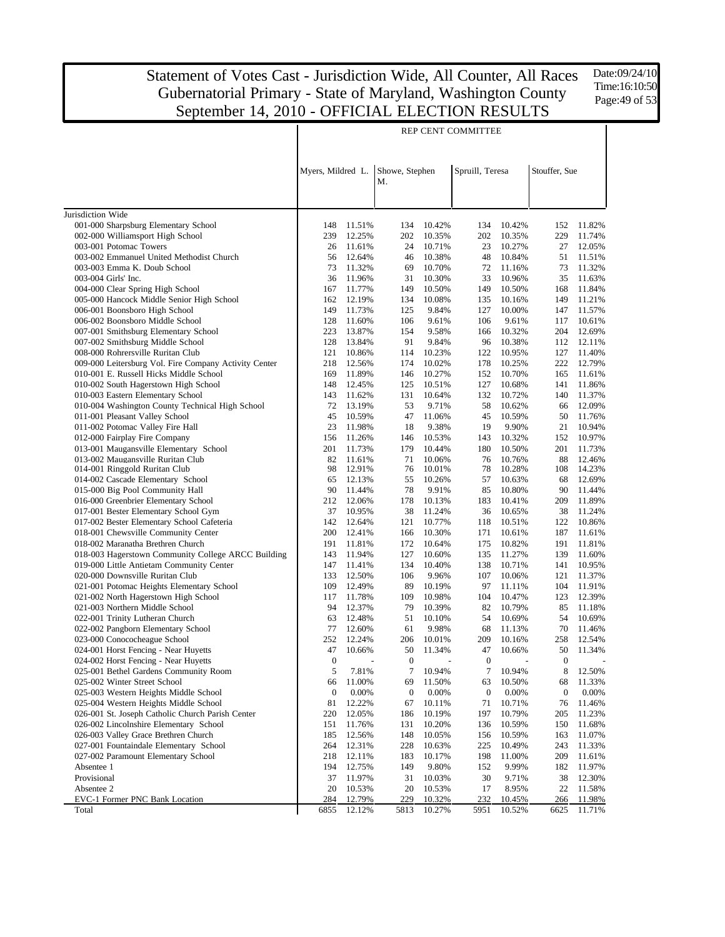Date:09/24/10 Time:16:10:50 Page: 49 of 53

|                                                                                                 | REP CENT COMMITTEE |                  |                      |                          |                  |                  |                  |                  |
|-------------------------------------------------------------------------------------------------|--------------------|------------------|----------------------|--------------------------|------------------|------------------|------------------|------------------|
|                                                                                                 | Myers, Mildred L.  |                  | Showe, Stephen<br>M. |                          | Spruill, Teresa  |                  | Stouffer, Sue    |                  |
|                                                                                                 |                    |                  |                      |                          |                  |                  |                  |                  |
| Jurisdiction Wide                                                                               |                    |                  |                      |                          |                  |                  |                  |                  |
| 001-000 Sharpsburg Elementary School                                                            | 148                | 11.51%           | 134                  | 10.42%                   | 134              | 10.42%           | 152              | 11.82%           |
| 002-000 Williamsport High School                                                                | 239                | 12.25%           | 202                  | 10.35%                   | 202              | 10.35%           | 229              | 11.74%           |
| 003-001 Potomac Towers                                                                          | 26                 | 11.61%           | 24                   | 10.71%                   | 23               | 10.27%           | 27               | 12.05%           |
| 003-002 Emmanuel United Methodist Church                                                        | 56                 | 12.64%           | 46                   | 10.38%                   | 48               | 10.84%           | 51               | 11.51%           |
| 003-003 Emma K. Doub School                                                                     | 73                 | 11.32%           | 69                   | 10.70%                   | 72               | 11.16%           | 73               | 11.32%           |
| 003-004 Girls' Inc.                                                                             | 36                 | 11.96%           | 31                   | 10.30%                   | 33               | 10.96%           | 35               | 11.63%           |
| 004-000 Clear Spring High School                                                                | 167                | 11.77%           | 149                  | 10.50%                   | 149              | 10.50%           | 168              | 11.84%           |
| 005-000 Hancock Middle Senior High School                                                       | 162                | 12.19%           | 134                  | 10.08%                   | 135              | 10.16%           | 149              | 11.21%           |
| 006-001 Boonsboro High School                                                                   | 149                | 11.73%           | 125                  | 9.84%                    | 127              | 10.00%           | 147              | 11.57%           |
| 006-002 Boonsboro Middle School                                                                 | 128                | 11.60%           | 106                  | 9.61%                    | 106              | 9.61%            | 117              | 10.61%           |
| 007-001 Smithsburg Elementary School                                                            | 223                | 13.87%           | 154                  | 9.58%                    | 166              | 10.32%           | 204              | 12.69%           |
| 007-002 Smithsburg Middle School                                                                | 128                | 13.84%           | 91                   | 9.84%                    | 96               | 10.38%           | 112              | 12.11%           |
| 008-000 Rohrersville Ruritan Club                                                               | 121<br>218         | 10.86%           | 114                  | 10.23%                   | 122<br>178       | 10.95%           | 127<br>222       | 11.40%           |
| 009-000 Leitersburg Vol. Fire Company Activity Center<br>010-001 E. Russell Hicks Middle School | 169                | 12.56%<br>11.89% | 174<br>146           | 10.02%<br>10.27%         | 152              | 10.25%<br>10.70% | 165              | 12.79%<br>11.61% |
| 010-002 South Hagerstown High School                                                            | 148                | 12.45%           | 125                  | 10.51%                   | 127              | 10.68%           | 141              | 11.86%           |
| 010-003 Eastern Elementary School                                                               | 143                | 11.62%           | 131                  | 10.64%                   | 132              | 10.72%           | 140              | 11.37%           |
| 010-004 Washington County Technical High School                                                 | 72                 | 13.19%           | 53                   | 9.71%                    | 58               | 10.62%           | 66               | 12.09%           |
| 011-001 Pleasant Valley School                                                                  | 45                 | 10.59%           | 47                   | 11.06%                   | 45               | 10.59%           | 50               | 11.76%           |
| 011-002 Potomac Valley Fire Hall                                                                | 23                 | 11.98%           | 18                   | 9.38%                    | 19               | 9.90%            | 21               | 10.94%           |
| 012-000 Fairplay Fire Company                                                                   | 156                | 11.26%           | 146                  | 10.53%                   | 143              | 10.32%           | 152              | 10.97%           |
| 013-001 Maugansville Elementary School                                                          | 201                | 11.73%           | 179                  | 10.44%                   | 180              | 10.50%           | 201              | 11.73%           |
| 013-002 Maugansville Ruritan Club                                                               | 82                 | 11.61%           | 71                   | 10.06%                   | 76               | 10.76%           | 88               | 12.46%           |
| 014-001 Ringgold Ruritan Club                                                                   | 98                 | 12.91%           | 76                   | 10.01%                   | 78               | 10.28%           | 108              | 14.23%           |
| 014-002 Cascade Elementary School                                                               | 65                 | 12.13%           | 55                   | 10.26%                   | 57               | 10.63%           | 68               | 12.69%           |
| 015-000 Big Pool Community Hall                                                                 | 90                 | 11.44%           | 78                   | 9.91%                    | 85               | 10.80%           | 90               | 11.44%           |
| 016-000 Greenbrier Elementary School                                                            | 212                | 12.06%           | 178                  | 10.13%                   | 183              | 10.41%           | 209              | 11.89%           |
| 017-001 Bester Elementary School Gym                                                            | 37                 | 10.95%           | 38                   | 11.24%                   | 36               | 10.65%           | 38               | 11.24%           |
| 017-002 Bester Elementary School Cafeteria                                                      | 142                | 12.64%           | 121                  | 10.77%                   | 118              | 10.51%           | 122              | 10.86%           |
| 018-001 Chewsville Community Center                                                             | 200                | 12.41%           | 166                  | 10.30%                   | 171              | 10.61%           | 187              | 11.61%           |
| 018-002 Maranatha Brethren Church<br>018-003 Hagerstown Community College ARCC Building         | 191<br>143         | 11.81%<br>11.94% | 172<br>127           | 10.64%<br>10.60%         | 175<br>135       | 10.82%<br>11.27% | 191<br>139       | 11.81%<br>11.60% |
| 019-000 Little Antietam Community Center                                                        | 147                | 11.41%           | 134                  | 10.40%                   | 138              | 10.71%           | 141              | 10.95%           |
| 020-000 Downsville Ruritan Club                                                                 | 133                | 12.50%           | 106                  | 9.96%                    | 107              | 10.06%           | 121              | 11.37%           |
| 021-001 Potomac Heights Elementary School                                                       | 109                | 12.49%           | 89                   | 10.19%                   | 97               | 11.11%           | 104              | 11.91%           |
| 021-002 North Hagerstown High School                                                            | 117                | 11.78%           | 109                  | 10.98%                   | 104              | 10.47%           | 123              | 12.39%           |
| 021-003 Northern Middle School                                                                  | 94                 | 12.37%           | 79                   | 10.39%                   | 82               | 10.79%           | 85               | 11.18%           |
| 022-001 Trinity Lutheran Church                                                                 | 63                 | 12.48%           | 51                   | 10.10%                   | 54               | 10.69%           | 54               | 10.69%           |
| 022-002 Pangborn Elementary School                                                              | 77                 | 12.60%           | 61                   | 9.98%                    | 68               | 11.13%           | 70               | 11.46%           |
| 023-000 Conococheague School                                                                    | 252                | 12.24%           | 206                  | 10.01%                   | 209              | 10.16%           | 258              | 12.54%           |
| 024-001 Horst Fencing - Near Huyetts                                                            |                    | 47 10.66%        |                      | 50 11.34%                | 47               | 10.66%           |                  | 50 11.34%        |
| 024-002 Horst Fencing - Near Huyetts                                                            | $\boldsymbol{0}$   | $\overline{a}$   | $\boldsymbol{0}$     | $\overline{\phantom{a}}$ | $\boldsymbol{0}$ | L,               | $\boldsymbol{0}$ |                  |
| 025-001 Bethel Gardens Community Room                                                           | 5                  | 7.81%            | 7                    | 10.94%                   | 7                | 10.94%           | 8                | 12.50%           |
| 025-002 Winter Street School                                                                    | 66                 | 11.00%           | 69                   | 11.50%                   | 63               | 10.50%           | 68               | 11.33%           |
| 025-003 Western Heights Middle School                                                           | $\boldsymbol{0}$   | 0.00%            | $\boldsymbol{0}$     | 0.00%                    | $\boldsymbol{0}$ | 0.00%            | $\boldsymbol{0}$ | 0.00%            |
| 025-004 Western Heights Middle School                                                           | 81                 | 12.22%           | 67                   | 10.11%                   | 71               | 10.71%           | 76               | 11.46%           |
| 026-001 St. Joseph Catholic Church Parish Center                                                | 220                | 12.05%           | 186                  | 10.19%                   | 197              | 10.79%           | 205              | 11.23%           |
| 026-002 Lincolnshire Elementary School                                                          | 151                | 11.76%           | 131                  | 10.20%                   | 136              | 10.59%           | 150              | 11.68%           |
| 026-003 Valley Grace Brethren Church                                                            | 185                | 12.56%           | 148                  | 10.05%                   | 156              | 10.59%           | 163              | 11.07%           |
| 027-001 Fountaindale Elementary School                                                          | 264                | 12.31%           | 228                  | 10.63%                   | 225              | 10.49%           | 243              | 11.33%           |
| 027-002 Paramount Elementary School<br>Absentee 1                                               | 218<br>194         | 12.11%<br>12.75% | 183<br>149           | 10.17%<br>9.80%          | 198<br>152       | 11.00%<br>9.99%  | 209<br>182       | 11.61%<br>11.97% |
| Provisional                                                                                     | 37                 | 11.97%           | 31                   | 10.03%                   | 30               | 9.71%            | 38               | 12.30%           |
| Absentee 2                                                                                      | 20                 | 10.53%           | 20                   | 10.53%                   | 17               | 8.95%            | 22               | 11.58%           |
| EVC-1 Former PNC Bank Location                                                                  | 284                | 12.79%           | 229                  | 10.32%                   | 232              | 10.45%           | 266              | 11.98%           |
| Total                                                                                           | 6855               | 12.12%           | 5813                 | 10.27%                   | 5951             | 10.52%           | 6625             | 11.71%           |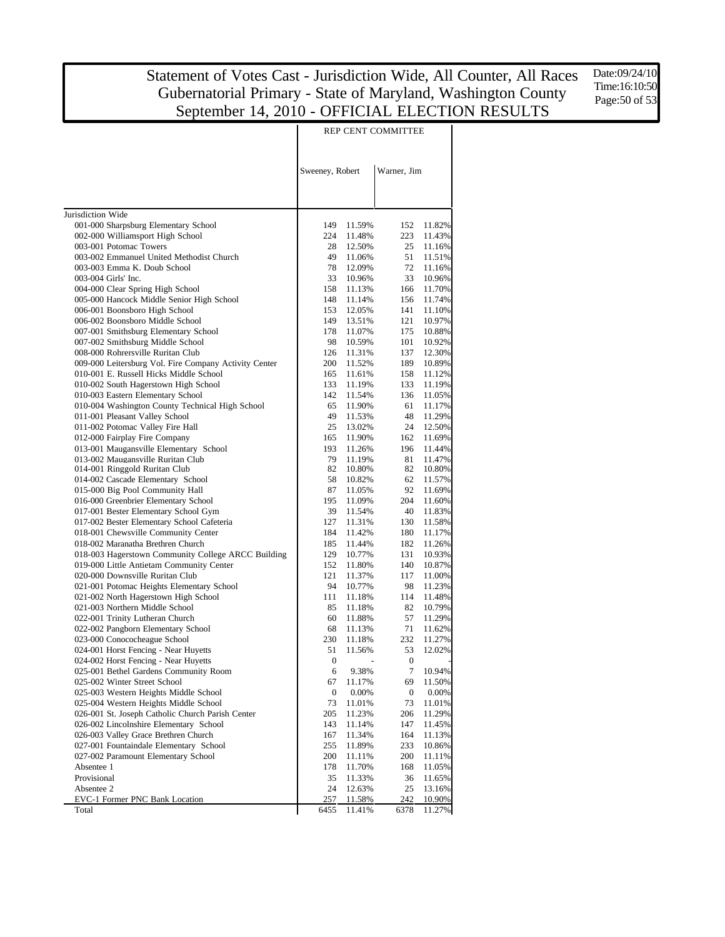Date:09/24/10 Time:16:10:50 Page: 50 of 53

|                                                                               | REP CENT COMMITTEE |                  |             |                  |
|-------------------------------------------------------------------------------|--------------------|------------------|-------------|------------------|
|                                                                               | Sweeney, Robert    |                  | Warner, Jim |                  |
|                                                                               |                    |                  |             |                  |
| Jurisdiction Wide<br>001-000 Sharpsburg Elementary School                     | 149                | 11.59%           | 152         | 11.82%           |
| 002-000 Williamsport High School                                              | 224                | 11.48%           | 223         | 11.43%           |
| 003-001 Potomac Towers                                                        | 28                 | 12.50%           | 25          | 11.16%           |
| 003-002 Emmanuel United Methodist Church                                      | 49                 | 11.06%           | 51          | 11.51%           |
| 003-003 Emma K. Doub School                                                   | 78                 | 12.09%           | 72          | 11.16%           |
| 003-004 Girls' Inc.                                                           | 33                 | 10.96%           | 33          | 10.96%           |
| 004-000 Clear Spring High School                                              | 158                | 11.13%           | 166         | 11.70%           |
| 005-000 Hancock Middle Senior High School                                     | 148                | 11.14%           | 156         | 11.74%           |
| 006-001 Boonsboro High School                                                 | 153                | 12.05%           | 141         | 11.10%           |
| 006-002 Boonsboro Middle School                                               | 149                | 13.51%           | 121         | 10.97%           |
| 007-001 Smithsburg Elementary School<br>007-002 Smithsburg Middle School      | 178<br>98          | 11.07%<br>10.59% | 175<br>101  | 10.88%<br>10.92% |
| 008-000 Rohrersville Ruritan Club                                             | 126                | 11.31%           | 137         | 12.30%           |
| 009-000 Leitersburg Vol. Fire Company Activity Center                         | 200                | 11.52%           | 189         | 10.89%           |
| 010-001 E. Russell Hicks Middle School                                        | 165                | 11.61%           | 158         | 11.12%           |
| 010-002 South Hagerstown High School                                          | 133                | 11.19%           | 133         | 11.19%           |
| 010-003 Eastern Elementary School                                             | 142                | 11.54%           | 136         | 11.05%           |
| 010-004 Washington County Technical High School                               | 65                 | 11.90%           | 61          | 11.17%           |
| 011-001 Pleasant Valley School                                                | 49                 | 11.53%           | 48          | 11.29%           |
| 011-002 Potomac Valley Fire Hall                                              | 25                 | 13.02%           | 24          | 12.50%           |
| 012-000 Fairplay Fire Company                                                 | 165                | 11.90%           | 162         | 11.69%           |
| 013-001 Maugansville Elementary School                                        | 193                | 11.26%           | 196         | 11.44%           |
| 013-002 Maugansville Ruritan Club                                             | 79                 | 11.19%           | 81          | 11.47%           |
| 014-001 Ringgold Ruritan Club                                                 | 82                 | 10.80%           | 82          | 10.80%           |
| 014-002 Cascade Elementary School                                             | 58                 | 10.82%           | 62          | 11.57%           |
| 015-000 Big Pool Community Hall<br>016-000 Greenbrier Elementary School       | 87<br>195          | 11.05%           | 92          | 11.69%           |
| 017-001 Bester Elementary School Gym                                          | 39                 | 11.09%<br>11.54% | 204<br>40   | 11.60%<br>11.83% |
| 017-002 Bester Elementary School Cafeteria                                    | 127                | 11.31%           | 130         | 11.58%           |
| 018-001 Chewsville Community Center                                           | 184                | 11.42%           | 180         | 11.17%           |
| 018-002 Maranatha Brethren Church                                             | 185                | 11.44%           | 182         | 11.26%           |
| 018-003 Hagerstown Community College ARCC Building                            | 129                | 10.77%           | 131         | 10.93%           |
| 019-000 Little Antietam Community Center                                      | 152                | 11.80%           | 140         | 10.87%           |
| 020-000 Downsville Ruritan Club                                               | 121                | 11.37%           | 117         | 11.00%           |
| 021-001 Potomac Heights Elementary School                                     | 94                 | 10.77%           | 98          | 11.23%           |
| 021-002 North Hagerstown High School                                          | 111                | 11.18%           | 114         | 11.48%           |
| 021-003 Northern Middle School                                                | 85                 | 11.18%           | 82          | 10.79%           |
| 022-001 Trinity Lutheran Church                                               | 60                 | 11.88%           | 57          | 11.29%           |
| 022-002 Pangborn Elementary School                                            | 68                 | 11.13%           | 71          | 11.62%           |
| 023-000 Conococheague School                                                  | 230                | 11.18%           | 232         | 11.27%           |
| 024-001 Horst Fencing - Near Huyetts                                          | 51                 | 11.56%           | 53          | 12.02%           |
| 024-002 Horst Fencing - Near Huyetts<br>025-001 Bethel Gardens Community Room | 0                  |                  | 0<br>7      |                  |
| 025-002 Winter Street School                                                  | 6<br>67            | 9.38%<br>11.17%  | 69          | 10.94%<br>11.50% |
| 025-003 Western Heights Middle School                                         | $\boldsymbol{0}$   | 0.00%            | 0           | 0.00%            |
| 025-004 Western Heights Middle School                                         | 73                 | 11.01%           | 73          | 11.01%           |
| 026-001 St. Joseph Catholic Church Parish Center                              | 205                | 11.23%           | 206         | 11.29%           |
| 026-002 Lincolnshire Elementary School                                        | 143                | 11.14%           | 147         | 11.45%           |
| 026-003 Valley Grace Brethren Church                                          | 167                | 11.34%           | 164         | 11.13%           |
| 027-001 Fountaindale Elementary School                                        | 255                | 11.89%           | 233         | 10.86%           |
| 027-002 Paramount Elementary School                                           | 200                | 11.11%           | 200         | 11.11%           |
| Absentee 1                                                                    | 178                | 11.70%           | 168         | 11.05%           |
| Provisional                                                                   | 35                 | 11.33%           | 36          | 11.65%           |
| Absentee 2                                                                    | 24                 | 12.63%           | 25          | 13.16%           |
| EVC-1 Former PNC Bank Location                                                | 257                | 11.58%           | 242         | 10.90%           |
| Total                                                                         | 6455               | 11.41%           | 6378        | 11.27%           |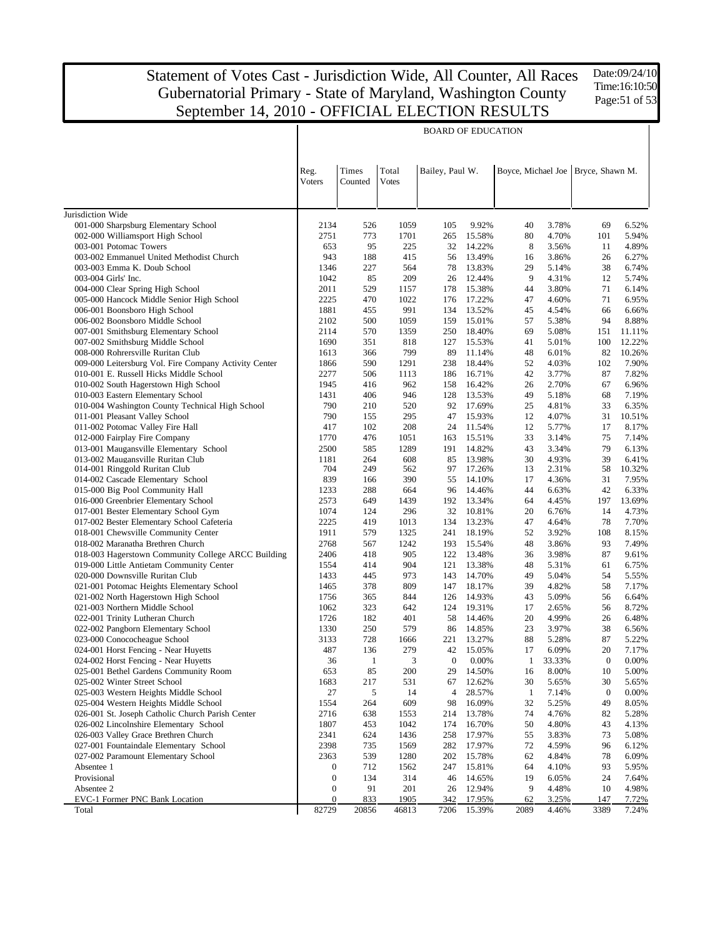Date:09/24/10 Time:16:10:50 Page: 51 of 53

|                                                                                         | <b>BOARD OF EDUCATION</b>            |                  |                       |                 |                  |              |                |                                    |                  |
|-----------------------------------------------------------------------------------------|--------------------------------------|------------------|-----------------------|-----------------|------------------|--------------|----------------|------------------------------------|------------------|
|                                                                                         | Reg.<br>Voters                       | Times<br>Counted | Total<br><b>Votes</b> | Bailey, Paul W. |                  |              |                | Boyce, Michael Joe Bryce, Shawn M. |                  |
| Jurisdiction Wide                                                                       |                                      |                  |                       |                 |                  |              |                |                                    |                  |
| 001-000 Sharpsburg Elementary School                                                    | 2134                                 | 526              | 1059                  | 105             | 9.92%            | 40           | 3.78%          | 69                                 | 6.52%            |
| 002-000 Williamsport High School                                                        | 2751                                 | 773              | 1701                  | 265             | 15.58%           | 80           | 4.70%          | 101                                | 5.94%            |
| 003-001 Potomac Towers                                                                  | 653                                  | 95               | 225                   | 32              | 14.22%           | 8            | 3.56%          | 11                                 | 4.89%            |
| 003-002 Emmanuel United Methodist Church                                                | 943                                  | 188              | 415                   | 56              | 13.49%           | 16           | 3.86%          | 26                                 | 6.27%            |
| 003-003 Emma K. Doub School                                                             | 1346                                 | 227              | 564                   | 78              | 13.83%           | 29           | 5.14%          | 38                                 | 6.74%            |
| 003-004 Girls' Inc.                                                                     | 1042                                 | 85               | 209                   | 26              | 12.44%           | 9            | 4.31%          | 12                                 | 5.74%            |
| 004-000 Clear Spring High School                                                        | 2011                                 | 529              | 1157                  | 178             | 15.38%           | 44           | 3.80%          | 71                                 | 6.14%            |
| 005-000 Hancock Middle Senior High School                                               | 2225                                 | 470              | 1022                  | 176             | 17.22%           | 47           | 4.60%          | 71                                 | 6.95%            |
| 006-001 Boonsboro High School                                                           | 1881                                 | 455              | 991                   | 134             | 13.52%           | 45           | 4.54%          | 66                                 | 6.66%            |
| 006-002 Boonsboro Middle School                                                         | 2102                                 | 500<br>570       | 1059                  | 159             | 15.01%           | 57           | 5.38%          | 94                                 | 8.88%            |
| 007-001 Smithsburg Elementary School<br>007-002 Smithsburg Middle School                | 2114<br>1690                         | 351              | 1359<br>818           | 250<br>127      | 18.40%<br>15.53% | 69<br>41     | 5.08%<br>5.01% | 151<br>100                         | 11.11%<br>12.22% |
| 008-000 Rohrersville Ruritan Club                                                       | 1613                                 | 366              | 799                   | 89              | 11.14%           | 48           | 6.01%          | 82                                 | 10.26%           |
| 009-000 Leitersburg Vol. Fire Company Activity Center                                   | 1866                                 | 590              | 1291                  | 238             | 18.44%           | 52           | 4.03%          | 102                                | 7.90%            |
| 010-001 E. Russell Hicks Middle School                                                  | 2277                                 | 506              | 1113                  | 186             | 16.71%           | 42           | 3.77%          | 87                                 | 7.82%            |
| 010-002 South Hagerstown High School                                                    | 1945                                 | 416              | 962                   | 158             | 16.42%           | 26           | 2.70%          | 67                                 | 6.96%            |
| 010-003 Eastern Elementary School                                                       | 1431                                 | 406              | 946                   | 128             | 13.53%           | 49           | 5.18%          | 68                                 | 7.19%            |
| 010-004 Washington County Technical High School                                         | 790                                  | 210              | 520                   | 92              | 17.69%           | 25           | 4.81%          | 33                                 | 6.35%            |
| 011-001 Pleasant Valley School                                                          | 790                                  | 155              | 295                   | 47              | 15.93%           | 12           | 4.07%          | 31                                 | 10.51%           |
| 011-002 Potomac Valley Fire Hall                                                        | 417                                  | 102              | 208                   | 24              | 11.54%           | 12           | 5.77%          | 17                                 | 8.17%            |
| 012-000 Fairplay Fire Company                                                           | 1770                                 | 476              | 1051                  | 163             | 15.51%           | 33           | 3.14%          | 75                                 | 7.14%            |
| 013-001 Maugansville Elementary School                                                  | 2500                                 | 585              | 1289                  | 191             | 14.82%           | 43           | 3.34%          | 79                                 | 6.13%            |
| 013-002 Maugansville Ruritan Club                                                       | 1181                                 | 264              | 608                   | 85              | 13.98%           | 30           | 4.93%          | 39                                 | 6.41%            |
| 014-001 Ringgold Ruritan Club                                                           | 704                                  | 249              | 562                   | 97              | 17.26%           | 13           | 2.31%          | 58                                 | 10.32%           |
| 014-002 Cascade Elementary School                                                       | 839                                  | 166              | 390                   | 55              | 14.10%           | 17           | 4.36%          | 31                                 | 7.95%            |
| 015-000 Big Pool Community Hall                                                         | 1233                                 | 288              | 664                   | 96              | 14.46%           | 44           | 6.63%          | 42                                 | 6.33%            |
| 016-000 Greenbrier Elementary School                                                    | 2573                                 | 649              | 1439                  | 192             | 13.34%           | 64           | 4.45%          | 197                                | 13.69%           |
| 017-001 Bester Elementary School Gym                                                    | 1074                                 | 124              | 296                   | 32              | 10.81%           | 20           | 6.76%          | 14                                 | 4.73%            |
| 017-002 Bester Elementary School Cafeteria                                              | 2225                                 | 419              | 1013                  | 134             | 13.23%           | 47           | 4.64%          | 78                                 | 7.70%            |
| 018-001 Chewsville Community Center                                                     | 1911                                 | 579              | 1325                  | 241             | 18.19%           | 52           | 3.92%          | 108                                | 8.15%            |
| 018-002 Maranatha Brethren Church<br>018-003 Hagerstown Community College ARCC Building | 2768<br>2406                         | 567<br>418       | 1242<br>905           | 193<br>122      | 15.54%<br>13.48% | 48<br>36     | 3.86%<br>3.98% | 93<br>87                           | 7.49%<br>9.61%   |
| 019-000 Little Antietam Community Center                                                | 1554                                 | 414              | 904                   | 121             | 13.38%           | 48           | 5.31%          | 61                                 | 6.75%            |
| 020-000 Downsville Ruritan Club                                                         | 1433                                 | 445              | 973                   | 143             | 14.70%           | 49           | 5.04%          | 54                                 | 5.55%            |
| 021-001 Potomac Heights Elementary School                                               | 1465                                 | 378              | 809                   | 147             | 18.17%           | 39           | 4.82%          | 58                                 | 7.17%            |
| 021-002 North Hagerstown High School                                                    | 1756                                 | 365              | 844                   | 126             | 14.93%           | 43           | 5.09%          | 56                                 | 6.64%            |
| 021-003 Northern Middle School                                                          | 1062                                 | 323              | 642                   | 124             | 19.31%           | 17           | 2.65%          | 56                                 | 8.72%            |
| 022-001 Trinity Lutheran Church                                                         | 1726                                 | 182              | 401                   | 58              | 14.46%           | 20           | 4.99%          | 26                                 | 6.48%            |
| 022-002 Pangborn Elementary School                                                      | 1330                                 | 250              | 579                   | 86              | 14.85%           | 23           | 3.97%          | 38                                 | 6.56%            |
| 023-000 Conococheague School                                                            | 3133                                 | 728              | 1666                  | 221             | 13.27%           | 88           | 5.28%          | 87                                 | 5.22%            |
| 024-001 Horst Fencing - Near Huyetts                                                    | 487                                  | 136              | 279                   | 42              | 15.05%           | 17           | 6.09%          | 20                                 | 7.17%            |
| 024-002 Horst Fencing - Near Huyetts                                                    | 36                                   | -1               | 3                     | $\theta$        | $0.00\%$         | 1            | 33.33%         | $\boldsymbol{0}$                   | 0.00%            |
| 025-001 Bethel Gardens Community Room                                                   | 653                                  | 85               | 200                   | 29              | 14.50%           | 16           | 8.00%          | 10                                 | 5.00%            |
| 025-002 Winter Street School                                                            | 1683                                 | 217              | 531                   | 67              | 12.62%           | 30           | 5.65%          | 30                                 | 5.65%            |
| 025-003 Western Heights Middle School                                                   | 27                                   | 5                | 14                    | 4               | 28.57%           | $\mathbf{1}$ | 7.14%          | $\boldsymbol{0}$                   | 0.00%            |
| 025-004 Western Heights Middle School                                                   | 1554                                 | 264              | 609                   | 98              | 16.09%           | 32           | 5.25%          | 49                                 | 8.05%            |
| 026-001 St. Joseph Catholic Church Parish Center                                        | 2716                                 | 638              | 1553                  | 214             | 13.78%           | 74           | 4.76%          | 82                                 | 5.28%            |
| 026-002 Lincolnshire Elementary School                                                  | 1807                                 | 453              | 1042                  | 174             | 16.70%           | 50           | 4.80%          | 43                                 | 4.13%            |
| 026-003 Valley Grace Brethren Church                                                    | 2341                                 | 624              | 1436                  | 258             | 17.97%           | 55           | 3.83%          | 73                                 | 5.08%            |
| 027-001 Fountaindale Elementary School                                                  | 2398                                 | 735              | 1569                  | 282             | 17.97%           | 72           | 4.59%          | 96                                 | 6.12%            |
| 027-002 Paramount Elementary School                                                     | 2363                                 | 539              | 1280                  | 202             | 15.78%           | 62           | 4.84%          | 78                                 | 6.09%            |
| Absentee 1                                                                              | 0                                    | 712              | 1562                  | 247             | 15.81%           | 64           | 4.10%          | 93                                 | 5.95%            |
| Provisional                                                                             | $\boldsymbol{0}$                     | 134              | 314                   | 46              | 14.65%           | 19           | 6.05%          | 24                                 | 7.64%            |
| Absentee 2<br>EVC-1 Former PNC Bank Location                                            | $\boldsymbol{0}$<br>$\boldsymbol{0}$ | 91<br>833        | 201<br>1905           | 26<br>342       | 12.94%<br>17.95% | 9<br>62      | 4.48%<br>3.25% | 10<br>147                          | 4.98%<br>7.72%   |
| Total                                                                                   | 82729                                | 20856            | 46813                 | 7206            | 15.39%           | 2089         | 4.46%          | 3389                               | 7.24%            |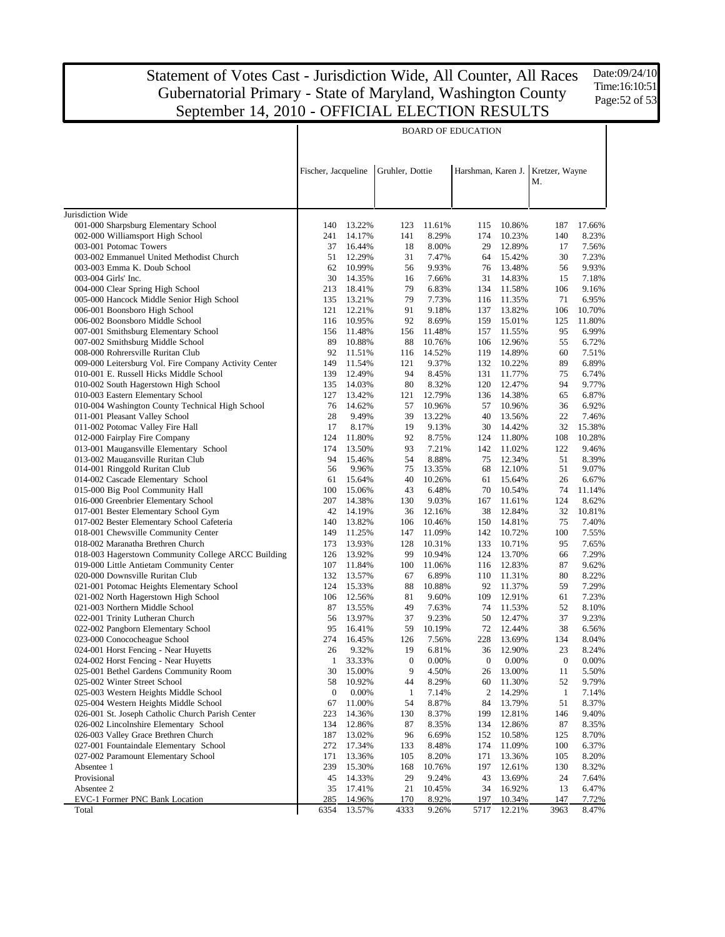Date:09/24/10 Time:16:10:51 Page:52 of 53

|                                                                          | <b>BOARD OF EDUCATION</b> |                  |                  |                  |                                   |                  |                  |                 |
|--------------------------------------------------------------------------|---------------------------|------------------|------------------|------------------|-----------------------------------|------------------|------------------|-----------------|
|                                                                          |                           |                  |                  |                  |                                   |                  |                  |                 |
|                                                                          | Fischer, Jacqueline       |                  | Gruhler, Dottie  |                  | Harshman, Karen J. Kretzer, Wayne |                  |                  |                 |
|                                                                          |                           |                  |                  |                  |                                   |                  | М.               |                 |
|                                                                          |                           |                  |                  |                  |                                   |                  |                  |                 |
| Jurisdiction Wide                                                        | 140                       | 13.22%           | 123              | 11.61%           | 115                               | 10.86%           | 187              | 17.66%          |
| 001-000 Sharpsburg Elementary School<br>002-000 Williamsport High School | 241                       | 14.17%           | 141              | 8.29%            | 174                               | 10.23%           | 140              | 8.23%           |
| 003-001 Potomac Towers                                                   | 37                        | 16.44%           | 18               | 8.00%            | 29                                | 12.89%           | 17               | 7.56%           |
| 003-002 Emmanuel United Methodist Church                                 | 51                        | 12.29%           | 31               | 7.47%            | 64                                | 15.42%           | 30               | 7.23%           |
| 003-003 Emma K. Doub School                                              | 62                        | 10.99%           | 56               | 9.93%            | 76                                | 13.48%           | 56               | 9.93%           |
| 003-004 Girls' Inc.                                                      | 30                        | 14.35%           | 16               | 7.66%            | 31                                | 14.83%           | 15               | 7.18%           |
| 004-000 Clear Spring High School                                         | 213                       | 18.41%           | 79               | 6.83%            | 134                               | 11.58%           | 106              | 9.16%           |
| 005-000 Hancock Middle Senior High School                                | 135                       | 13.21%           | 79               | 7.73%            | 116                               | 11.35%           | 71               | 6.95%           |
| 006-001 Boonsboro High School                                            | 121                       | 12.21%           | 91               | 9.18%            | 137                               | 13.82%           | 106              | 10.70%          |
| 006-002 Boonsboro Middle School                                          | 116                       | 10.95%           | 92               | 8.69%            | 159                               | 15.01%           | 125              | 11.80%          |
| 007-001 Smithsburg Elementary School                                     | 156                       | 11.48%           | 156              | 11.48%           | 157                               | 11.55%           | 95               | 6.99%           |
| 007-002 Smithsburg Middle School<br>008-000 Rohrersville Ruritan Club    | 89<br>92                  | 10.88%<br>11.51% | 88<br>116        | 10.76%<br>14.52% | 106<br>119                        | 12.96%<br>14.89% | 55<br>60         | 6.72%<br>7.51%  |
| 009-000 Leitersburg Vol. Fire Company Activity Center                    | 149                       | 11.54%           | 121              | 9.37%            | 132                               | 10.22%           | 89               | 6.89%           |
| 010-001 E. Russell Hicks Middle School                                   | 139                       | 12.49%           | 94               | 8.45%            | 131                               | 11.77%           | 75               | 6.74%           |
| 010-002 South Hagerstown High School                                     | 135                       | 14.03%           | 80               | 8.32%            | 120                               | 12.47%           | 94               | 9.77%           |
| 010-003 Eastern Elementary School                                        | 127                       | 13.42%           | 121              | 12.79%           | 136                               | 14.38%           | 65               | 6.87%           |
| 010-004 Washington County Technical High School                          | 76                        | 14.62%           | 57               | 10.96%           | 57                                | 10.96%           | 36               | 6.92%           |
| 011-001 Pleasant Valley School                                           | 28                        | 9.49%            | 39               | 13.22%           | 40                                | 13.56%           | 22               | 7.46%           |
| 011-002 Potomac Valley Fire Hall                                         | 17                        | 8.17%            | 19               | 9.13%            | 30                                | 14.42%           | 32               | 15.38%          |
| 012-000 Fairplay Fire Company                                            | 124                       | 11.80%           | 92               | 8.75%            | 124                               | 11.80%           | 108              | 10.28%          |
| 013-001 Maugansville Elementary School                                   | 174                       | 13.50%           | 93               | 7.21%            | 142                               | 11.02%           | 122              | 9.46%           |
| 013-002 Maugansville Ruritan Club                                        | 94                        | 15.46%           | 54               | 8.88%            | 75                                | 12.34%           | 51               | 8.39%           |
| 014-001 Ringgold Ruritan Club                                            | 56                        | 9.96%            | 75               | 13.35%           | 68                                | 12.10%           | 51<br>26         | 9.07%           |
| 014-002 Cascade Elementary School<br>015-000 Big Pool Community Hall     | 61<br>100                 | 15.64%<br>15.06% | 40<br>43         | 10.26%<br>6.48%  | 61<br>70                          | 15.64%<br>10.54% | 74               | 6.67%<br>11.14% |
| 016-000 Greenbrier Elementary School                                     | 207                       | 14.38%           | 130              | 9.03%            | 167                               | 11.61%           | 124              | 8.62%           |
| 017-001 Bester Elementary School Gym                                     | 42                        | 14.19%           | 36               | 12.16%           | 38                                | 12.84%           | 32               | 10.81%          |
| 017-002 Bester Elementary School Cafeteria                               | 140                       | 13.82%           | 106              | 10.46%           | 150                               | 14.81%           | 75               | 7.40%           |
| 018-001 Chewsville Community Center                                      | 149                       | 11.25%           | 147              | 11.09%           | 142                               | 10.72%           | 100              | 7.55%           |
| 018-002 Maranatha Brethren Church                                        | 173                       | 13.93%           | 128              | 10.31%           | 133                               | 10.71%           | 95               | 7.65%           |
| 018-003 Hagerstown Community College ARCC Building                       | 126                       | 13.92%           | 99               | 10.94%           | 124                               | 13.70%           | 66               | 7.29%           |
| 019-000 Little Antietam Community Center                                 | 107                       | 11.84%           | 100              | 11.06%           | 116                               | 12.83%           | 87               | 9.62%           |
| 020-000 Downsville Ruritan Club                                          | 132                       | 13.57%           | 67               | 6.89%            | 110                               | 11.31%           | 80               | 8.22%           |
| 021-001 Potomac Heights Elementary School                                | 124                       | 15.33%           | 88               | 10.88%           | 92                                | 11.37%           | 59               | 7.29%           |
| 021-002 North Hagerstown High School                                     | 106                       | 12.56%           | 81               | 9.60%            | 109                               | 12.91%           | 61               | 7.23%           |
| 021-003 Northern Middle School<br>022-001 Trinity Lutheran Church        | 87<br>56                  | 13.55%           | 49               | 7.63%            | 74<br>50                          | 11.53%           | 52               | 8.10%           |
| 022-002 Pangborn Elementary School                                       | 95                        | 13.97%<br>16.41% | 37<br>59         | 9.23%<br>10.19%  | 72                                | 12.47%<br>12.44% | 37<br>38         | 9.23%<br>6.56%  |
| 023-000 Conococheague School                                             | 274                       | 16.45%           | 126              | 7.56%            | 228                               | 13.69%           | 134              | 8.04%           |
| 024-001 Horst Fencing - Near Huyetts                                     | 26                        | 9.32%            | 19               | 6.81%            |                                   | 36 12.90%        | 23               | 8.24%           |
| 024-002 Horst Fencing - Near Huyetts                                     | 1                         | 33.33%           | $\boldsymbol{0}$ | 0.00%            | $\boldsymbol{0}$                  | 0.00%            | $\boldsymbol{0}$ | 0.00%           |
| 025-001 Bethel Gardens Community Room                                    | 30                        | 15.00%           | 9                | 4.50%            | 26                                | 13.00%           | 11               | 5.50%           |
| 025-002 Winter Street School                                             | 58                        | 10.92%           | 44               | 8.29%            | 60                                | 11.30%           | 52               | 9.79%           |
| 025-003 Western Heights Middle School                                    | $\boldsymbol{0}$          | 0.00%            | -1               | 7.14%            | $\overline{c}$                    | 14.29%           | $\mathbf{1}$     | 7.14%           |
| 025-004 Western Heights Middle School                                    | 67                        | 11.00%           | 54               | 8.87%            | 84                                | 13.79%           | 51               | 8.37%           |
| 026-001 St. Joseph Catholic Church Parish Center                         | 223                       | 14.36%           | 130              | 8.37%            | 199                               | 12.81%           | 146              | 9.40%           |
| 026-002 Lincolnshire Elementary School                                   | 134                       | 12.86%           | 87               | 8.35%            | 134                               | 12.86%           | 87               | 8.35%           |
| 026-003 Valley Grace Brethren Church                                     | 187                       | 13.02%           | 96               | 6.69%            | 152                               | 10.58%           | 125              | 8.70%           |
| 027-001 Fountaindale Elementary School                                   | 272                       | 17.34%           | 133              | 8.48%            | 174                               | 11.09%           | 100              | 6.37%           |
| 027-002 Paramount Elementary School                                      | 171                       | 13.36%           | 105              | 8.20%            | 171                               | 13.36%           | 105              | 8.20%           |
| Absentee 1<br>Provisional                                                | 239<br>45                 | 15.30%<br>14.33% | 168<br>29        | 10.76%<br>9.24%  | 197<br>43                         | 12.61%<br>13.69% | 130<br>24        | 8.32%           |
| Absentee 2                                                               | 35                        | 17.41%           | 21               | 10.45%           | 34                                | 16.92%           | 13               | 7.64%<br>6.47%  |
| EVC-1 Former PNC Bank Location                                           | 285                       | 14.96%           | 170              | 8.92%            | 197                               | 10.34%           | 147              | 7.72%           |
| Total                                                                    | 6354                      | 13.57%           | 4333             | 9.26%            | 5717                              | 12.21%           | 3963             | 8.47%           |